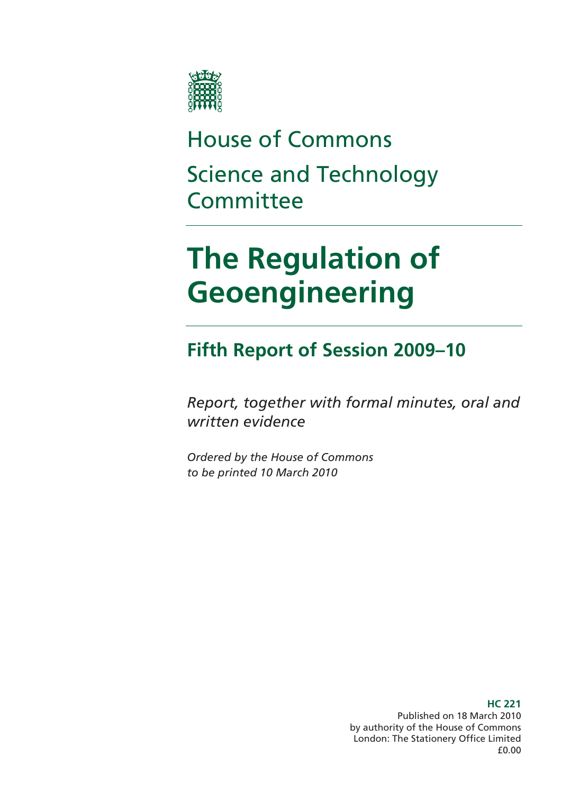

# House of Commons Science and Technology **Committee**

# **The Regulation of Geoengineering**

# **Fifth Report of Session 2009–10**

*Report, together with formal minutes, oral and written evidence* 

*Ordered by the House of Commons to be printed 10 March 2010* 

> **HC 221**  Published on 18 March 2010 by authority of the House of Commons London: The Stationery Office Limited £0.00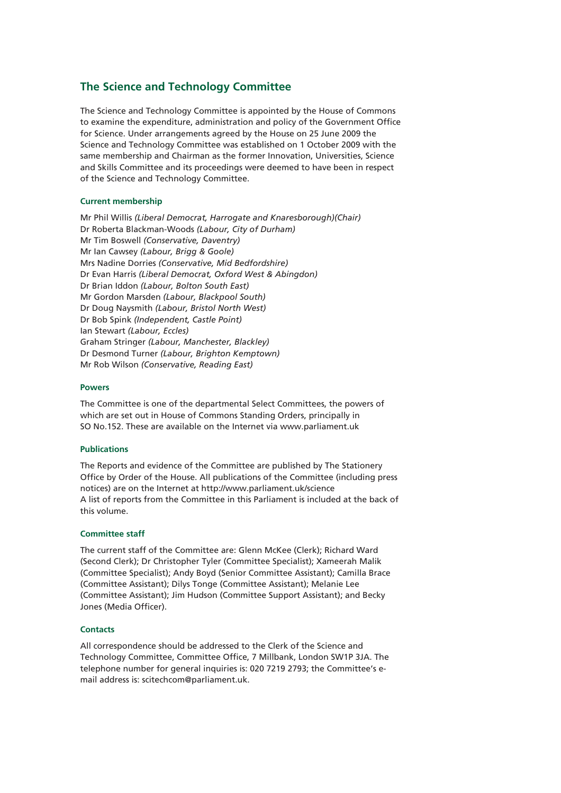#### **The Science and Technology Committee**

The Science and Technology Committee is appointed by the House of Commons to examine the expenditure, administration and policy of the Government Office for Science. Under arrangements agreed by the House on 25 June 2009 the Science and Technology Committee was established on 1 October 2009 with the same membership and Chairman as the former Innovation, Universities, Science and Skills Committee and its proceedings were deemed to have been in respect of the Science and Technology Committee.

#### **Current membership**

Mr Phil Willis *(Liberal Democrat, Harrogate and Knaresborough)(Chair)* Dr Roberta Blackman-Woods *(Labour, City of Durham)* Mr Tim Boswell *(Conservative, Daventry)* Mr Ian Cawsey *(Labour, Brigg & Goole)* Mrs Nadine Dorries *(Conservative, Mid Bedfordshire)* Dr Evan Harris *(Liberal Democrat, Oxford West & Abingdon)* Dr Brian Iddon *(Labour, Bolton South East)* Mr Gordon Marsden *(Labour, Blackpool South)* Dr Doug Naysmith *(Labour, Bristol North West)* Dr Bob Spink *(Independent, Castle Point)* Ian Stewart *(Labour, Eccles)*  Graham Stringer *(Labour, Manchester, Blackley)* Dr Desmond Turner *(Labour, Brighton Kemptown)* Mr Rob Wilson *(Conservative, Reading East)* 

#### **Powers**

The Committee is one of the departmental Select Committees, the powers of which are set out in House of Commons Standing Orders, principally in SO No.152. These are available on the Internet via www.parliament.uk

#### **Publications**

The Reports and evidence of the Committee are published by The Stationery Office by Order of the House. All publications of the Committee (including press notices) are on the Internet at http://www.parliament.uk/science A list of reports from the Committee in this Parliament is included at the back of this volume.

#### **Committee staff**

The current staff of the Committee are: Glenn McKee (Clerk); Richard Ward (Second Clerk); Dr Christopher Tyler (Committee Specialist); Xameerah Malik (Committee Specialist); Andy Boyd (Senior Committee Assistant); Camilla Brace (Committee Assistant); Dilys Tonge (Committee Assistant); Melanie Lee (Committee Assistant); Jim Hudson (Committee Support Assistant); and Becky Jones (Media Officer).

#### **Contacts**

All correspondence should be addressed to the Clerk of the Science and Technology Committee, Committee Office, 7 Millbank, London SW1P 3JA. The telephone number for general inquiries is: 020 7219 2793; the Committee's email address is: scitechcom@parliament.uk.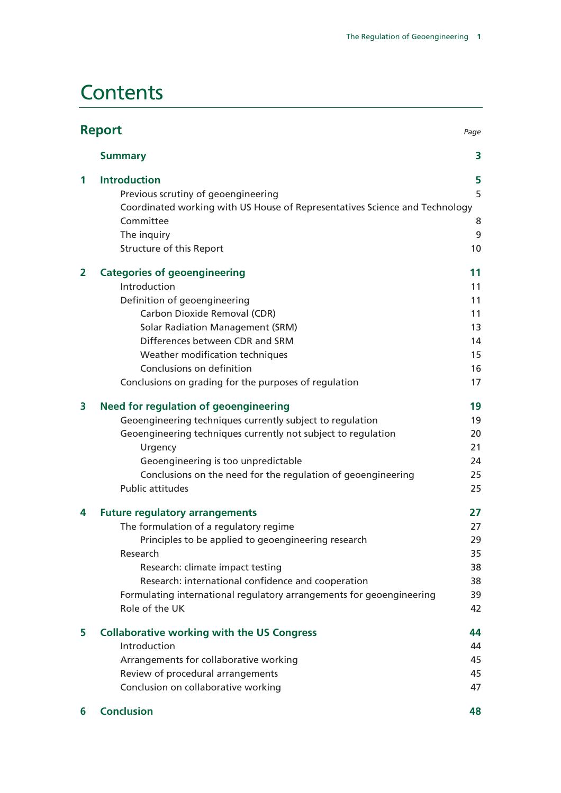# **Contents**

| <b>Report</b><br>Page |                                                                             |    |
|-----------------------|-----------------------------------------------------------------------------|----|
|                       | <b>Summary</b>                                                              | 3  |
| 1                     | <b>Introduction</b>                                                         | 5  |
|                       | Previous scrutiny of geoengineering                                         | 5  |
|                       | Coordinated working with US House of Representatives Science and Technology |    |
|                       | Committee                                                                   | 8  |
|                       | The inquiry                                                                 | 9  |
|                       | Structure of this Report                                                    | 10 |
| $\overline{2}$        | <b>Categories of geoengineering</b>                                         | 11 |
|                       | Introduction                                                                | 11 |
|                       | Definition of geoengineering                                                | 11 |
|                       | Carbon Dioxide Removal (CDR)                                                | 11 |
|                       | <b>Solar Radiation Management (SRM)</b>                                     | 13 |
|                       | Differences between CDR and SRM                                             | 14 |
|                       | Weather modification techniques                                             | 15 |
|                       | Conclusions on definition                                                   | 16 |
|                       | Conclusions on grading for the purposes of regulation                       | 17 |
| 3                     | <b>Need for regulation of geoengineering</b>                                | 19 |
|                       | Geoengineering techniques currently subject to regulation                   | 19 |
|                       | Geoengineering techniques currently not subject to regulation               | 20 |
|                       | Urgency                                                                     | 21 |
|                       | Geoengineering is too unpredictable                                         | 24 |
|                       | Conclusions on the need for the regulation of geoengineering                | 25 |
|                       | <b>Public attitudes</b>                                                     | 25 |
| 4                     | <b>Future regulatory arrangements</b>                                       | 27 |
|                       | The formulation of a regulatory regime                                      | 27 |
|                       | Principles to be applied to geoengineering research                         | 29 |
|                       | Research                                                                    | 35 |
|                       | Research: climate impact testing                                            | 38 |
|                       | Research: international confidence and cooperation                          | 38 |
|                       | Formulating international regulatory arrangements for geoengineering        | 39 |
|                       | Role of the UK                                                              | 42 |
| 5                     | <b>Collaborative working with the US Congress</b>                           | 44 |
|                       | Introduction                                                                | 44 |
|                       | Arrangements for collaborative working                                      | 45 |
|                       | Review of procedural arrangements                                           | 45 |
|                       | Conclusion on collaborative working                                         | 47 |
| 6                     | <b>Conclusion</b>                                                           | 48 |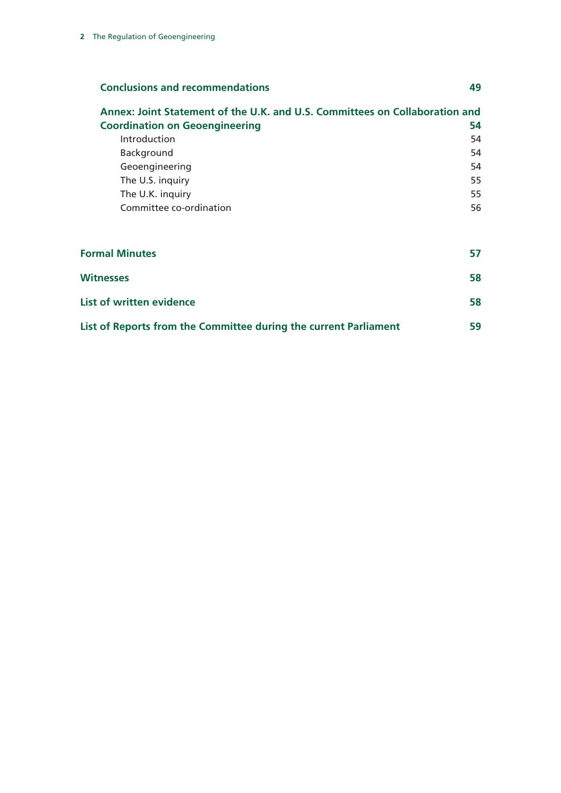| <b>Conclusions and recommendations</b>                                      | 49 |
|-----------------------------------------------------------------------------|----|
| Annex: Joint Statement of the U.K. and U.S. Committees on Collaboration and |    |
| <b>Coordination on Geoengineering</b>                                       | 54 |
| Introduction                                                                | 54 |
| Background                                                                  | 54 |
| Geoengineering                                                              | 54 |
| The U.S. inquiry                                                            | 55 |
| The U.K. inquiry                                                            | 55 |
| Committee co-ordination                                                     | 56 |
| <b>Formal Minutes</b>                                                       | 57 |
| Witnesses                                                                   | 58 |

| List of written evidence                                         |    |
|------------------------------------------------------------------|----|
| List of Reports from the Committee during the current Parliament | 59 |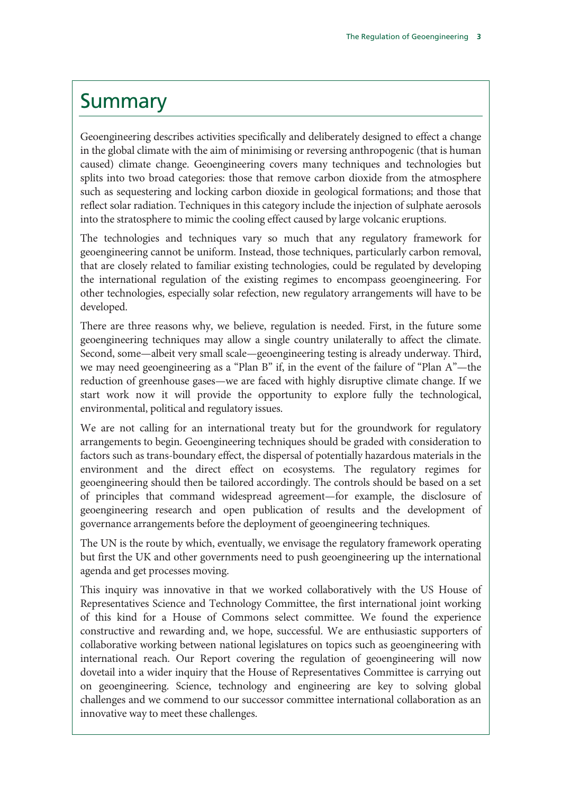# Summary

Geoengineering describes activities specifically and deliberately designed to effect a change in the global climate with the aim of minimising or reversing anthropogenic (that is human caused) climate change. Geoengineering covers many techniques and technologies but splits into two broad categories: those that remove carbon dioxide from the atmosphere such as sequestering and locking carbon dioxide in geological formations; and those that reflect solar radiation. Techniques in this category include the injection of sulphate aerosols into the stratosphere to mimic the cooling effect caused by large volcanic eruptions.

The technologies and techniques vary so much that any regulatory framework for geoengineering cannot be uniform. Instead, those techniques, particularly carbon removal, that are closely related to familiar existing technologies, could be regulated by developing the international regulation of the existing regimes to encompass geoengineering. For other technologies, especially solar refection, new regulatory arrangements will have to be developed.

There are three reasons why, we believe, regulation is needed. First, in the future some geoengineering techniques may allow a single country unilaterally to affect the climate. Second, some—albeit very small scale—geoengineering testing is already underway. Third, we may need geoengineering as a "Plan B" if, in the event of the failure of "Plan A"—the reduction of greenhouse gases—we are faced with highly disruptive climate change. If we start work now it will provide the opportunity to explore fully the technological, environmental, political and regulatory issues.

We are not calling for an international treaty but for the groundwork for regulatory arrangements to begin. Geoengineering techniques should be graded with consideration to factors such as trans-boundary effect, the dispersal of potentially hazardous materials in the environment and the direct effect on ecosystems. The regulatory regimes for geoengineering should then be tailored accordingly. The controls should be based on a set of principles that command widespread agreement—for example, the disclosure of geoengineering research and open publication of results and the development of governance arrangements before the deployment of geoengineering techniques.

The UN is the route by which, eventually, we envisage the regulatory framework operating but first the UK and other governments need to push geoengineering up the international agenda and get processes moving.

This inquiry was innovative in that we worked collaboratively with the US House of Representatives Science and Technology Committee, the first international joint working of this kind for a House of Commons select committee. We found the experience constructive and rewarding and, we hope, successful. We are enthusiastic supporters of collaborative working between national legislatures on topics such as geoengineering with international reach. Our Report covering the regulation of geoengineering will now dovetail into a wider inquiry that the House of Representatives Committee is carrying out on geoengineering. Science, technology and engineering are key to solving global challenges and we commend to our successor committee international collaboration as an innovative way to meet these challenges.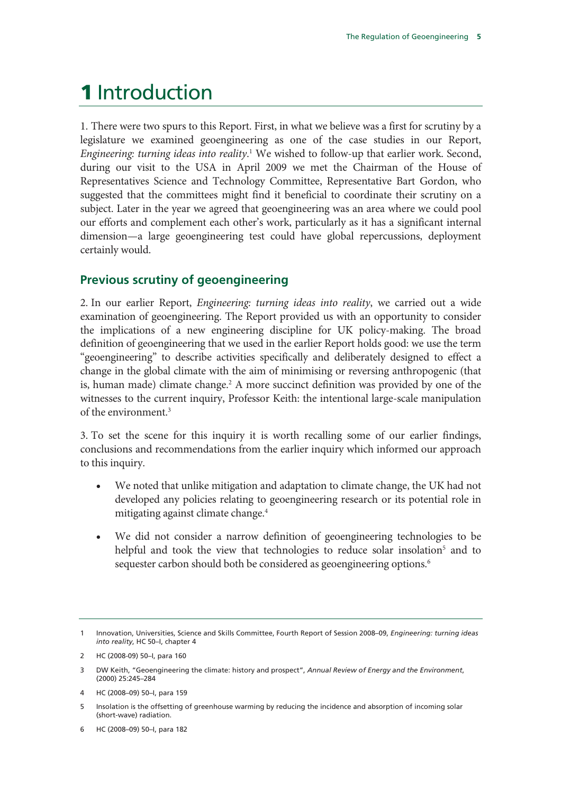# 1 Introduction

1. There were two spurs to this Report. First, in what we believe was a first for scrutiny by a legislature we examined geoengineering as one of the case studies in our Report, *Engineering: turning ideas into reality*. 1 We wished to follow-up that earlier work. Second, during our visit to the USA in April 2009 we met the Chairman of the House of Representatives Science and Technology Committee, Representative Bart Gordon, who suggested that the committees might find it beneficial to coordinate their scrutiny on a subject. Later in the year we agreed that geoengineering was an area where we could pool our efforts and complement each other's work, particularly as it has a significant internal dimension—a large geoengineering test could have global repercussions, deployment certainly would.

# **Previous scrutiny of geoengineering**

2. In our earlier Report, *Engineering: turning ideas into reality*, we carried out a wide examination of geoengineering. The Report provided us with an opportunity to consider the implications of a new engineering discipline for UK policy-making. The broad definition of geoengineering that we used in the earlier Report holds good: we use the term "geoengineering" to describe activities specifically and deliberately designed to effect a change in the global climate with the aim of minimising or reversing anthropogenic (that is, human made) climate change.<sup>2</sup> A more succinct definition was provided by one of the witnesses to the current inquiry, Professor Keith: the intentional large-scale manipulation of the environment.<sup>3</sup>

3. To set the scene for this inquiry it is worth recalling some of our earlier findings, conclusions and recommendations from the earlier inquiry which informed our approach to this inquiry.

- We noted that unlike mitigation and adaptation to climate change, the UK had not developed any policies relating to geoengineering research or its potential role in mitigating against climate change.4
- We did not consider a narrow definition of geoengineering technologies to be helpful and took the view that technologies to reduce solar insolation<sup>5</sup> and to sequester carbon should both be considered as geoengineering options.<sup>6</sup>

<sup>1</sup> Innovation, Universities, Science and Skills Committee, Fourth Report of Session 2008–09, *Engineering: turning ideas into reality*, HC 50–I, chapter 4

<sup>2</sup> HC (2008-09) 50–I, para 160

<sup>3</sup> DW Keith, "Geoengineering the climate: history and prospect", *Annual Review of Energy and the Environment*, (2000) 25:245–284

<sup>4</sup> HC (2008–09) 50–I, para 159

<sup>5</sup> Insolation is the offsetting of greenhouse warming by reducing the incidence and absorption of incoming solar (short-wave) radiation.

<sup>6</sup> HC (2008–09) 50–I, para 182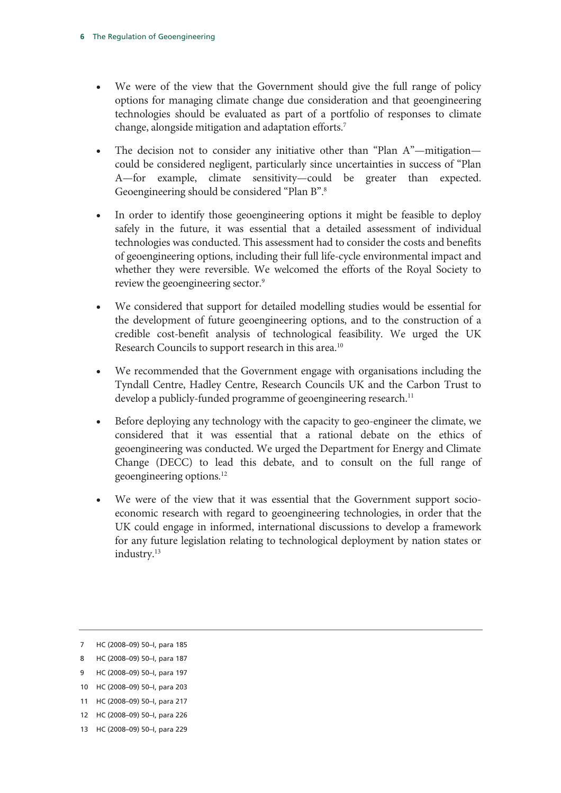- We were of the view that the Government should give the full range of policy options for managing climate change due consideration and that geoengineering technologies should be evaluated as part of a portfolio of responses to climate change, alongside mitigation and adaptation efforts.7
- The decision not to consider any initiative other than "Plan A"—mitigation could be considered negligent, particularly since uncertainties in success of "Plan A—for example, climate sensitivity—could be greater than expected. Geoengineering should be considered "Plan B".8
- In order to identify those geoengineering options it might be feasible to deploy safely in the future, it was essential that a detailed assessment of individual technologies was conducted. This assessment had to consider the costs and benefits of geoengineering options, including their full life-cycle environmental impact and whether they were reversible. We welcomed the efforts of the Royal Society to review the geoengineering sector.9
- We considered that support for detailed modelling studies would be essential for the development of future geoengineering options, and to the construction of a credible cost-benefit analysis of technological feasibility. We urged the UK Research Councils to support research in this area.10
- We recommended that the Government engage with organisations including the Tyndall Centre, Hadley Centre, Research Councils UK and the Carbon Trust to develop a publicly-funded programme of geoengineering research.<sup>11</sup>
- Before deploying any technology with the capacity to geo-engineer the climate, we considered that it was essential that a rational debate on the ethics of geoengineering was conducted. We urged the Department for Energy and Climate Change (DECC) to lead this debate, and to consult on the full range of geoengineering options.12
- We were of the view that it was essential that the Government support socioeconomic research with regard to geoengineering technologies, in order that the UK could engage in informed, international discussions to develop a framework for any future legislation relating to technological deployment by nation states or industry.<sup>13</sup>

<sup>7</sup> HC (2008–09) 50–I, para 185

<sup>8</sup> HC (2008–09) 50–I, para 187

<sup>9</sup> HC (2008–09) 50–I, para 197

<sup>10</sup> HC (2008–09) 50–I, para 203

<sup>11</sup> HC (2008–09) 50–I, para 217

<sup>12</sup> HC (2008–09) 50–I, para 226

<sup>13</sup> HC (2008–09) 50–I, para 229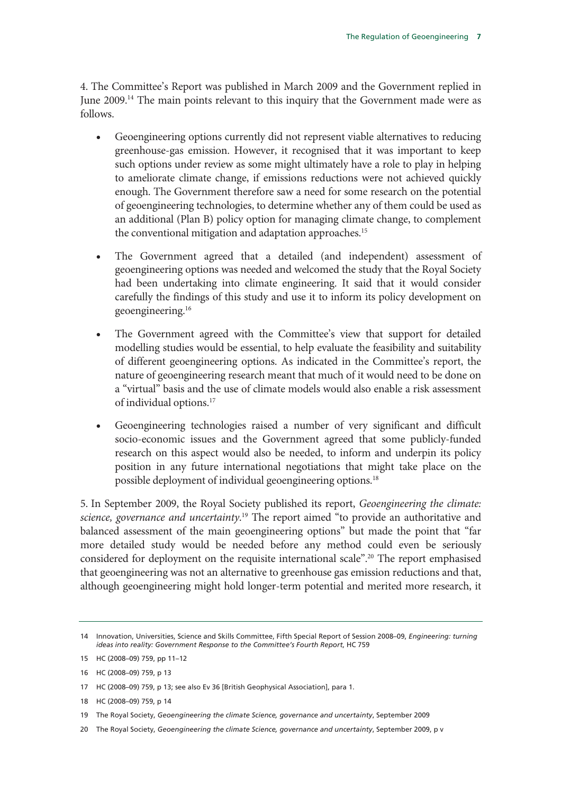4. The Committee's Report was published in March 2009 and the Government replied in June 2009.14 The main points relevant to this inquiry that the Government made were as follows.

- Geoengineering options currently did not represent viable alternatives to reducing greenhouse-gas emission. However, it recognised that it was important to keep such options under review as some might ultimately have a role to play in helping to ameliorate climate change, if emissions reductions were not achieved quickly enough. The Government therefore saw a need for some research on the potential of geoengineering technologies, to determine whether any of them could be used as an additional (Plan B) policy option for managing climate change, to complement the conventional mitigation and adaptation approaches.<sup>15</sup>
- The Government agreed that a detailed (and independent) assessment of geoengineering options was needed and welcomed the study that the Royal Society had been undertaking into climate engineering. It said that it would consider carefully the findings of this study and use it to inform its policy development on geoengineering.16
- The Government agreed with the Committee's view that support for detailed modelling studies would be essential, to help evaluate the feasibility and suitability of different geoengineering options. As indicated in the Committee's report, the nature of geoengineering research meant that much of it would need to be done on a "virtual" basis and the use of climate models would also enable a risk assessment of individual options.17
- Geoengineering technologies raised a number of very significant and difficult socio-economic issues and the Government agreed that some publicly-funded research on this aspect would also be needed, to inform and underpin its policy position in any future international negotiations that might take place on the possible deployment of individual geoengineering options.<sup>18</sup>

5. In September 2009, the Royal Society published its report, *Geoengineering the climate: science, governance and uncertainty*. 19 The report aimed "to provide an authoritative and balanced assessment of the main geoengineering options" but made the point that "far more detailed study would be needed before any method could even be seriously considered for deployment on the requisite international scale".<sup>20</sup> The report emphasised that geoengineering was not an alternative to greenhouse gas emission reductions and that, although geoengineering might hold longer-term potential and merited more research, it

<sup>14</sup> Innovation, Universities, Science and Skills Committee, Fifth Special Report of Session 2008–09, *Engineering: turning ideas into reality: Government Response to the Committee's Fourth Report*, HC 759

<sup>15</sup> HC (2008–09) 759, pp 11–12

<sup>16</sup> HC (2008–09) 759, p 13

<sup>17</sup> HC (2008–09) 759, p 13; see also Ev 36 [British Geophysical Association], para 1.

<sup>18</sup> HC (2008–09) 759, p 14

<sup>19</sup> The Royal Society, *Geoengineering the climate Science, governance and uncertainty*, September 2009

<sup>20</sup> The Royal Society, *Geoengineering the climate Science, governance and uncertainty*, September 2009, p v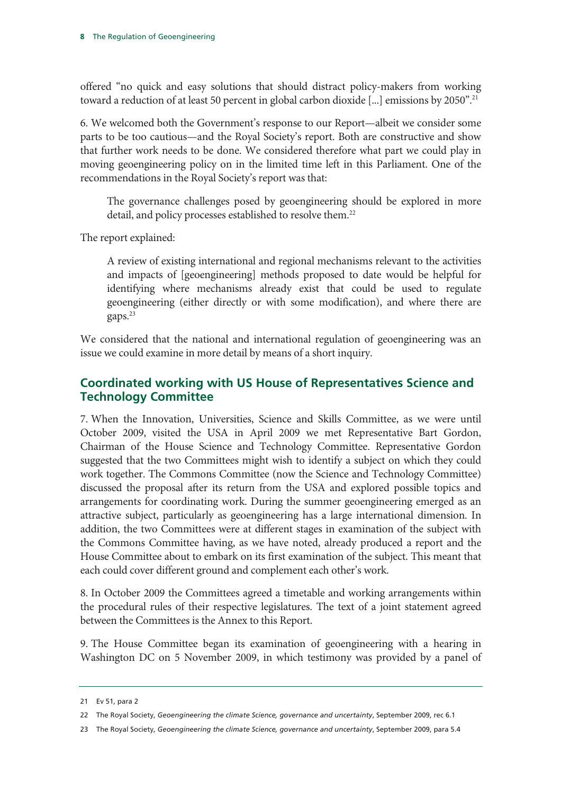offered "no quick and easy solutions that should distract policy-makers from working toward a reduction of at least 50 percent in global carbon dioxide [...] emissions by 2050".<sup>21</sup>

6. We welcomed both the Government's response to our Report—albeit we consider some parts to be too cautious—and the Royal Society's report. Both are constructive and show that further work needs to be done. We considered therefore what part we could play in moving geoengineering policy on in the limited time left in this Parliament. One of the recommendations in the Royal Society's report was that:

The governance challenges posed by geoengineering should be explored in more detail, and policy processes established to resolve them.<sup>22</sup>

The report explained:

A review of existing international and regional mechanisms relevant to the activities and impacts of [geoengineering] methods proposed to date would be helpful for identifying where mechanisms already exist that could be used to regulate geoengineering (either directly or with some modification), and where there are gaps.23

We considered that the national and international regulation of geoengineering was an issue we could examine in more detail by means of a short inquiry.

# **Coordinated working with US House of Representatives Science and Technology Committee**

7. When the Innovation, Universities, Science and Skills Committee, as we were until October 2009, visited the USA in April 2009 we met Representative Bart Gordon, Chairman of the House Science and Technology Committee. Representative Gordon suggested that the two Committees might wish to identify a subject on which they could work together. The Commons Committee (now the Science and Technology Committee) discussed the proposal after its return from the USA and explored possible topics and arrangements for coordinating work. During the summer geoengineering emerged as an attractive subject, particularly as geoengineering has a large international dimension. In addition, the two Committees were at different stages in examination of the subject with the Commons Committee having, as we have noted, already produced a report and the House Committee about to embark on its first examination of the subject. This meant that each could cover different ground and complement each other's work.

8. In October 2009 the Committees agreed a timetable and working arrangements within the procedural rules of their respective legislatures. The text of a joint statement agreed between the Committees is the Annex to this Report.

9. The House Committee began its examination of geoengineering with a hearing in Washington DC on 5 November 2009, in which testimony was provided by a panel of

<sup>21</sup> Ev 51, para 2

<sup>22</sup> The Royal Society, *Geoengineering the climate Science, governance and uncertainty*, September 2009, rec 6.1

<sup>23</sup> The Royal Society, *Geoengineering the climate Science, governance and uncertainty*, September 2009, para 5.4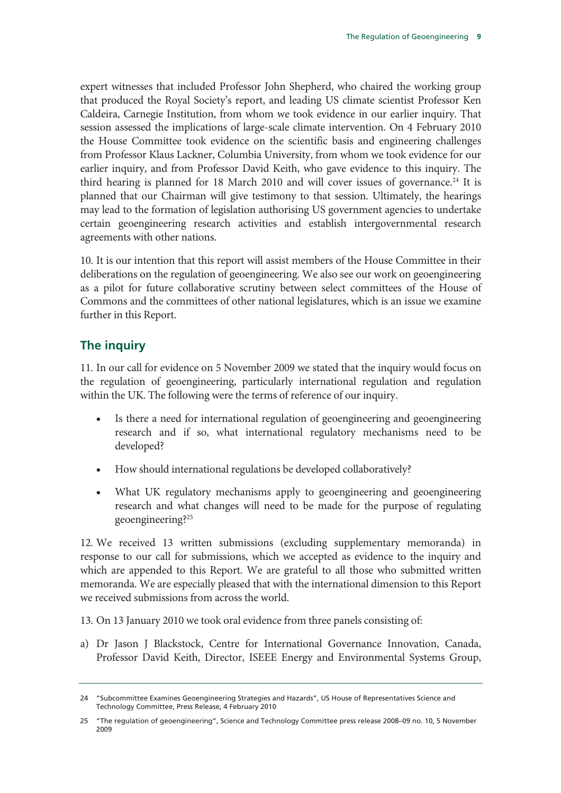expert witnesses that included Professor John Shepherd, who chaired the working group that produced the Royal Society's report, and leading US climate scientist Professor Ken Caldeira, Carnegie Institution, from whom we took evidence in our earlier inquiry. That session assessed the implications of large-scale climate intervention. On 4 February 2010 the House Committee took evidence on the scientific basis and engineering challenges from Professor Klaus Lackner, Columbia University, from whom we took evidence for our earlier inquiry, and from Professor David Keith, who gave evidence to this inquiry. The third hearing is planned for 18 March 2010 and will cover issues of governance.<sup>24</sup> It is planned that our Chairman will give testimony to that session. Ultimately, the hearings may lead to the formation of legislation authorising US government agencies to undertake certain geoengineering research activities and establish intergovernmental research agreements with other nations.

10. It is our intention that this report will assist members of the House Committee in their deliberations on the regulation of geoengineering. We also see our work on geoengineering as a pilot for future collaborative scrutiny between select committees of the House of Commons and the committees of other national legislatures, which is an issue we examine further in this Report.

# **The inquiry**

11. In our call for evidence on 5 November 2009 we stated that the inquiry would focus on the regulation of geoengineering, particularly international regulation and regulation within the UK. The following were the terms of reference of our inquiry.

- Is there a need for international regulation of geoengineering and geoengineering research and if so, what international regulatory mechanisms need to be developed?
- How should international regulations be developed collaboratively?
- What UK regulatory mechanisms apply to geoengineering and geoengineering research and what changes will need to be made for the purpose of regulating geoengineering?25

12. We received 13 written submissions (excluding supplementary memoranda) in response to our call for submissions, which we accepted as evidence to the inquiry and which are appended to this Report. We are grateful to all those who submitted written memoranda. We are especially pleased that with the international dimension to this Report we received submissions from across the world.

13. On 13 January 2010 we took oral evidence from three panels consisting of:

a) Dr Jason J Blackstock, Centre for International Governance Innovation, Canada, Professor David Keith, Director, ISEEE Energy and Environmental Systems Group,

<sup>24 &</sup>quot;Subcommittee Examines Geoengineering Strategies and Hazards", US House of Representatives Science and Technology Committee, Press Release, 4 February 2010

<sup>25 &</sup>quot;The regulation of geoengineering", Science and Technology Committee press release 2008–09 no. 10, 5 November 2009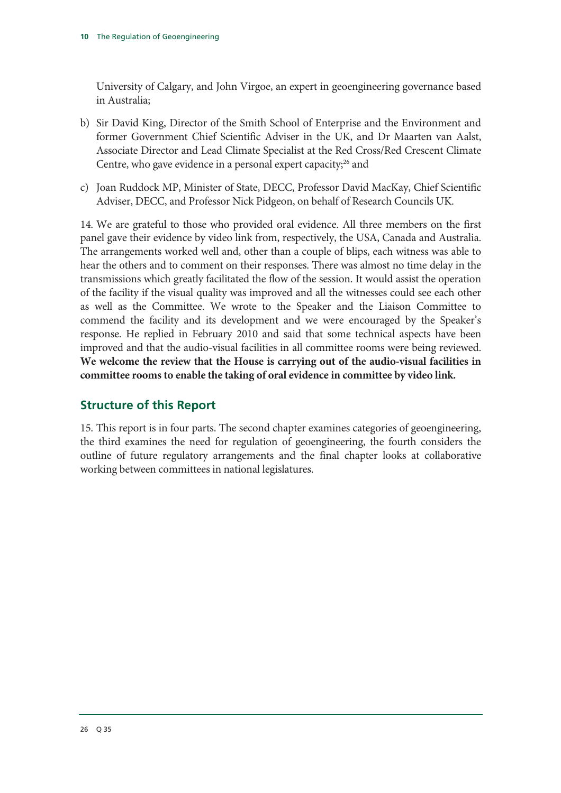University of Calgary, and John Virgoe, an expert in geoengineering governance based in Australia;

- b) Sir David King, Director of the Smith School of Enterprise and the Environment and former Government Chief Scientific Adviser in the UK, and Dr Maarten van Aalst, Associate Director and Lead Climate Specialist at the Red Cross/Red Crescent Climate Centre, who gave evidence in a personal expert capacity; $^{26}$  and
- c) Joan Ruddock MP, Minister of State, DECC, Professor David MacKay, Chief Scientific Adviser, DECC, and Professor Nick Pidgeon, on behalf of Research Councils UK.

14. We are grateful to those who provided oral evidence. All three members on the first panel gave their evidence by video link from, respectively, the USA, Canada and Australia. The arrangements worked well and, other than a couple of blips, each witness was able to hear the others and to comment on their responses. There was almost no time delay in the transmissions which greatly facilitated the flow of the session. It would assist the operation of the facility if the visual quality was improved and all the witnesses could see each other as well as the Committee. We wrote to the Speaker and the Liaison Committee to commend the facility and its development and we were encouraged by the Speaker's response. He replied in February 2010 and said that some technical aspects have been improved and that the audio-visual facilities in all committee rooms were being reviewed. **We welcome the review that the House is carrying out of the audio-visual facilities in committee rooms to enable the taking of oral evidence in committee by video link.** 

# **Structure of this Report**

15. This report is in four parts. The second chapter examines categories of geoengineering, the third examines the need for regulation of geoengineering, the fourth considers the outline of future regulatory arrangements and the final chapter looks at collaborative working between committees in national legislatures.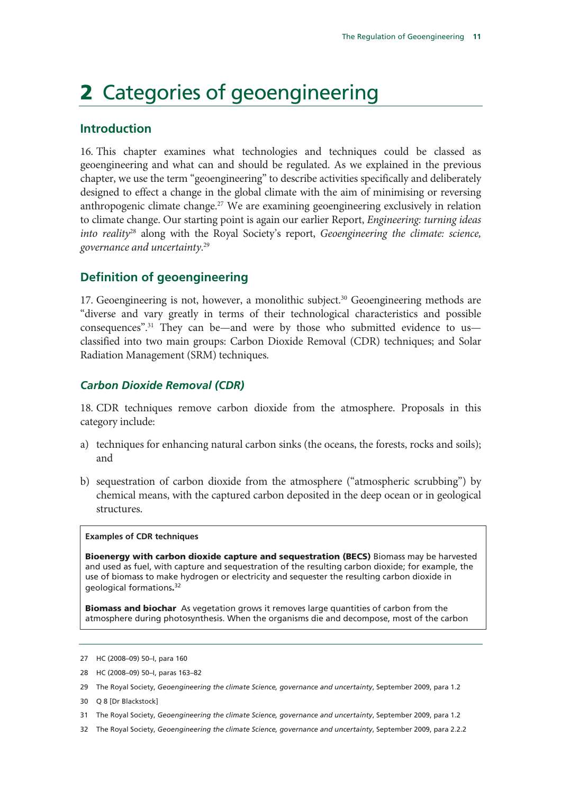# 2 Categories of geoengineering

#### **Introduction**

16. This chapter examines what technologies and techniques could be classed as geoengineering and what can and should be regulated. As we explained in the previous chapter, we use the term "geoengineering" to describe activities specifically and deliberately designed to effect a change in the global climate with the aim of minimising or reversing anthropogenic climate change.<sup>27</sup> We are examining geoengineering exclusively in relation to climate change. Our starting point is again our earlier Report, *Engineering: turning ideas into reality*28 along with the Royal Society's report, *Geoengineering the climate: science, governance and uncertainty*. 29

### **Definition of geoengineering**

17. Geoengineering is not, however, a monolithic subject.<sup>30</sup> Geoengineering methods are "diverse and vary greatly in terms of their technological characteristics and possible consequences".<sup>31</sup> They can be—and were by those who submitted evidence to us classified into two main groups: Carbon Dioxide Removal (CDR) techniques; and Solar Radiation Management (SRM) techniques.

#### *Carbon Dioxide Removal (CDR)*

18. CDR techniques remove carbon dioxide from the atmosphere. Proposals in this category include:

- a) techniques for enhancing natural carbon sinks (the oceans, the forests, rocks and soils); and
- b) sequestration of carbon dioxide from the atmosphere ("atmospheric scrubbing") by chemical means, with the captured carbon deposited in the deep ocean or in geological structures.

#### **Examples of CDR techniques**

Bioenergy with carbon dioxide capture and sequestration (BECS) Biomass may be harvested and used as fuel, with capture and sequestration of the resulting carbon dioxide; for example, the use of biomass to make hydrogen or electricity and sequester the resulting carbon dioxide in geological formations. 32

**Biomass and biochar** As vegetation grows it removes large quantities of carbon from the atmosphere during photosynthesis. When the organisms die and decompose, most of the carbon

- 30 Q 8 [Dr Blackstock]
- 31 The Royal Society, *Geoengineering the climate Science, governance and uncertainty*, September 2009, para 1.2
- 32 The Royal Society, *Geoengineering the climate Science, governance and uncertainty*, September 2009, para 2.2.2

<sup>27</sup> HC (2008–09) 50–I, para 160

<sup>28</sup> HC (2008–09) 50–I, paras 163–82

<sup>29</sup> The Royal Society, *Geoengineering the climate Science, governance and uncertainty*, September 2009, para 1.2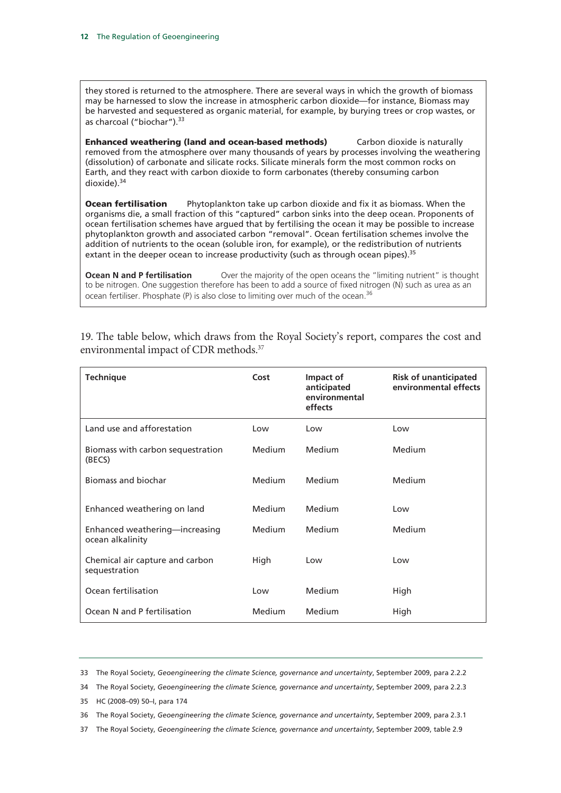they stored is returned to the atmosphere. There are several ways in which the growth of biomass may be harnessed to slow the increase in atmospheric carbon dioxide—for instance, Biomass may be harvested and sequestered as organic material, for example, by burying trees or crop wastes, or as charcoal ("biochar").<sup>33</sup>

**Enhanced weathering (land and ocean-based methods)** Carbon dioxide is naturally removed from the atmosphere over many thousands of years by processes involving the weathering (dissolution) of carbonate and silicate rocks. Silicate minerals form the most common rocks on Earth, and they react with carbon dioxide to form carbonates (thereby consuming carbon dioxide).34

**Ocean fertilisation** Phytoplankton take up carbon dioxide and fix it as biomass. When the organisms die, a small fraction of this "captured" carbon sinks into the deep ocean. Proponents of ocean fertilisation schemes have argued that by fertilising the ocean it may be possible to increase phytoplankton growth and associated carbon "removal". Ocean fertilisation schemes involve the addition of nutrients to the ocean (soluble iron, for example), or the redistribution of nutrients extant in the deeper ocean to increase productivity (such as through ocean pipes).<sup>35</sup>

**Ocean N and P fertilisation** Over the majority of the open oceans the "limiting nutrient" is thought to be nitrogen. One suggestion therefore has been to add a source of fixed nitrogen (N) such as urea as an ocean fertiliser. Phosphate (P) is also close to limiting over much of the ocean.<sup>36</sup>

| <b>Technique</b>                                   | Cost          | Impact of<br>anticipated<br>environmental<br>effects | <b>Risk of unanticipated</b><br>environmental effects |
|----------------------------------------------------|---------------|------------------------------------------------------|-------------------------------------------------------|
| Land use and afforestation                         | Low           | Low                                                  | Low                                                   |
| Biomass with carbon sequestration<br>(BECS)        | <b>Medium</b> | <b>Medium</b>                                        | <b>Medium</b>                                         |
| Biomass and biochar                                | <b>Medium</b> | <b>Medium</b>                                        | <b>Medium</b>                                         |
| Enhanced weathering on land                        | <b>Medium</b> | <b>Medium</b>                                        | Low                                                   |
| Enhanced weathering—increasing<br>ocean alkalinity | <b>Medium</b> | <b>Medium</b>                                        | <b>Medium</b>                                         |
| Chemical air capture and carbon<br>sequestration   | High          | Low                                                  | Low                                                   |
| Ocean fertilisation                                | Low           | <b>Medium</b>                                        | High                                                  |
| Ocean N and P fertilisation                        | Medium        | <b>Medium</b>                                        | High                                                  |

19. The table below, which draws from the Royal Society's report, compares the cost and environmental impact of CDR methods.<sup>37</sup>

33 The Royal Society, *Geoengineering the climate Science, governance and uncertainty*, September 2009, para 2.2.2

34 The Royal Society, *Geoengineering the climate Science, governance and uncertainty*, September 2009, para 2.2.3

35 HC (2008–09) 50–I, para 174

36 The Royal Society, *Geoengineering the climate Science, governance and uncertainty*, September 2009, para 2.3.1

37 The Royal Society, *Geoengineering the climate Science, governance and uncertainty*, September 2009, table 2.9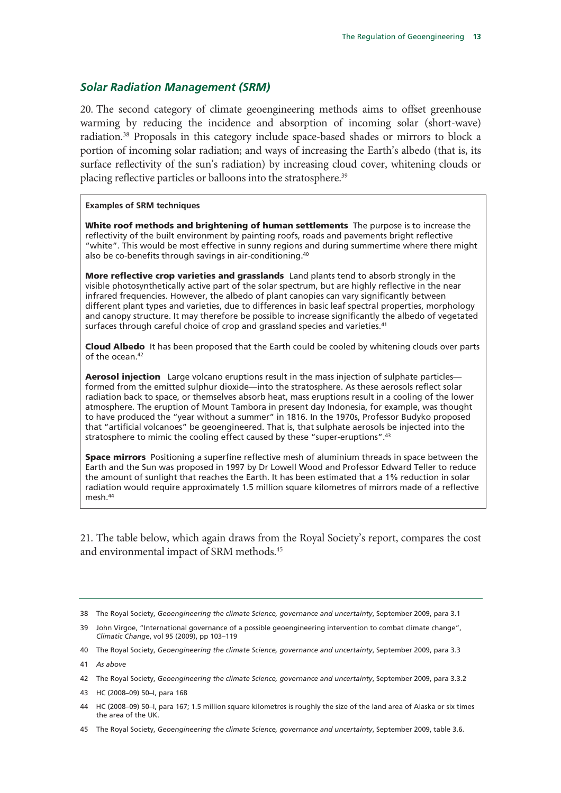#### *Solar Radiation Management (SRM)*

20. The second category of climate geoengineering methods aims to offset greenhouse warming by reducing the incidence and absorption of incoming solar (short-wave) radiation.38 Proposals in this category include space-based shades or mirrors to block a portion of incoming solar radiation; and ways of increasing the Earth's albedo (that is, its surface reflectivity of the sun's radiation) by increasing cloud cover, whitening clouds or placing reflective particles or balloons into the stratosphere.<sup>39</sup>

#### **Examples of SRM techniques**

White roof methods and brightening of human settlements The purpose is to increase the reflectivity of the built environment by painting roofs, roads and pavements bright reflective "white". This would be most effective in sunny regions and during summertime where there might also be co-benefits through savings in air-conditioning.40

More reflective crop varieties and grasslands Land plants tend to absorb strongly in the visible photosynthetically active part of the solar spectrum, but are highly reflective in the near infrared frequencies. However, the albedo of plant canopies can vary significantly between different plant types and varieties, due to differences in basic leaf spectral properties, morphology and canopy structure. It may therefore be possible to increase significantly the albedo of vegetated surfaces through careful choice of crop and grassland species and varieties.<sup>41</sup>

Cloud Albedo It has been proposed that the Earth could be cooled by whitening clouds over parts of the ocean.<sup>42</sup>

Aerosol injection Large volcano eruptions result in the mass injection of sulphate particles formed from the emitted sulphur dioxide—into the stratosphere. As these aerosols reflect solar radiation back to space, or themselves absorb heat, mass eruptions result in a cooling of the lower atmosphere. The eruption of Mount Tambora in present day Indonesia, for example, was thought to have produced the "year without a summer" in 1816. In the 1970s, Professor Budyko proposed that "artificial volcanoes" be geoengineered. That is, that sulphate aerosols be injected into the stratosphere to mimic the cooling effect caused by these "super-eruptions".<sup>43</sup>

**Space mirrors** Positioning a superfine reflective mesh of aluminium threads in space between the Earth and the Sun was proposed in 1997 by Dr Lowell Wood and Professor Edward Teller to reduce the amount of sunlight that reaches the Earth. It has been estimated that a 1% reduction in solar radiation would require approximately 1.5 million square kilometres of mirrors made of a reflective mesh.44

21. The table below, which again draws from the Royal Society's report, compares the cost and environmental impact of SRM methods.45

40 The Royal Society, *Geoengineering the climate Science, governance and uncertainty*, September 2009, para 3.3

45 The Royal Society, *Geoengineering the climate Science, governance and uncertainty*, September 2009, table 3.6.

<sup>38</sup> The Royal Society, *Geoengineering the climate Science, governance and uncertainty*, September 2009, para 3.1

<sup>39</sup> John Virgoe, "International governance of a possible geoengineering intervention to combat climate change", *Climatic Change*, vol 95 (2009), pp 103–119

<sup>41</sup> *As above*

<sup>42</sup> The Royal Society, *Geoengineering the climate Science, governance and uncertainty*, September 2009, para 3.3.2

<sup>43</sup> HC (2008–09) 50–I, para 168

<sup>44</sup> HC (2008–09) 50–I, para 167; 1.5 million square kilometres is roughly the size of the land area of Alaska or six times the area of the UK.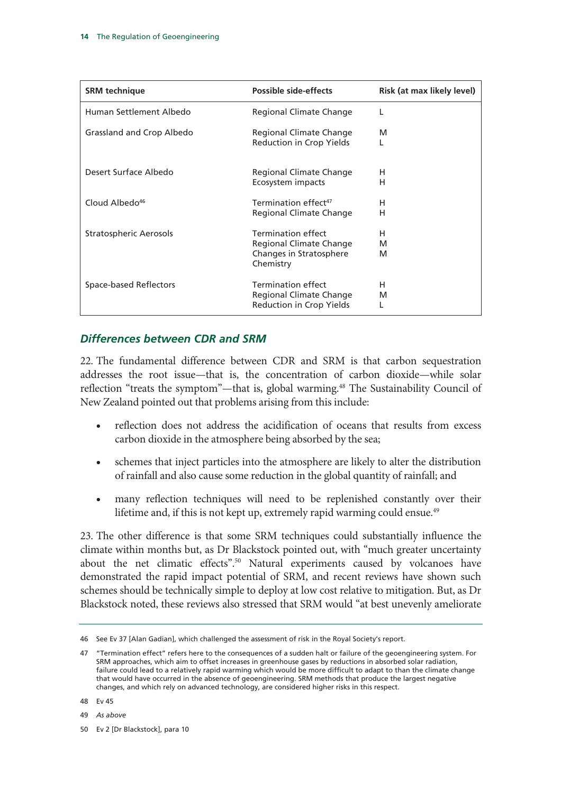| <b>SRM</b> technique          | <b>Possible side-effects</b>                                                                 | Risk (at max likely level) |
|-------------------------------|----------------------------------------------------------------------------------------------|----------------------------|
| Human Settlement Albedo       | Regional Climate Change                                                                      |                            |
| Grassland and Crop Albedo     | Regional Climate Change<br>Reduction in Crop Yields                                          | M                          |
| Desert Surface Albedo         | Regional Climate Change<br>Ecosystem impacts                                                 | н<br>н                     |
| Cloud Albedo <sup>46</sup>    | Termination effect <sup>47</sup><br>Regional Climate Change                                  | н<br>н                     |
| <b>Stratospheric Aerosols</b> | <b>Termination effect</b><br>Regional Climate Change<br>Changes in Stratosphere<br>Chemistry | н<br>M<br>M                |
| Space-based Reflectors        | <b>Termination effect</b><br>Regional Climate Change<br>Reduction in Crop Yields             | н<br>М                     |

### *Differences between CDR and SRM*

22. The fundamental difference between CDR and SRM is that carbon sequestration addresses the root issue—that is, the concentration of carbon dioxide—while solar reflection "treats the symptom"—that is, global warming.<sup>48</sup> The Sustainability Council of New Zealand pointed out that problems arising from this include:

- reflection does not address the acidification of oceans that results from excess carbon dioxide in the atmosphere being absorbed by the sea;
- schemes that inject particles into the atmosphere are likely to alter the distribution of rainfall and also cause some reduction in the global quantity of rainfall; and
- many reflection techniques will need to be replenished constantly over their lifetime and, if this is not kept up, extremely rapid warming could ensue.<sup>49</sup>

23. The other difference is that some SRM techniques could substantially influence the climate within months but, as Dr Blackstock pointed out, with "much greater uncertainty about the net climatic effects".50 Natural experiments caused by volcanoes have demonstrated the rapid impact potential of SRM, and recent reviews have shown such schemes should be technically simple to deploy at low cost relative to mitigation. But, as Dr Blackstock noted, these reviews also stressed that SRM would "at best unevenly ameliorate

48 Ev 45

49 *As above*

50 Ev 2 [Dr Blackstock], para 10

<sup>46</sup> See Ev 37 [Alan Gadian], which challenged the assessment of risk in the Royal Society's report.

<sup>47 &</sup>quot;Termination effect" refers here to the consequences of a sudden halt or failure of the geoengineering system. For SRM approaches, which aim to offset increases in greenhouse gases by reductions in absorbed solar radiation, failure could lead to a relatively rapid warming which would be more difficult to adapt to than the climate change that would have occurred in the absence of geoengineering. SRM methods that produce the largest negative changes, and which rely on advanced technology, are considered higher risks in this respect.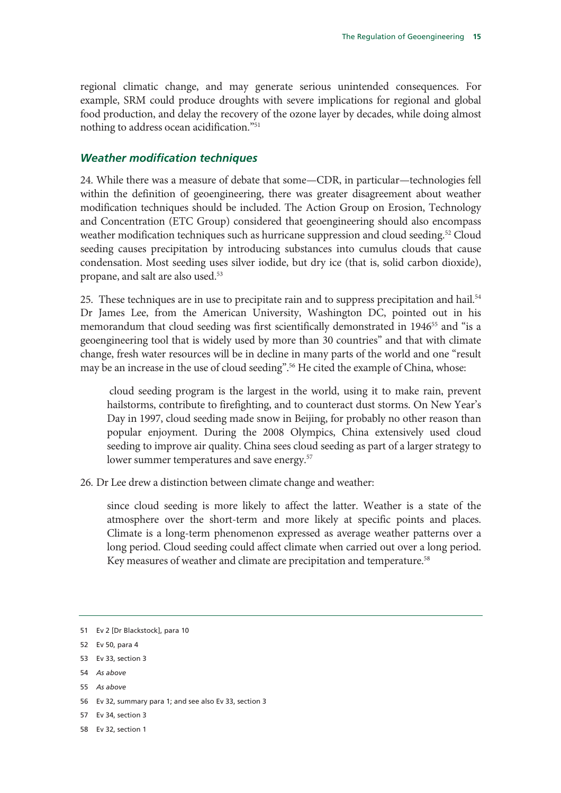regional climatic change, and may generate serious unintended consequences. For example, SRM could produce droughts with severe implications for regional and global food production, and delay the recovery of the ozone layer by decades, while doing almost nothing to address ocean acidification."51

#### *Weather modification techniques*

24. While there was a measure of debate that some—CDR, in particular—technologies fell within the definition of geoengineering, there was greater disagreement about weather modification techniques should be included. The Action Group on Erosion, Technology and Concentration (ETC Group) considered that geoengineering should also encompass weather modification techniques such as hurricane suppression and cloud seeding.<sup>52</sup> Cloud seeding causes precipitation by introducing substances into cumulus clouds that cause condensation. Most seeding uses silver iodide, but dry ice (that is, solid carbon dioxide), propane, and salt are also used.53

25. These techniques are in use to precipitate rain and to suppress precipitation and hail.<sup>54</sup> Dr James Lee, from the American University, Washington DC, pointed out in his memorandum that cloud seeding was first scientifically demonstrated in 1946<sup>55</sup> and "is a geoengineering tool that is widely used by more than 30 countries" and that with climate change, fresh water resources will be in decline in many parts of the world and one "result may be an increase in the use of cloud seeding".<sup>56</sup> He cited the example of China, whose:

 cloud seeding program is the largest in the world, using it to make rain, prevent hailstorms, contribute to firefighting, and to counteract dust storms. On New Year's Day in 1997, cloud seeding made snow in Beijing, for probably no other reason than popular enjoyment. During the 2008 Olympics, China extensively used cloud seeding to improve air quality. China sees cloud seeding as part of a larger strategy to lower summer temperatures and save energy.<sup>57</sup>

26. Dr Lee drew a distinction between climate change and weather:

since cloud seeding is more likely to affect the latter. Weather is a state of the atmosphere over the short-term and more likely at specific points and places. Climate is a long-term phenomenon expressed as average weather patterns over a long period. Cloud seeding could affect climate when carried out over a long period. Key measures of weather and climate are precipitation and temperature.<sup>58</sup>

- 56 Ev 32, summary para 1; and see also Ev 33, section 3
- 57 Ev 34, section 3
- 58 Ev 32, section 1

<sup>51</sup> Ev 2 [Dr Blackstock], para 10

<sup>52</sup> Ev 50, para 4

<sup>53</sup> Ev 33, section 3

<sup>54</sup> *As above*

<sup>55</sup> *As above*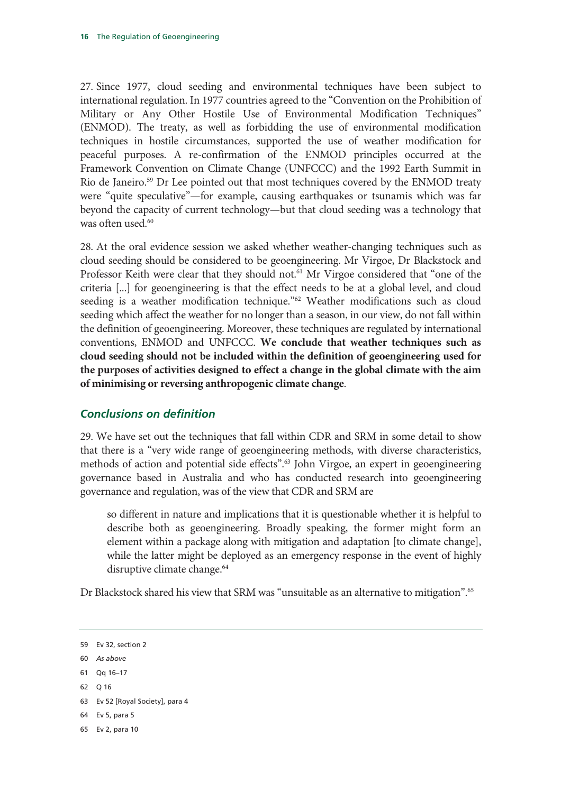27. Since 1977, cloud seeding and environmental techniques have been subject to international regulation. In 1977 countries agreed to the "Convention on the Prohibition of Military or Any Other Hostile Use of Environmental Modification Techniques" (ENMOD). The treaty, as well as forbidding the use of environmental modification techniques in hostile circumstances, supported the use of weather modification for peaceful purposes. A re-confirmation of the ENMOD principles occurred at the Framework Convention on Climate Change (UNFCCC) and the 1992 Earth Summit in Rio de Janeiro.<sup>59</sup> Dr Lee pointed out that most techniques covered by the ENMOD treaty were "quite speculative"—for example, causing earthquakes or tsunamis which was far beyond the capacity of current technology—but that cloud seeding was a technology that was often used.<sup>60</sup>

28. At the oral evidence session we asked whether weather-changing techniques such as cloud seeding should be considered to be geoengineering. Mr Virgoe, Dr Blackstock and Professor Keith were clear that they should not.<sup>61</sup> Mr Virgoe considered that "one of the criteria [...] for geoengineering is that the effect needs to be at a global level, and cloud seeding is a weather modification technique."<sup>62</sup> Weather modifications such as cloud seeding which affect the weather for no longer than a season, in our view, do not fall within the definition of geoengineering. Moreover, these techniques are regulated by international conventions, ENMOD and UNFCCC. **We conclude that weather techniques such as cloud seeding should not be included within the definition of geoengineering used for the purposes of activities designed to effect a change in the global climate with the aim of minimising or reversing anthropogenic climate change**.

### *Conclusions on definition*

29. We have set out the techniques that fall within CDR and SRM in some detail to show that there is a "very wide range of geoengineering methods, with diverse characteristics, methods of action and potential side effects".<sup>63</sup> John Virgoe, an expert in geoengineering governance based in Australia and who has conducted research into geoengineering governance and regulation, was of the view that CDR and SRM are

so different in nature and implications that it is questionable whether it is helpful to describe both as geoengineering. Broadly speaking, the former might form an element within a package along with mitigation and adaptation [to climate change], while the latter might be deployed as an emergency response in the event of highly disruptive climate change.<sup>64</sup>

Dr Blackstock shared his view that SRM was "unsuitable as an alternative to mitigation".<sup>65</sup>

<sup>59</sup> Ev 32, section 2

<sup>60</sup> *As above*

<sup>61</sup> Qq 16–17

<sup>62</sup> Q 16

<sup>63</sup> Ev 52 [Royal Society], para 4

<sup>64</sup> Ev 5, para 5

<sup>65</sup> Ev 2, para 10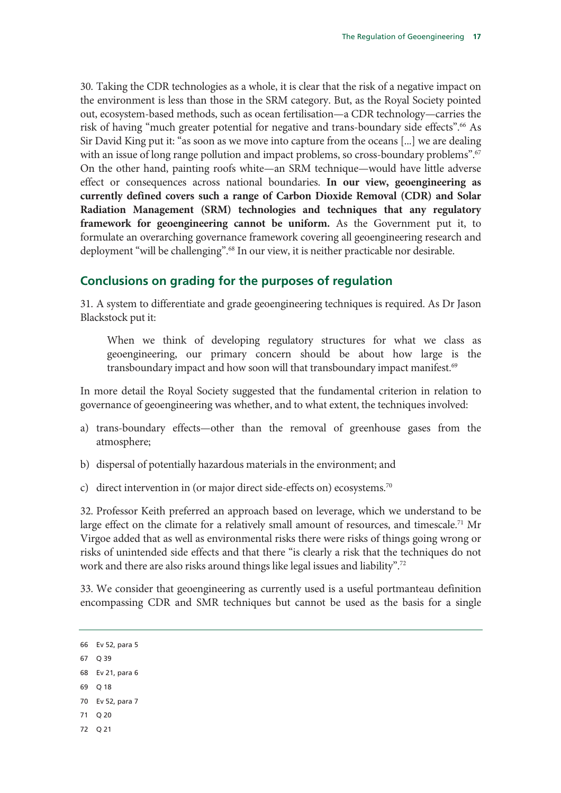30. Taking the CDR technologies as a whole, it is clear that the risk of a negative impact on the environment is less than those in the SRM category. But, as the Royal Society pointed out, ecosystem-based methods, such as ocean fertilisation—a CDR technology—carries the risk of having "much greater potential for negative and trans-boundary side effects".<sup>66</sup> As Sir David King put it: "as soon as we move into capture from the oceans [...] we are dealing with an issue of long range pollution and impact problems, so cross-boundary problems".<sup>67</sup> On the other hand, painting roofs white—an SRM technique—would have little adverse effect or consequences across national boundaries. **In our view, geoengineering as currently defined covers such a range of Carbon Dioxide Removal (CDR) and Solar Radiation Management (SRM) technologies and techniques that any regulatory framework for geoengineering cannot be uniform.** As the Government put it, to formulate an overarching governance framework covering all geoengineering research and deployment "will be challenging".<sup>68</sup> In our view, it is neither practicable nor desirable.

### **Conclusions on grading for the purposes of regulation**

31. A system to differentiate and grade geoengineering techniques is required. As Dr Jason Blackstock put it:

When we think of developing regulatory structures for what we class as geoengineering, our primary concern should be about how large is the transboundary impact and how soon will that transboundary impact manifest.<sup>69</sup>

In more detail the Royal Society suggested that the fundamental criterion in relation to governance of geoengineering was whether, and to what extent, the techniques involved:

- a) trans-boundary effects—other than the removal of greenhouse gases from the atmosphere;
- b) dispersal of potentially hazardous materials in the environment; and
- c) direct intervention in (or major direct side-effects on) ecosystems.<sup>70</sup>

32. Professor Keith preferred an approach based on leverage, which we understand to be large effect on the climate for a relatively small amount of resources, and timescale.<sup>71</sup> Mr Virgoe added that as well as environmental risks there were risks of things going wrong or risks of unintended side effects and that there "is clearly a risk that the techniques do not work and there are also risks around things like legal issues and liability".72

33. We consider that geoengineering as currently used is a useful portmanteau definition encompassing CDR and SMR techniques but cannot be used as the basis for a single

72 Q 21

<sup>66</sup> Ev 52, para 5 67 Q 39 68 Ev 21, para 6

<sup>69</sup> Q 18

<sup>70</sup> Ev 52, para 7

<sup>71</sup> Q 20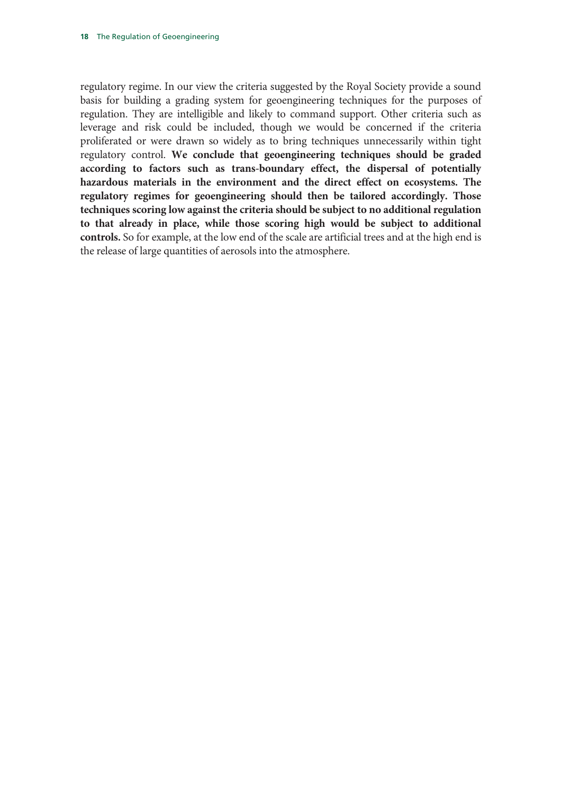regulatory regime. In our view the criteria suggested by the Royal Society provide a sound basis for building a grading system for geoengineering techniques for the purposes of regulation. They are intelligible and likely to command support. Other criteria such as leverage and risk could be included, though we would be concerned if the criteria proliferated or were drawn so widely as to bring techniques unnecessarily within tight regulatory control. **We conclude that geoengineering techniques should be graded according to factors such as trans-boundary effect, the dispersal of potentially hazardous materials in the environment and the direct effect on ecosystems. The regulatory regimes for geoengineering should then be tailored accordingly. Those techniques scoring low against the criteria should be subject to no additional regulation to that already in place, while those scoring high would be subject to additional controls.** So for example, at the low end of the scale are artificial trees and at the high end is the release of large quantities of aerosols into the atmosphere.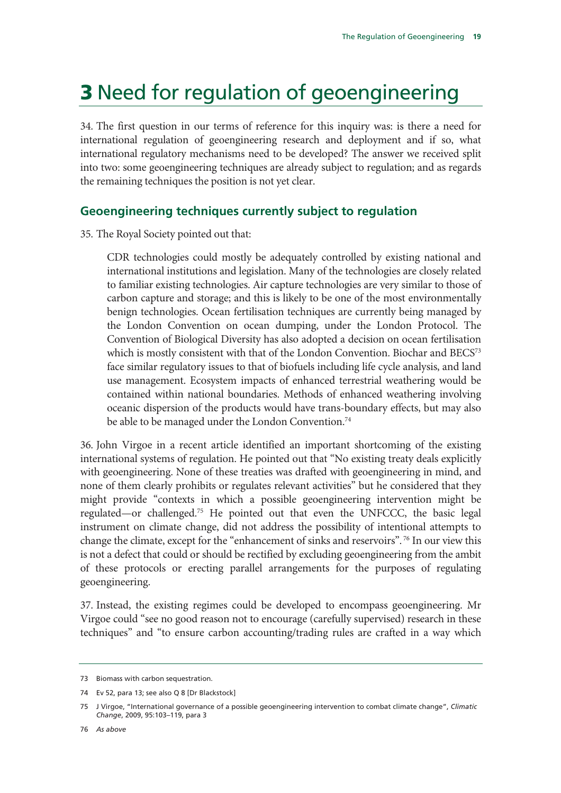# 3 Need for regulation of geoengineering

34. The first question in our terms of reference for this inquiry was: is there a need for international regulation of geoengineering research and deployment and if so, what international regulatory mechanisms need to be developed? The answer we received split into two: some geoengineering techniques are already subject to regulation; and as regards the remaining techniques the position is not yet clear.

### **Geoengineering techniques currently subject to regulation**

35. The Royal Society pointed out that:

CDR technologies could mostly be adequately controlled by existing national and international institutions and legislation. Many of the technologies are closely related to familiar existing technologies. Air capture technologies are very similar to those of carbon capture and storage; and this is likely to be one of the most environmentally benign technologies. Ocean fertilisation techniques are currently being managed by the London Convention on ocean dumping, under the London Protocol. The Convention of Biological Diversity has also adopted a decision on ocean fertilisation which is mostly consistent with that of the London Convention. Biochar and BECS<sup>73</sup> face similar regulatory issues to that of biofuels including life cycle analysis, and land use management. Ecosystem impacts of enhanced terrestrial weathering would be contained within national boundaries. Methods of enhanced weathering involving oceanic dispersion of the products would have trans-boundary effects, but may also be able to be managed under the London Convention.<sup>74</sup>

36. John Virgoe in a recent article identified an important shortcoming of the existing international systems of regulation. He pointed out that "No existing treaty deals explicitly with geoengineering. None of these treaties was drafted with geoengineering in mind, and none of them clearly prohibits or regulates relevant activities" but he considered that they might provide "contexts in which a possible geoengineering intervention might be regulated—or challenged.75 He pointed out that even the UNFCCC, the basic legal instrument on climate change, did not address the possibility of intentional attempts to change the climate, except for the "enhancement of sinks and reservoirs". 76 In our view this is not a defect that could or should be rectified by excluding geoengineering from the ambit of these protocols or erecting parallel arrangements for the purposes of regulating geoengineering.

37. Instead, the existing regimes could be developed to encompass geoengineering. Mr Virgoe could "see no good reason not to encourage (carefully supervised) research in these techniques" and "to ensure carbon accounting/trading rules are crafted in a way which

<sup>73</sup> Biomass with carbon sequestration.

<sup>74</sup> Ev 52, para 13; see also Q 8 [Dr Blackstock]

<sup>75</sup> J Virgoe, "International governance of a possible geoengineering intervention to combat climate change", *Climatic Change*, 2009, 95:103–119, para 3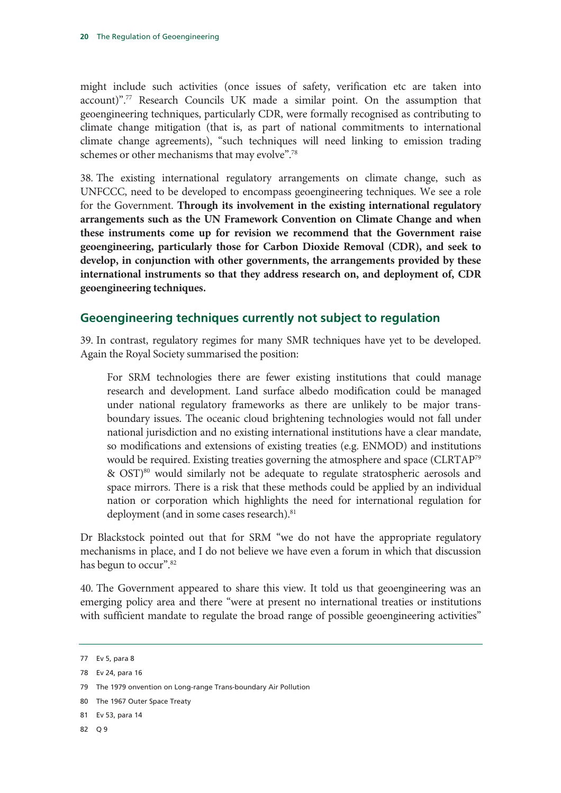might include such activities (once issues of safety, verification etc are taken into account)".77 Research Councils UK made a similar point. On the assumption that geoengineering techniques, particularly CDR, were formally recognised as contributing to climate change mitigation (that is, as part of national commitments to international climate change agreements), "such techniques will need linking to emission trading schemes or other mechanisms that may evolve".78

38. The existing international regulatory arrangements on climate change, such as UNFCCC, need to be developed to encompass geoengineering techniques. We see a role for the Government. **Through its involvement in the existing international regulatory arrangements such as the UN Framework Convention on Climate Change and when these instruments come up for revision we recommend that the Government raise geoengineering, particularly those for Carbon Dioxide Removal (CDR), and seek to develop, in conjunction with other governments, the arrangements provided by these international instruments so that they address research on, and deployment of, CDR geoengineering techniques.**

### **Geoengineering techniques currently not subject to regulation**

39. In contrast, regulatory regimes for many SMR techniques have yet to be developed. Again the Royal Society summarised the position:

For SRM technologies there are fewer existing institutions that could manage research and development. Land surface albedo modification could be managed under national regulatory frameworks as there are unlikely to be major transboundary issues. The oceanic cloud brightening technologies would not fall under national jurisdiction and no existing international institutions have a clear mandate, so modifications and extensions of existing treaties (e.g. ENMOD) and institutions would be required. Existing treaties governing the atmosphere and space (CLRTAP79 & OST)80 would similarly not be adequate to regulate stratospheric aerosols and space mirrors. There is a risk that these methods could be applied by an individual nation or corporation which highlights the need for international regulation for deployment (and in some cases research).<sup>81</sup>

Dr Blackstock pointed out that for SRM "we do not have the appropriate regulatory mechanisms in place, and I do not believe we have even a forum in which that discussion has begun to occur".<sup>82</sup>

40. The Government appeared to share this view. It told us that geoengineering was an emerging policy area and there "were at present no international treaties or institutions with sufficient mandate to regulate the broad range of possible geoengineering activities"

82 Q 9

<sup>77</sup> Ev 5, para 8

<sup>78</sup> Ev 24, para 16

<sup>79</sup> The 1979 onvention on Long-range Trans-boundary Air Pollution

<sup>80</sup> The 1967 Outer Space Treaty

<sup>81</sup> Ev 53, para 14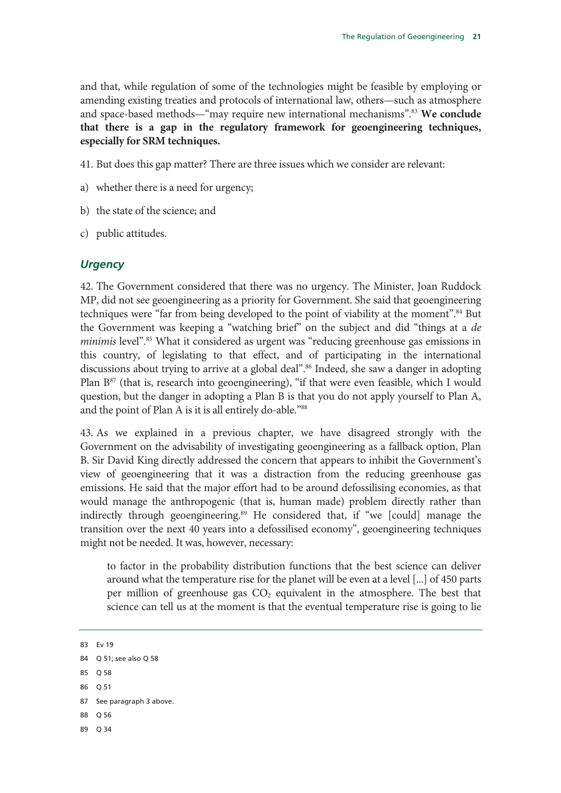and that, while regulation of some of the technologies might be feasible by employing or amending existing treaties and protocols of international law, others—such as atmosphere and space-based methods—"may require new international mechanisms".83 **We conclude that there is a gap in the regulatory framework for geoengineering techniques, especially for SRM techniques.**

- 41. But does this gap matter? There are three issues which we consider are relevant:
- a) whether there is a need for urgency;
- b) the state of the science; and
- c) public attitudes.

#### *Urgency*

42. The Government considered that there was no urgency. The Minister, Joan Ruddock MP, did not see geoengineering as a priority for Government. She said that geoengineering techniques were "far from being developed to the point of viability at the moment".<sup>84</sup> But the Government was keeping a "watching brief" on the subject and did "things at a *de minimis* level".<sup>85</sup> What it considered as urgent was "reducing greenhouse gas emissions in this country, of legislating to that effect, and of participating in the international discussions about trying to arrive at a global deal".<sup>86</sup> Indeed, she saw a danger in adopting Plan B<sup>87</sup> (that is, research into geoengineering), "if that were even feasible, which I would question, but the danger in adopting a Plan B is that you do not apply yourself to Plan A, and the point of Plan A is it is all entirely do-able."88

43. As we explained in a previous chapter, we have disagreed strongly with the Government on the advisability of investigating geoengineering as a fallback option, Plan B. Sir David King directly addressed the concern that appears to inhibit the Government's view of geoengineering that it was a distraction from the reducing greenhouse gas emissions. He said that the major effort had to be around defossilising economies, as that would manage the anthropogenic (that is, human made) problem directly rather than indirectly through geoengineering.<sup>89</sup> He considered that, if "we [could] manage the transition over the next 40 years into a defossilised economy", geoengineering techniques might not be needed. It was, however, necessary:

to factor in the probability distribution functions that the best science can deliver around what the temperature rise for the planet will be even at a level [...] of 450 parts per million of greenhouse gas  $CO<sub>2</sub>$  equivalent in the atmosphere. The best that science can tell us at the moment is that the eventual temperature rise is going to lie

85 Q 58

- 87 See paragraph 3 above.
- 88 Q 56
- 89 Q 34

<sup>83</sup> Ev 19

<sup>84</sup> Q 51; see also Q 58

<sup>86</sup> Q 51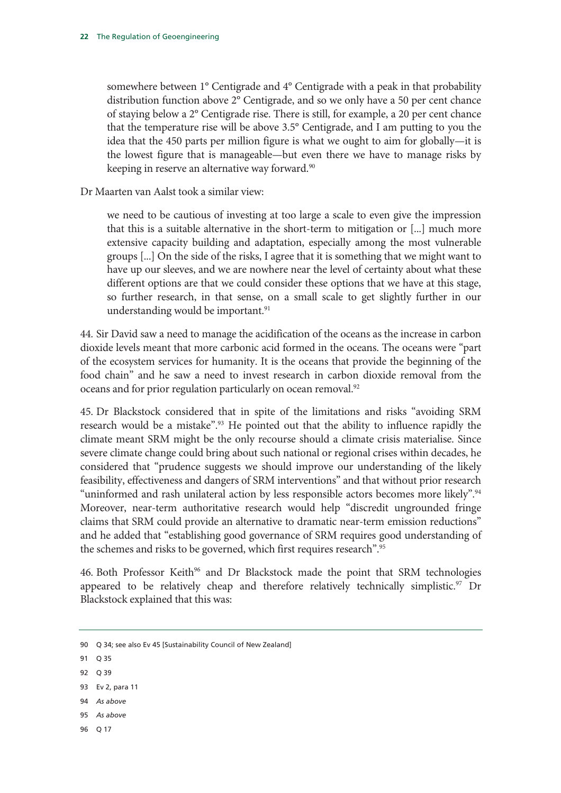somewhere between 1° Centigrade and 4° Centigrade with a peak in that probability distribution function above 2° Centigrade, and so we only have a 50 per cent chance of staying below a 2° Centigrade rise. There is still, for example, a 20 per cent chance that the temperature rise will be above 3.5° Centigrade, and I am putting to you the idea that the 450 parts per million figure is what we ought to aim for globally—it is the lowest figure that is manageable—but even there we have to manage risks by keeping in reserve an alternative way forward.<sup>90</sup>

Dr Maarten van Aalst took a similar view:

we need to be cautious of investing at too large a scale to even give the impression that this is a suitable alternative in the short-term to mitigation or [...] much more extensive capacity building and adaptation, especially among the most vulnerable groups [...] On the side of the risks, I agree that it is something that we might want to have up our sleeves, and we are nowhere near the level of certainty about what these different options are that we could consider these options that we have at this stage, so further research, in that sense, on a small scale to get slightly further in our understanding would be important.<sup>91</sup>

44. Sir David saw a need to manage the acidification of the oceans as the increase in carbon dioxide levels meant that more carbonic acid formed in the oceans. The oceans were "part of the ecosystem services for humanity. It is the oceans that provide the beginning of the food chain" and he saw a need to invest research in carbon dioxide removal from the oceans and for prior regulation particularly on ocean removal.<sup>92</sup>

45. Dr Blackstock considered that in spite of the limitations and risks "avoiding SRM research would be a mistake".<sup>93</sup> He pointed out that the ability to influence rapidly the climate meant SRM might be the only recourse should a climate crisis materialise. Since severe climate change could bring about such national or regional crises within decades, he considered that "prudence suggests we should improve our understanding of the likely feasibility, effectiveness and dangers of SRM interventions" and that without prior research "uninformed and rash unilateral action by less responsible actors becomes more likely".<sup>94</sup> Moreover, near-term authoritative research would help "discredit ungrounded fringe claims that SRM could provide an alternative to dramatic near-term emission reductions" and he added that "establishing good governance of SRM requires good understanding of the schemes and risks to be governed, which first requires research".95

46. Both Professor Keith<sup>96</sup> and Dr Blackstock made the point that SRM technologies appeared to be relatively cheap and therefore relatively technically simplistic.<sup>97</sup> Dr Blackstock explained that this was:

- 94 *As above*
- 95 *As above*
- 96 Q 17

<sup>90</sup> Q 34; see also Ev 45 [Sustainability Council of New Zealand]

<sup>91</sup> Q 35

<sup>92</sup> Q 39

<sup>93</sup> Ev 2, para 11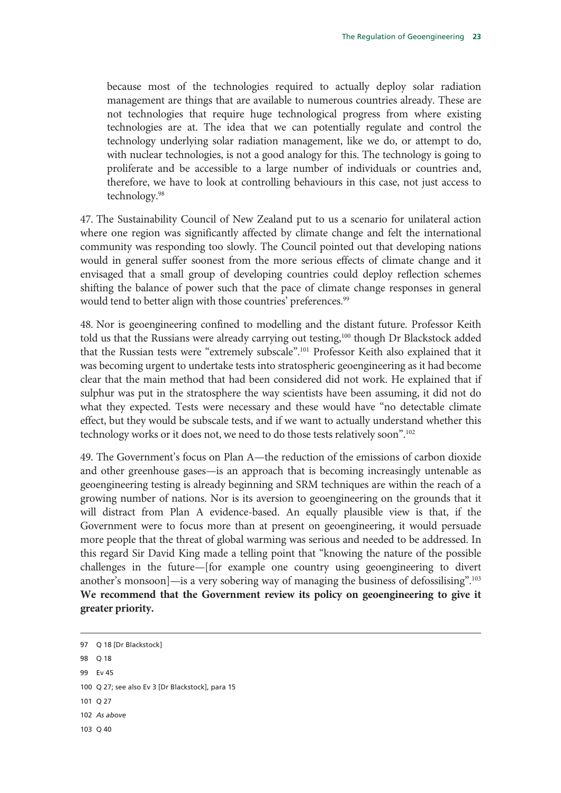because most of the technologies required to actually deploy solar radiation management are things that are available to numerous countries already. These are not technologies that require huge technological progress from where existing technologies are at. The idea that we can potentially regulate and control the technology underlying solar radiation management, like we do, or attempt to do, with nuclear technologies, is not a good analogy for this. The technology is going to proliferate and be accessible to a large number of individuals or countries and, therefore, we have to look at controlling behaviours in this case, not just access to technology.98

47. The Sustainability Council of New Zealand put to us a scenario for unilateral action where one region was significantly affected by climate change and felt the international community was responding too slowly. The Council pointed out that developing nations would in general suffer soonest from the more serious effects of climate change and it envisaged that a small group of developing countries could deploy reflection schemes shifting the balance of power such that the pace of climate change responses in general would tend to better align with those countries' preferences.<sup>99</sup>

48. Nor is geoengineering confined to modelling and the distant future. Professor Keith told us that the Russians were already carrying out testing,<sup>100</sup> though Dr Blackstock added that the Russian tests were "extremely subscale".101 Professor Keith also explained that it was becoming urgent to undertake tests into stratospheric geoengineering as it had become clear that the main method that had been considered did not work. He explained that if sulphur was put in the stratosphere the way scientists have been assuming, it did not do what they expected. Tests were necessary and these would have "no detectable climate effect, but they would be subscale tests, and if we want to actually understand whether this technology works or it does not, we need to do those tests relatively soon".<sup>102</sup>

49. The Government's focus on Plan A—the reduction of the emissions of carbon dioxide and other greenhouse gases—is an approach that is becoming increasingly untenable as geoengineering testing is already beginning and SRM techniques are within the reach of a growing number of nations. Nor is its aversion to geoengineering on the grounds that it will distract from Plan A evidence-based. An equally plausible view is that, if the Government were to focus more than at present on geoengineering, it would persuade more people that the threat of global warming was serious and needed to be addressed. In this regard Sir David King made a telling point that "knowing the nature of the possible challenges in the future—[for example one country using geoengineering to divert another's monsoon]—is a very sobering way of managing the business of defossilising".103 **We recommend that the Government review its policy on geoengineering to give it greater priority.**

-

<sup>97</sup> Q 18 [Dr Blackstock] 98  $\cup$  18 99 Ev 45 100 Q 27; see also Ev 3 [Dr Blackstock], para 15 101 Q 27 102 *As above* 103 Q 40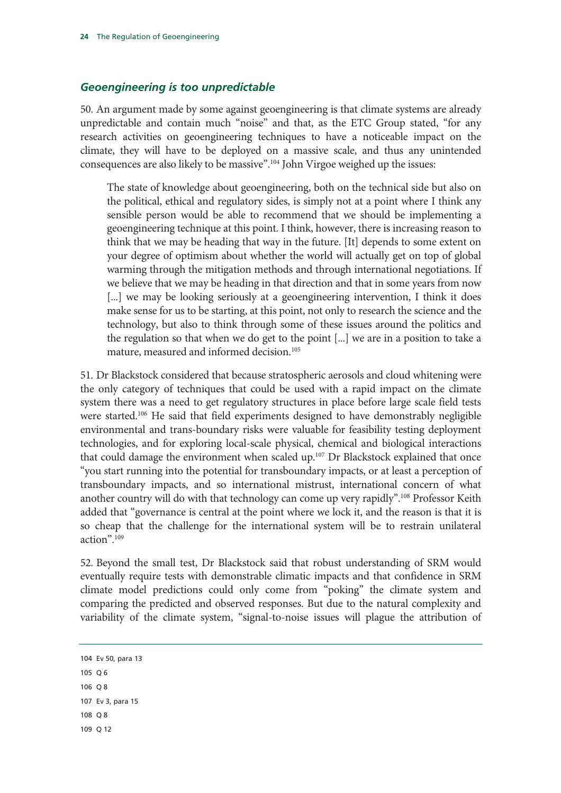#### *Geoengineering is too unpredictable*

50. An argument made by some against geoengineering is that climate systems are already unpredictable and contain much "noise" and that, as the ETC Group stated, "for any research activities on geoengineering techniques to have a noticeable impact on the climate, they will have to be deployed on a massive scale, and thus any unintended consequences are also likely to be massive".104 John Virgoe weighed up the issues:

The state of knowledge about geoengineering, both on the technical side but also on the political, ethical and regulatory sides, is simply not at a point where I think any sensible person would be able to recommend that we should be implementing a geoengineering technique at this point. I think, however, there is increasing reason to think that we may be heading that way in the future. [It] depends to some extent on your degree of optimism about whether the world will actually get on top of global warming through the mitigation methods and through international negotiations. If we believe that we may be heading in that direction and that in some years from now [...] we may be looking seriously at a geoengineering intervention, I think it does make sense for us to be starting, at this point, not only to research the science and the technology, but also to think through some of these issues around the politics and the regulation so that when we do get to the point [...] we are in a position to take a mature, measured and informed decision.<sup>105</sup>

51. Dr Blackstock considered that because stratospheric aerosols and cloud whitening were the only category of techniques that could be used with a rapid impact on the climate system there was a need to get regulatory structures in place before large scale field tests were started.106 He said that field experiments designed to have demonstrably negligible environmental and trans-boundary risks were valuable for feasibility testing deployment technologies, and for exploring local-scale physical, chemical and biological interactions that could damage the environment when scaled up.<sup>107</sup> Dr Blackstock explained that once "you start running into the potential for transboundary impacts, or at least a perception of transboundary impacts, and so international mistrust, international concern of what another country will do with that technology can come up very rapidly".<sup>108</sup> Professor Keith added that "governance is central at the point where we lock it, and the reason is that it is so cheap that the challenge for the international system will be to restrain unilateral action".109

52. Beyond the small test, Dr Blackstock said that robust understanding of SRM would eventually require tests with demonstrable climatic impacts and that confidence in SRM climate model predictions could only come from "poking" the climate system and comparing the predicted and observed responses. But due to the natural complexity and variability of the climate system, "signal-to-noise issues will plague the attribution of

104 Ev 50, para 13 105 Q 6 106 Q 8 107 Ev 3, para 15 108 Q 8 109 Q 12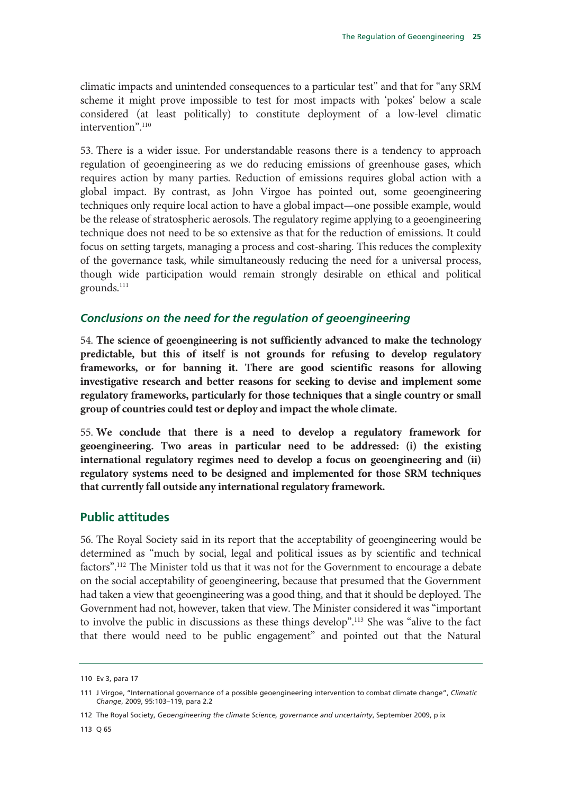climatic impacts and unintended consequences to a particular test" and that for "any SRM scheme it might prove impossible to test for most impacts with 'pokes' below a scale considered (at least politically) to constitute deployment of a low-level climatic intervention".110

53. There is a wider issue. For understandable reasons there is a tendency to approach regulation of geoengineering as we do reducing emissions of greenhouse gases, which requires action by many parties. Reduction of emissions requires global action with a global impact. By contrast, as John Virgoe has pointed out, some geoengineering techniques only require local action to have a global impact—one possible example, would be the release of stratospheric aerosols. The regulatory regime applying to a geoengineering technique does not need to be so extensive as that for the reduction of emissions. It could focus on setting targets, managing a process and cost-sharing. This reduces the complexity of the governance task, while simultaneously reducing the need for a universal process, though wide participation would remain strongly desirable on ethical and political grounds.<sup>111</sup>

#### *Conclusions on the need for the regulation of geoengineering*

54. **The science of geoengineering is not sufficiently advanced to make the technology predictable, but this of itself is not grounds for refusing to develop regulatory frameworks, or for banning it. There are good scientific reasons for allowing investigative research and better reasons for seeking to devise and implement some regulatory frameworks, particularly for those techniques that a single country or small group of countries could test or deploy and impact the whole climate.**

55. **We conclude that there is a need to develop a regulatory framework for geoengineering. Two areas in particular need to be addressed: (i) the existing international regulatory regimes need to develop a focus on geoengineering and (ii) regulatory systems need to be designed and implemented for those SRM techniques that currently fall outside any international regulatory framework.**

#### **Public attitudes**

56. The Royal Society said in its report that the acceptability of geoengineering would be determined as "much by social, legal and political issues as by scientific and technical factors".<sup>112</sup> The Minister told us that it was not for the Government to encourage a debate on the social acceptability of geoengineering, because that presumed that the Government had taken a view that geoengineering was a good thing, and that it should be deployed. The Government had not, however, taken that view. The Minister considered it was "important to involve the public in discussions as these things develop".113 She was "alive to the fact that there would need to be public engagement" and pointed out that the Natural

<sup>110</sup> Ev 3, para 17

<sup>111</sup> J Virgoe, "International governance of a possible geoengineering intervention to combat climate change", *Climatic Change*, 2009, 95:103–119, para 2.2

<sup>112</sup> The Royal Society, *Geoengineering the climate Science, governance and uncertainty*, September 2009, p ix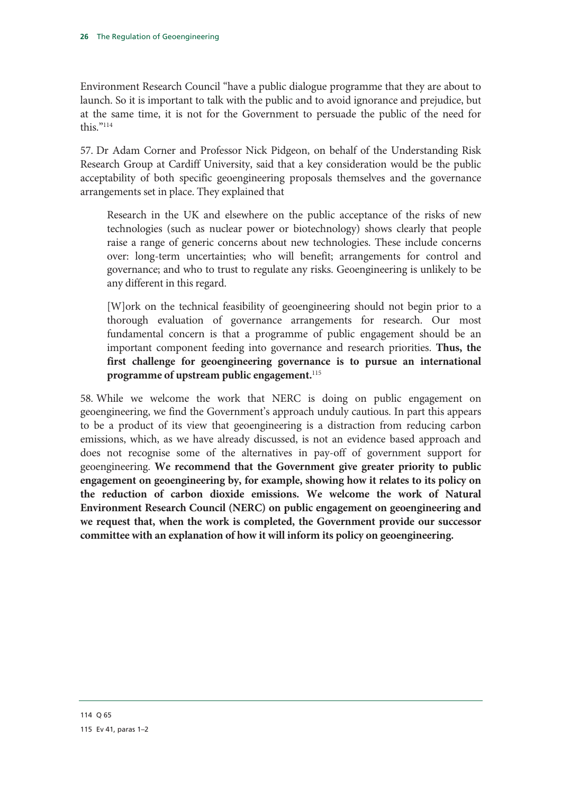Environment Research Council "have a public dialogue programme that they are about to launch. So it is important to talk with the public and to avoid ignorance and prejudice, but at the same time, it is not for the Government to persuade the public of the need for this."114

57. Dr Adam Corner and Professor Nick Pidgeon, on behalf of the Understanding Risk Research Group at Cardiff University, said that a key consideration would be the public acceptability of both specific geoengineering proposals themselves and the governance arrangements set in place. They explained that

Research in the UK and elsewhere on the public acceptance of the risks of new technologies (such as nuclear power or biotechnology) shows clearly that people raise a range of generic concerns about new technologies. These include concerns over: long-term uncertainties; who will benefit; arrangements for control and governance; and who to trust to regulate any risks. Geoengineering is unlikely to be any different in this regard.

[W]ork on the technical feasibility of geoengineering should not begin prior to a thorough evaluation of governance arrangements for research. Our most fundamental concern is that a programme of public engagement should be an important component feeding into governance and research priorities. **Thus, the first challenge for geoengineering governance is to pursue an international programme of upstream public engagement.**<sup>115</sup>

58. While we welcome the work that NERC is doing on public engagement on geoengineering, we find the Government's approach unduly cautious. In part this appears to be a product of its view that geoengineering is a distraction from reducing carbon emissions, which, as we have already discussed, is not an evidence based approach and does not recognise some of the alternatives in pay-off of government support for geoengineering. **We recommend that the Government give greater priority to public engagement on geoengineering by, for example, showing how it relates to its policy on the reduction of carbon dioxide emissions. We welcome the work of Natural Environment Research Council (NERC) on public engagement on geoengineering and we request that, when the work is completed, the Government provide our successor committee with an explanation of how it will inform its policy on geoengineering.**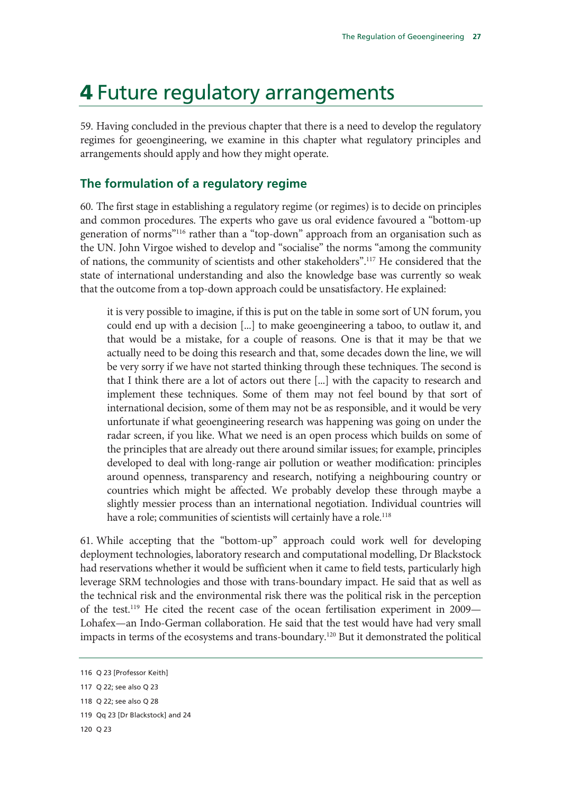# 4 Future regulatory arrangements

59. Having concluded in the previous chapter that there is a need to develop the regulatory regimes for geoengineering, we examine in this chapter what regulatory principles and arrangements should apply and how they might operate.

### **The formulation of a regulatory regime**

60. The first stage in establishing a regulatory regime (or regimes) is to decide on principles and common procedures. The experts who gave us oral evidence favoured a "bottom-up generation of norms"116 rather than a "top-down" approach from an organisation such as the UN. John Virgoe wished to develop and "socialise" the norms "among the community of nations, the community of scientists and other stakeholders".117 He considered that the state of international understanding and also the knowledge base was currently so weak that the outcome from a top-down approach could be unsatisfactory. He explained:

it is very possible to imagine, if this is put on the table in some sort of UN forum, you could end up with a decision [...] to make geoengineering a taboo, to outlaw it, and that would be a mistake, for a couple of reasons. One is that it may be that we actually need to be doing this research and that, some decades down the line, we will be very sorry if we have not started thinking through these techniques. The second is that I think there are a lot of actors out there [...] with the capacity to research and implement these techniques. Some of them may not feel bound by that sort of international decision, some of them may not be as responsible, and it would be very unfortunate if what geoengineering research was happening was going on under the radar screen, if you like. What we need is an open process which builds on some of the principles that are already out there around similar issues; for example, principles developed to deal with long-range air pollution or weather modification: principles around openness, transparency and research, notifying a neighbouring country or countries which might be affected. We probably develop these through maybe a slightly messier process than an international negotiation. Individual countries will have a role; communities of scientists will certainly have a role.<sup>118</sup>

61. While accepting that the "bottom-up" approach could work well for developing deployment technologies, laboratory research and computational modelling, Dr Blackstock had reservations whether it would be sufficient when it came to field tests, particularly high leverage SRM technologies and those with trans-boundary impact. He said that as well as the technical risk and the environmental risk there was the political risk in the perception of the test.119 He cited the recent case of the ocean fertilisation experiment in 2009— Lohafex—an Indo-German collaboration. He said that the test would have had very small impacts in terms of the ecosystems and trans-boundary.<sup>120</sup> But it demonstrated the political

<sup>116</sup> Q 23 [Professor Keith]

<sup>117</sup> Q 22; see also Q 23

<sup>118</sup> Q 22; see also Q 28

<sup>119</sup> Qq 23 [Dr Blackstock] and 24

<sup>120</sup> Q 23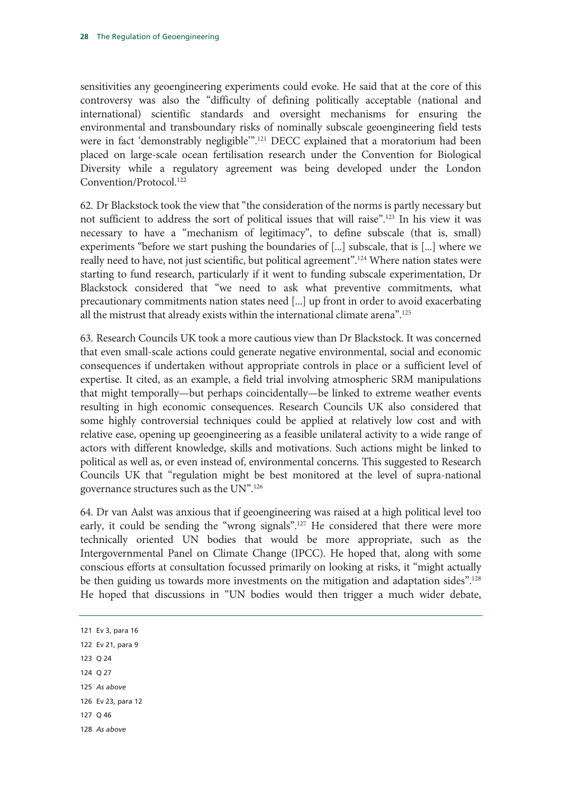sensitivities any geoengineering experiments could evoke. He said that at the core of this controversy was also the "difficulty of defining politically acceptable (national and international) scientific standards and oversight mechanisms for ensuring the environmental and transboundary risks of nominally subscale geoengineering field tests were in fact 'demonstrably negligible'".121 DECC explained that a moratorium had been placed on large-scale ocean fertilisation research under the Convention for Biological Diversity while a regulatory agreement was being developed under the London Convention/Protocol.<sup>122</sup>

62. Dr Blackstock took the view that "the consideration of the norms is partly necessary but not sufficient to address the sort of political issues that will raise".123 In his view it was necessary to have a "mechanism of legitimacy", to define subscale (that is, small) experiments "before we start pushing the boundaries of [...] subscale, that is [...] where we really need to have, not just scientific, but political agreement".124 Where nation states were starting to fund research, particularly if it went to funding subscale experimentation, Dr Blackstock considered that "we need to ask what preventive commitments, what precautionary commitments nation states need [...] up front in order to avoid exacerbating all the mistrust that already exists within the international climate arena".125

63. Research Councils UK took a more cautious view than Dr Blackstock. It was concerned that even small-scale actions could generate negative environmental, social and economic consequences if undertaken without appropriate controls in place or a sufficient level of expertise. It cited, as an example, a field trial involving atmospheric SRM manipulations that might temporally—but perhaps coincidentally—be linked to extreme weather events resulting in high economic consequences. Research Councils UK also considered that some highly controversial techniques could be applied at relatively low cost and with relative ease, opening up geoengineering as a feasible unilateral activity to a wide range of actors with different knowledge, skills and motivations. Such actions might be linked to political as well as, or even instead of, environmental concerns. This suggested to Research Councils UK that "regulation might be best monitored at the level of supra-national governance structures such as the UN".126

64. Dr van Aalst was anxious that if geoengineering was raised at a high political level too early, it could be sending the "wrong signals".<sup>127</sup> He considered that there were more technically oriented UN bodies that would be more appropriate, such as the Intergovernmental Panel on Climate Change (IPCC). He hoped that, along with some conscious efforts at consultation focussed primarily on looking at risks, it "might actually be then guiding us towards more investments on the mitigation and adaptation sides".<sup>128</sup> He hoped that discussions in "UN bodies would then trigger a much wider debate,

121 Ev 3, para 16 122 Ev 21, para 9 123 Q 24 124 Q 27 125 *As above* 126 Ev 23, para 12 127 Q 46 128 *As above*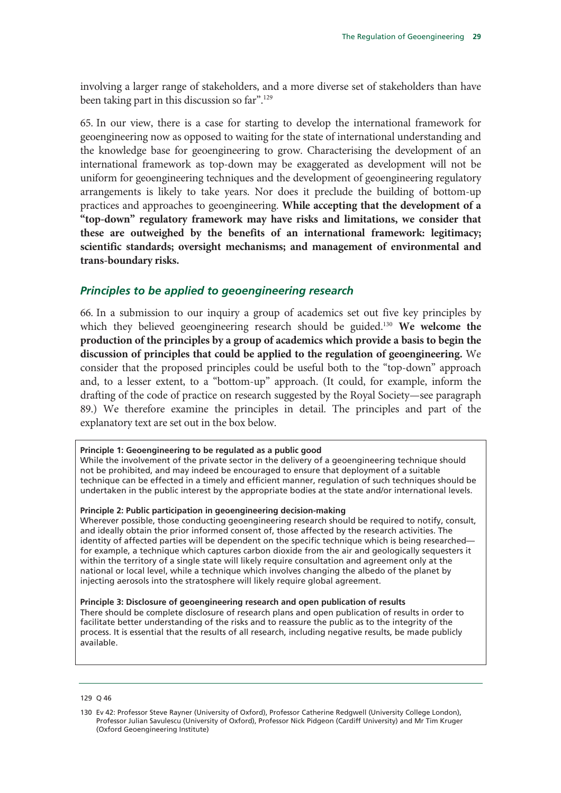involving a larger range of stakeholders, and a more diverse set of stakeholders than have been taking part in this discussion so far".129

65. In our view, there is a case for starting to develop the international framework for geoengineering now as opposed to waiting for the state of international understanding and the knowledge base for geoengineering to grow. Characterising the development of an international framework as top-down may be exaggerated as development will not be uniform for geoengineering techniques and the development of geoengineering regulatory arrangements is likely to take years. Nor does it preclude the building of bottom-up practices and approaches to geoengineering. **While accepting that the development of a "top-down" regulatory framework may have risks and limitations, we consider that these are outweighed by the benefits of an international framework: legitimacy; scientific standards; oversight mechanisms; and management of environmental and trans-boundary risks.**

#### *Principles to be applied to geoengineering research*

66. In a submission to our inquiry a group of academics set out five key principles by which they believed geoengineering research should be guided.<sup>130</sup> We welcome the **production of the principles by a group of academics which provide a basis to begin the discussion of principles that could be applied to the regulation of geoengineering.** We consider that the proposed principles could be useful both to the "top-down" approach and, to a lesser extent, to a "bottom-up" approach. (It could, for example, inform the drafting of the code of practice on research suggested by the Royal Society—see paragraph 89.) We therefore examine the principles in detail. The principles and part of the explanatory text are set out in the box below.

#### **Principle 1: Geoengineering to be regulated as a public good**

While the involvement of the private sector in the delivery of a geoengineering technique should not be prohibited, and may indeed be encouraged to ensure that deployment of a suitable technique can be effected in a timely and efficient manner, regulation of such techniques should be undertaken in the public interest by the appropriate bodies at the state and/or international levels.

#### **Principle 2: Public participation in geoengineering decision-making**

Wherever possible, those conducting geoengineering research should be required to notify, consult, and ideally obtain the prior informed consent of, those affected by the research activities. The identity of affected parties will be dependent on the specific technique which is being researched for example, a technique which captures carbon dioxide from the air and geologically sequesters it within the territory of a single state will likely require consultation and agreement only at the national or local level, while a technique which involves changing the albedo of the planet by injecting aerosols into the stratosphere will likely require global agreement.

#### **Principle 3: Disclosure of geoengineering research and open publication of results**

There should be complete disclosure of research plans and open publication of results in order to facilitate better understanding of the risks and to reassure the public as to the integrity of the process. It is essential that the results of all research, including negative results, be made publicly available.

129 Q 46

<sup>130</sup> Ev 42: Professor Steve Rayner (University of Oxford), Professor Catherine Redgwell (University College London), Professor Julian Savulescu (University of Oxford), Professor Nick Pidgeon (Cardiff University) and Mr Tim Kruger (Oxford Geoengineering Institute)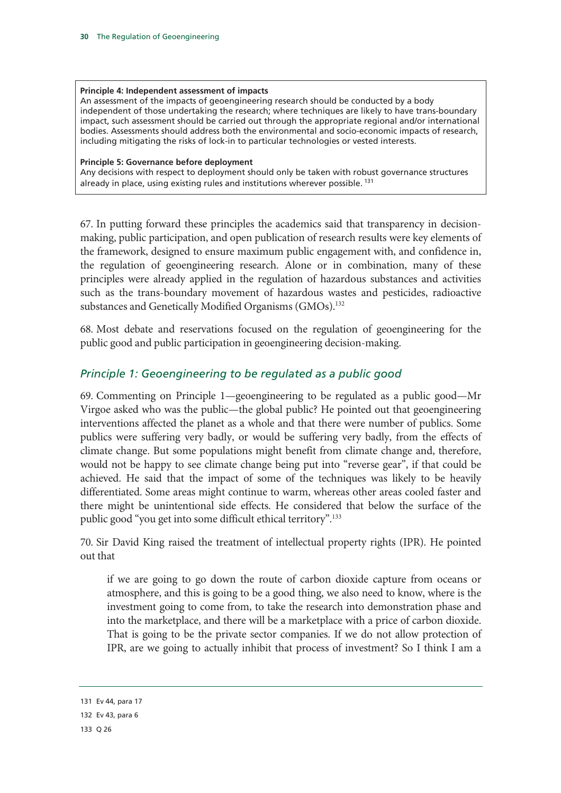#### **Principle 4: Independent assessment of impacts**

An assessment of the impacts of geoengineering research should be conducted by a body independent of those undertaking the research; where techniques are likely to have trans-boundary impact, such assessment should be carried out through the appropriate regional and/or international bodies. Assessments should address both the environmental and socio-economic impacts of research, including mitigating the risks of lock-in to particular technologies or vested interests.

#### **Principle 5: Governance before deployment**

Any decisions with respect to deployment should only be taken with robust governance structures already in place, using existing rules and institutions wherever possible.<sup>131</sup>

67. In putting forward these principles the academics said that transparency in decisionmaking, public participation, and open publication of research results were key elements of the framework, designed to ensure maximum public engagement with, and confidence in, the regulation of geoengineering research. Alone or in combination, many of these principles were already applied in the regulation of hazardous substances and activities such as the trans-boundary movement of hazardous wastes and pesticides, radioactive substances and Genetically Modified Organisms (GMOs).<sup>132</sup>

68. Most debate and reservations focused on the regulation of geoengineering for the public good and public participation in geoengineering decision-making.

### *Principle 1: Geoengineering to be regulated as a public good*

69. Commenting on Principle 1—geoengineering to be regulated as a public good—Mr Virgoe asked who was the public—the global public? He pointed out that geoengineering interventions affected the planet as a whole and that there were number of publics. Some publics were suffering very badly, or would be suffering very badly, from the effects of climate change. But some populations might benefit from climate change and, therefore, would not be happy to see climate change being put into "reverse gear", if that could be achieved. He said that the impact of some of the techniques was likely to be heavily differentiated. Some areas might continue to warm, whereas other areas cooled faster and there might be unintentional side effects. He considered that below the surface of the public good "you get into some difficult ethical territory".133

70. Sir David King raised the treatment of intellectual property rights (IPR). He pointed out that

if we are going to go down the route of carbon dioxide capture from oceans or atmosphere, and this is going to be a good thing, we also need to know, where is the investment going to come from, to take the research into demonstration phase and into the marketplace, and there will be a marketplace with a price of carbon dioxide. That is going to be the private sector companies. If we do not allow protection of IPR, are we going to actually inhibit that process of investment? So I think I am a

<sup>131</sup> Ev 44, para 17

<sup>132</sup> Ev 43, para 6

<sup>133</sup> Q 26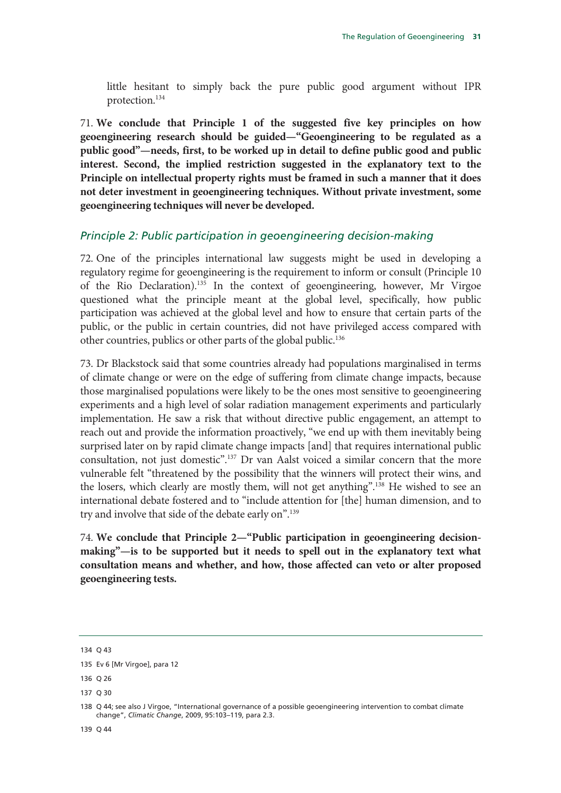little hesitant to simply back the pure public good argument without IPR protection.134

71. **We conclude that Principle 1 of the suggested five key principles on how geoengineering research should be guided—"Geoengineering to be regulated as a public good"—needs, first, to be worked up in detail to define public good and public interest. Second, the implied restriction suggested in the explanatory text to the Principle on intellectual property rights must be framed in such a manner that it does not deter investment in geoengineering techniques. Without private investment, some geoengineering techniques will never be developed.**

#### *Principle 2: Public participation in geoengineering decision-making*

72. One of the principles international law suggests might be used in developing a regulatory regime for geoengineering is the requirement to inform or consult (Principle 10 of the Rio Declaration).135 In the context of geoengineering, however, Mr Virgoe questioned what the principle meant at the global level, specifically, how public participation was achieved at the global level and how to ensure that certain parts of the public, or the public in certain countries, did not have privileged access compared with other countries, publics or other parts of the global public.136

73. Dr Blackstock said that some countries already had populations marginalised in terms of climate change or were on the edge of suffering from climate change impacts, because those marginalised populations were likely to be the ones most sensitive to geoengineering experiments and a high level of solar radiation management experiments and particularly implementation. He saw a risk that without directive public engagement, an attempt to reach out and provide the information proactively, "we end up with them inevitably being surprised later on by rapid climate change impacts [and] that requires international public consultation, not just domestic".137 Dr van Aalst voiced a similar concern that the more vulnerable felt "threatened by the possibility that the winners will protect their wins, and the losers, which clearly are mostly them, will not get anything".138 He wished to see an international debate fostered and to "include attention for [the] human dimension, and to try and involve that side of the debate early on".<sup>139</sup>

74. **We conclude that Principle 2—"Public participation in geoengineering decisionmaking"—is to be supported but it needs to spell out in the explanatory text what consultation means and whether, and how, those affected can veto or alter proposed geoengineering tests.** 

139 Q 44

<sup>134</sup> Q 43

<sup>135</sup> Ev 6 [Mr Virgoe], para 12

<sup>136</sup> Q 26

<sup>137</sup> Q 30

<sup>138</sup> Q 44; see also J Virgoe, "International governance of a possible geoengineering intervention to combat climate change", *Climatic Change*, 2009, 95:103–119, para 2.3.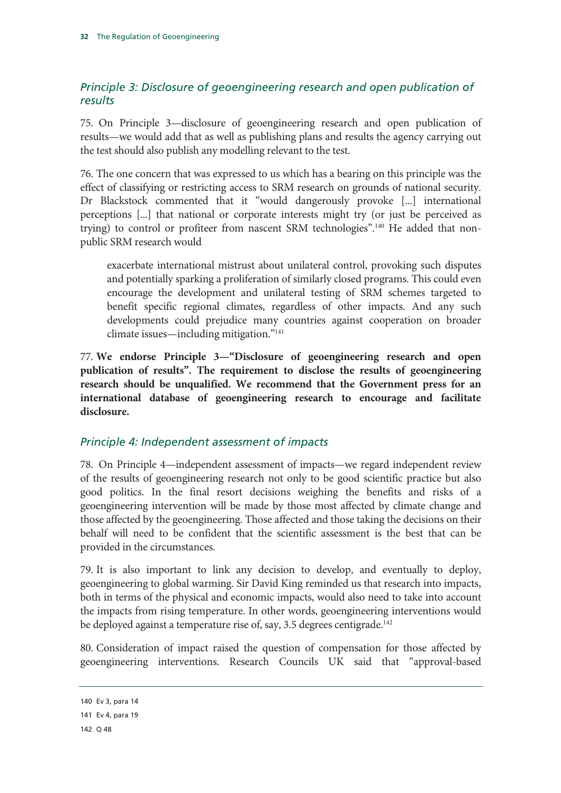# *Principle 3: Disclosure of geoengineering research and open publication of results*

75. On Principle 3—disclosure of geoengineering research and open publication of results—we would add that as well as publishing plans and results the agency carrying out the test should also publish any modelling relevant to the test.

76. The one concern that was expressed to us which has a bearing on this principle was the effect of classifying or restricting access to SRM research on grounds of national security. Dr Blackstock commented that it "would dangerously provoke [...] international perceptions [...] that national or corporate interests might try (or just be perceived as trying) to control or profiteer from nascent SRM technologies".<sup>140</sup> He added that nonpublic SRM research would

exacerbate international mistrust about unilateral control, provoking such disputes and potentially sparking a proliferation of similarly closed programs. This could even encourage the development and unilateral testing of SRM schemes targeted to benefit specific regional climates, regardless of other impacts. And any such developments could prejudice many countries against cooperation on broader climate issues—including mitigation."141

77. **We endorse Principle 3—"Disclosure of geoengineering research and open publication of results". The requirement to disclose the results of geoengineering research should be unqualified. We recommend that the Government press for an international database of geoengineering research to encourage and facilitate disclosure.** 

### *Principle 4: Independent assessment of impacts*

78. On Principle 4—independent assessment of impacts—we regard independent review of the results of geoengineering research not only to be good scientific practice but also good politics. In the final resort decisions weighing the benefits and risks of a geoengineering intervention will be made by those most affected by climate change and those affected by the geoengineering. Those affected and those taking the decisions on their behalf will need to be confident that the scientific assessment is the best that can be provided in the circumstances.

79. It is also important to link any decision to develop, and eventually to deploy, geoengineering to global warming. Sir David King reminded us that research into impacts, both in terms of the physical and economic impacts, would also need to take into account the impacts from rising temperature. In other words, geoengineering interventions would be deployed against a temperature rise of, say, 3.5 degrees centigrade.<sup>142</sup>

80. Consideration of impact raised the question of compensation for those affected by geoengineering interventions. Research Councils UK said that "approval-based

<sup>140</sup> Ev 3, para 14

<sup>141</sup> Ev 4, para 19

<sup>142</sup> Q 48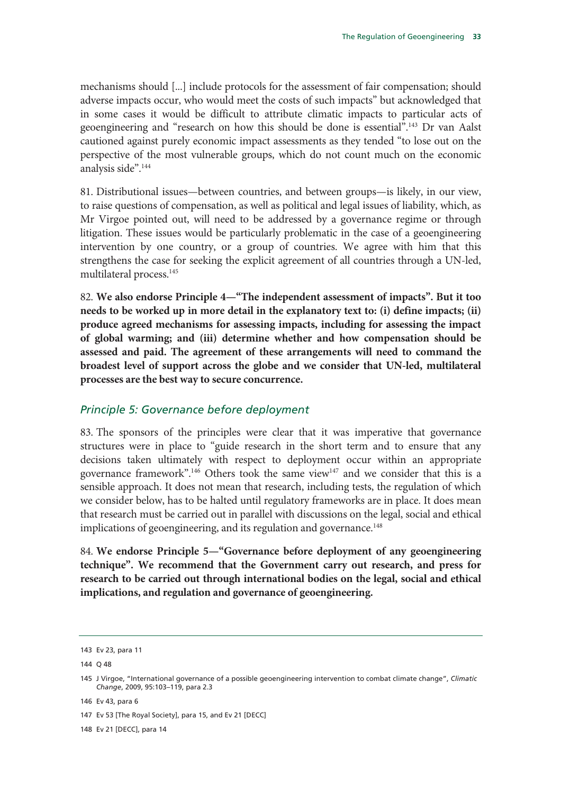mechanisms should [...] include protocols for the assessment of fair compensation; should adverse impacts occur, who would meet the costs of such impacts" but acknowledged that in some cases it would be difficult to attribute climatic impacts to particular acts of geoengineering and "research on how this should be done is essential".143 Dr van Aalst cautioned against purely economic impact assessments as they tended "to lose out on the perspective of the most vulnerable groups, which do not count much on the economic analysis side".144

81. Distributional issues—between countries, and between groups—is likely, in our view, to raise questions of compensation, as well as political and legal issues of liability, which, as Mr Virgoe pointed out, will need to be addressed by a governance regime or through litigation. These issues would be particularly problematic in the case of a geoengineering intervention by one country, or a group of countries. We agree with him that this strengthens the case for seeking the explicit agreement of all countries through a UN-led, multilateral process.145

82. **We also endorse Principle 4—"The independent assessment of impacts". But it too needs to be worked up in more detail in the explanatory text to: (i) define impacts; (ii) produce agreed mechanisms for assessing impacts, including for assessing the impact of global warming; and (iii) determine whether and how compensation should be assessed and paid. The agreement of these arrangements will need to command the broadest level of support across the globe and we consider that UN-led, multilateral processes are the best way to secure concurrence.** 

#### *Principle 5: Governance before deployment*

83. The sponsors of the principles were clear that it was imperative that governance structures were in place to "guide research in the short term and to ensure that any decisions taken ultimately with respect to deployment occur within an appropriate governance framework".146 Others took the same view147 and we consider that this is a sensible approach. It does not mean that research, including tests, the regulation of which we consider below, has to be halted until regulatory frameworks are in place. It does mean that research must be carried out in parallel with discussions on the legal, social and ethical implications of geoengineering, and its regulation and governance.<sup>148</sup>

84. **We endorse Principle 5—"Governance before deployment of any geoengineering technique". We recommend that the Government carry out research, and press for research to be carried out through international bodies on the legal, social and ethical implications, and regulation and governance of geoengineering.** 

146 Ev 43, para 6

148 Ev 21 [DECC], para 14

<sup>143</sup> Ev 23, para 11

<sup>144</sup> Q 48

<sup>145</sup> J Virgoe, "International governance of a possible geoengineering intervention to combat climate change", *Climatic Change*, 2009, 95:103–119, para 2.3

<sup>147</sup> Ev 53 [The Royal Society], para 15, and Ev 21 [DECC]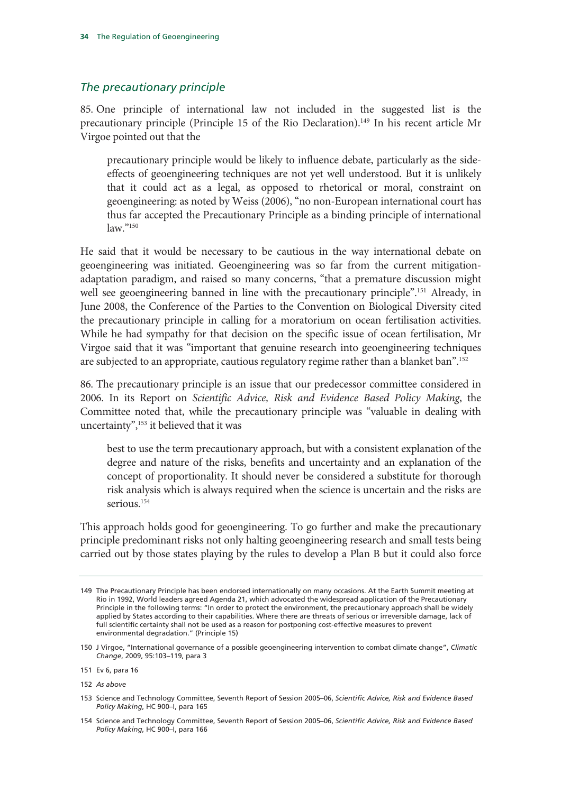#### *The precautionary principle*

85. One principle of international law not included in the suggested list is the precautionary principle (Principle 15 of the Rio Declaration).<sup>149</sup> In his recent article Mr Virgoe pointed out that the

precautionary principle would be likely to influence debate, particularly as the sideeffects of geoengineering techniques are not yet well understood. But it is unlikely that it could act as a legal, as opposed to rhetorical or moral, constraint on geoengineering: as noted by Weiss (2006), "no non-European international court has thus far accepted the Precautionary Principle as a binding principle of international law."150

He said that it would be necessary to be cautious in the way international debate on geoengineering was initiated. Geoengineering was so far from the current mitigationadaptation paradigm, and raised so many concerns, "that a premature discussion might well see geoengineering banned in line with the precautionary principle".<sup>151</sup> Already, in June 2008, the Conference of the Parties to the Convention on Biological Diversity cited the precautionary principle in calling for a moratorium on ocean fertilisation activities. While he had sympathy for that decision on the specific issue of ocean fertilisation, Mr Virgoe said that it was "important that genuine research into geoengineering techniques are subjected to an appropriate, cautious regulatory regime rather than a blanket ban".152

86. The precautionary principle is an issue that our predecessor committee considered in 2006. In its Report on *Scientific Advice, Risk and Evidence Based Policy Making*, the Committee noted that, while the precautionary principle was "valuable in dealing with uncertainty",<sup>153</sup> it believed that it was

best to use the term precautionary approach, but with a consistent explanation of the degree and nature of the risks, benefits and uncertainty and an explanation of the concept of proportionality. It should never be considered a substitute for thorough risk analysis which is always required when the science is uncertain and the risks are serious.<sup>154</sup>

This approach holds good for geoengineering. To go further and make the precautionary principle predominant risks not only halting geoengineering research and small tests being carried out by those states playing by the rules to develop a Plan B but it could also force

<sup>149</sup> The Precautionary Principle has been endorsed internationally on many occasions. At the Earth Summit meeting at Rio in 1992, World leaders agreed Agenda 21, which advocated the widespread application of the Precautionary Principle in the following terms: "In order to protect the environment, the precautionary approach shall be widely applied by States according to their capabilities. Where there are threats of serious or irreversible damage, lack of full scientific certainty shall not be used as a reason for postponing cost-effective measures to prevent environmental degradation." (Principle 15)

<sup>150</sup> J Virgoe, "International governance of a possible geoengineering intervention to combat climate change", *Climatic Change*, 2009, 95:103–119, para 3

<sup>151</sup> Ev 6, para 16

<sup>152</sup> *As above*

<sup>153</sup> Science and Technology Committee, Seventh Report of Session 2005–06, *Scientific Advice, Risk and Evidence Based Policy Making*, HC 900–I, para 165

<sup>154</sup> Science and Technology Committee, Seventh Report of Session 2005–06, *Scientific Advice, Risk and Evidence Based Policy Making*, HC 900–I, para 166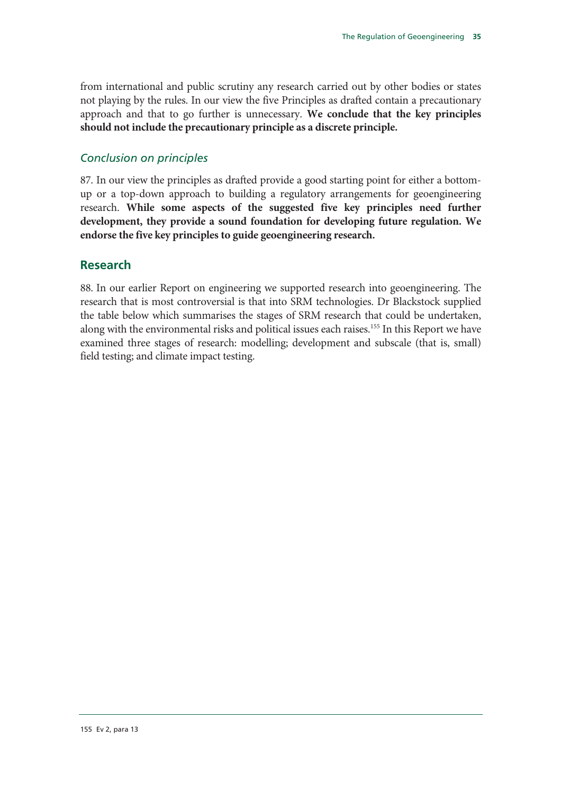from international and public scrutiny any research carried out by other bodies or states not playing by the rules. In our view the five Principles as drafted contain a precautionary approach and that to go further is unnecessary. **We conclude that the key principles should not include the precautionary principle as a discrete principle.**

## *Conclusion on principles*

87. In our view the principles as drafted provide a good starting point for either a bottomup or a top-down approach to building a regulatory arrangements for geoengineering research. **While some aspects of the suggested five key principles need further development, they provide a sound foundation for developing future regulation. We endorse the five key principles to guide geoengineering research.**

## **Research**

88. In our earlier Report on engineering we supported research into geoengineering. The research that is most controversial is that into SRM technologies. Dr Blackstock supplied the table below which summarises the stages of SRM research that could be undertaken, along with the environmental risks and political issues each raises.<sup>155</sup> In this Report we have examined three stages of research: modelling; development and subscale (that is, small) field testing; and climate impact testing.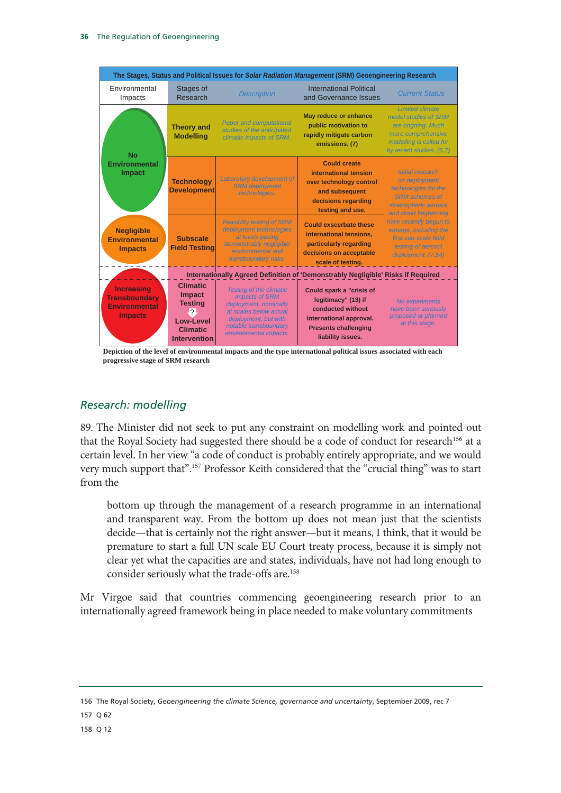

**Depiction of the level of environmental impacts and the type international political issues associated with each progressive stage of SRM research**

# *Research: modelling*

89. The Minister did not seek to put any constraint on modelling work and pointed out that the Royal Society had suggested there should be a code of conduct for research<sup>156</sup> at a certain level. In her view "a code of conduct is probably entirely appropriate, and we would very much support that".157 Professor Keith considered that the "crucial thing" was to start from the

bottom up through the management of a research programme in an international and transparent way. From the bottom up does not mean just that the scientists decide—that is certainly not the right answer—but it means, I think, that it would be premature to start a full UN scale EU Court treaty process, because it is simply not clear yet what the capacities are and states, individuals, have not had long enough to consider seriously what the trade-offs are.<sup>158</sup>

Mr Virgoe said that countries commencing geoengineering research prior to an internationally agreed framework being in place needed to make voluntary commitments

156 The Royal Society, *Geoengineering the climate Science, governance and uncertainty*, September 2009, rec 7

157 Q 62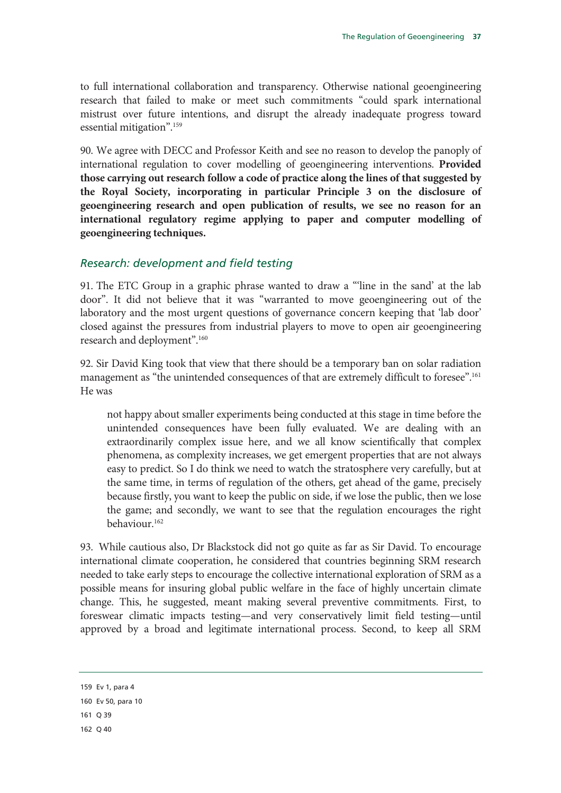to full international collaboration and transparency. Otherwise national geoengineering research that failed to make or meet such commitments "could spark international mistrust over future intentions, and disrupt the already inadequate progress toward essential mitigation".159

90. We agree with DECC and Professor Keith and see no reason to develop the panoply of international regulation to cover modelling of geoengineering interventions. **Provided those carrying out research follow a code of practice along the lines of that suggested by the Royal Society, incorporating in particular Principle 3 on the disclosure of geoengineering research and open publication of results, we see no reason for an international regulatory regime applying to paper and computer modelling of geoengineering techniques.**

## *Research: development and field testing*

91. The ETC Group in a graphic phrase wanted to draw a "'line in the sand' at the lab door". It did not believe that it was "warranted to move geoengineering out of the laboratory and the most urgent questions of governance concern keeping that 'lab door' closed against the pressures from industrial players to move to open air geoengineering research and deployment".160

92. Sir David King took that view that there should be a temporary ban on solar radiation management as "the unintended consequences of that are extremely difficult to foresee".161 He was

not happy about smaller experiments being conducted at this stage in time before the unintended consequences have been fully evaluated. We are dealing with an extraordinarily complex issue here, and we all know scientifically that complex phenomena, as complexity increases, we get emergent properties that are not always easy to predict. So I do think we need to watch the stratosphere very carefully, but at the same time, in terms of regulation of the others, get ahead of the game, precisely because firstly, you want to keep the public on side, if we lose the public, then we lose the game; and secondly, we want to see that the regulation encourages the right behaviour.162

93. While cautious also, Dr Blackstock did not go quite as far as Sir David. To encourage international climate cooperation, he considered that countries beginning SRM research needed to take early steps to encourage the collective international exploration of SRM as a possible means for insuring global public welfare in the face of highly uncertain climate change. This, he suggested, meant making several preventive commitments. First, to foreswear climatic impacts testing—and very conservatively limit field testing—until approved by a broad and legitimate international process. Second, to keep all SRM

<sup>159</sup> Ev 1, para 4

<sup>160</sup> Ev 50, para 10

<sup>161</sup> Q 39

<sup>162</sup> Q 40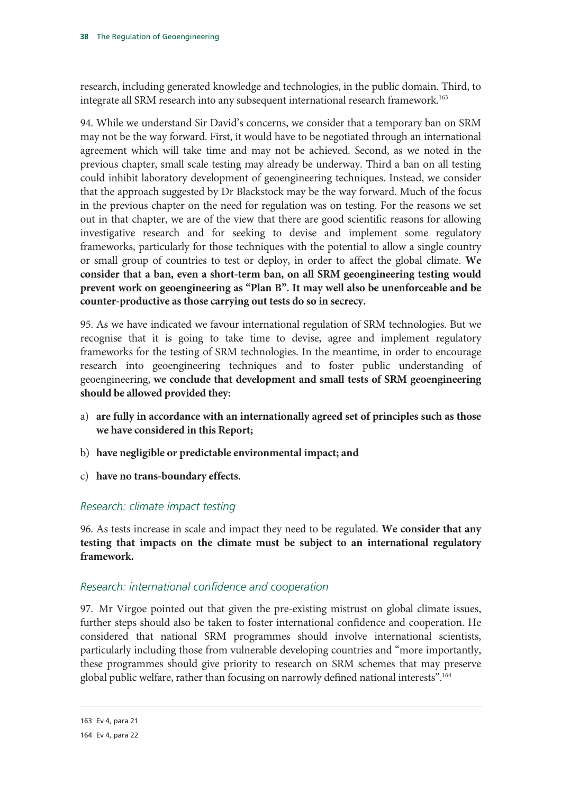research, including generated knowledge and technologies, in the public domain. Third, to integrate all SRM research into any subsequent international research framework.<sup>163</sup>

94. While we understand Sir David's concerns, we consider that a temporary ban on SRM may not be the way forward. First, it would have to be negotiated through an international agreement which will take time and may not be achieved. Second, as we noted in the previous chapter, small scale testing may already be underway. Third a ban on all testing could inhibit laboratory development of geoengineering techniques. Instead, we consider that the approach suggested by Dr Blackstock may be the way forward. Much of the focus in the previous chapter on the need for regulation was on testing. For the reasons we set out in that chapter, we are of the view that there are good scientific reasons for allowing investigative research and for seeking to devise and implement some regulatory frameworks, particularly for those techniques with the potential to allow a single country or small group of countries to test or deploy, in order to affect the global climate. **We consider that a ban, even a short-term ban, on all SRM geoengineering testing would prevent work on geoengineering as "Plan B". It may well also be unenforceable and be counter-productive as those carrying out tests do so in secrecy.**

95. As we have indicated we favour international regulation of SRM technologies. But we recognise that it is going to take time to devise, agree and implement regulatory frameworks for the testing of SRM technologies. In the meantime, in order to encourage research into geoengineering techniques and to foster public understanding of geoengineering, **we conclude that development and small tests of SRM geoengineering should be allowed provided they:**

- a) **are fully in accordance with an internationally agreed set of principles such as those we have considered in this Report;**
- b) **have negligible or predictable environmental impact; and**
- c) **have no trans-boundary effects.**

## *Research: climate impact testing*

96. As tests increase in scale and impact they need to be regulated. **We consider that any testing that impacts on the climate must be subject to an international regulatory framework.**

## *Research: international confidence and cooperation*

97. Mr Virgoe pointed out that given the pre-existing mistrust on global climate issues, further steps should also be taken to foster international confidence and cooperation. He considered that national SRM programmes should involve international scientists, particularly including those from vulnerable developing countries and "more importantly, these programmes should give priority to research on SRM schemes that may preserve global public welfare, rather than focusing on narrowly defined national interests".164

<sup>163</sup> Ev 4, para 21

<sup>164</sup> Ev 4, para 22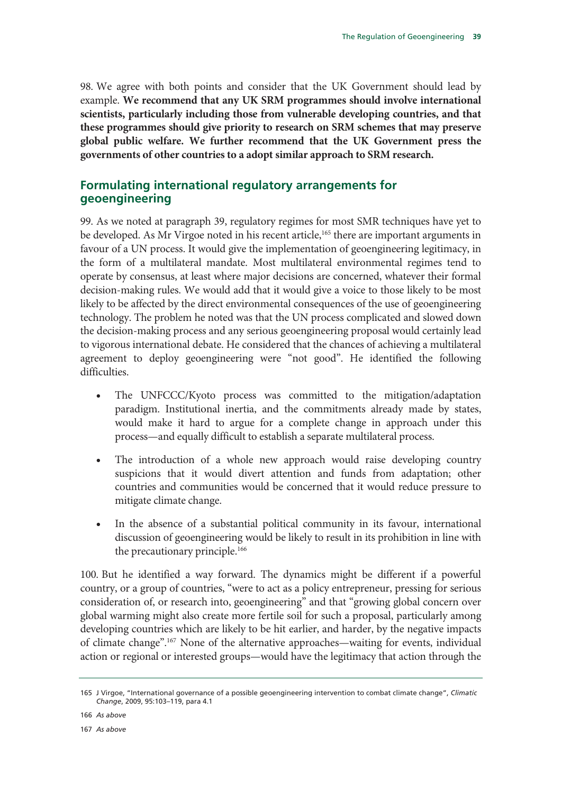98. We agree with both points and consider that the UK Government should lead by example. **We recommend that any UK SRM programmes should involve international scientists, particularly including those from vulnerable developing countries, and that these programmes should give priority to research on SRM schemes that may preserve global public welfare. We further recommend that the UK Government press the governments of other countries to a adopt similar approach to SRM research.**

# **Formulating international regulatory arrangements for geoengineering**

99. As we noted at paragraph 39, regulatory regimes for most SMR techniques have yet to be developed. As Mr Virgoe noted in his recent article,<sup>165</sup> there are important arguments in favour of a UN process. It would give the implementation of geoengineering legitimacy, in the form of a multilateral mandate. Most multilateral environmental regimes tend to operate by consensus, at least where major decisions are concerned, whatever their formal decision-making rules. We would add that it would give a voice to those likely to be most likely to be affected by the direct environmental consequences of the use of geoengineering technology. The problem he noted was that the UN process complicated and slowed down the decision-making process and any serious geoengineering proposal would certainly lead to vigorous international debate. He considered that the chances of achieving a multilateral agreement to deploy geoengineering were "not good". He identified the following difficulties.

- The UNFCCC/Kyoto process was committed to the mitigation/adaptation paradigm. Institutional inertia, and the commitments already made by states, would make it hard to argue for a complete change in approach under this process—and equally difficult to establish a separate multilateral process.
- The introduction of a whole new approach would raise developing country suspicions that it would divert attention and funds from adaptation; other countries and communities would be concerned that it would reduce pressure to mitigate climate change.
- In the absence of a substantial political community in its favour, international discussion of geoengineering would be likely to result in its prohibition in line with the precautionary principle.<sup>166</sup>

100. But he identified a way forward. The dynamics might be different if a powerful country, or a group of countries, "were to act as a policy entrepreneur, pressing for serious consideration of, or research into, geoengineering" and that "growing global concern over global warming might also create more fertile soil for such a proposal, particularly among developing countries which are likely to be hit earlier, and harder, by the negative impacts of climate change".167 None of the alternative approaches—waiting for events, individual action or regional or interested groups—would have the legitimacy that action through the

166 *As above*

167 *As above*

<sup>165</sup> J Virgoe, "International governance of a possible geoengineering intervention to combat climate change", *Climatic Change*, 2009, 95:103–119, para 4.1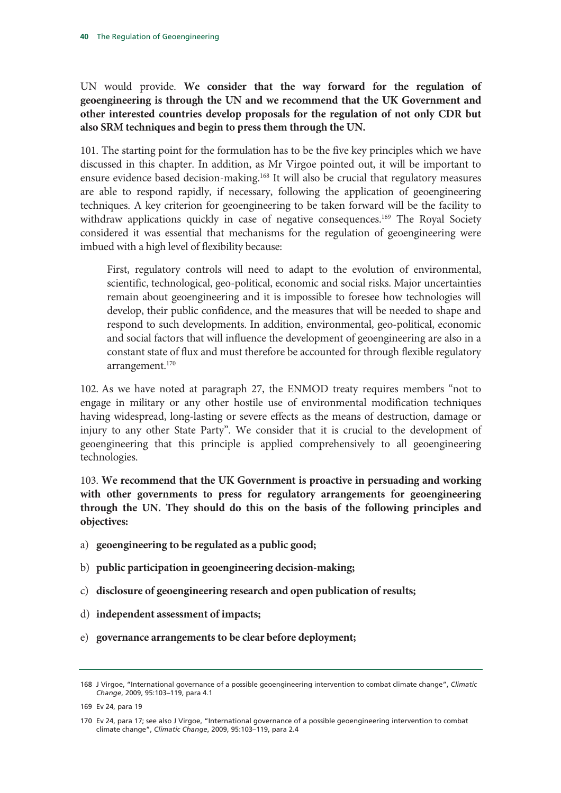UN would provide. **We consider that the way forward for the regulation of geoengineering is through the UN and we recommend that the UK Government and other interested countries develop proposals for the regulation of not only CDR but also SRM techniques and begin to press them through the UN.**

101. The starting point for the formulation has to be the five key principles which we have discussed in this chapter. In addition, as Mr Virgoe pointed out, it will be important to ensure evidence based decision-making.<sup>168</sup> It will also be crucial that regulatory measures are able to respond rapidly, if necessary, following the application of geoengineering techniques. A key criterion for geoengineering to be taken forward will be the facility to withdraw applications quickly in case of negative consequences.<sup>169</sup> The Royal Society considered it was essential that mechanisms for the regulation of geoengineering were imbued with a high level of flexibility because:

First, regulatory controls will need to adapt to the evolution of environmental, scientific, technological, geo-political, economic and social risks. Major uncertainties remain about geoengineering and it is impossible to foresee how technologies will develop, their public confidence, and the measures that will be needed to shape and respond to such developments. In addition, environmental, geo-political, economic and social factors that will influence the development of geoengineering are also in a constant state of flux and must therefore be accounted for through flexible regulatory arrangement.<sup>170</sup>

102. As we have noted at paragraph 27, the ENMOD treaty requires members "not to engage in military or any other hostile use of environmental modification techniques having widespread, long-lasting or severe effects as the means of destruction, damage or injury to any other State Party". We consider that it is crucial to the development of geoengineering that this principle is applied comprehensively to all geoengineering technologies.

103. **We recommend that the UK Government is proactive in persuading and working with other governments to press for regulatory arrangements for geoengineering through the UN. They should do this on the basis of the following principles and objectives:**

- a) **geoengineering to be regulated as a public good;**
- b) **public participation in geoengineering decision-making;**
- c) **disclosure of geoengineering research and open publication of results;**
- d) **independent assessment of impacts;**
- e) **governance arrangements to be clear before deployment;**

<sup>168</sup> J Virgoe, "International governance of a possible geoengineering intervention to combat climate change", *Climatic Change*, 2009, 95:103–119, para 4.1

<sup>169</sup> Ev 24, para 19

<sup>170</sup> Ev 24, para 17; see also J Virgoe, "International governance of a possible geoengineering intervention to combat climate change", *Climatic Change*, 2009, 95:103–119, para 2.4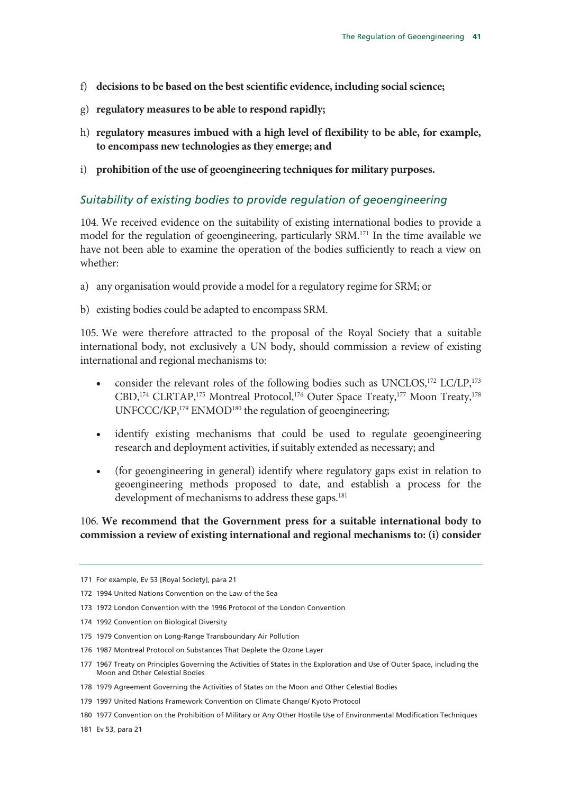- f) **decisions to be based on the best scientific evidence, including social science;**
- g) **regulatory measures to be able to respond rapidly;**
- h) **regulatory measures imbued with a high level of flexibility to be able, for example, to encompass new technologies as they emerge; and**
- i) **prohibition of the use of geoengineering techniques for military purposes.**

## *Suitability of existing bodies to provide regulation of geoengineering*

104. We received evidence on the suitability of existing international bodies to provide a model for the regulation of geoengineering, particularly SRM.171 In the time available we have not been able to examine the operation of the bodies sufficiently to reach a view on whether:

- a) any organisation would provide a model for a regulatory regime for SRM; or
- b) existing bodies could be adapted to encompass SRM.

105. We were therefore attracted to the proposal of the Royal Society that a suitable international body, not exclusively a UN body, should commission a review of existing international and regional mechanisms to:

- consider the relevant roles of the following bodies such as UNCLOS,<sup>172</sup> LC/LP,<sup>173</sup> CBD,<sup>174</sup> CLRTAP,<sup>175</sup> Montreal Protocol,<sup>176</sup> Outer Space Treaty,<sup>177</sup> Moon Treaty,<sup>178</sup> UNFCCC/KP,<sup>179</sup> ENMOD<sup>180</sup> the regulation of geoengineering;
- identify existing mechanisms that could be used to regulate geoengineering research and deployment activities, if suitably extended as necessary; and
- (for geoengineering in general) identify where regulatory gaps exist in relation to geoengineering methods proposed to date, and establish a process for the development of mechanisms to address these gaps.<sup>181</sup>

106. **We recommend that the Government press for a suitable international body to commission a review of existing international and regional mechanisms to: (i) consider** 

<sup>171</sup> For example, Ev 53 [Royal Society], para 21

<sup>172 1994</sup> United Nations Convention on the Law of the Sea

<sup>173 1972</sup> London Convention with the 1996 Protocol of the London Convention

<sup>174 1992</sup> Convention on Biological Diversity

<sup>175 1979</sup> Convention on Long-Range Transboundary Air Pollution

<sup>176 1987</sup> Montreal Protocol on Substances That Deplete the Ozone Layer

<sup>177 1967</sup> Treaty on Principles Governing the Activities of States in the Exploration and Use of Outer Space, including the Moon and Other Celestial Bodies

<sup>178 1979</sup> Agreement Governing the Activities of States on the Moon and Other Celestial Bodies

<sup>179 1997</sup> United Nations Framework Convention on Climate Change/ Kyoto Protocol

<sup>180 1977</sup> Convention on the Prohibition of Military or Any Other Hostile Use of Environmental Modification Techniques

<sup>181</sup> Ev 53, para 21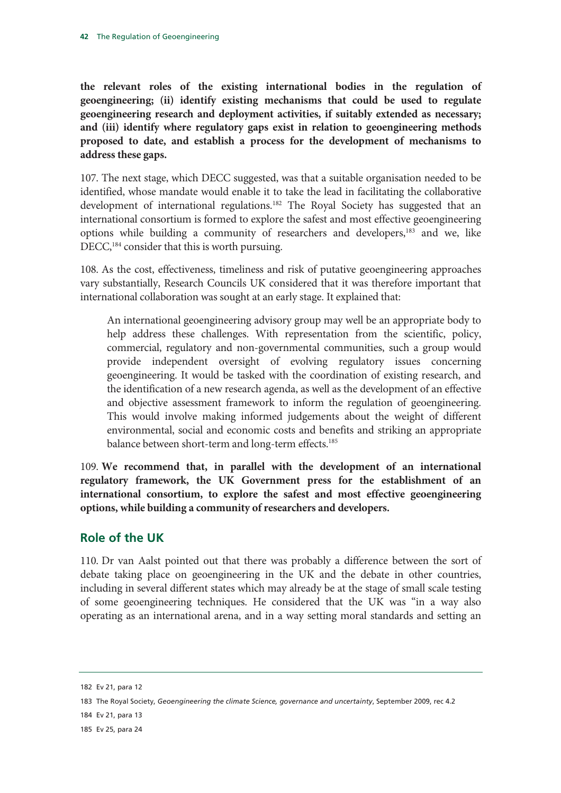**the relevant roles of the existing international bodies in the regulation of geoengineering; (ii) identify existing mechanisms that could be used to regulate geoengineering research and deployment activities, if suitably extended as necessary; and (iii) identify where regulatory gaps exist in relation to geoengineering methods proposed to date, and establish a process for the development of mechanisms to address these gaps.**

107. The next stage, which DECC suggested, was that a suitable organisation needed to be identified, whose mandate would enable it to take the lead in facilitating the collaborative development of international regulations.<sup>182</sup> The Royal Society has suggested that an international consortium is formed to explore the safest and most effective geoengineering options while building a community of researchers and developers,183 and we, like DECC,<sup>184</sup> consider that this is worth pursuing.

108. As the cost, effectiveness, timeliness and risk of putative geoengineering approaches vary substantially, Research Councils UK considered that it was therefore important that international collaboration was sought at an early stage. It explained that:

An international geoengineering advisory group may well be an appropriate body to help address these challenges. With representation from the scientific, policy, commercial, regulatory and non-governmental communities, such a group would provide independent oversight of evolving regulatory issues concerning geoengineering. It would be tasked with the coordination of existing research, and the identification of a new research agenda, as well as the development of an effective and objective assessment framework to inform the regulation of geoengineering. This would involve making informed judgements about the weight of different environmental, social and economic costs and benefits and striking an appropriate balance between short-term and long-term effects.<sup>185</sup>

109. **We recommend that, in parallel with the development of an international regulatory framework, the UK Government press for the establishment of an international consortium, to explore the safest and most effective geoengineering options, while building a community of researchers and developers.**

## **Role of the UK**

110. Dr van Aalst pointed out that there was probably a difference between the sort of debate taking place on geoengineering in the UK and the debate in other countries, including in several different states which may already be at the stage of small scale testing of some geoengineering techniques. He considered that the UK was "in a way also operating as an international arena, and in a way setting moral standards and setting an

<sup>182</sup> Ev 21, para 12

<sup>183</sup> The Royal Society, *Geoengineering the climate Science, governance and uncertainty*, September 2009, rec 4.2

<sup>184</sup> Ev 21, para 13

<sup>185</sup> Ev 25, para 24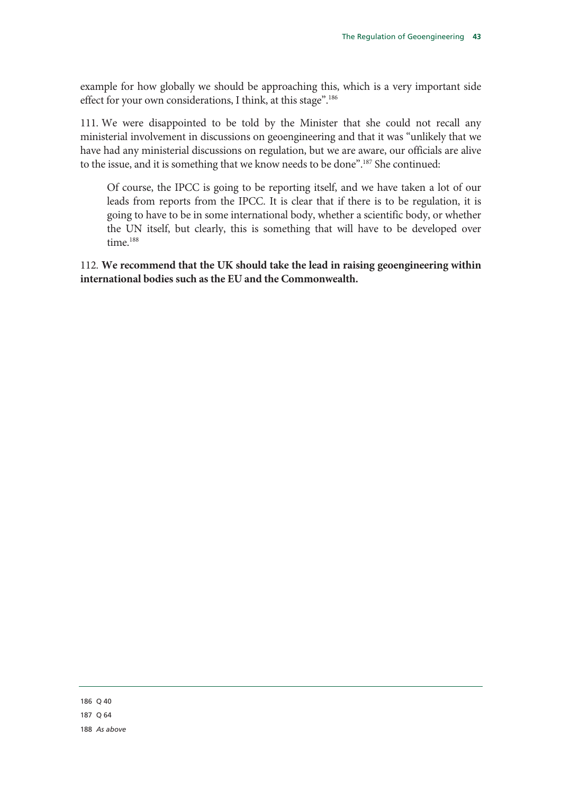example for how globally we should be approaching this, which is a very important side effect for your own considerations, I think, at this stage".<sup>186</sup>

111. We were disappointed to be told by the Minister that she could not recall any ministerial involvement in discussions on geoengineering and that it was "unlikely that we have had any ministerial discussions on regulation, but we are aware, our officials are alive to the issue, and it is something that we know needs to be done".187 She continued:

Of course, the IPCC is going to be reporting itself, and we have taken a lot of our leads from reports from the IPCC. It is clear that if there is to be regulation, it is going to have to be in some international body, whether a scientific body, or whether the UN itself, but clearly, this is something that will have to be developed over time.<sup>188</sup>

112. **We recommend that the UK should take the lead in raising geoengineering within international bodies such as the EU and the Commonwealth.**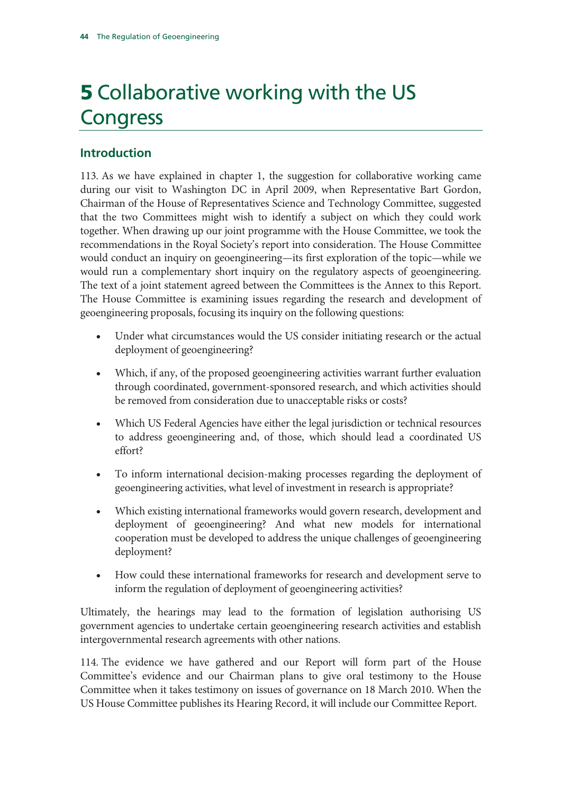# 5 Collaborative working with the US Congress

# **Introduction**

113. As we have explained in chapter 1, the suggestion for collaborative working came during our visit to Washington DC in April 2009, when Representative Bart Gordon, Chairman of the House of Representatives Science and Technology Committee, suggested that the two Committees might wish to identify a subject on which they could work together. When drawing up our joint programme with the House Committee, we took the recommendations in the Royal Society's report into consideration. The House Committee would conduct an inquiry on geoengineering—its first exploration of the topic—while we would run a complementary short inquiry on the regulatory aspects of geoengineering. The text of a joint statement agreed between the Committees is the Annex to this Report. The House Committee is examining issues regarding the research and development of geoengineering proposals, focusing its inquiry on the following questions:

- Under what circumstances would the US consider initiating research or the actual deployment of geoengineering?
- Which, if any, of the proposed geoengineering activities warrant further evaluation through coordinated, government-sponsored research, and which activities should be removed from consideration due to unacceptable risks or costs?
- Which US Federal Agencies have either the legal jurisdiction or technical resources to address geoengineering and, of those, which should lead a coordinated US effort?
- To inform international decision-making processes regarding the deployment of geoengineering activities, what level of investment in research is appropriate?
- Which existing international frameworks would govern research, development and deployment of geoengineering? And what new models for international cooperation must be developed to address the unique challenges of geoengineering deployment?
- How could these international frameworks for research and development serve to inform the regulation of deployment of geoengineering activities?

Ultimately, the hearings may lead to the formation of legislation authorising US government agencies to undertake certain geoengineering research activities and establish intergovernmental research agreements with other nations.

114. The evidence we have gathered and our Report will form part of the House Committee's evidence and our Chairman plans to give oral testimony to the House Committee when it takes testimony on issues of governance on 18 March 2010. When the US House Committee publishes its Hearing Record, it will include our Committee Report.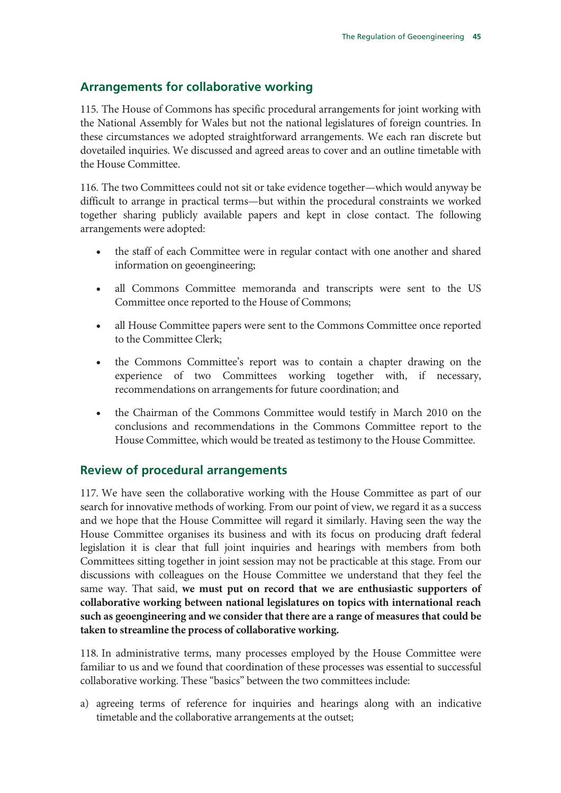# **Arrangements for collaborative working**

115. The House of Commons has specific procedural arrangements for joint working with the National Assembly for Wales but not the national legislatures of foreign countries. In these circumstances we adopted straightforward arrangements. We each ran discrete but dovetailed inquiries. We discussed and agreed areas to cover and an outline timetable with the House Committee.

116. The two Committees could not sit or take evidence together—which would anyway be difficult to arrange in practical terms—but within the procedural constraints we worked together sharing publicly available papers and kept in close contact. The following arrangements were adopted:

- the staff of each Committee were in regular contact with one another and shared information on geoengineering;
- all Commons Committee memoranda and transcripts were sent to the US Committee once reported to the House of Commons;
- all House Committee papers were sent to the Commons Committee once reported to the Committee Clerk;
- the Commons Committee's report was to contain a chapter drawing on the experience of two Committees working together with, if necessary, recommendations on arrangements for future coordination; and
- the Chairman of the Commons Committee would testify in March 2010 on the conclusions and recommendations in the Commons Committee report to the House Committee, which would be treated as testimony to the House Committee.

## **Review of procedural arrangements**

117. We have seen the collaborative working with the House Committee as part of our search for innovative methods of working. From our point of view, we regard it as a success and we hope that the House Committee will regard it similarly. Having seen the way the House Committee organises its business and with its focus on producing draft federal legislation it is clear that full joint inquiries and hearings with members from both Committees sitting together in joint session may not be practicable at this stage. From our discussions with colleagues on the House Committee we understand that they feel the same way. That said, **we must put on record that we are enthusiastic supporters of collaborative working between national legislatures on topics with international reach such as geoengineering and we consider that there are a range of measures that could be taken to streamline the process of collaborative working.**

118. In administrative terms, many processes employed by the House Committee were familiar to us and we found that coordination of these processes was essential to successful collaborative working. These "basics" between the two committees include:

a) agreeing terms of reference for inquiries and hearings along with an indicative timetable and the collaborative arrangements at the outset;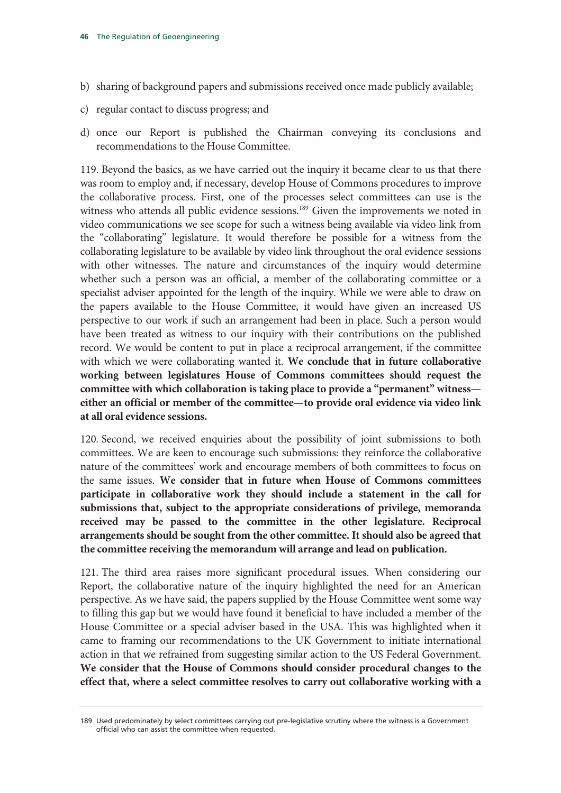- b) sharing of background papers and submissions received once made publicly available;
- c) regular contact to discuss progress; and
- d) once our Report is published the Chairman conveying its conclusions and recommendations to the House Committee.

119. Beyond the basics, as we have carried out the inquiry it became clear to us that there was room to employ and, if necessary, develop House of Commons procedures to improve the collaborative process. First, one of the processes select committees can use is the witness who attends all public evidence sessions.<sup>189</sup> Given the improvements we noted in video communications we see scope for such a witness being available via video link from the "collaborating" legislature. It would therefore be possible for a witness from the collaborating legislature to be available by video link throughout the oral evidence sessions with other witnesses. The nature and circumstances of the inquiry would determine whether such a person was an official, a member of the collaborating committee or a specialist adviser appointed for the length of the inquiry. While we were able to draw on the papers available to the House Committee, it would have given an increased US perspective to our work if such an arrangement had been in place. Such a person would have been treated as witness to our inquiry with their contributions on the published record. We would be content to put in place a reciprocal arrangement, if the committee with which we were collaborating wanted it. **We conclude that in future collaborative working between legislatures House of Commons committees should request the committee with which collaboration is taking place to provide a "permanent" witness either an official or member of the committee—to provide oral evidence via video link at all oral evidence sessions.**

120. Second, we received enquiries about the possibility of joint submissions to both committees. We are keen to encourage such submissions: they reinforce the collaborative nature of the committees' work and encourage members of both committees to focus on the same issues. **We consider that in future when House of Commons committees participate in collaborative work they should include a statement in the call for submissions that, subject to the appropriate considerations of privilege, memoranda received may be passed to the committee in the other legislature. Reciprocal arrangements should be sought from the other committee. It should also be agreed that the committee receiving the memorandum will arrange and lead on publication.**

121. The third area raises more significant procedural issues. When considering our Report, the collaborative nature of the inquiry highlighted the need for an American perspective. As we have said, the papers supplied by the House Committee went some way to filling this gap but we would have found it beneficial to have included a member of the House Committee or a special adviser based in the USA. This was highlighted when it came to framing our recommendations to the UK Government to initiate international action in that we refrained from suggesting similar action to the US Federal Government. **We consider that the House of Commons should consider procedural changes to the effect that, where a select committee resolves to carry out collaborative working with a** 

<sup>189</sup> Used predominately by select committees carrying out pre-legislative scrutiny where the witness is a Government official who can assist the committee when requested.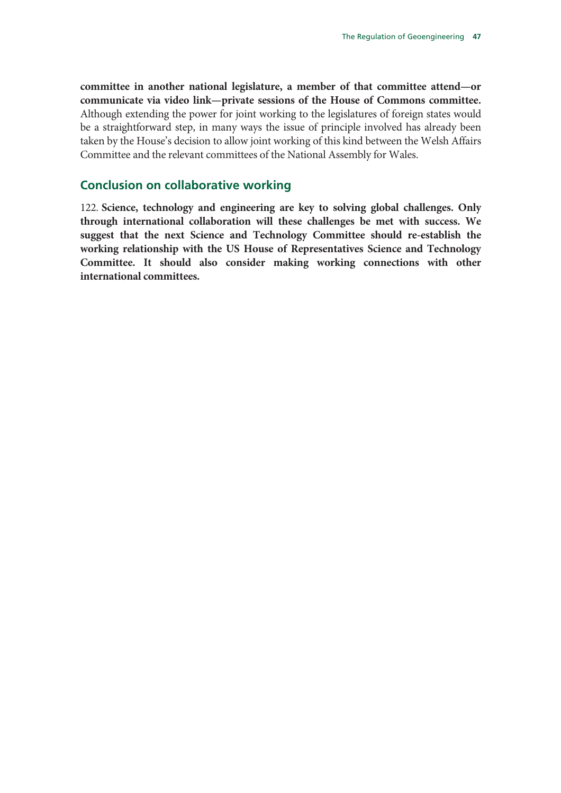**committee in another national legislature, a member of that committee attend—or communicate via video link—private sessions of the House of Commons committee.**  Although extending the power for joint working to the legislatures of foreign states would be a straightforward step, in many ways the issue of principle involved has already been taken by the House's decision to allow joint working of this kind between the Welsh Affairs Committee and the relevant committees of the National Assembly for Wales.

## **Conclusion on collaborative working**

122. **Science, technology and engineering are key to solving global challenges. Only through international collaboration will these challenges be met with success. We suggest that the next Science and Technology Committee should re-establish the working relationship with the US House of Representatives Science and Technology Committee. It should also consider making working connections with other international committees.**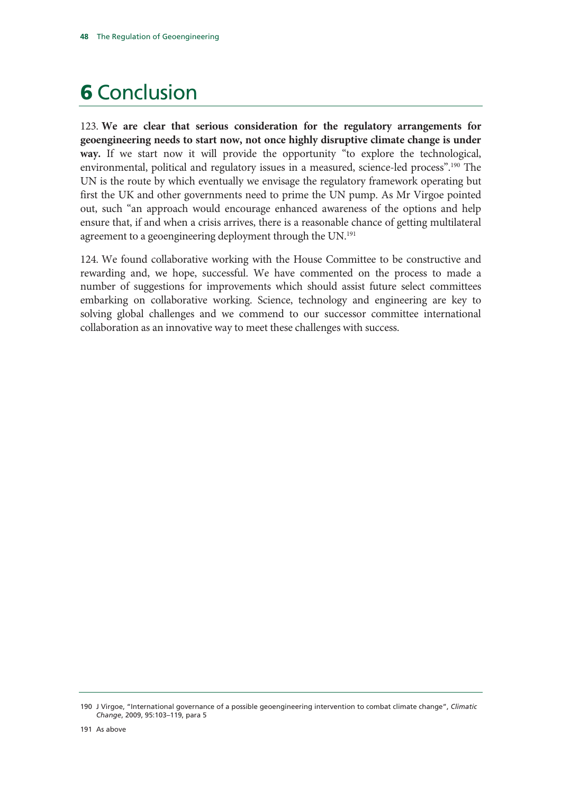# **6 Conclusion**

123. **We are clear that serious consideration for the regulatory arrangements for geoengineering needs to start now, not once highly disruptive climate change is under way.** If we start now it will provide the opportunity "to explore the technological, environmental, political and regulatory issues in a measured, science-led process".<sup>190</sup> The UN is the route by which eventually we envisage the regulatory framework operating but first the UK and other governments need to prime the UN pump. As Mr Virgoe pointed out, such "an approach would encourage enhanced awareness of the options and help ensure that, if and when a crisis arrives, there is a reasonable chance of getting multilateral agreement to a geoengineering deployment through the UN.<sup>191</sup>

124. We found collaborative working with the House Committee to be constructive and rewarding and, we hope, successful. We have commented on the process to made a number of suggestions for improvements which should assist future select committees embarking on collaborative working. Science, technology and engineering are key to solving global challenges and we commend to our successor committee international collaboration as an innovative way to meet these challenges with success.

<sup>190</sup> J Virgoe, "International governance of a possible geoengineering intervention to combat climate change", *Climatic Change*, 2009, 95:103–119, para 5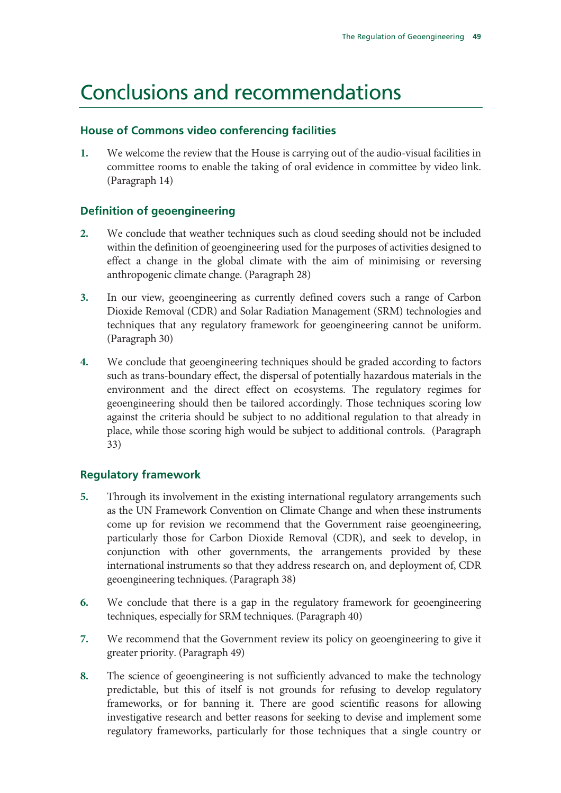# Conclusions and recommendations

## **House of Commons video conferencing facilities**

**1.** We welcome the review that the House is carrying out of the audio-visual facilities in committee rooms to enable the taking of oral evidence in committee by video link. (Paragraph 14)

# **Definition of geoengineering**

- **2.** We conclude that weather techniques such as cloud seeding should not be included within the definition of geoengineering used for the purposes of activities designed to effect a change in the global climate with the aim of minimising or reversing anthropogenic climate change. (Paragraph 28)
- **3.** In our view, geoengineering as currently defined covers such a range of Carbon Dioxide Removal (CDR) and Solar Radiation Management (SRM) technologies and techniques that any regulatory framework for geoengineering cannot be uniform. (Paragraph 30)
- **4.** We conclude that geoengineering techniques should be graded according to factors such as trans-boundary effect, the dispersal of potentially hazardous materials in the environment and the direct effect on ecosystems. The regulatory regimes for geoengineering should then be tailored accordingly. Those techniques scoring low against the criteria should be subject to no additional regulation to that already in place, while those scoring high would be subject to additional controls. (Paragraph 33)

# **Regulatory framework**

- **5.** Through its involvement in the existing international regulatory arrangements such as the UN Framework Convention on Climate Change and when these instruments come up for revision we recommend that the Government raise geoengineering, particularly those for Carbon Dioxide Removal (CDR), and seek to develop, in conjunction with other governments, the arrangements provided by these international instruments so that they address research on, and deployment of, CDR geoengineering techniques. (Paragraph 38)
- **6.** We conclude that there is a gap in the regulatory framework for geoengineering techniques, especially for SRM techniques. (Paragraph 40)
- **7.** We recommend that the Government review its policy on geoengineering to give it greater priority. (Paragraph 49)
- **8.** The science of geoengineering is not sufficiently advanced to make the technology predictable, but this of itself is not grounds for refusing to develop regulatory frameworks, or for banning it. There are good scientific reasons for allowing investigative research and better reasons for seeking to devise and implement some regulatory frameworks, particularly for those techniques that a single country or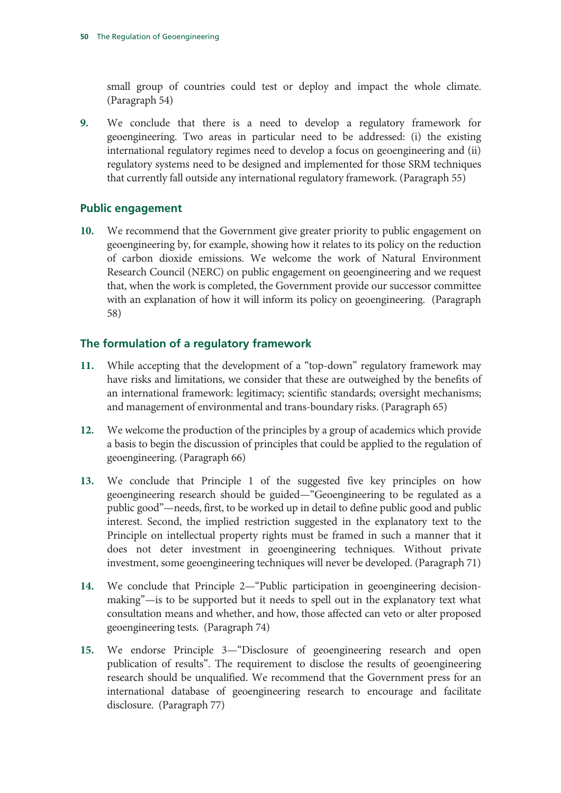small group of countries could test or deploy and impact the whole climate. (Paragraph 54)

**9.** We conclude that there is a need to develop a regulatory framework for geoengineering. Two areas in particular need to be addressed: (i) the existing international regulatory regimes need to develop a focus on geoengineering and (ii) regulatory systems need to be designed and implemented for those SRM techniques that currently fall outside any international regulatory framework. (Paragraph 55)

## **Public engagement**

**10.** We recommend that the Government give greater priority to public engagement on geoengineering by, for example, showing how it relates to its policy on the reduction of carbon dioxide emissions. We welcome the work of Natural Environment Research Council (NERC) on public engagement on geoengineering and we request that, when the work is completed, the Government provide our successor committee with an explanation of how it will inform its policy on geoengineering. (Paragraph 58)

## **The formulation of a regulatory framework**

- **11.** While accepting that the development of a "top-down" regulatory framework may have risks and limitations, we consider that these are outweighed by the benefits of an international framework: legitimacy; scientific standards; oversight mechanisms; and management of environmental and trans-boundary risks. (Paragraph 65)
- **12.** We welcome the production of the principles by a group of academics which provide a basis to begin the discussion of principles that could be applied to the regulation of geoengineering. (Paragraph 66)
- **13.** We conclude that Principle 1 of the suggested five key principles on how geoengineering research should be guided—"Geoengineering to be regulated as a public good"—needs, first, to be worked up in detail to define public good and public interest. Second, the implied restriction suggested in the explanatory text to the Principle on intellectual property rights must be framed in such a manner that it does not deter investment in geoengineering techniques. Without private investment, some geoengineering techniques will never be developed. (Paragraph 71)
- **14.** We conclude that Principle 2—"Public participation in geoengineering decisionmaking"—is to be supported but it needs to spell out in the explanatory text what consultation means and whether, and how, those affected can veto or alter proposed geoengineering tests. (Paragraph 74)
- **15.** We endorse Principle 3—"Disclosure of geoengineering research and open publication of results". The requirement to disclose the results of geoengineering research should be unqualified. We recommend that the Government press for an international database of geoengineering research to encourage and facilitate disclosure. (Paragraph 77)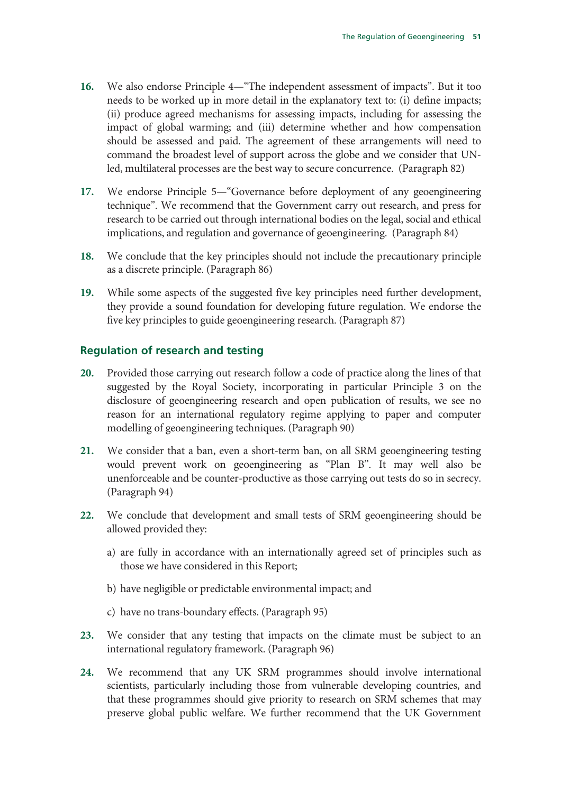- **16.** We also endorse Principle 4—"The independent assessment of impacts". But it too needs to be worked up in more detail in the explanatory text to: (i) define impacts; (ii) produce agreed mechanisms for assessing impacts, including for assessing the impact of global warming; and (iii) determine whether and how compensation should be assessed and paid. The agreement of these arrangements will need to command the broadest level of support across the globe and we consider that UNled, multilateral processes are the best way to secure concurrence. (Paragraph 82)
- **17.** We endorse Principle 5—"Governance before deployment of any geoengineering technique". We recommend that the Government carry out research, and press for research to be carried out through international bodies on the legal, social and ethical implications, and regulation and governance of geoengineering. (Paragraph 84)
- **18.** We conclude that the key principles should not include the precautionary principle as a discrete principle. (Paragraph 86)
- **19.** While some aspects of the suggested five key principles need further development, they provide a sound foundation for developing future regulation. We endorse the five key principles to guide geoengineering research. (Paragraph 87)

## **Regulation of research and testing**

- **20.** Provided those carrying out research follow a code of practice along the lines of that suggested by the Royal Society, incorporating in particular Principle 3 on the disclosure of geoengineering research and open publication of results, we see no reason for an international regulatory regime applying to paper and computer modelling of geoengineering techniques. (Paragraph 90)
- **21.** We consider that a ban, even a short-term ban, on all SRM geoengineering testing would prevent work on geoengineering as "Plan B". It may well also be unenforceable and be counter-productive as those carrying out tests do so in secrecy. (Paragraph 94)
- **22.** We conclude that development and small tests of SRM geoengineering should be allowed provided they:
	- a) are fully in accordance with an internationally agreed set of principles such as those we have considered in this Report;
	- b) have negligible or predictable environmental impact; and
	- c) have no trans-boundary effects. (Paragraph 95)
- **23.** We consider that any testing that impacts on the climate must be subject to an international regulatory framework. (Paragraph 96)
- **24.** We recommend that any UK SRM programmes should involve international scientists, particularly including those from vulnerable developing countries, and that these programmes should give priority to research on SRM schemes that may preserve global public welfare. We further recommend that the UK Government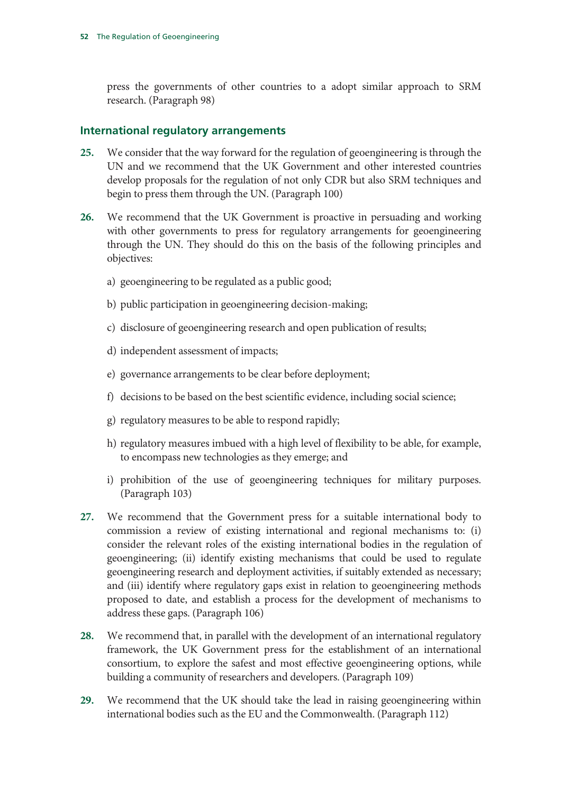press the governments of other countries to a adopt similar approach to SRM research. (Paragraph 98)

## **International regulatory arrangements**

- **25.** We consider that the way forward for the regulation of geoengineering is through the UN and we recommend that the UK Government and other interested countries develop proposals for the regulation of not only CDR but also SRM techniques and begin to press them through the UN. (Paragraph 100)
- **26.** We recommend that the UK Government is proactive in persuading and working with other governments to press for regulatory arrangements for geoengineering through the UN. They should do this on the basis of the following principles and objectives:
	- a) geoengineering to be regulated as a public good;
	- b) public participation in geoengineering decision-making;
	- c) disclosure of geoengineering research and open publication of results;
	- d) independent assessment of impacts;
	- e) governance arrangements to be clear before deployment;
	- f) decisions to be based on the best scientific evidence, including social science;
	- g) regulatory measures to be able to respond rapidly;
	- h) regulatory measures imbued with a high level of flexibility to be able, for example, to encompass new technologies as they emerge; and
	- i) prohibition of the use of geoengineering techniques for military purposes. (Paragraph 103)
- **27.** We recommend that the Government press for a suitable international body to commission a review of existing international and regional mechanisms to: (i) consider the relevant roles of the existing international bodies in the regulation of geoengineering; (ii) identify existing mechanisms that could be used to regulate geoengineering research and deployment activities, if suitably extended as necessary; and (iii) identify where regulatory gaps exist in relation to geoengineering methods proposed to date, and establish a process for the development of mechanisms to address these gaps. (Paragraph 106)
- **28.** We recommend that, in parallel with the development of an international regulatory framework, the UK Government press for the establishment of an international consortium, to explore the safest and most effective geoengineering options, while building a community of researchers and developers. (Paragraph 109)
- **29.** We recommend that the UK should take the lead in raising geoengineering within international bodies such as the EU and the Commonwealth. (Paragraph 112)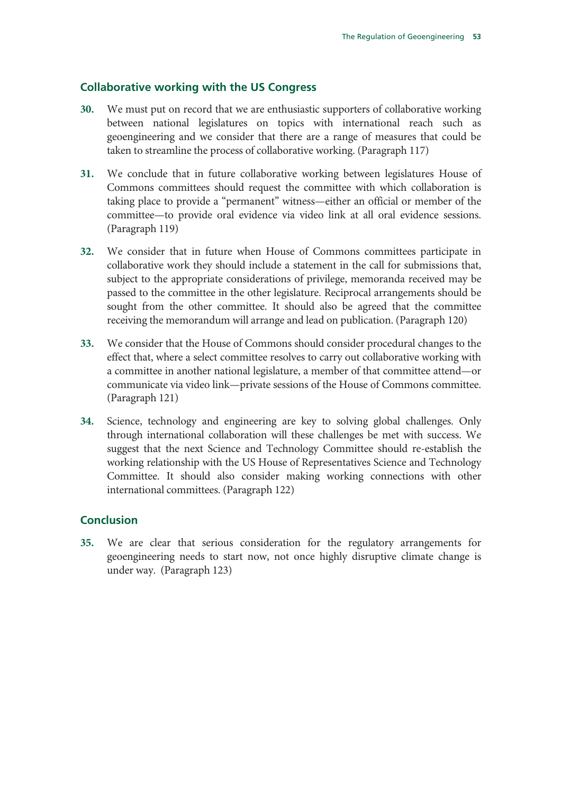## **Collaborative working with the US Congress**

- **30.** We must put on record that we are enthusiastic supporters of collaborative working between national legislatures on topics with international reach such as geoengineering and we consider that there are a range of measures that could be taken to streamline the process of collaborative working. (Paragraph 117)
- **31.** We conclude that in future collaborative working between legislatures House of Commons committees should request the committee with which collaboration is taking place to provide a "permanent" witness—either an official or member of the committee—to provide oral evidence via video link at all oral evidence sessions. (Paragraph 119)
- **32.** We consider that in future when House of Commons committees participate in collaborative work they should include a statement in the call for submissions that, subject to the appropriate considerations of privilege, memoranda received may be passed to the committee in the other legislature. Reciprocal arrangements should be sought from the other committee. It should also be agreed that the committee receiving the memorandum will arrange and lead on publication. (Paragraph 120)
- **33.** We consider that the House of Commons should consider procedural changes to the effect that, where a select committee resolves to carry out collaborative working with a committee in another national legislature, a member of that committee attend—or communicate via video link—private sessions of the House of Commons committee. (Paragraph 121)
- **34.** Science, technology and engineering are key to solving global challenges. Only through international collaboration will these challenges be met with success. We suggest that the next Science and Technology Committee should re-establish the working relationship with the US House of Representatives Science and Technology Committee. It should also consider making working connections with other international committees. (Paragraph 122)

## **Conclusion**

**35.** We are clear that serious consideration for the regulatory arrangements for geoengineering needs to start now, not once highly disruptive climate change is under way. (Paragraph 123)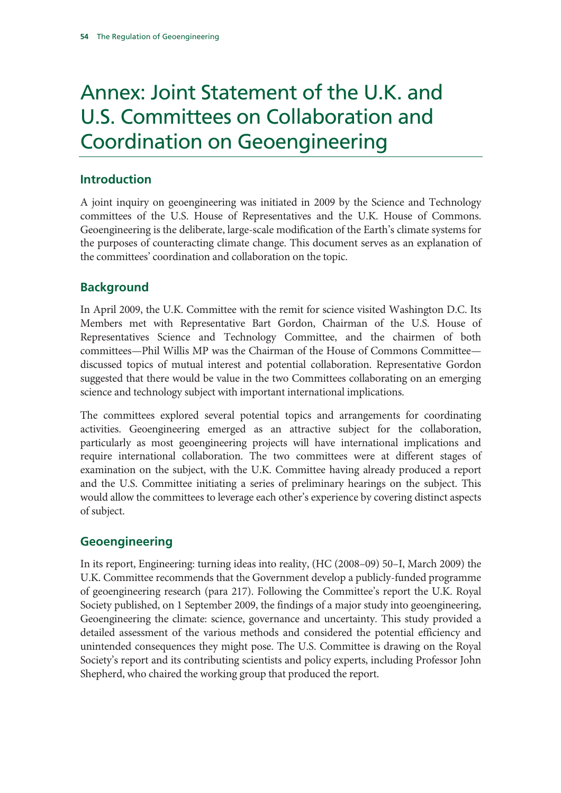# Annex: Joint Statement of the U.K. and U.S. Committees on Collaboration and Coordination on Geoengineering

# **Introduction**

A joint inquiry on geoengineering was initiated in 2009 by the Science and Technology committees of the U.S. House of Representatives and the U.K. House of Commons. Geoengineering is the deliberate, large-scale modification of the Earth's climate systems for the purposes of counteracting climate change. This document serves as an explanation of the committees' coordination and collaboration on the topic.

# **Background**

In April 2009, the U.K. Committee with the remit for science visited Washington D.C. Its Members met with Representative Bart Gordon, Chairman of the U.S. House of Representatives Science and Technology Committee, and the chairmen of both committees—Phil Willis MP was the Chairman of the House of Commons Committee discussed topics of mutual interest and potential collaboration. Representative Gordon suggested that there would be value in the two Committees collaborating on an emerging science and technology subject with important international implications.

The committees explored several potential topics and arrangements for coordinating activities. Geoengineering emerged as an attractive subject for the collaboration, particularly as most geoengineering projects will have international implications and require international collaboration. The two committees were at different stages of examination on the subject, with the U.K. Committee having already produced a report and the U.S. Committee initiating a series of preliminary hearings on the subject. This would allow the committees to leverage each other's experience by covering distinct aspects of subject.

# **Geoengineering**

In its report, Engineering: turning ideas into reality, (HC (2008–09) 50–I, March 2009) the U.K. Committee recommends that the Government develop a publicly-funded programme of geoengineering research (para 217). Following the Committee's report the U.K. Royal Society published, on 1 September 2009, the findings of a major study into geoengineering, Geoengineering the climate: science, governance and uncertainty. This study provided a detailed assessment of the various methods and considered the potential efficiency and unintended consequences they might pose. The U.S. Committee is drawing on the Royal Society's report and its contributing scientists and policy experts, including Professor John Shepherd, who chaired the working group that produced the report.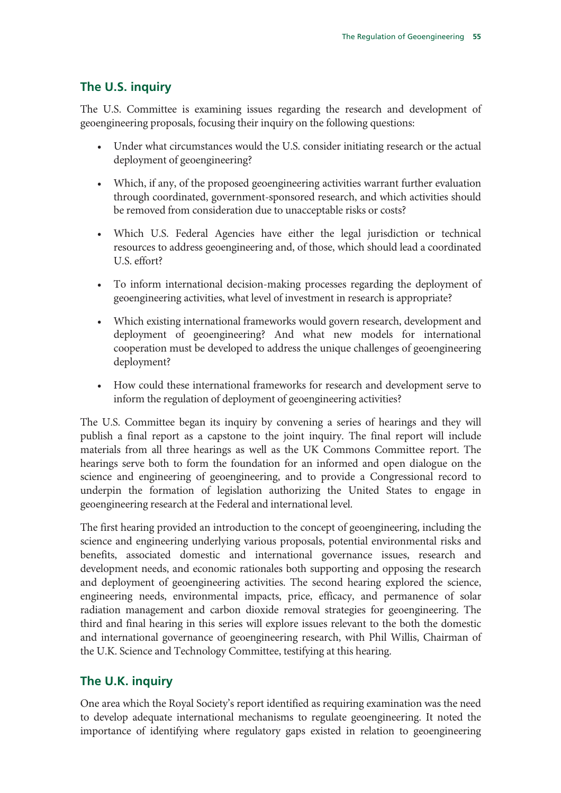# **The U.S. inquiry**

The U.S. Committee is examining issues regarding the research and development of geoengineering proposals, focusing their inquiry on the following questions:

- Under what circumstances would the U.S. consider initiating research or the actual deployment of geoengineering?
- Which, if any, of the proposed geoengineering activities warrant further evaluation through coordinated, government-sponsored research, and which activities should be removed from consideration due to unacceptable risks or costs?
- Which U.S. Federal Agencies have either the legal jurisdiction or technical resources to address geoengineering and, of those, which should lead a coordinated U.S. effort?
- To inform international decision-making processes regarding the deployment of geoengineering activities, what level of investment in research is appropriate?
- Which existing international frameworks would govern research, development and deployment of geoengineering? And what new models for international cooperation must be developed to address the unique challenges of geoengineering deployment?
- How could these international frameworks for research and development serve to inform the regulation of deployment of geoengineering activities?

The U.S. Committee began its inquiry by convening a series of hearings and they will publish a final report as a capstone to the joint inquiry. The final report will include materials from all three hearings as well as the UK Commons Committee report. The hearings serve both to form the foundation for an informed and open dialogue on the science and engineering of geoengineering, and to provide a Congressional record to underpin the formation of legislation authorizing the United States to engage in geoengineering research at the Federal and international level.

The first hearing provided an introduction to the concept of geoengineering, including the science and engineering underlying various proposals, potential environmental risks and benefits, associated domestic and international governance issues, research and development needs, and economic rationales both supporting and opposing the research and deployment of geoengineering activities. The second hearing explored the science, engineering needs, environmental impacts, price, efficacy, and permanence of solar radiation management and carbon dioxide removal strategies for geoengineering. The third and final hearing in this series will explore issues relevant to the both the domestic and international governance of geoengineering research, with Phil Willis, Chairman of the U.K. Science and Technology Committee, testifying at this hearing.

# **The U.K. inquiry**

One area which the Royal Society's report identified as requiring examination was the need to develop adequate international mechanisms to regulate geoengineering. It noted the importance of identifying where regulatory gaps existed in relation to geoengineering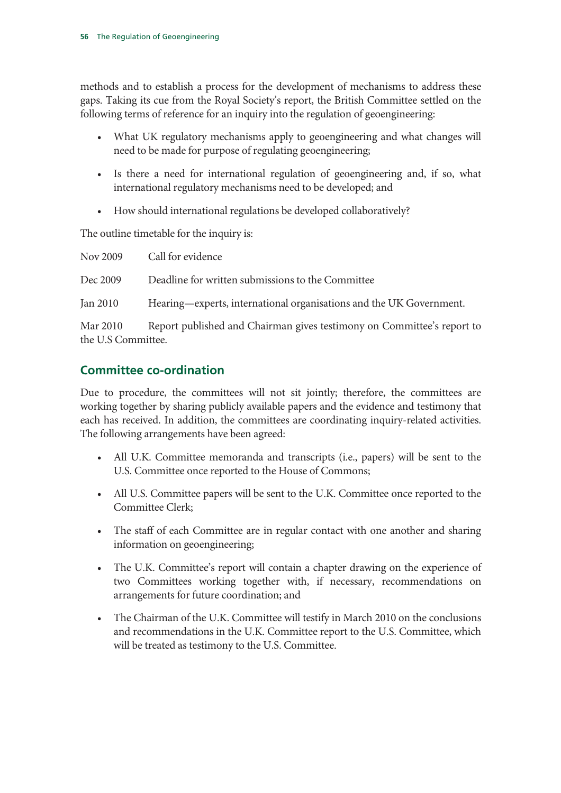methods and to establish a process for the development of mechanisms to address these gaps. Taking its cue from the Royal Society's report, the British Committee settled on the following terms of reference for an inquiry into the regulation of geoengineering:

- What UK regulatory mechanisms apply to geoengineering and what changes will need to be made for purpose of regulating geoengineering;
- Is there a need for international regulation of geoengineering and, if so, what international regulatory mechanisms need to be developed; and
- How should international regulations be developed collaboratively?

The outline timetable for the inquiry is:

| Nov 2009                       | Call for evidence                                                      |
|--------------------------------|------------------------------------------------------------------------|
| Dec 2009                       | Deadline for written submissions to the Committee                      |
| Jan 2010                       | Hearing—experts, international organisations and the UK Government.    |
| Mar 2010<br>the U.S Committee. | Report published and Chairman gives testimony on Committee's report to |

# **Committee co-ordination**

Due to procedure, the committees will not sit jointly; therefore, the committees are working together by sharing publicly available papers and the evidence and testimony that each has received. In addition, the committees are coordinating inquiry-related activities. The following arrangements have been agreed:

- All U.K. Committee memoranda and transcripts (i.e., papers) will be sent to the U.S. Committee once reported to the House of Commons;
- All U.S. Committee papers will be sent to the U.K. Committee once reported to the Committee Clerk;
- The staff of each Committee are in regular contact with one another and sharing information on geoengineering;
- The U.K. Committee's report will contain a chapter drawing on the experience of two Committees working together with, if necessary, recommendations on arrangements for future coordination; and
- The Chairman of the U.K. Committee will testify in March 2010 on the conclusions and recommendations in the U.K. Committee report to the U.S. Committee, which will be treated as testimony to the U.S. Committee.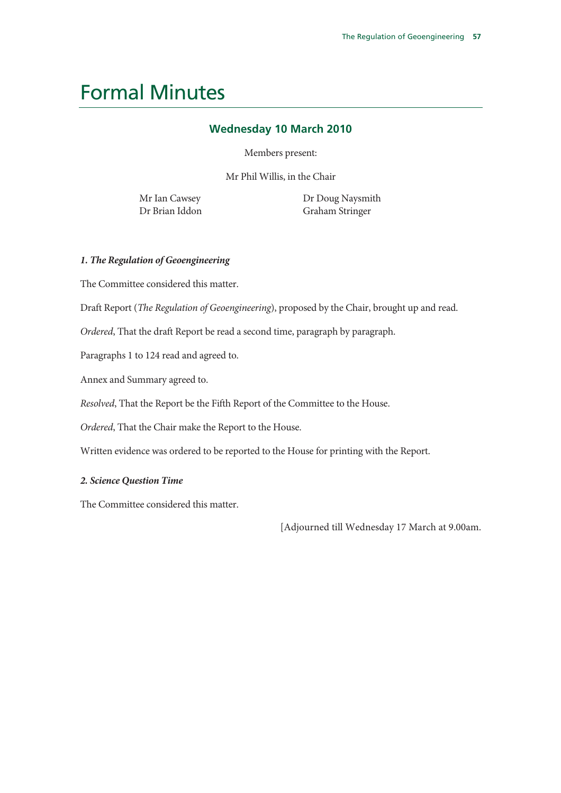# Formal Minutes

# **Wednesday 10 March 2010**

Members present:

Mr Phil Willis, in the Chair

Mr Ian Cawsey Dr Brian Iddon Dr Doug Naysmith Graham Stringer

## *1. The Regulation of Geoengineering*

The Committee considered this matter.

Draft Report (*The Regulation of Geoengineering*), proposed by the Chair, brought up and read.

*Ordered*, That the draft Report be read a second time, paragraph by paragraph.

Paragraphs 1 to 124 read and agreed to.

Annex and Summary agreed to.

*Resolved*, That the Report be the Fifth Report of the Committee to the House.

*Ordered*, That the Chair make the Report to the House.

Written evidence was ordered to be reported to the House for printing with the Report.

## *2. Science Question Time*

The Committee considered this matter.

[Adjourned till Wednesday 17 March at 9.00am.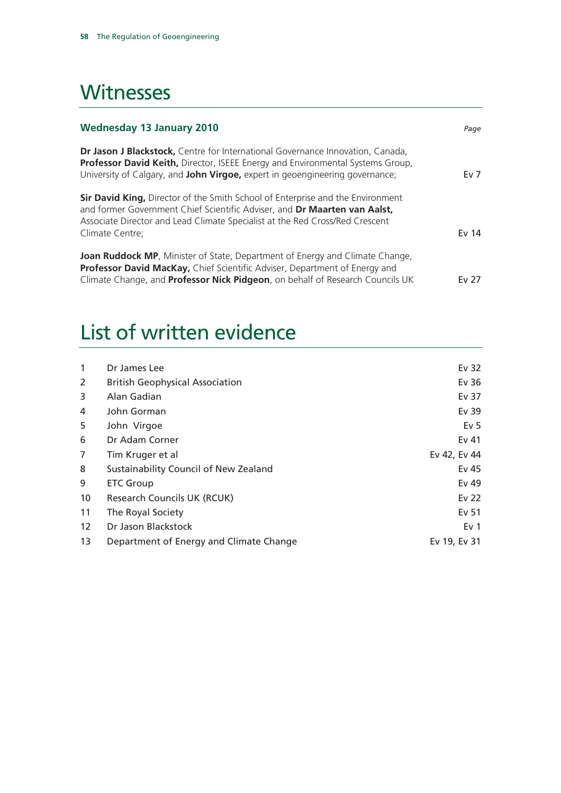# **Witnesses**

| <b>Wednesday 13 January 2010</b>                                                                                                                                                                                                                                      | Page   |
|-----------------------------------------------------------------------------------------------------------------------------------------------------------------------------------------------------------------------------------------------------------------------|--------|
| Dr Jason J Blackstock, Centre for International Governance Innovation, Canada,<br>Professor David Keith, Director, ISEEE Energy and Environmental Systems Group,<br>University of Calgary, and John Virgoe, expert in geoengineering governance;                      | Ev $7$ |
| <b>Sir David King, Director of the Smith School of Enterprise and the Environment</b><br>and former Government Chief Scientific Adviser, and Dr Maarten van Aalst,<br>Associate Director and Lead Climate Specialist at the Red Cross/Red Crescent<br>Climate Centre; | Ev 14  |
| <b>Joan Ruddock MP</b> , Minister of State, Department of Energy and Climate Change,<br>Professor David MacKay, Chief Scientific Adviser, Department of Energy and<br>Climate Change, and <b>Professor Nick Pidgeon</b> , on behalf of Research Councils UK           | Ev 27  |

# List of written evidence

| $\mathbf{1}$      | Dr James Lee                            | Ev 32           |
|-------------------|-----------------------------------------|-----------------|
| 2                 | <b>British Geophysical Association</b>  | Ev 36           |
| 3                 | Alan Gadian                             | Ev 37           |
| 4                 | John Gorman                             | Ev 39           |
| 5                 | John Virgoe                             | Ev <sub>5</sub> |
| 6                 | Dr Adam Corner                          | Ev 41           |
| 7                 | Tim Kruger et al                        | Ev 42, Ev 44    |
| 8                 | Sustainability Council of New Zealand   | Ev 45           |
| 9                 | <b>ETC Group</b>                        | Ev 49           |
| 10                | Research Councils UK (RCUK)             | Ev 22           |
| 11                | The Royal Society                       | Ev 51           |
| $12 \overline{ }$ | Dr Jason Blackstock                     | Ev <sub>1</sub> |
| 13                | Department of Energy and Climate Change | Ev 19, Ev 31    |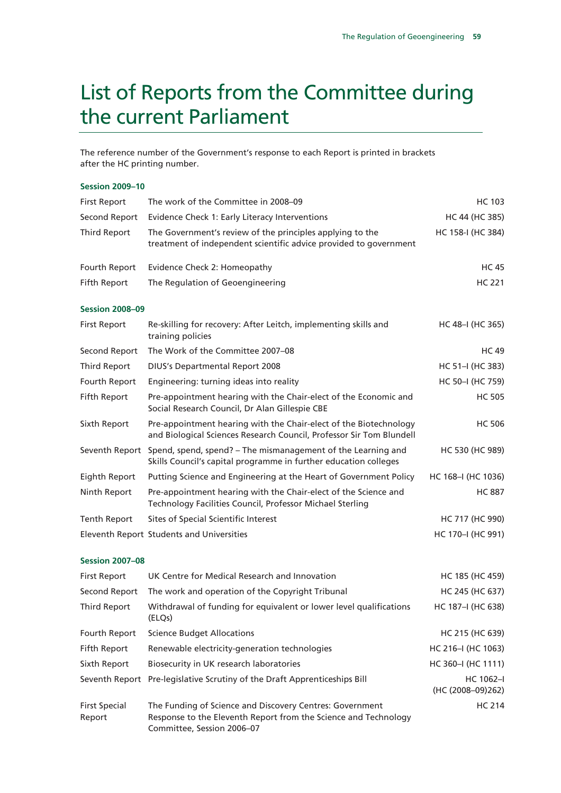# List of Reports from the Committee during the current Parliament

The reference number of the Government's response to each Report is printed in brackets after the HC printing number.

### **Session 2009–10**

| <b>First Report</b>    | The work of the Committee in 2008-09                                                                                                      | <b>HC 103</b>      |
|------------------------|-------------------------------------------------------------------------------------------------------------------------------------------|--------------------|
| Second Report          | Evidence Check 1: Early Literacy Interventions                                                                                            | HC 44 (HC 385)     |
| <b>Third Report</b>    | The Government's review of the principles applying to the<br>treatment of independent scientific advice provided to government            | HC 158-I (HC 384)  |
| Fourth Report          | Evidence Check 2: Homeopathy                                                                                                              | <b>HC45</b>        |
| Fifth Report           | The Regulation of Geoengineering                                                                                                          | <b>HC 221</b>      |
| <b>Session 2008-09</b> |                                                                                                                                           |                    |
| <b>First Report</b>    | Re-skilling for recovery: After Leitch, implementing skills and<br>training policies                                                      | HC 48-I (HC 365)   |
| Second Report          | The Work of the Committee 2007-08                                                                                                         | <b>HC49</b>        |
| Third Report           | <b>DIUS's Departmental Report 2008</b>                                                                                                    | HC 51-I (HC 383)   |
| Fourth Report          | Engineering: turning ideas into reality                                                                                                   | HC 50-I (HC 759)   |
| Fifth Report           | Pre-appointment hearing with the Chair-elect of the Economic and<br>Social Research Council, Dr Alan Gillespie CBE                        | <b>HC 505</b>      |
| Sixth Report           | Pre-appointment hearing with the Chair-elect of the Biotechnology<br>and Biological Sciences Research Council, Professor Sir Tom Blundell | <b>HC 506</b>      |
| Seventh Report         | Spend, spend, spend? - The mismanagement of the Learning and<br>Skills Council's capital programme in further education colleges          | HC 530 (HC 989)    |
| Eighth Report          | Putting Science and Engineering at the Heart of Government Policy                                                                         | HC 168-I (HC 1036) |
| Ninth Report           | Pre-appointment hearing with the Chair-elect of the Science and<br>Technology Facilities Council, Professor Michael Sterling              | <b>HC 887</b>      |
| <b>Tenth Report</b>    | Sites of Special Scientific Interest                                                                                                      | HC 717 (HC 990)    |
|                        | Eleventh Report Students and Universities                                                                                                 | HC 170-I (HC 991)  |

### **Session 2007–08**

| <b>First Report</b>            | UK Centre for Medical Research and Innovation                                                                                                             | HC 185 (HC 459)                    |
|--------------------------------|-----------------------------------------------------------------------------------------------------------------------------------------------------------|------------------------------------|
| Second Report                  | The work and operation of the Copyright Tribunal                                                                                                          | HC 245 (HC 637)                    |
| Third Report                   | Withdrawal of funding for equivalent or lower level qualifications<br>(ELQs)                                                                              | HC 187-I (HC 638)                  |
| Fourth Report                  | <b>Science Budget Allocations</b>                                                                                                                         | HC 215 (HC 639)                    |
| Fifth Report                   | Renewable electricity-generation technologies                                                                                                             | HC 216-I (HC 1063)                 |
| Sixth Report                   | Biosecurity in UK research laboratories                                                                                                                   | HC 360-I (HC 1111)                 |
|                                | Seventh Report Pre-legislative Scrutiny of the Draft Apprenticeships Bill                                                                                 | $HC 1062 - I$<br>(HC (2008-09)262) |
| <b>First Special</b><br>Report | The Funding of Science and Discovery Centres: Government<br>Response to the Eleventh Report from the Science and Technology<br>Committee, Session 2006-07 | <b>HC 214</b>                      |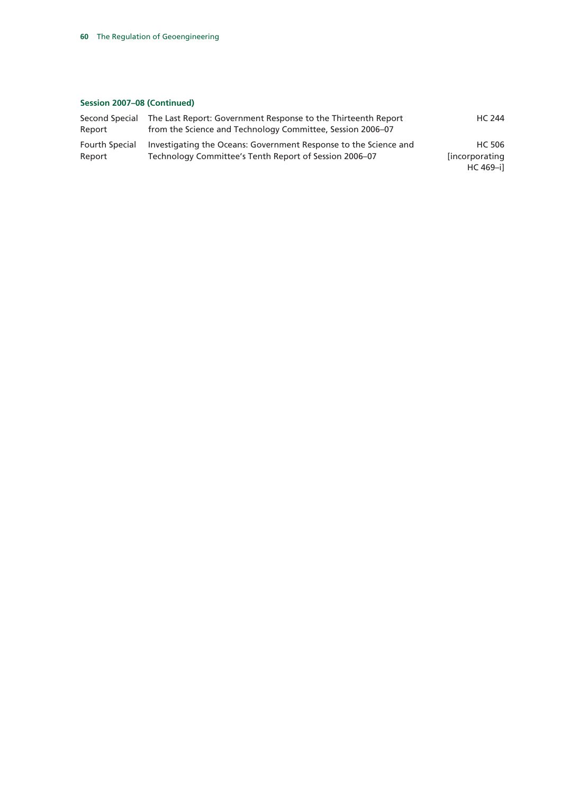## **Session 2007–08 (Continued)**

| Second Special | The Last Report: Government Response to the Thirteenth Report    | HC 244                |
|----------------|------------------------------------------------------------------|-----------------------|
| Report         | from the Science and Technology Committee, Session 2006–07       |                       |
| Fourth Special | Investigating the Oceans: Government Response to the Science and | HC 506                |
| Report         | Technology Committee's Tenth Report of Session 2006–07           | <i>lincorporating</i> |
|                |                                                                  | HC 469-il             |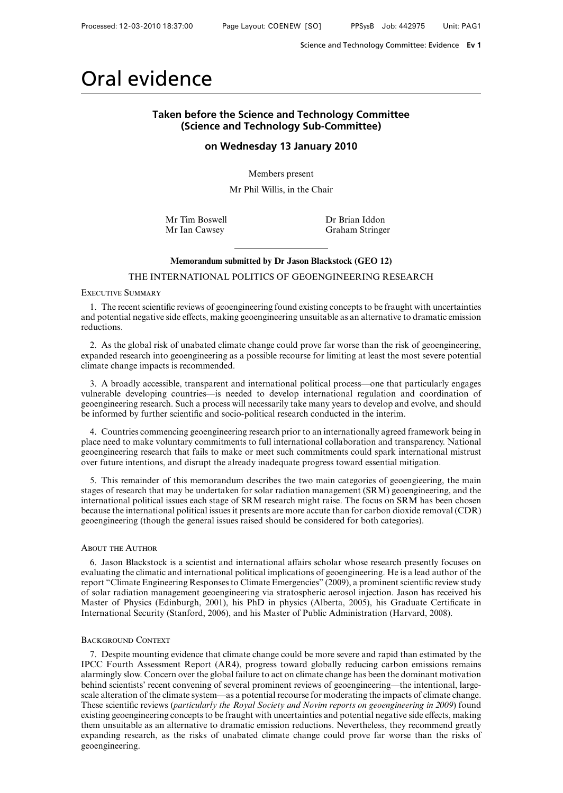# Oral evidence

## **Taken before the Science and Technology Committee (Science and Technology Sub-Committee)**

**on Wednesday 13 January 2010**

Members present

Mr Phil Willis, in the Chair

Mr Tim Boswell **Dr Brian Iddon** 

Mr Ian Cawsey Graham Stringer

### **Memorandum submitted by Dr Jason Blackstock (GEO 12)**

THE INTERNATIONAL POLITICS OF GEOENGINEERING RESEARCH

Executive Summary

1. The recent scientific reviews of geoengineering found existing concepts to be fraught with uncertainties and potential negative side effects, making geoengineering unsuitable as an alternative to dramatic emission reductions.

2. As the global risk of unabated climate change could prove far worse than the risk of geoengineering, expanded research into geoengineering as a possible recourse for limiting at least the most severe potential climate change impacts is recommended.

3. A broadly accessible, transparent and international political process—one that particularly engages vulnerable developing countries—is needed to develop international regulation and coordination of geoengineering research. Such a process will necessarily take many years to develop and evolve, and should be informed by further scientific and socio-political research conducted in the interim.

4. Countries commencing geoengineering research prior to an internationally agreed framework being in place need to make voluntary commitments to full international collaboration and transparency. National geoengineering research that fails to make or meet such commitments could spark international mistrust over future intentions, and disrupt the already inadequate progress toward essential mitigation.

5. This remainder of this memorandum describes the two main categories of geoengieering, the main stages of research that may be undertaken for solar radiation management (SRM) geoengineering, and the international political issues each stage of SRM research might raise. The focus on SRM has been chosen because the international political issues it presents are more accute than for carbon dioxide removal (CDR) geoengineering (though the general issues raised should be considered for both categories).

### About the Author

6. Jason Blackstock is a scientist and international affairs scholar whose research presently focuses on evaluating the climatic and international political implications of geoengineering. He is a lead author of the report "Climate Engineering Responses to Climate Emergencies" (2009), a prominent scientific review study of solar radiation management geoengineering via stratospheric aerosol injection. Jason has received his Master of Physics (Edinburgh, 2001), his PhD in physics (Alberta, 2005), his Graduate Certificate in International Security (Stanford, 2006), and his Master of Public Administration (Harvard, 2008).

### BACKGROUND CONTEXT

7. Despite mounting evidence that climate change could be more severe and rapid than estimated by the IPCC Fourth Assessment Report (AR4), progress toward globally reducing carbon emissions remains alarmingly slow. Concern over the global failure to act on climate change has been the dominant motivation behind scientists' recent convening of several prominent reviews of geoengineering—the intentional, largescale alteration of the climate system—as a potential recourse for moderating the impacts of climate change. These scientific reviews (*particularly the Royal Society and Novim reports on geoengineering in 2009*) found existing geoengineering concepts to be fraught with uncertainties and potential negative side effects, making them unsuitable as an alternative to dramatic emission reductions. Nevertheless, they recommend greatly expanding research, as the risks of unabated climate change could prove far worse than the risks of geoengineering.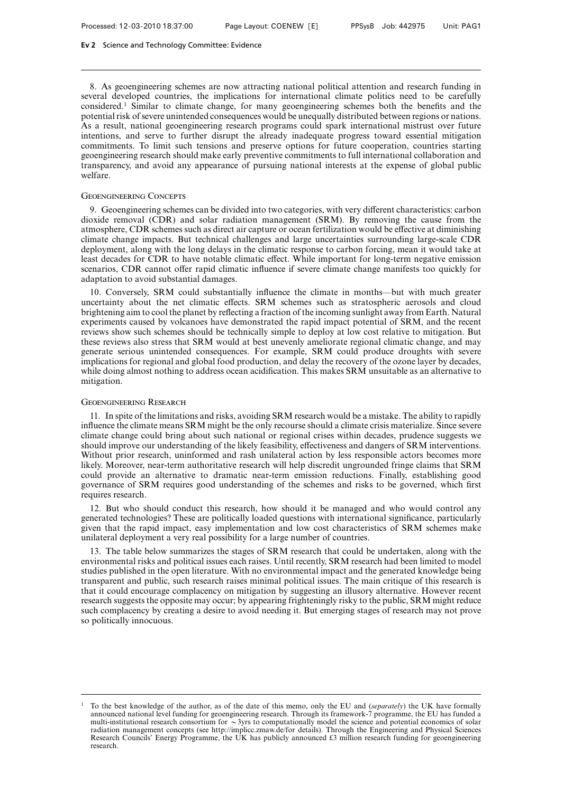8. As geoengineering schemes are now attracting national political attention and research funding in several developed countries, the implications for international climate politics need to be carefully considered.1 Similar to climate change, for many geoengineering schemes both the benefits and the potential risk of severe unintended consequences would be unequally distributed between regions or nations. As a result, national geoengineering research programs could spark international mistrust over future intentions, and serve to further disrupt the already inadequate progress toward essential mitigation commitments. To limit such tensions and preserve options for future cooperation, countries starting geoengineering research should make early preventive commitments to full international collaboration and transparency, and avoid any appearance of pursuing national interests at the expense of global public welfare.

#### Geoengineering Concepts

9. Geoengineering schemes can be divided into two categories, with very different characteristics: carbon dioxide removal (CDR) and solar radiation management (SRM). By removing the cause from the atmosphere, CDR schemes such as direct air capture or ocean fertilization would be effective at diminishing climate change impacts. But technical challenges and large uncertainties surrounding large-scale CDR deployment, along with the long delays in the climatic response to carbon forcing, mean it would take at least decades for CDR to have notable climatic effect. While important for long-term negative emission scenarios, CDR cannot offer rapid climatic influence if severe climate change manifests too quickly for adaptation to avoid substantial damages.

10. Conversely, SRM could substantially influence the climate in months—but with much greater uncertainty about the net climatic effects. SRM schemes such as stratospheric aerosols and cloud brightening aim to cool the planet by reflecting a fraction of the incoming sunlight away from Earth. Natural experiments caused by volcanoes have demonstrated the rapid impact potential of SRM, and the recent reviews show such schemes should be technically simple to deploy at low cost relative to mitigation. But these reviews also stress that SRM would at best unevenly ameliorate regional climatic change, and may generate serious unintended consequences. For example, SRM could produce droughts with severe implications for regional and global food production, and delay the recovery of the ozone layer by decades, while doing almost nothing to address ocean acidification. This makes SRM unsuitable as an alternative to mitigation.

#### Geoengineering Research

11. In spite of the limitations and risks, avoiding SRM research would be a mistake. The ability to rapidly influence the climate means SRM might be the only recourse should a climate crisis materialize. Since severe climate change could bring about such national or regional crises within decades, prudence suggests we should improve our understanding of the likely feasibility, effectiveness and dangers of SRM interventions. Without prior research, uninformed and rash unilateral action by less responsible actors becomes more likely. Moreover, near-term authoritative research will help discredit ungrounded fringe claims that SRM could provide an alternative to dramatic near-term emission reductions. Finally, establishing good governance of SRM requires good understanding of the schemes and risks to be governed, which first requires research.

12. But who should conduct this research, how should it be managed and who would control any generated technologies? These are politically loaded questions with international significance, particularly given that the rapid impact, easy implementation and low cost characteristics of SRM schemes make unilateral deployment a very real possibility for a large number of countries.

13. The table below summarizes the stages of SRM research that could be undertaken, along with the environmental risks and political issues each raises. Until recently, SRM research had been limited to model studies published in the open literature. With no environmental impact and the generated knowledge being transparent and public, such research raises minimal political issues. The main critique of this research is that it could encourage complacency on mitigation by suggesting an illusory alternative. However recent research suggests the opposite may occur; by appearing frighteningly risky to the public, SRM might reduce such complacency by creating a desire to avoid needing it. But emerging stages of research may not prove so politically innocuous.

<sup>1</sup> To the best knowledge of the author, as of the date of this memo, only the EU and (*separately*) the UK have formally announced national level funding for geoengineering research. Through its framework-7 programme, the EU has funded a<br>multi-institutional research consortium for  $\sim$ 3yrs to computationally model the science and potential radiation management concepts (see http://implicc.zmaw.de/for details). Through the Engineering and Physical Sciences Research Councils' Energy Programme, the UK has publicly announced £3 million research funding for geoengineering research.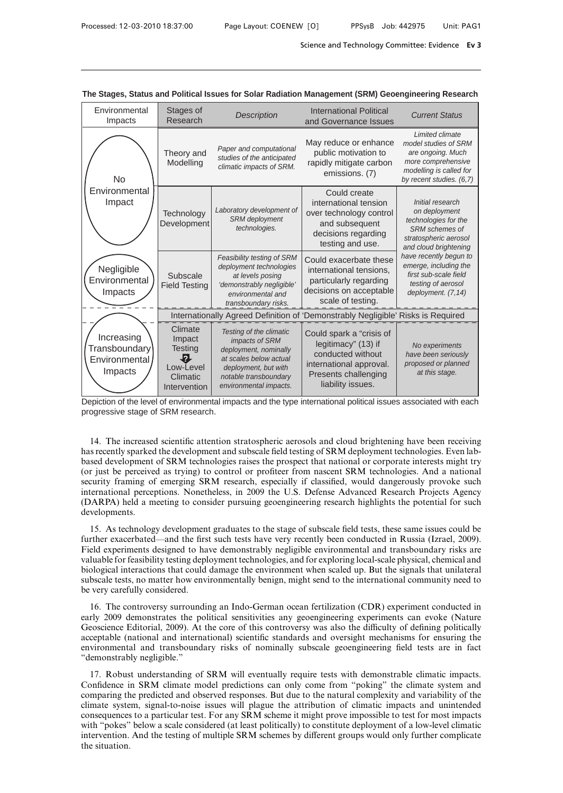| Environmental<br>Impacts                                       | Stages of<br>Research                                                              | <b>Description</b>                                                                                                                                                      | <b>International Political</b><br>and Governance Issues                                                                                      | <b>Current Status</b>                                                                                                                     |
|----------------------------------------------------------------|------------------------------------------------------------------------------------|-------------------------------------------------------------------------------------------------------------------------------------------------------------------------|----------------------------------------------------------------------------------------------------------------------------------------------|-------------------------------------------------------------------------------------------------------------------------------------------|
| <b>No</b>                                                      | Theory and<br>Modelling                                                            | Paper and computational<br>studies of the anticipated<br>climatic impacts of SRM.                                                                                       | May reduce or enhance<br>public motivation to<br>rapidly mitigate carbon<br>emissions. (7)                                                   | Limited climate<br>model studies of SRM<br>are ongoing. Much<br>more comprehensive<br>modelling is called for<br>by recent studies. (6.7) |
| Environmental<br>Impact                                        | Technology<br>Development                                                          | Laboratory development of<br><b>SRM</b> deployment<br>technologies.                                                                                                     | Could create<br>international tension<br>over technology control<br>and subsequent<br>decisions regarding<br>testing and use.                | Initial research<br>on deployment<br>technologies for the<br>SRM schemes of<br>stratospheric aerosol<br>and cloud brightening             |
| Negligible<br>Environmental<br>Impacts                         | Subscale<br><b>Field Testing</b>                                                   | Feasibility testing of SRM<br>deployment technologies<br>at levels posing<br>'demonstrably negligible'<br>environmental and<br>transboundary risks.                     | Could exacerbate these<br>international tensions.<br>particularly regarding<br>decisions on acceptable<br>scale of testing.                  | have recently begun to<br>emerge, including the<br>first sub-scale field<br>testing of aerosol<br>deployment. (7,14)                      |
|                                                                |                                                                                    |                                                                                                                                                                         | Internationally Agreed Definition of 'Demonstrably Negligible' Risks is Required                                                             |                                                                                                                                           |
| Increasing<br><b>Transboundary</b><br>Environmental<br>Impacts | Climate<br>Impact<br><b>Testing</b><br>Ł.<br>Low-Level<br>Climatic<br>Intervention | Testing of the climatic<br>impacts of SRM<br>deployment, nominally<br>at scales below actual<br>deployment, but with<br>notable transboundary<br>environmental impacts. | Could spark a "crisis of<br>legitimacy" (13) if<br>conducted without<br>international approval.<br>Presents challenging<br>liability issues. | No experiments<br>have been seriously<br>proposed or planned<br>at this stage.                                                            |

**The Stages, Status and Political Issues for Solar Radiation Management (SRM) Geoengineering Research**

Depiction of the level of environmental impacts and the type international political issues associated with each progressive stage of SRM research.

14. The increased scientific attention stratospheric aerosols and cloud brightening have been receiving has recently sparked the development and subscale field testing of SRM deployment technologies. Even labbased development of SRM technologies raises the prospect that national or corporate interests might try (or just be perceived as trying) to control or profiteer from nascent SRM technologies. And a national security framing of emerging SRM research, especially if classified, would dangerously provoke such international perceptions. Nonetheless, in 2009 the U.S. Defense Advanced Research Projects Agency (DARPA) held a meeting to consider pursuing geoengineering research highlights the potential for such developments.

15. As technology development graduates to the stage of subscale field tests, these same issues could be further exacerbated—and the first such tests have very recently been conducted in Russia (Izrael, 2009). Field experiments designed to have demonstrably negligible environmental and transboundary risks are valuable for feasibility testing deployment technologies, and for exploring local-scale physical, chemical and biological interactions that could damage the environment when scaled up. But the signals that unilateral subscale tests, no matter how environmentally benign, might send to the international community need to be very carefully considered.

16. The controversy surrounding an Indo-German ocean fertilization (CDR) experiment conducted in early 2009 demonstrates the political sensitivities any geoengineering experiments can evoke (Nature Geoscience Editorial, 2009). At the core of this controversy was also the difficulty of defining politically acceptable (national and international) scientific standards and oversight mechanisms for ensuring the environmental and transboundary risks of nominally subscale geoengineering field tests are in fact "demonstrably negligible."

17. Robust understanding of SRM will eventually require tests with demonstrable climatic impacts. Confidence in SRM climate model predictions can only come from "poking" the climate system and comparing the predicted and observed responses. But due to the natural complexity and variability of the climate system, signal-to-noise issues will plague the attribution of climatic impacts and unintended consequences to a particular test. For any SRM scheme it might prove impossible to test for most impacts with "pokes" below a scale considered (at least politically) to constitute deployment of a low-level climatic intervention. And the testing of multiple SRM schemes by different groups would only further complicate the situation.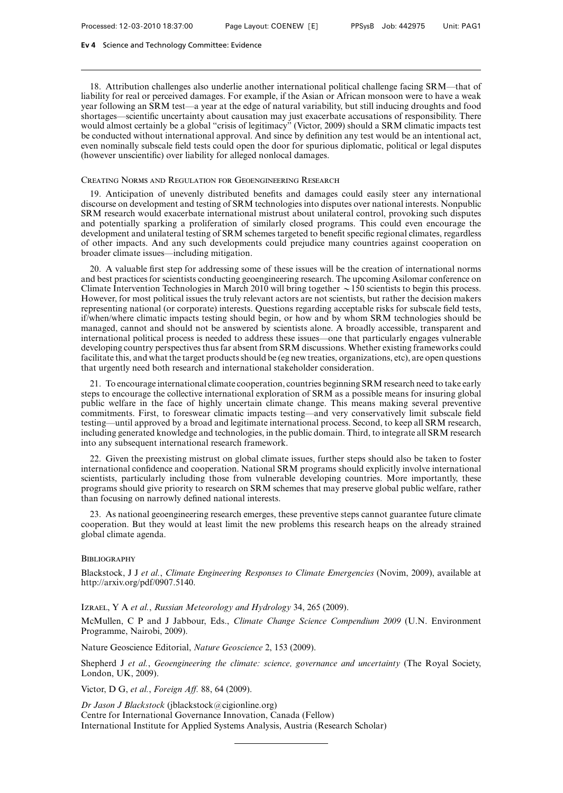18. Attribution challenges also underlie another international political challenge facing SRM—that of liability for real or perceived damages. For example, if the Asian or African monsoon were to have a weak year following an SRM test—a year at the edge of natural variability, but still inducing droughts and food shortages—scientific uncertainty about causation may just exacerbate accusations of responsibility. There would almost certainly be a global "crisis of legitimacy" (Victor, 2009) should a SRM climatic impacts test be conducted without international approval. And since by definition any test would be an intentional act, even nominally subscale field tests could open the door for spurious diplomatic, political or legal disputes (however unscientific) over liability for alleged nonlocal damages.

### Creating Norms and Regulation for Geoengineering Research

19. Anticipation of unevenly distributed benefits and damages could easily steer any international discourse on development and testing of SRM technologies into disputes over national interests. Nonpublic SRM research would exacerbate international mistrust about unilateral control, provoking such disputes and potentially sparking a proliferation of similarly closed programs. This could even encourage the development and unilateral testing of SRM schemes targeted to benefit specific regional climates, regardless of other impacts. And any such developments could prejudice many countries against cooperation on broader climate issues—including mitigation.

20. A valuable first step for addressing some of these issues will be the creation of international norms and best practices for scientists conducting geoengineering research. The upcoming Asilomar conference on Climate Intervention Technologies in March 2010 will bring together  $\sim$  150 scientists to begin this process. However, for most political issues the truly relevant actors are not scientists, but rather the decision makers representing national (or corporate) interests. Questions regarding acceptable risks for subscale field tests, if/when/where climatic impacts testing should begin, or how and by whom SRM technologies should be managed, cannot and should not be answered by scientists alone. A broadly accessible, transparent and international political process is needed to address these issues—one that particularly engages vulnerable developing country perspectives thus far absent from SRM discussions. Whether existing frameworks could facilitate this, and what the target products should be (eg new treaties, organizations, etc), are open questions that urgently need both research and international stakeholder consideration.

21. To encourage international climate cooperation, countries beginning SRM research need to take early steps to encourage the collective international exploration of SRM as a possible means for insuring global public welfare in the face of highly uncertain climate change. This means making several preventive commitments. First, to foreswear climatic impacts testing—and very conservatively limit subscale field testing—until approved by a broad and legitimate international process. Second, to keep all SRM research, including generated knowledge and technologies, in the public domain. Third, to integrate all SRM research into any subsequent international research framework.

22. Given the preexisting mistrust on global climate issues, further steps should also be taken to foster international confidence and cooperation. National SRM programs should explicitly involve international scientists, particularly including those from vulnerable developing countries. More importantly, these programs should give priority to research on SRM schemes that may preserve global public welfare, rather than focusing on narrowly defined national interests.

23. As national geoengineering research emerges, these preventive steps cannot guarantee future climate cooperation. But they would at least limit the new problems this research heaps on the already strained global climate agenda.

#### **BIBLIOGRAPHY**

Blackstock, J J *et al.*, *Climate Engineering Responses to Climate Emergencies* (Novim, 2009), available at http://arxiv.org/pdf/0907.5140.

Izrael,YA *et al.*, *Russian Meteorology and Hydrology* 34, 265 (2009).

McMullen, C P and J Jabbour, Eds., *Climate Change Science Compendium 2009* (U.N. Environment Programme, Nairobi, 2009).

Nature Geoscience Editorial, *Nature Geoscience* 2, 153 (2009).

Shepherd J *et al.*, *Geoengineering the climate: science, governance and uncertainty* (The Royal Society, London, UK, 2009).

Victor, D G, *et al.*, *Foreign AV.* 88, 64 (2009).

*Dr Jason J Blackstock* (jblackstock@cigionline.org) Centre for International Governance Innovation, Canada (Fellow) International Institute for Applied Systems Analysis, Austria (Research Scholar)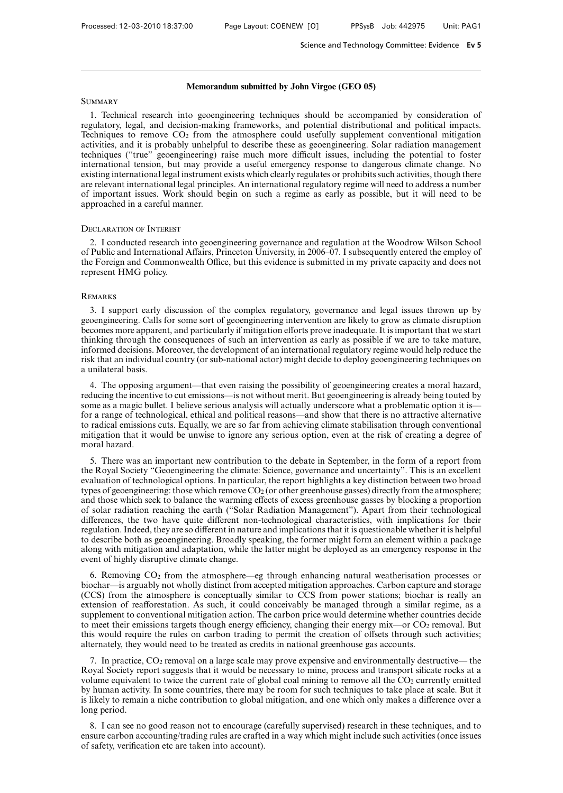### **Memorandum submitted by John Virgoe (GEO 05)**

#### **SUMMARY**

1. Technical research into geoengineering techniques should be accompanied by consideration of regulatory, legal, and decision-making frameworks, and potential distributional and political impacts. Techniques to remove  $CO<sub>2</sub>$  from the atmosphere could usefully supplement conventional mitigation activities, and it is probably unhelpful to describe these as geoengineering. Solar radiation management techniques ("true" geoengineering) raise much more difficult issues, including the potential to foster international tension, but may provide a useful emergency response to dangerous climate change. No existing international legal instrument exists which clearly regulates or prohibits such activities, though there are relevant international legal principles. An international regulatory regime will need to address a number of important issues. Work should begin on such a regime as early as possible, but it will need to be approached in a careful manner.

### Declaration of Interest

2. I conducted research into geoengineering governance and regulation at the Woodrow Wilson School of Public and International Affairs, Princeton University, in 2006–07. I subsequently entered the employ of the Foreign and Commonwealth Office, but this evidence is submitted in my private capacity and does not represent HMG policy.

#### **REMARKS**

3. I support early discussion of the complex regulatory, governance and legal issues thrown up by geoengineering. Calls for some sort of geoengineering intervention are likely to grow as climate disruption becomes more apparent, and particularly if mitigation efforts prove inadequate. It is important that we start thinking through the consequences of such an intervention as early as possible if we are to take mature, informed decisions. Moreover, the development of an international regulatory regime would help reduce the risk that an individual country (or sub-national actor) might decide to deploy geoengineering techniques on a unilateral basis.

4. The opposing argument—that even raising the possibility of geoengineering creates a moral hazard, reducing the incentive to cut emissions—is not without merit. But geoengineering is already being touted by some as a magic bullet. I believe serious analysis will actually underscore what a problematic option it is for a range of technological, ethical and political reasons—and show that there is no attractive alternative to radical emissions cuts. Equally, we are so far from achieving climate stabilisation through conventional mitigation that it would be unwise to ignore any serious option, even at the risk of creating a degree of moral hazard.

5. There was an important new contribution to the debate in September, in the form of a report from the Royal Society "Geoengineering the climate: Science, governance and uncertainty". This is an excellent evaluation of technological options. In particular, the report highlights a key distinction between two broad types of geoengineering: those which remove  $CO<sub>2</sub>$  (or other greenhouse gasses) directly from the atmosphere; and those which seek to balance the warming effects of excess greenhouse gasses by blocking a proportion of solar radiation reaching the earth ("Solar Radiation Management"). Apart from their technological differences, the two have quite different non-technological characteristics, with implications for their regulation. Indeed, they are so different in nature and implications that it is questionable whether it is helpful to describe both as geoengineering. Broadly speaking, the former might form an element within a package along with mitigation and adaptation, while the latter might be deployed as an emergency response in the event of highly disruptive climate change.

6. Removing CO2 from the atmosphere—eg through enhancing natural weatherisation processes or biochar—is arguably not wholly distinct from accepted mitigation approaches. Carbon capture and storage (CCS) from the atmosphere is conceptually similar to CCS from power stations; biochar is really an extension of reafforestation. As such, it could conceivably be managed through a similar regime, as a supplement to conventional mitigation action. The carbon price would determine whether countries decide to meet their emissions targets though energy efficiency, changing their energy mix—or CO2 removal. But this would require the rules on carbon trading to permit the creation of offsets through such activities; alternately, they would need to be treated as credits in national greenhouse gas accounts.

7. In practice,  $CO_2$  removal on a large scale may prove expensive and environmentally destructive— the Royal Society report suggests that it would be necessary to mine, process and transport silicate rocks at a volume equivalent to twice the current rate of global coal mining to remove all the  $CO<sub>2</sub>$  currently emitted by human activity. In some countries, there may be room for such techniques to take place at scale. But it is likely to remain a niche contribution to global mitigation, and one which only makes a difference over a long period.

8. I can see no good reason not to encourage (carefully supervised) research in these techniques, and to ensure carbon accounting/trading rules are crafted in a way which might include such activities (once issues of safety, verification etc are taken into account).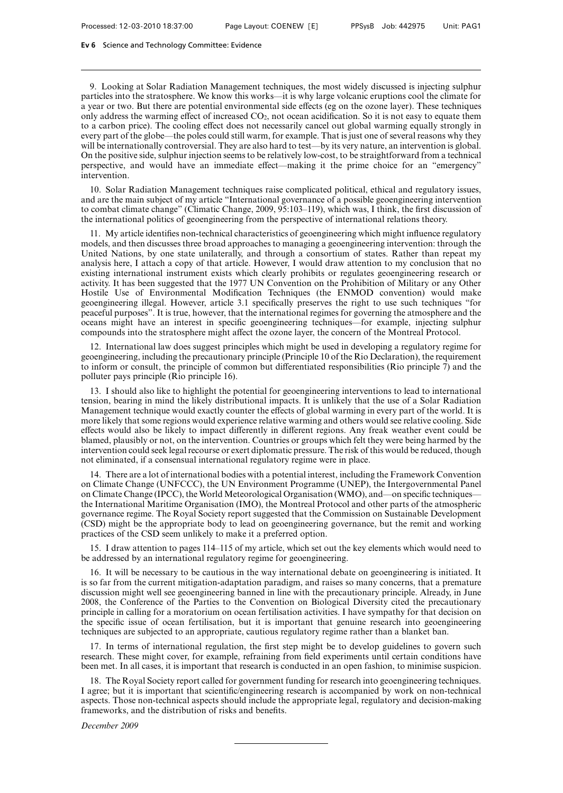9. Looking at Solar Radiation Management techniques, the most widely discussed is injecting sulphur particles into the stratosphere. We know this works—it is why large volcanic eruptions cool the climate for a year or two. But there are potential environmental side effects (eg on the ozone layer). These techniques only address the warming effect of increased  $CO<sub>2</sub>$ , not ocean acidification. So it is not easy to equate them to a carbon price). The cooling effect does not necessarily cancel out global warming equally strongly in every part of the globe—the poles could still warm, for example. That is just one of several reasons why they will be internationally controversial. They are also hard to test—by its very nature, an intervention is global. On the positive side, sulphur injection seems to be relatively low-cost, to be straightforward from a technical perspective, and would have an immediate effect—making it the prime choice for an "emergency" intervention.

10. Solar Radiation Management techniques raise complicated political, ethical and regulatory issues, and are the main subject of my article "International governance of a possible geoengineering intervention to combat climate change" (Climatic Change, 2009, 95:103–119), which was, I think, the first discussion of the international politics of geoengineering from the perspective of international relations theory.

11. My article identifies non-technical characteristics of geoengineering which might influence regulatory models, and then discusses three broad approaches to managing a geoengineering intervention: through the United Nations, by one state unilaterally, and through a consortium of states. Rather than repeat my analysis here, I attach a copy of that article. However, I would draw attention to my conclusion that no existing international instrument exists which clearly prohibits or regulates geoengineering research or activity. It has been suggested that the 1977 UN Convention on the Prohibition of Military or any Other Hostile Use of Environmental Modification Techniques (the ENMOD convention) would make geoengineering illegal. However, article 3.1 specifically preserves the right to use such techniques "for peaceful purposes". It is true, however, that the international regimes for governing the atmosphere and the oceans might have an interest in specific geoengineering techniques—for example, injecting sulphur compounds into the stratosphere might affect the ozone layer, the concern of the Montreal Protocol.

12. International law does suggest principles which might be used in developing a regulatory regime for geoengineering, including the precautionary principle (Principle 10 of the Rio Declaration), the requirement to inform or consult, the principle of common but differentiated responsibilities (Rio principle  $\bar{7}$ ) and the polluter pays principle (Rio principle 16).

13. I should also like to highlight the potential for geoengineering interventions to lead to international tension, bearing in mind the likely distributional impacts. It is unlikely that the use of a Solar Radiation Management technique would exactly counter the effects of global warming in every part of the world. It is more likely that some regions would experience relative warming and others would see relative cooling. Side effects would also be likely to impact differently in different regions. Any freak weather event could be blamed, plausibly or not, on the intervention. Countries or groups which felt they were being harmed by the intervention could seek legal recourse or exert diplomatic pressure. The risk of this would be reduced, though not eliminated, if a consensual international regulatory regime were in place.

14. There are a lot of international bodies with a potential interest, including the Framework Convention on Climate Change (UNFCCC), the UN Environment Programme (UNEP), the Intergovernmental Panel on Climate Change (IPCC), the World Meteorological Organisation (WMO), and—on specific techniques the International Maritime Organisation (IMO), the Montreal Protocol and other parts of the atmospheric governance regime. The Royal Society report suggested that the Commission on Sustainable Development (CSD) might be the appropriate body to lead on geoengineering governance, but the remit and working practices of the CSD seem unlikely to make it a preferred option.

15. I draw attention to pages 114–115 of my article, which set out the key elements which would need to be addressed by an international regulatory regime for geoengineering.

16. It will be necessary to be cautious in the way international debate on geoengineering is initiated. It is so far from the current mitigation-adaptation paradigm, and raises so many concerns, that a premature discussion might well see geoengineering banned in line with the precautionary principle. Already, in June 2008, the Conference of the Parties to the Convention on Biological Diversity cited the precautionary principle in calling for a moratorium on ocean fertilisation activities. I have sympathy for that decision on the specific issue of ocean fertilisation, but it is important that genuine research into geoengineering techniques are subjected to an appropriate, cautious regulatory regime rather than a blanket ban.

17. In terms of international regulation, the first step might be to develop guidelines to govern such research. These might cover, for example, refraining from field experiments until certain conditions have been met. In all cases, it is important that research is conducted in an open fashion, to minimise suspicion.

18. The Royal Society report called for government funding for research into geoengineering techniques. I agree; but it is important that scientific/engineering research is accompanied by work on non-technical aspects. Those non-technical aspects should include the appropriate legal, regulatory and decision-making frameworks, and the distribution of risks and benefits.

*December 2009*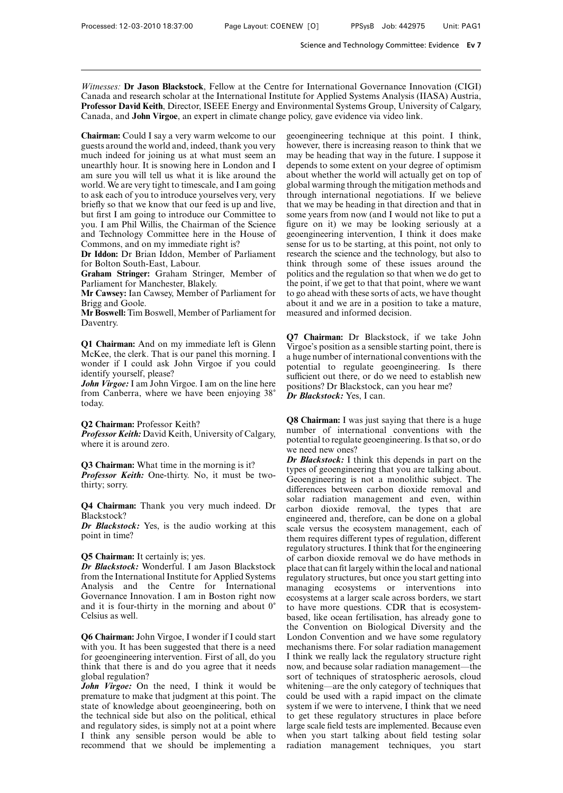*Witnesses:* **Dr Jason Blackstock**, Fellow at the Centre for International Governance Innovation (CIGI) Canada and research scholar at the International Institute for Applied Systems Analysis (IIASA) Austria, **Professor David Keith**, Director, ISEEE Energy and Environmental Systems Group, University of Calgary, Canada, and **John Virgoe**, an expert in climate change policy, gave evidence via video link.

**Chairman:** Could I say a very warm welcome to our guests around the world and, indeed, thank you very much indeed for joining us at what must seem an unearthly hour. It is snowing here in London and I am sure you will tell us what it is like around the world. We are very tight to timescale, and I am going to ask each of you to introduce yourselves very, very briefly so that we know that our feed is up and live, but first I am going to introduce our Committee to you. I am Phil Willis, the Chairman of the Science and Technology Committee here in the House of Commons, and on my immediate right is?

**Dr Iddon:** Dr Brian Iddon, Member of Parliament for Bolton South-East, Labour.

**Graham Stringer:** Graham Stringer, Member of Parliament for Manchester, Blakely.

**Mr Cawsey:** Ian Cawsey, Member of Parliament for Brigg and Goole.

**Mr Boswell:** Tim Boswell, Member of Parliament for Daventry.

**Q1 Chairman:** And on my immediate left is Glenn McKee, the clerk. That is our panel this morning. I wonder if I could ask John Virgoe if you could identify yourself, please?

*John Virgoe:* I am John Virgoe. I am on the line here from Canberra, where we have been enjoying 38) today.

#### **Q2 Chairman:** Professor Keith?

*Professor Keith:* David Keith, University of Calgary, where it is around zero.

**Q3 Chairman:** What time in the morning is it? *Professor Keith:* One-thirty. No, it must be twothirty; sorry.

**Q4 Chairman:** Thank you very much indeed. Dr Blackstock?

*Dr Blackstock:* Yes, is the audio working at this point in time?

### **Q5 Chairman:** It certainly is; yes.

*Dr Blackstock:* Wonderful. I am Jason Blackstock from the International Institute for Applied Systems Analysis and the Centre for International Governance Innovation. I am in Boston right now and it is four-thirty in the morning and about  $0^{\circ}$ Celsius as well.

**Q6 Chairman:** John Virgoe, I wonder if I could start with you. It has been suggested that there is a need for geoengineering intervention. First of all, do you think that there is and do you agree that it needs global regulation?

*John Virgoe:* On the need, I think it would be premature to make that judgment at this point. The state of knowledge about geoengineering, both on the technical side but also on the political, ethical and regulatory sides, is simply not at a point where I think any sensible person would be able to recommend that we should be implementing a geoengineering technique at this point. I think, however, there is increasing reason to think that we may be heading that way in the future. I suppose it depends to some extent on your degree of optimism about whether the world will actually get on top of global warming through the mitigation methods and through international negotiations. If we believe that we may be heading in that direction and that in some years from now (and I would not like to put a figure on it) we may be looking seriously at a geoengineering intervention, I think it does make sense for us to be starting, at this point, not only to research the science and the technology, but also to think through some of these issues around the politics and the regulation so that when we do get to the point, if we get to that that point, where we want to go ahead with these sorts of acts, we have thought about it and we are in a position to take a mature, measured and informed decision.

**Q7 Chairman:** Dr Blackstock, if we take John Virgoe's position as a sensible starting point, there is a huge number of international conventions with the potential to regulate geoengineering. Is there sufficient out there, or do we need to establish new positions? Dr Blackstock, can you hear me? *Dr Blackstock:* Yes, I can.

**Q8 Chairman:** I was just saying that there is a huge number of international conventions with the potential to regulate geoengineering. Is that so, or do we need new ones?

*Dr Blackstock:* I think this depends in part on the types of geoengineering that you are talking about. Geoengineering is not a monolithic subject. The differences between carbon dioxide removal and solar radiation management and even, within carbon dioxide removal, the types that are engineered and, therefore, can be done on a global scale versus the ecosystem management, each of them requires different types of regulation, different regulatory structures. I think that for the engineering of carbon dioxide removal we do have methods in place that can fit largely within the local and national regulatory structures, but once you start getting into managing ecosystems or interventions into ecosystems at a larger scale across borders, we start to have more questions. CDR that is ecosystembased, like ocean fertilisation, has already gone to the Convention on Biological Diversity and the London Convention and we have some regulatory mechanisms there. For solar radiation management I think we really lack the regulatory structure right now, and because solar radiation management—the sort of techniques of stratospheric aerosols, cloud whitening—are the only category of techniques that could be used with a rapid impact on the climate system if we were to intervene, I think that we need to get these regulatory structures in place before large scale field tests are implemented. Because even when you start talking about field testing solar radiation management techniques, you start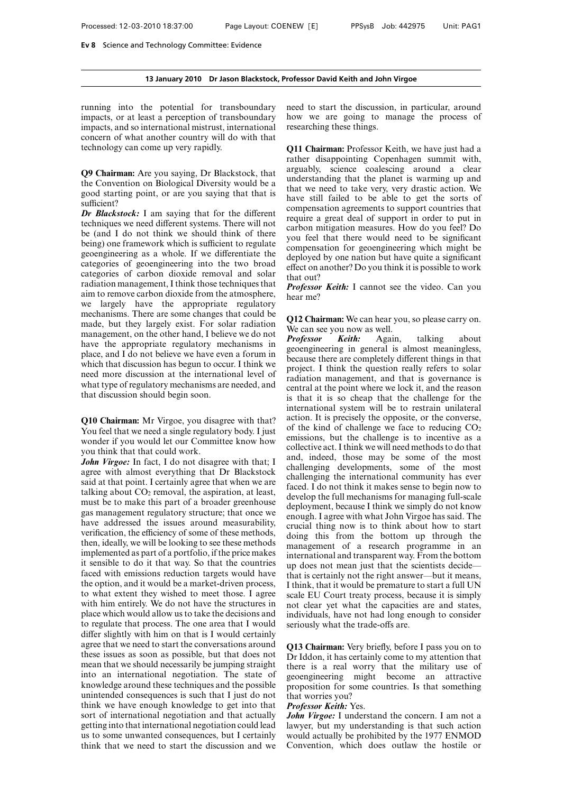#### **13 January 2010 Dr Jason Blackstock, Professor David Keith and John Virgoe**

running into the potential for transboundary impacts, or at least a perception of transboundary impacts, and so international mistrust, international concern of what another country will do with that technology can come up very rapidly.

**Q9 Chairman:** Are you saying, Dr Blackstock, that the Convention on Biological Diversity would be a good starting point, or are you saying that that is sufficient?

*Dr Blackstock:* I am saying that for the different techniques we need different systems. There will not be (and I do not think we should think of there being) one framework which is sufficient to regulate geoengineering as a whole. If we differentiate the categories of geoengineering into the two broad categories of carbon dioxide removal and solar radiation management, I think those techniques that aim to remove carbon dioxide from the atmosphere, we largely have the appropriate regulatory mechanisms. There are some changes that could be made, but they largely exist. For solar radiation management, on the other hand, I believe we do not have the appropriate regulatory mechanisms in place, and I do not believe we have even a forum in which that discussion has begun to occur. I think we need more discussion at the international level of what type of regulatory mechanisms are needed, and that discussion should begin soon.

**Q10 Chairman:** Mr Virgoe, you disagree with that? You feel that we need a single regulatory body. I just wonder if you would let our Committee know how you think that that could work.

John Virgoe: In fact, I do not disagree with that; I agree with almost everything that Dr Blackstock said at that point. I certainly agree that when we are talking about  $CO<sub>2</sub>$  removal, the aspiration, at least, must be to make this part of a broader greenhouse gas management regulatory structure; that once we have addressed the issues around measurability, verification, the efficiency of some of these methods, then, ideally, we will be looking to see these methods implemented as part of a portfolio, if the price makes it sensible to do it that way. So that the countries faced with emissions reduction targets would have the option, and it would be a market-driven process, to what extent they wished to meet those. I agree with him entirely. We do not have the structures in place which would allow us to take the decisions and to regulate that process. The one area that I would differ slightly with him on that is I would certainly agree that we need to start the conversations around these issues as soon as possible, but that does not mean that we should necessarily be jumping straight into an international negotiation. The state of knowledge around these techniques and the possible unintended consequences is such that I just do not think we have enough knowledge to get into that sort of international negotiation and that actually getting into that international negotiation could lead us to some unwanted consequences, but I certainly think that we need to start the discussion and we

need to start the discussion, in particular, around how we are going to manage the process of researching these things.

**Q11 Chairman:** Professor Keith, we have just had a rather disappointing Copenhagen summit with, arguably, science coalescing around a clear understanding that the planet is warming up and that we need to take very, very drastic action. We have still failed to be able to get the sorts of compensation agreements to support countries that require a great deal of support in order to put in carbon mitigation measures. How do you feel? Do you feel that there would need to be significant compensation for geoengineering which might be deployed by one nation but have quite a significant effect on another? Do you think it is possible to work that out?

*Professor Keith:* I cannot see the video. Can you hear me?

**Q12 Chairman:** We can hear you, so please carry on. We can see you now as well.

*Professor Keith:* Again, talking about geoengineering in general is almost meaningless, because there are completely different things in that project. I think the question really refers to solar radiation management, and that is governance is central at the point where we lock it, and the reason is that it is so cheap that the challenge for the international system will be to restrain unilateral action. It is precisely the opposite, or the converse, of the kind of challenge we face to reducing CO2 emissions, but the challenge is to incentive as a collective act. I think we will need methods to do that and, indeed, those may be some of the most challenging developments, some of the most challenging the international community has ever faced. I do not think it makes sense to begin now to develop the full mechanisms for managing full-scale deployment, because I think we simply do not know enough. I agree with what John Virgoe has said. The crucial thing now is to think about how to start doing this from the bottom up through the management of a research programme in an international and transparent way. From the bottom up does not mean just that the scientists decide that is certainly not the right answer—but it means, I think, that it would be premature to start a full UN scale EU Court treaty process, because it is simply not clear yet what the capacities are and states, individuals, have not had long enough to consider seriously what the trade-offs are.

**Q13 Chairman:** Very briefly, before I pass you on to Dr Iddon, it has certainly come to my attention that there is a real worry that the military use of geoengineering might become an attractive proposition for some countries. Is that something that worries you?

#### *Professor Keith:* Yes.

*John Virgoe:* I understand the concern. I am not a lawyer, but my understanding is that such action would actually be prohibited by the 1977 ENMOD Convention, which does outlaw the hostile or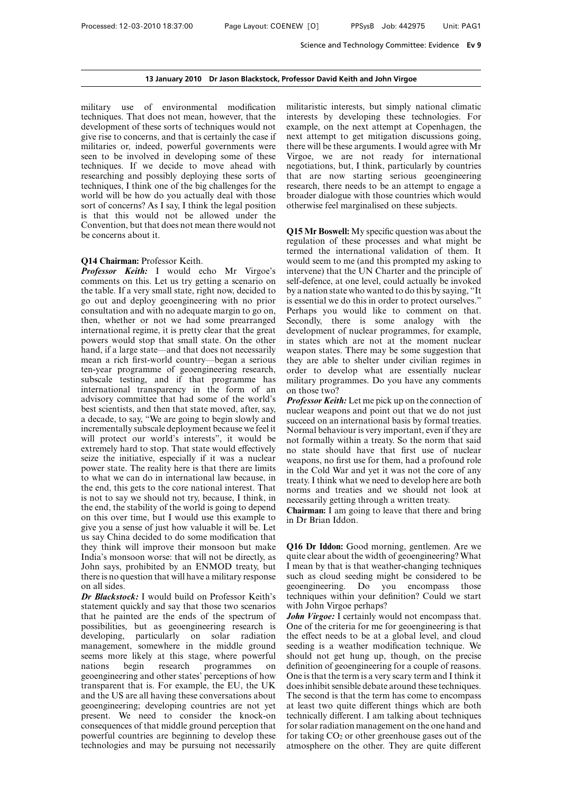military use of environmental modification techniques. That does not mean, however, that the development of these sorts of techniques would not give rise to concerns, and that is certainly the case if militaries or, indeed, powerful governments were seen to be involved in developing some of these techniques. If we decide to move ahead with researching and possibly deploying these sorts of techniques, I think one of the big challenges for the world will be how do you actually deal with those sort of concerns? As I say, I think the legal position is that this would not be allowed under the Convention, but that does not mean there would not be concerns about it.

#### **Q14 Chairman:** Professor Keith.

*Professor Keith:* I would echo Mr Virgoe's comments on this. Let us try getting a scenario on the table. If a very small state, right now, decided to go out and deploy geoengineering with no prior consultation and with no adequate margin to go on, then, whether or not we had some prearranged international regime, it is pretty clear that the great powers would stop that small state. On the other hand, if a large state—and that does not necessarily mean a rich first-world country—began a serious ten-year programme of geoengineering research, subscale testing, and if that programme has international transparency in the form of an advisory committee that had some of the world's best scientists, and then that state moved, after, say, a decade, to say, "We are going to begin slowly and incrementally subscale deployment because we feel it will protect our world's interests", it would be extremely hard to stop. That state would effectively seize the initiative, especially if it was a nuclear power state. The reality here is that there are limits to what we can do in international law because, in the end, this gets to the core national interest. That is not to say we should not try, because, I think, in the end, the stability of the world is going to depend on this over time, but I would use this example to give you a sense of just how valuable it will be. Let us say China decided to do some modification that they think will improve their monsoon but make India's monsoon worse: that will not be directly, as John says, prohibited by an ENMOD treaty, but there is no question that will have a military response on all sides.

*Dr Blackstock:* I would build on Professor Keith's statement quickly and say that those two scenarios that he painted are the ends of the spectrum of possibilities, but as geoengineering research is developing, particularly on solar radiation management, somewhere in the middle ground seems more likely at this stage, where powerful nations begin research programmes on geoengineering and other states' perceptions of how transparent that is. For example, the EU, the UK and the US are all having these conversations about geoengineering; developing countries are not yet present. We need to consider the knock-on consequences of that middle ground perception that powerful countries are beginning to develop these technologies and may be pursuing not necessarily

militaristic interests, but simply national climatic interests by developing these technologies. For example, on the next attempt at Copenhagen, the next attempt to get mitigation discussions going, there will be these arguments. I would agree with Mr Virgoe, we are not ready for international negotiations, but, I think, particularly by countries that are now starting serious geoengineering research, there needs to be an attempt to engage a broader dialogue with those countries which would otherwise feel marginalised on these subjects.

**Q15 Mr Boswell:** My specific question was about the regulation of these processes and what might be termed the international validation of them. It would seem to me (and this prompted my asking to intervene) that the UN Charter and the principle of self-defence, at one level, could actually be invoked by a nation state who wanted to do this by saying, "It is essential we do this in order to protect ourselves." Perhaps you would like to comment on that. Secondly, there is some analogy with the development of nuclear programmes, for example, in states which are not at the moment nuclear weapon states. There may be some suggestion that they are able to shelter under civilian regimes in order to develop what are essentially nuclear military programmes. Do you have any comments on those two?

*Professor Keith:* Let me pick up on the connection of nuclear weapons and point out that we do not just succeed on an international basis by formal treaties. Normal behaviour is very important, even if they are not formally within a treaty. So the norm that said no state should have that first use of nuclear weapons, no first use for them, had a profound role in the Cold War and yet it was not the core of any treaty. I think what we need to develop here are both norms and treaties and we should not look at necessarily getting through a written treaty.

**Chairman:** I am going to leave that there and bring in Dr Brian Iddon.

**Q16 Dr Iddon:** Good morning, gentlemen. Are we quite clear about the width of geoengineering? What I mean by that is that weather-changing techniques such as cloud seeding might be considered to be geoengineering. Do you encompass those techniques within your definition? Could we start with John Virgoe perhaps?

*John Virgoe:* I certainly would not encompass that. One of the criteria for me for geoengineering is that the effect needs to be at a global level, and cloud seeding is a weather modification technique. We should not get hung up, though, on the precise definition of geoengineering for a couple of reasons. One is that the term is a very scary term and I think it does inhibit sensible debate around these techniques. The second is that the term has come to encompass at least two quite different things which are both technically different. I am talking about techniques for solar radiation management on the one hand and for taking  $CO<sub>2</sub>$  or other greenhouse gases out of the atmosphere on the other. They are quite different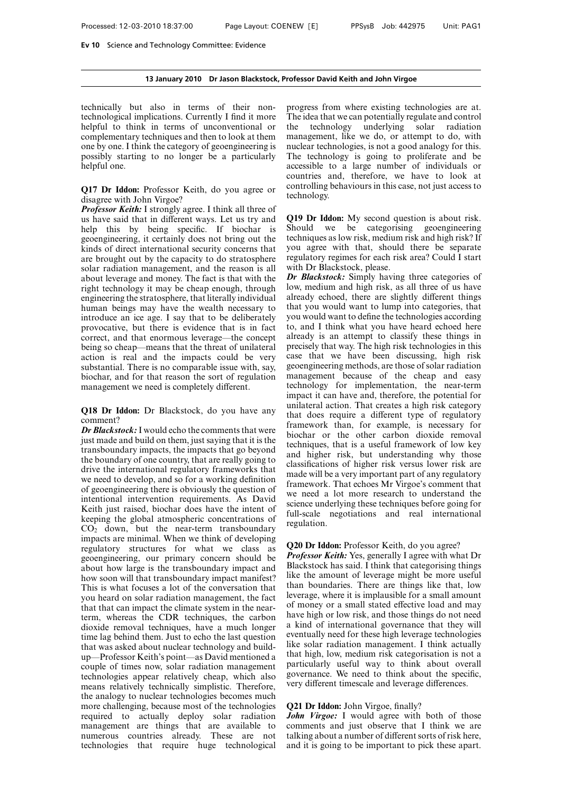#### **13 January 2010 Dr Jason Blackstock, Professor David Keith and John Virgoe**

technically but also in terms of their nontechnological implications. Currently I find it more helpful to think in terms of unconventional or complementary techniques and then to look at them one by one. I think the category of geoengineering is possibly starting to no longer be a particularly helpful one.

**Q17 Dr Iddon:** Professor Keith, do you agree or disagree with John Virgoe?

*Professor Keith:* I strongly agree. I think all three of us have said that in different ways. Let us try and help this by being specific. If biochar is geoengineering, it certainly does not bring out the kinds of direct international security concerns that are brought out by the capacity to do stratosphere solar radiation management, and the reason is all about leverage and money. The fact is that with the right technology it may be cheap enough, through engineering the stratosphere, that literally individual human beings may have the wealth necessary to introduce an ice age. I say that to be deliberately provocative, but there is evidence that is in fact correct, and that enormous leverage—the concept being so cheap—means that the threat of unilateral action is real and the impacts could be very substantial. There is no comparable issue with, say, biochar, and for that reason the sort of regulation management we need is completely different.

**Q18 Dr Iddon:** Dr Blackstock, do you have any comment?

*Dr Blackstock:*I would echo the comments that were just made and build on them, just saying that it is the transboundary impacts, the impacts that go beyond the boundary of one country, that are really going to drive the international regulatory frameworks that we need to develop, and so for a working definition of geoengineering there is obviously the question of intentional intervention requirements. As David Keith just raised, biochar does have the intent of keeping the global atmospheric concentrations of  $CO<sub>2</sub>$  down, but the near-term transboundary impacts are minimal. When we think of developing regulatory structures for what we class as geoengineering, our primary concern should be about how large is the transboundary impact and how soon will that transboundary impact manifest? This is what focuses a lot of the conversation that you heard on solar radiation management, the fact that that can impact the climate system in the nearterm, whereas the CDR techniques, the carbon dioxide removal techniques, have a much longer time lag behind them. Just to echo the last question that was asked about nuclear technology and buildup—Professor Keith's point—as David mentioned a couple of times now, solar radiation management technologies appear relatively cheap, which also means relatively technically simplistic. Therefore, the analogy to nuclear technologies becomes much more challenging, because most of the technologies required to actually deploy solar radiation management are things that are available to numerous countries already. These are not technologies that require huge technological progress from where existing technologies are at. The idea that we can potentially regulate and control the technology underlying solar radiation management, like we do, or attempt to do, with nuclear technologies, is not a good analogy for this. The technology is going to proliferate and be accessible to a large number of individuals or countries and, therefore, we have to look at controlling behaviours in this case, not just access to technology.

**Q19 Dr Iddon:** My second question is about risk. Should we be categorising geoengineering techniques as low risk, medium risk and high risk? If you agree with that, should there be separate regulatory regimes for each risk area? Could I start with Dr Blackstock, please.

*Dr Blackstock:* Simply having three categories of low, medium and high risk, as all three of us have already echoed, there are slightly different things that you would want to lump into categories, that you would want to define the technologies according to, and I think what you have heard echoed here already is an attempt to classify these things in precisely that way. The high risk technologies in this case that we have been discussing, high risk geoengineering methods, are those of solar radiation management because of the cheap and easy technology for implementation, the near-term impact it can have and, therefore, the potential for unilateral action. That creates a high risk category that does require a different type of regulatory framework than, for example, is necessary for biochar or the other carbon dioxide removal techniques, that is a useful framework of low key and higher risk, but understanding why those classifications of higher risk versus lower risk are made will be a very important part of any regulatory framework. That echoes Mr Virgoe's comment that we need a lot more research to understand the science underlying these techniques before going for full-scale negotiations and real international regulation.

### **Q20 Dr Iddon:** Professor Keith, do you agree?

*Professor Keith:* Yes, generally I agree with what Dr Blackstock has said. I think that categorising things like the amount of leverage might be more useful than boundaries. There are things like that, low leverage, where it is implausible for a small amount of money or a small stated effective load and may have high or low risk, and those things do not need a kind of international governance that they will eventually need for these high leverage technologies like solar radiation management. I think actually that high, low, medium risk categorisation is not a particularly useful way to think about overall governance. We need to think about the specific, very different timescale and leverage differences.

### **Q21 Dr Iddon:** John Virgoe, finally?

*John Virgoe:* I would agree with both of those comments and just observe that I think we are talking about a number of different sorts of risk here, and it is going to be important to pick these apart.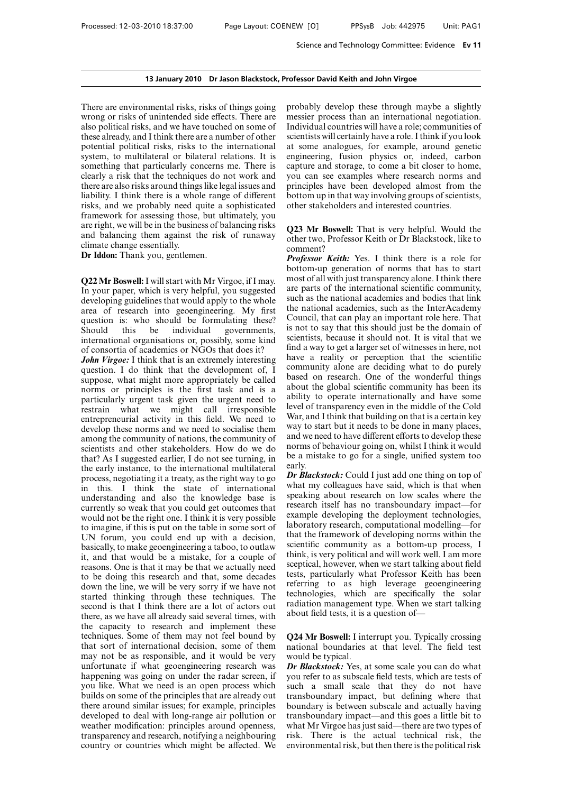There are environmental risks, risks of things going wrong or risks of unintended side effects. There are also political risks, and we have touched on some of these already, and I think there are a number of other potential political risks, risks to the international system, to multilateral or bilateral relations. It is something that particularly concerns me. There is clearly a risk that the techniques do not work and there are also risks around things like legal issues and liability. I think there is a whole range of different risks, and we probably need quite a sophisticated framework for assessing those, but ultimately, you are right, we will be in the business of balancing risks and balancing them against the risk of runaway climate change essentially.

**Dr Iddon:** Thank you, gentlemen.

**Q22 Mr Boswell:**I will start with Mr Virgoe, if I may. In your paper, which is very helpful, you suggested developing guidelines that would apply to the whole area of research into geoengineering. My first question is: who should be formulating these? Should this be individual governments, international organisations or, possibly, some kind of consortia of academics or NGOs that does it?

*John Virgoe:* I think that is an extremely interesting question. I do think that the development of, I suppose, what might more appropriately be called norms or principles is the first task and is a particularly urgent task given the urgent need to restrain what we might call irresponsible entrepreneurial activity in this field. We need to develop these norms and we need to socialise them among the community of nations, the community of scientists and other stakeholders. How do we do that? As I suggested earlier, I do not see turning, in the early instance, to the international multilateral process, negotiating it a treaty, as the right way to go in this. I think the state of international understanding and also the knowledge base is currently so weak that you could get outcomes that would not be the right one. I think it is very possible to imagine, if this is put on the table in some sort of UN forum, you could end up with a decision, basically, to make geoengineering a taboo, to outlaw it, and that would be a mistake, for a couple of reasons. One is that it may be that we actually need to be doing this research and that, some decades down the line, we will be very sorry if we have not started thinking through these techniques. The second is that I think there are a lot of actors out there, as we have all already said several times, with the capacity to research and implement these techniques. Some of them may not feel bound by that sort of international decision, some of them may not be as responsible, and it would be very unfortunate if what geoengineering research was happening was going on under the radar screen, if you like. What we need is an open process which builds on some of the principles that are already out there around similar issues; for example, principles developed to deal with long-range air pollution or weather modification: principles around openness, transparency and research, notifying a neighbouring country or countries which might be affected. We

probably develop these through maybe a slightly messier process than an international negotiation. Individual countries will have a role; communities of scientists will certainly have a role. I think if you look at some analogues, for example, around genetic engineering, fusion physics or, indeed, carbon capture and storage, to come a bit closer to home, you can see examples where research norms and principles have been developed almost from the bottom up in that way involving groups of scientists, other stakeholders and interested countries.

**Q23 Mr Boswell:** That is very helpful. Would the other two, Professor Keith or Dr Blackstock, like to comment?

*Professor Keith:* Yes. I think there is a role for bottom-up generation of norms that has to start most of all with just transparency alone. I think there are parts of the international scientific community, such as the national academies and bodies that link the national academies, such as the InterAcademy Council, that can play an important role here. That is not to say that this should just be the domain of scientists, because it should not. It is vital that we find a way to get a larger set of witnesses in here, not have a reality or perception that the scientific community alone are deciding what to do purely based on research. One of the wonderful things about the global scientific community has been its ability to operate internationally and have some level of transparency even in the middle of the Cold War, and I think that building on that is a certain key way to start but it needs to be done in many places, and we need to have different efforts to develop these norms of behaviour going on, whilst I think it would be a mistake to go for a single, unified system too early.

*Dr Blackstock:* Could I just add one thing on top of what my colleagues have said, which is that when speaking about research on low scales where the research itself has no transboundary impact—for example developing the deployment technologies, laboratory research, computational modelling—for that the framework of developing norms within the scientific community as a bottom-up process, I think, is very political and will work well. I am more sceptical, however, when we start talking about field tests, particularly what Professor Keith has been referring to as high leverage geoengineering technologies, which are specifically the solar radiation management type. When we start talking about field tests, it is a question of—

**Q24 Mr Boswell:** I interrupt you. Typically crossing national boundaries at that level. The field test would be typical.

*Dr Blackstock:* Yes, at some scale you can do what you refer to as subscale field tests, which are tests of such a small scale that they do not have transboundary impact, but defining where that boundary is between subscale and actually having transboundary impact—and this goes a little bit to what Mr Virgoe has just said—there are two types of risk. There is the actual technical risk, the environmental risk, but then there is the political risk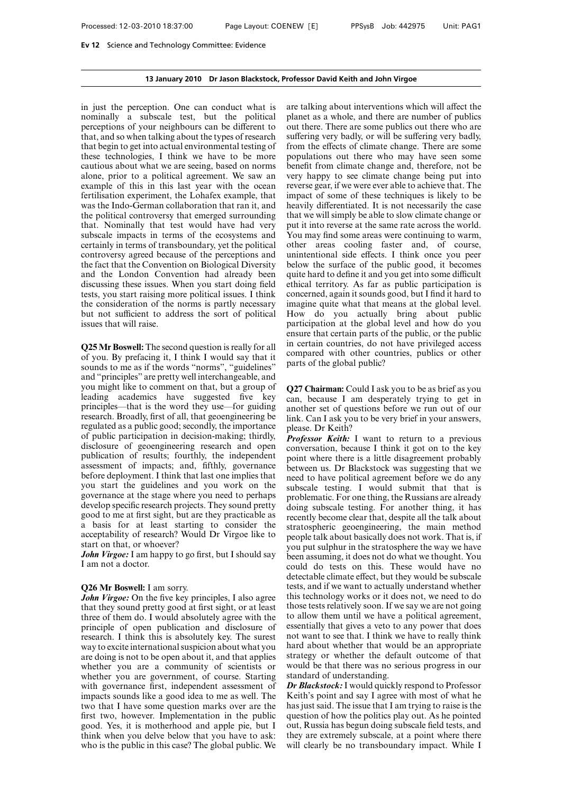## **13 January 2010 Dr Jason Blackstock, Professor David Keith and John Virgoe**

in just the perception. One can conduct what is nominally a subscale test, but the political perceptions of your neighbours can be different to that, and so when talking about the types of research that begin to get into actual environmental testing of these technologies, I think we have to be more cautious about what we are seeing, based on norms alone, prior to a political agreement. We saw an example of this in this last year with the ocean fertilisation experiment, the Lohafex example, that was the Indo-German collaboration that ran it, and the political controversy that emerged surrounding that. Nominally that test would have had very subscale impacts in terms of the ecosystems and certainly in terms of transboundary, yet the political controversy agreed because of the perceptions and the fact that the Convention on Biological Diversity and the London Convention had already been discussing these issues. When you start doing field tests, you start raising more political issues. I think the consideration of the norms is partly necessary but not sufficient to address the sort of political issues that will raise.

**Q25 Mr Boswell:** The second question is really for all of you. By prefacing it, I think I would say that it sounds to me as if the words "norms", "guidelines" and "principles" are pretty well interchangeable, and you might like to comment on that, but a group of leading academics have suggested five key principles—that is the word they use—for guiding research. Broadly, first of all, that geoengineering be regulated as a public good; secondly, the importance of public participation in decision-making; thirdly, disclosure of geoengineering research and open publication of results; fourthly, the independent assessment of impacts; and, fifthly, governance before deployment. I think that last one implies that you start the guidelines and you work on the governance at the stage where you need to perhaps develop specific research projects. They sound pretty good to me at first sight, but are they practicable as a basis for at least starting to consider the acceptability of research? Would Dr Virgoe like to start on that, or whoever?

*John Virgoe:* I am happy to go first, but I should say I am not a doctor.

# **Q26 Mr Boswell:** I am sorry.

*John Virgoe:* On the five key principles, I also agree that they sound pretty good at first sight, or at least three of them do. I would absolutely agree with the principle of open publication and disclosure of research. I think this is absolutely key. The surest way to excite international suspicion about what you are doing is not to be open about it, and that applies whether you are a community of scientists or whether you are government, of course. Starting with governance first, independent assessment of impacts sounds like a good idea to me as well. The two that I have some question marks over are the first two, however. Implementation in the public good. Yes, it is motherhood and apple pie, but I think when you delve below that you have to ask: who is the public in this case? The global public. We

are talking about interventions which will affect the planet as a whole, and there are number of publics out there. There are some publics out there who are suffering very badly, or will be suffering very badly, from the effects of climate change. There are some populations out there who may have seen some benefit from climate change and, therefore, not be very happy to see climate change being put into reverse gear, if we were ever able to achieve that. The impact of some of these techniques is likely to be heavily differentiated. It is not necessarily the case that we will simply be able to slow climate change or put it into reverse at the same rate across the world. You may find some areas were continuing to warm, other areas cooling faster and, of course, unintentional side effects. I think once you peer below the surface of the public good, it becomes quite hard to define it and you get into some difficult ethical territory. As far as public participation is concerned, again it sounds good, but I find it hard to imagine quite what that means at the global level. How do you actually bring about public participation at the global level and how do you ensure that certain parts of the public, or the public in certain countries, do not have privileged access compared with other countries, publics or other parts of the global public?

**Q27 Chairman:** Could I ask you to be as brief as you can, because I am desperately trying to get in another set of questions before we run out of our link. Can I ask you to be very brief in your answers, please. Dr Keith?

*Professor Keith:* I want to return to a previous conversation, because I think it got on to the key point where there is a little disagreement probably between us. Dr Blackstock was suggesting that we need to have political agreement before we do any subscale testing. I would submit that that is problematic. For one thing, the Russians are already doing subscale testing. For another thing, it has recently become clear that, despite all the talk about stratospheric geoengineering, the main method people talk about basically does not work. That is, if you put sulphur in the stratosphere the way we have been assuming, it does not do what we thought. You could do tests on this. These would have no detectable climate effect, but they would be subscale tests, and if we want to actually understand whether this technology works or it does not, we need to do those tests relatively soon. If we say we are not going to allow them until we have a political agreement, essentially that gives a veto to any power that does not want to see that. I think we have to really think hard about whether that would be an appropriate strategy or whether the default outcome of that would be that there was no serious progress in our standard of understanding.

*Dr Blackstock:*I would quickly respond to Professor Keith's point and say I agree with most of what he has just said. The issue that I am trying to raise is the question of how the politics play out. As he pointed out, Russia has begun doing subscale field tests, and they are extremely subscale, at a point where there will clearly be no transboundary impact. While I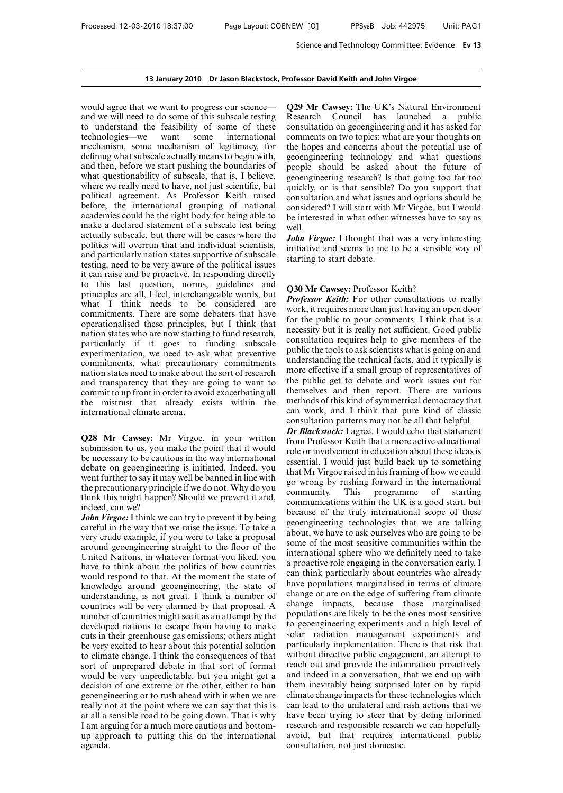would agree that we want to progress our science and we will need to do some of this subscale testing to understand the feasibility of some of these<br>technologies—we want some international technologies—we mechanism, some mechanism of legitimacy, for defining what subscale actually means to begin with, and then, before we start pushing the boundaries of what questionability of subscale, that is, I believe, where we really need to have, not just scientific, but political agreement. As Professor Keith raised before, the international grouping of national academies could be the right body for being able to make a declared statement of a subscale test being actually subscale, but there will be cases where the politics will overrun that and individual scientists, and particularly nation states supportive of subscale testing, need to be very aware of the political issues it can raise and be proactive. In responding directly to this last question, norms, guidelines and principles are all, I feel, interchangeable words, but what I think needs to be considered are commitments. There are some debaters that have operationalised these principles, but I think that nation states who are now starting to fund research, particularly if it goes to funding subscale experimentation, we need to ask what preventive commitments, what precautionary commitments nation states need to make about the sort of research and transparency that they are going to want to commit to up front in order to avoid exacerbating all the mistrust that already exists within the international climate arena.

**Q28 Mr Cawsey:** Mr Virgoe, in your written submission to us, you make the point that it would be necessary to be cautious in the way international debate on geoengineering is initiated. Indeed, you went further to say it may well be banned in line with the precautionary principle if we do not. Why do you think this might happen? Should we prevent it and, indeed, can we?

*John Virgoe:* I think we can try to prevent it by being careful in the way that we raise the issue. To take a very crude example, if you were to take a proposal around geoengineering straight to the floor of the United Nations, in whatever format you liked, you have to think about the politics of how countries would respond to that. At the moment the state of knowledge around geoengineering, the state of understanding, is not great. I think a number of countries will be very alarmed by that proposal. A number of countries might see it as an attempt by the developed nations to escape from having to make cuts in their greenhouse gas emissions; others might be very excited to hear about this potential solution to climate change. I think the consequences of that sort of unprepared debate in that sort of format would be very unpredictable, but you might get a decision of one extreme or the other, either to ban geoengineering or to rush ahead with it when we are really not at the point where we can say that this is at all a sensible road to be going down. That is why I am arguing for a much more cautious and bottomup approach to putting this on the international agenda.

**Q29 Mr Cawsey:** The UK's Natural Environment Research Council has launched a public consultation on geoengineering and it has asked for comments on two topics: what are your thoughts on the hopes and concerns about the potential use of geoengineering technology and what questions people should be asked about the future of geoengineering research? Is that going too far too quickly, or is that sensible? Do you support that consultation and what issues and options should be considered? I will start with Mr Virgoe, but I would be interested in what other witnesses have to say as well.

*John Virgoe:* I thought that was a very interesting initiative and seems to me to be a sensible way of starting to start debate.

#### **Q30 Mr Cawsey:** Professor Keith?

*Professor Keith:* For other consultations to really work, it requires more than just having an open door for the public to pour comments. I think that is a necessity but it is really not sufficient. Good public consultation requires help to give members of the public the tools to ask scientists what is going on and understanding the technical facts, and it typically is more effective if a small group of representatives of the public get to debate and work issues out for themselves and then report. There are various methods of this kind of symmetrical democracy that can work, and I think that pure kind of classic consultation patterns may not be all that helpful.

*Dr Blackstock:* I agree. I would echo that statement from Professor Keith that a more active educational role or involvement in education about these ideas is essential. I would just build back up to something that Mr Virgoe raised in his framing of how we could go wrong by rushing forward in the international community. This programme of starting communications within the UK is a good start, but because of the truly international scope of these geoengineering technologies that we are talking about, we have to ask ourselves who are going to be some of the most sensitive communities within the international sphere who we definitely need to take a proactive role engaging in the conversation early. I can think particularly about countries who already have populations marginalised in terms of climate change or are on the edge of suffering from climate change impacts, because those marginalised populations are likely to be the ones most sensitive to geoengineering experiments and a high level of solar radiation management experiments and particularly implementation. There is that risk that without directive public engagement, an attempt to reach out and provide the information proactively and indeed in a conversation, that we end up with them inevitably being surprised later on by rapid climate change impacts for these technologies which can lead to the unilateral and rash actions that we have been trying to steer that by doing informed research and responsible research we can hopefully avoid, but that requires international public consultation, not just domestic.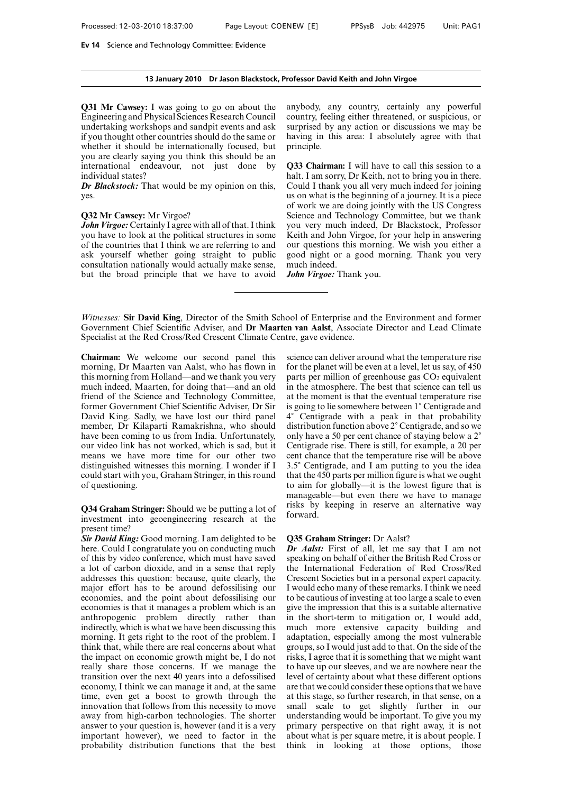### **13 January 2010 Dr Jason Blackstock, Professor David Keith and John Virgoe**

**Q31 Mr Cawsey:** I was going to go on about the Engineering and Physical Sciences Research Council undertaking workshops and sandpit events and ask if you thought other countries should do the same or whether it should be internationally focused, but you are clearly saying you think this should be an international endeavour, not just done by individual states?

*Dr Blackstock:* That would be my opinion on this, yes.

### **Q32 Mr Cawsey:** Mr Virgoe?

*John Virgoe:* Certainly I agree with all of that. I think you have to look at the political structures in some of the countries that I think we are referring to and ask yourself whether going straight to public consultation nationally would actually make sense, but the broad principle that we have to avoid anybody, any country, certainly any powerful country, feeling either threatened, or suspicious, or surprised by any action or discussions we may be having in this area: I absolutely agree with that principle.

**Q33 Chairman:** I will have to call this session to a halt. I am sorry, Dr Keith, not to bring you in there. Could I thank you all very much indeed for joining us on what is the beginning of a journey. It is a piece of work we are doing jointly with the US Congress Science and Technology Committee, but we thank you very much indeed, Dr Blackstock, Professor Keith and John Virgoe, for your help in answering our questions this morning. We wish you either a good night or a good morning. Thank you very much indeed.

*John Virgoe:* Thank you.

*Witnesses:* **Sir David King**, Director of the Smith School of Enterprise and the Environment and former Government Chief Scientific Adviser, and **Dr Maarten van Aalst**, Associate Director and Lead Climate Specialist at the Red Cross/Red Crescent Climate Centre, gave evidence.

**Chairman:** We welcome our second panel this morning, Dr Maarten van Aalst, who has flown in this morning from Holland—and we thank you very much indeed, Maarten, for doing that—and an old friend of the Science and Technology Committee, former Government Chief Scientific Adviser, Dr Sir David King. Sadly, we have lost our third panel member, Dr Kilaparti Ramakrishna, who should have been coming to us from India. Unfortunately, our video link has not worked, which is sad, but it means we have more time for our other two distinguished witnesses this morning. I wonder if I could start with you, Graham Stringer, in this round of questioning.

**Q34 Graham Stringer:** Should we be putting a lot of investment into geoengineering research at the present time?

*Sir David King:* Good morning. I am delighted to be here. Could I congratulate you on conducting much of this by video conference, which must have saved a lot of carbon dioxide, and in a sense that reply addresses this question: because, quite clearly, the major effort has to be around defossilising our economies, and the point about defossilising our economies is that it manages a problem which is an anthropogenic problem directly rather than indirectly, which is what we have been discussing this morning. It gets right to the root of the problem. I think that, while there are real concerns about what the impact on economic growth might be, I do not really share those concerns. If we manage the transition over the next 40 years into a defossilised economy, I think we can manage it and, at the same time, even get a boost to growth through the innovation that follows from this necessity to move away from high-carbon technologies. The shorter answer to your question is, however (and it is a very important however), we need to factor in the probability distribution functions that the best science can deliver around what the temperature rise for the planet will be even at a level, let us say, of 450 parts per million of greenhouse gas  $CO<sub>2</sub>$  equivalent in the atmosphere. The best that science can tell us at the moment is that the eventual temperature rise is going to lie somewhere between 1° Centigrade and 4) Centigrade with a peak in that probability distribution function above 2° Centigrade, and so we only have a 50 per cent chance of staying below a 2° Centigrade rise. There is still, for example, a 20 per cent chance that the temperature rise will be above 3.5) Centigrade, and I am putting to you the idea that the 450 parts per million figure is what we ought to aim for globally—it is the lowest figure that is manageable—but even there we have to manage risks by keeping in reserve an alternative way forward.

#### **Q35 Graham Stringer:** Dr Aalst?

*Dr Aalst:* First of all, let me say that I am not speaking on behalf of either the British Red Cross or the International Federation of Red Cross/Red Crescent Societies but in a personal expert capacity. I would echo many of these remarks. I think we need to be cautious of investing at too large a scale to even give the impression that this is a suitable alternative in the short-term to mitigation or, I would add, much more extensive capacity building and adaptation, especially among the most vulnerable groups, so I would just add to that. On the side of the risks, I agree that it is something that we might want to have up our sleeves, and we are nowhere near the level of certainty about what these different options are that we could consider these options that we have at this stage, so further research, in that sense, on a small scale to get slightly further in our understanding would be important. To give you my primary perspective on that right away, it is not about what is per square metre, it is about people. I think in looking at those options, those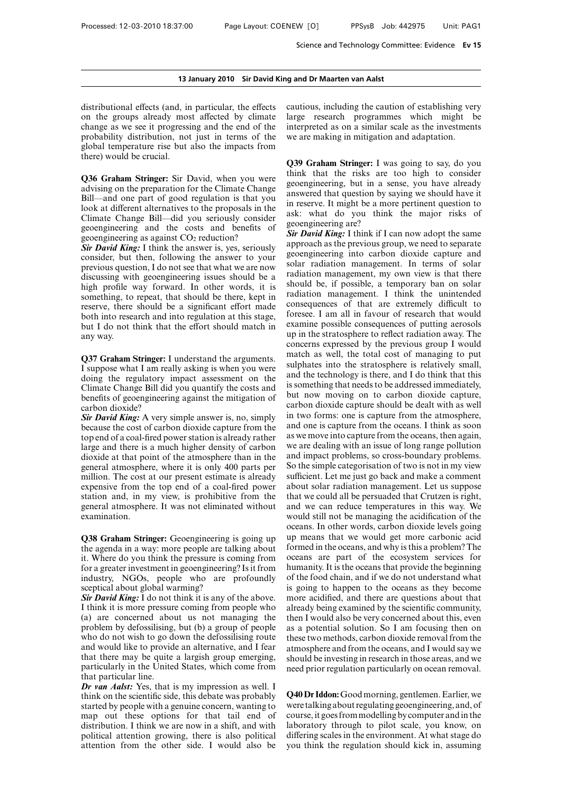distributional effects (and, in particular, the effects on the groups already most affected by climate change as we see it progressing and the end of the probability distribution, not just in terms of the global temperature rise but also the impacts from there) would be crucial.

**Q36 Graham Stringer:** Sir David, when you were advising on the preparation for the Climate Change Bill—and one part of good regulation is that you look at different alternatives to the proposals in the Climate Change Bill—did you seriously consider geoengineering and the costs and benefits of geoengineering as against  $CO<sub>2</sub>$  reduction?

*Sir David King:* I think the answer is, yes, seriously consider, but then, following the answer to your previous question, I do not see that what we are now discussing with geoengineering issues should be a high profile way forward. In other words, it is something, to repeat, that should be there, kept in reserve, there should be a significant effort made both into research and into regulation at this stage, but I do not think that the effort should match in any way.

**Q37 Graham Stringer:** I understand the arguments. I suppose what I am really asking is when you were doing the regulatory impact assessment on the Climate Change Bill did you quantify the costs and benefits of geoengineering against the mitigation of carbon dioxide?

*Sir David King:* A very simple answer is, no, simply because the cost of carbon dioxide capture from the top end of a coal-fired power station is already rather large and there is a much higher density of carbon dioxide at that point of the atmosphere than in the general atmosphere, where it is only 400 parts per million. The cost at our present estimate is already expensive from the top end of a coal-fired power station and, in my view, is prohibitive from the general atmosphere. It was not eliminated without examination.

**Q38 Graham Stringer:** Geoengineering is going up the agenda in a way: more people are talking about it. Where do you think the pressure is coming from for a greater investment in geoengineering? Is it from industry, NGOs, people who are profoundly sceptical about global warming?

*Sir David King:* I do not think it is any of the above. I think it is more pressure coming from people who (a) are concerned about us not managing the problem by defossilising, but (b) a group of people who do not wish to go down the defossilising route and would like to provide an alternative, and I fear that there may be quite a largish group emerging, particularly in the United States, which come from that particular line.

*Dr van Aalst:* Yes, that is my impression as well. I think on the scientific side, this debate was probably started by people with a genuine concern, wanting to map out these options for that tail end of distribution. I think we are now in a shift, and with political attention growing, there is also political attention from the other side. I would also be cautious, including the caution of establishing very large research programmes which might be interpreted as on a similar scale as the investments we are making in mitigation and adaptation.

**Q39 Graham Stringer:** I was going to say, do you think that the risks are too high to consider geoengineering, but in a sense, you have already answered that question by saying we should have it in reserve. It might be a more pertinent question to ask: what do you think the major risks of geoengineering are?

*Sir David King:* I think if I can now adopt the same approach as the previous group, we need to separate geoengineering into carbon dioxide capture and solar radiation management. In terms of solar radiation management, my own view is that there should be, if possible, a temporary ban on solar radiation management. I think the unintended consequences of that are extremely difficult to foresee. I am all in favour of research that would examine possible consequences of putting aerosols up in the stratosphere to reflect radiation away. The concerns expressed by the previous group I would match as well, the total cost of managing to put sulphates into the stratosphere is relatively small, and the technology is there, and I do think that this is something that needs to be addressed immediately, but now moving on to carbon dioxide capture, carbon dioxide capture should be dealt with as well in two forms: one is capture from the atmosphere, and one is capture from the oceans. I think as soon as we move into capture from the oceans, then again, we are dealing with an issue of long range pollution and impact problems, so cross-boundary problems. So the simple categorisation of two is not in my view sufficient. Let me just go back and make a comment about solar radiation management. Let us suppose that we could all be persuaded that Crutzen is right, and we can reduce temperatures in this way. We would still not be managing the acidification of the oceans. In other words, carbon dioxide levels going up means that we would get more carbonic acid formed in the oceans, and why is this a problem? The oceans are part of the ecosystem services for humanity. It is the oceans that provide the beginning of the food chain, and if we do not understand what is going to happen to the oceans as they become more acidified, and there are questions about that already being examined by the scientific community, then I would also be very concerned about this, even as a potential solution. So I am focusing then on these two methods, carbon dioxide removal from the atmosphere and from the oceans, and I would say we should be investing in research in those areas, and we need prior regulation particularly on ocean removal.

**Q40 Dr Iddon:**Goodmorning, gentlemen. Earlier, we were talking about regulating geoengineering, and, of course, it goes frommodelling by computer andin the laboratory through to pilot scale, you know, on differing scales in the environment. At what stage do you think the regulation should kick in, assuming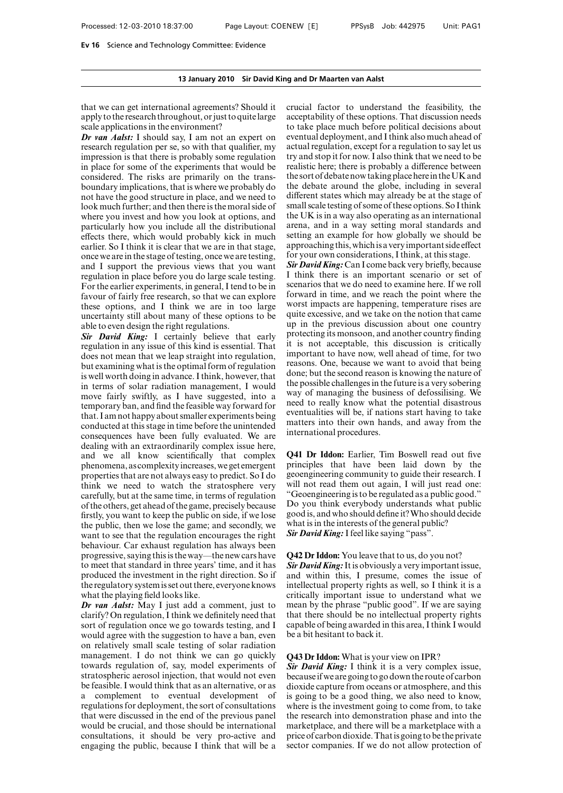that we can get international agreements? Should it apply to the research throughout, or just to quite large scale applications in the environment?

*Dr van Aalst:* I should say, I am not an expert on research regulation per se, so with that qualifier, my impression is that there is probably some regulation in place for some of the experiments that would be considered. The risks are primarily on the transboundary implications, that is where we probably do not have the good structure in place, and we need to look much further; and then there is the moral side of where you invest and how you look at options, and particularly how you include all the distributional effects there, which would probably kick in much earlier. So I think it is clear that we are in that stage, once we are in the stage of testing, once we are testing, and I support the previous views that you want regulation in place before you do large scale testing. For the earlier experiments, in general, I tend to be in favour of fairly free research, so that we can explore these options, and I think we are in too large uncertainty still about many of these options to be able to even design the right regulations.

*Sir David King:* I certainly believe that early regulation in any issue of this kind is essential. That does not mean that we leap straight into regulation, but examining what is the optimal form of regulation is well worth doing in advance. I think, however, that in terms of solar radiation management, I would move fairly swiftly, as I have suggested, into a temporary ban, and find the feasible way forward for that. I am not happy about smaller experiments being conducted at this stage in time before the unintended consequences have been fully evaluated. We are dealing with an extraordinarily complex issue here, and we all know scientifically that complex phenomena, as complexityincreases,we get emergent properties that are not always easy to predict. So I do think we need to watch the stratosphere very carefully, but at the same time, in terms of regulation of the others, get ahead of the game, precisely because firstly, you want to keep the public on side, if we lose the public, then we lose the game; and secondly, we want to see that the regulation encourages the right behaviour. Car exhaust regulation has always been progressive, saying this is the way—the new cars have to meet that standard in three years' time, and it has produced the investment in the right direction. So if the regulatory systemis set out there, everyone knows what the playing field looks like.

*Dr van Aalst:* May I just add a comment, just to clarify? On regulation, I think we definitely need that sort of regulation once we go towards testing, and I would agree with the suggestion to have a ban, even on relatively small scale testing of solar radiation management. I do not think we can go quickly towards regulation of, say, model experiments of stratospheric aerosol injection, that would not even be feasible. I would think that as an alternative, or as a complement to eventual development of regulations for deployment, the sort of consultations that were discussed in the end of the previous panel would be crucial, and those should be international consultations, it should be very pro-active and engaging the public, because I think that will be a crucial factor to understand the feasibility, the acceptability of these options. That discussion needs to take place much before political decisions about eventual deployment, and I think also much ahead of actual regulation, except for a regulation to say let us try and stop it for now. I also think that we need to be realistic here; there is probably a difference between the sort of debate now taking place herein theUK and the debate around the globe, including in several different states which may already be at the stage of small scale testing of some of these options. So I think the UK is in a way also operating as an international arena, and in a way setting moral standards and setting an example for how globally we should be approaching this, which is a very important side effect for your own considerations, I think, at this stage.

*Sir David King:* Can I come back very briefly, because I think there is an important scenario or set of scenarios that we do need to examine here. If we roll forward in time, and we reach the point where the worst impacts are happening, temperature rises are quite excessive, and we take on the notion that came up in the previous discussion about one country protecting its monsoon, and another country finding it is not acceptable, this discussion is critically important to have now, well ahead of time, for two reasons. One, because we want to avoid that being done; but the second reason is knowing the nature of the possible challenges in the future is a very sobering way of managing the business of defossilising. We need to really know what the potential disastrous eventualities will be, if nations start having to take matters into their own hands, and away from the international procedures.

**Q41 Dr Iddon:** Earlier, Tim Boswell read out five principles that have been laid down by the geoengineering community to guide their research. I will not read them out again, I will just read one: "Geoengineering is to be regulated as a public good." Do you think everybody understands what public good is, and who should define it?Who should decide what is in the interests of the general public? *Sir David King:* I feel like saying "pass".

## **Q42 Dr Iddon:** You leave that to us, do you not?

*Sir David King:*It is obviously a very important issue, and within this, I presume, comes the issue of intellectual property rights as well, so I think it is a critically important issue to understand what we mean by the phrase "public good". If we are saying that there should be no intellectual property rights capable of being awarded in this area, I think I would be a bit hesitant to back it.

## **Q43 Dr Iddon:** What is your view on IPR?

*Sir David King:* I think it is a very complex issue, becauseif we are going to go down the route of carbon dioxide capture from oceans or atmosphere, and this is going to be a good thing, we also need to know, where is the investment going to come from, to take the research into demonstration phase and into the marketplace, and there will be a marketplace with a price of carbon dioxide.Thatis going to be the private sector companies. If we do not allow protection of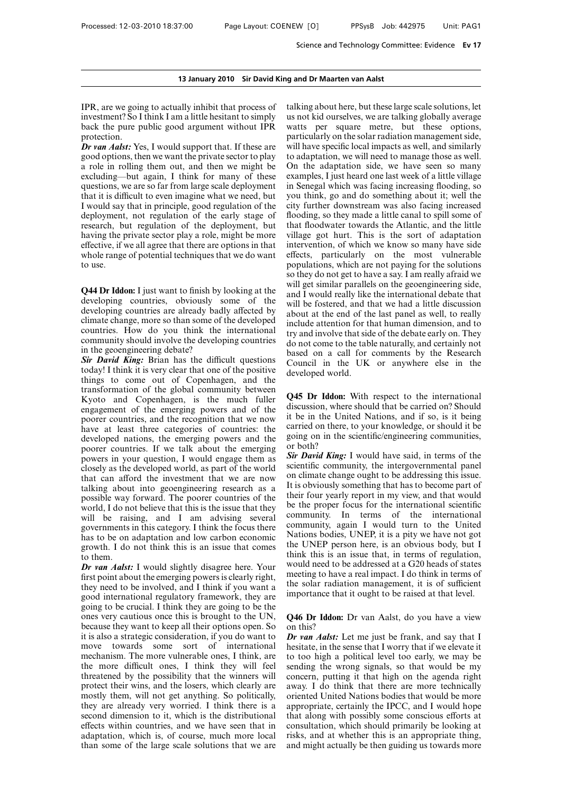IPR, are we going to actually inhibit that process of investment? So I think I am a little hesitant to simply back the pure public good argument without IPR protection.

*Dr van Aalst:* Yes, I would support that. If these are good options, then we want the private sector to play a role in rolling them out, and then we might be excluding—but again, I think for many of these questions, we are so far from large scale deployment that it is difficult to even imagine what we need, but I would say that in principle, good regulation of the deployment, not regulation of the early stage of research, but regulation of the deployment, but having the private sector play a role, might be more effective, if we all agree that there are options in that whole range of potential techniques that we do want to use.

**Q44 Dr Iddon:** I just want to finish by looking at the developing countries, obviously some of the developing countries are already badly affected by climate change, more so than some of the developed countries. How do you think the international community should involve the developing countries in the geoengineering debate?

**Sir David King:** Brian has the difficult questions today! I think it is very clear that one of the positive things to come out of Copenhagen, and the transformation of the global community between Kyoto and Copenhagen, is the much fuller engagement of the emerging powers and of the poorer countries, and the recognition that we now have at least three categories of countries: the developed nations, the emerging powers and the poorer countries. If we talk about the emerging powers in your question, I would engage them as closely as the developed world, as part of the world that can afford the investment that we are now talking about into geoengineering research as a possible way forward. The poorer countries of the world, I do not believe that this is the issue that they will be raising, and I am advising several governments in this category. I think the focus there has to be on adaptation and low carbon economic growth. I do not think this is an issue that comes to them.

*Dr van Aalst:* I would slightly disagree here. Your first point about the emerging powers is clearly right, they need to be involved, and I think if you want a good international regulatory framework, they are going to be crucial. I think they are going to be the ones very cautious once this is brought to the UN, because they want to keep all their options open. So it is also a strategic consideration, if you do want to move towards some sort of international mechanism. The more vulnerable ones, I think, are the more difficult ones, I think they will feel threatened by the possibility that the winners will protect their wins, and the losers, which clearly are mostly them, will not get anything. So politically, they are already very worried. I think there is a second dimension to it, which is the distributional effects within countries, and we have seen that in adaptation, which is, of course, much more local than some of the large scale solutions that we are

talking about here, but these large scale solutions, let us not kid ourselves, we are talking globally average watts per square metre, but these options, particularly on the solar radiation management side, will have specific local impacts as well, and similarly to adaptation, we will need to manage those as well. On the adaptation side, we have seen so many examples, I just heard one last week of a little village in Senegal which was facing increasing flooding, so you think, go and do something about it; well the city further downstream was also facing increased flooding, so they made a little canal to spill some of that floodwater towards the Atlantic, and the little village got hurt. This is the sort of adaptation intervention, of which we know so many have side effects, particularly on the most vulnerable populations, which are not paying for the solutions so they do not get to have a say. I am really afraid we will get similar parallels on the geoengineering side, and I would really like the international debate that will be fostered, and that we had a little discussion about at the end of the last panel as well, to really include attention for that human dimension, and to try and involve that side of the debate early on. They do not come to the table naturally, and certainly not based on a call for comments by the Research Council in the UK or anywhere else in the developed world.

**Q45 Dr Iddon:** With respect to the international discussion, where should that be carried on? Should it be in the United Nations, and if so, is it being carried on there, to your knowledge, or should it be going on in the scientific/engineering communities, or both?

*Sir David King:* I would have said, in terms of the scientific community, the intergovernmental panel on climate change ought to be addressing this issue. It is obviously something that has to become part of their four yearly report in my view, and that would be the proper focus for the international scientific community. In terms of the international community, again I would turn to the United Nations bodies, UNEP, it is a pity we have not got the UNEP person here, is an obvious body, but I think this is an issue that, in terms of regulation, would need to be addressed at a G20 heads of states meeting to have a real impact. I do think in terms of the solar radiation management, it is of sufficient importance that it ought to be raised at that level.

**Q46 Dr Iddon:** Dr van Aalst, do you have a view on this?

*Dr van Aalst:* Let me just be frank, and say that I hesitate, in the sense that I worry that if we elevate it to too high a political level too early, we may be sending the wrong signals, so that would be my concern, putting it that high on the agenda right away. I do think that there are more technically oriented United Nations bodies that would be more appropriate, certainly the IPCC, and I would hope that along with possibly some conscious efforts at consultation, which should primarily be looking at risks, and at whether this is an appropriate thing, and might actually be then guiding us towards more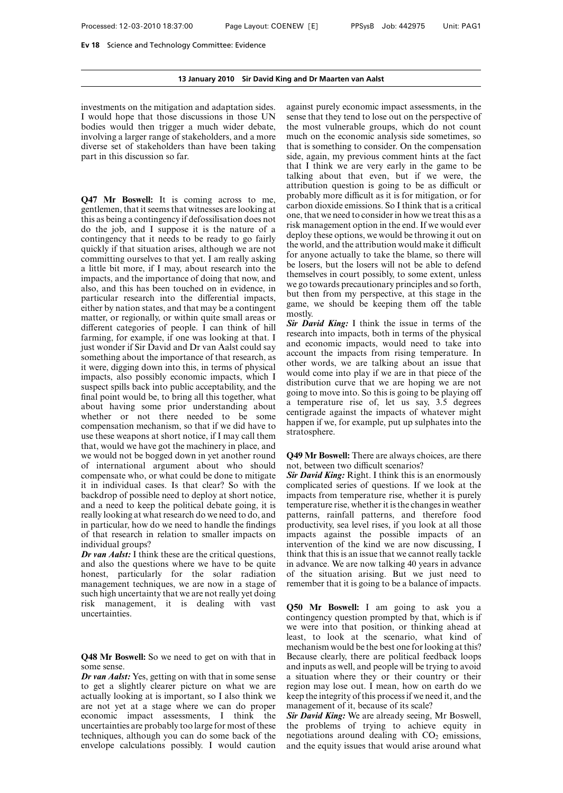investments on the mitigation and adaptation sides. I would hope that those discussions in those UN bodies would then trigger a much wider debate, involving a larger range of stakeholders, and a more diverse set of stakeholders than have been taking part in this discussion so far.

**Q47 Mr Boswell:** It is coming across to me, gentlemen, that it seems that witnesses are looking at this as being a contingency if defossilisation does not do the job, and I suppose it is the nature of a contingency that it needs to be ready to go fairly quickly if that situation arises, although we are not committing ourselves to that yet. I am really asking a little bit more, if I may, about research into the impacts, and the importance of doing that now, and also, and this has been touched on in evidence, in particular research into the differential impacts, either by nation states, and that may be a contingent matter, or regionally, or within quite small areas or different categories of people. I can think of hill farming, for example, if one was looking at that. I just wonder if Sir David and Dr van Aalst could say something about the importance of that research, as it were, digging down into this, in terms of physical impacts, also possibly economic impacts, which I suspect spills back into public acceptability, and the final point would be, to bring all this together, what about having some prior understanding about whether or not there needed to be some compensation mechanism, so that if we did have to use these weapons at short notice, if I may call them that, would we have got the machinery in place, and we would not be bogged down in yet another round of international argument about who should compensate who, or what could be done to mitigate it in individual cases. Is that clear? So with the backdrop of possible need to deploy at short notice, and a need to keep the political debate going, it is really looking at what research do we need to do, and in particular, how do we need to handle the findings of that research in relation to smaller impacts on individual groups?

*Dr van Aalst:* I think these are the critical questions, and also the questions where we have to be quite honest, particularly for the solar radiation management techniques, we are now in a stage of such high uncertainty that we are not really yet doing risk management, it is dealing with vast uncertainties.

**Q48 Mr Boswell:** So we need to get on with that in some sense.

*Dr van Aalst:* Yes, getting on with that in some sense to get a slightly clearer picture on what we are actually looking at is important, so I also think we are not yet at a stage where we can do proper economic impact assessments, I think the uncertainties are probably too large for most of these techniques, although you can do some back of the envelope calculations possibly. I would caution against purely economic impact assessments, in the sense that they tend to lose out on the perspective of the most vulnerable groups, which do not count much on the economic analysis side sometimes, so that is something to consider. On the compensation side, again, my previous comment hints at the fact that I think we are very early in the game to be talking about that even, but if we were, the attribution question is going to be as difficult or probably more difficult as it is for mitigation, or for carbon dioxide emissions. So I think that is a critical one, that we need to consider in how we treat this as a risk management option in the end. If we would ever deploy these options, we would be throwing it out on the world, and the attribution would make it difficult for anyone actually to take the blame, so there will be losers, but the losers will not be able to defend themselves in court possibly, to some extent, unless we go towards precautionary principles and so forth, but then from my perspective, at this stage in the game, we should be keeping them off the table mostly.

*Sir David King:* I think the issue in terms of the research into impacts, both in terms of the physical and economic impacts, would need to take into account the impacts from rising temperature. In other words, we are talking about an issue that would come into play if we are in that piece of the distribution curve that we are hoping we are not going to move into. So this is going to be playing off a temperature rise of, let us say, 3.5 degrees centigrade against the impacts of whatever might happen if we, for example, put up sulphates into the stratosphere.

**Q49 Mr Boswell:** There are always choices, are there not, between two difficult scenarios?

*Sir David King:* Right. I think this is an enormously complicated series of questions. If we look at the impacts from temperature rise, whether it is purely temperature rise, whether it is the changes in weather patterns, rainfall patterns, and therefore food productivity, sea level rises, if you look at all those impacts against the possible impacts of an intervention of the kind we are now discussing, I think that this is an issue that we cannot really tackle in advance. We are now talking 40 years in advance of the situation arising. But we just need to remember that it is going to be a balance of impacts.

**Q50 Mr Boswell:** I am going to ask you a contingency question prompted by that, which is if we were into that position, or thinking ahead at least, to look at the scenario, what kind of mechanism would be the best one for looking at this? Because clearly, there are political feedback loops and inputs as well, and people will be trying to avoid a situation where they or their country or their region may lose out. I mean, how on earth do we keep the integrity of this process if we need it, and the management of it, because of its scale?

*Sir David King:* We are already seeing, Mr Boswell, the problems of trying to achieve equity in negotiations around dealing with  $CO<sub>2</sub>$  emissions, and the equity issues that would arise around what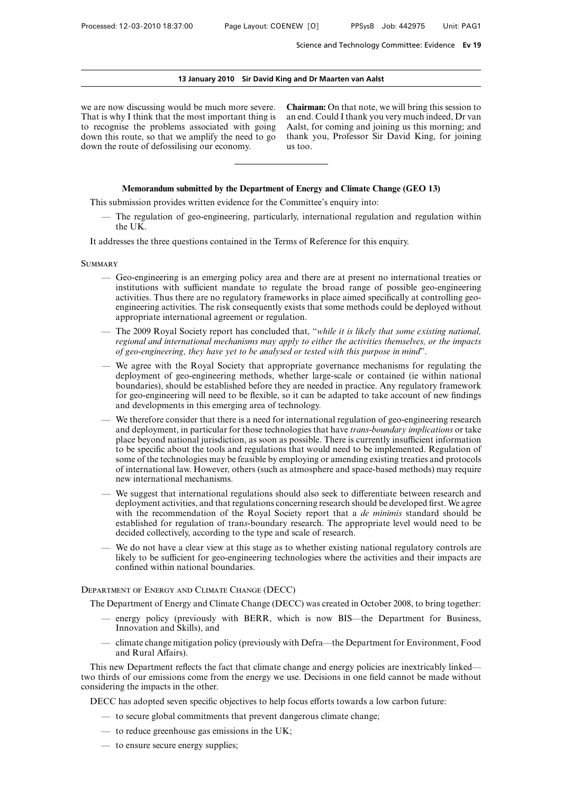### **13 January 2010 Sir David King and Dr Maarten van Aalst**

we are now discussing would be much more severe. That is why I think that the most important thing is to recognise the problems associated with going down this route, so that we amplify the need to go down the route of defossilising our economy.

**Chairman:** On that note, we will bring this session to an end. Could I thank you very much indeed, Dr van Aalst, for coming and joining us this morning; and thank you, Professor Sir David King, for joining us too.

## **Memorandum submitted by the Department of Energy and Climate Change (GEO 13)**

This submission provides written evidence for the Committee's enquiry into:

— The regulation of geo-engineering, particularly, international regulation and regulation within the UK.

It addresses the three questions contained in the Terms of Reference for this enquiry.

### **SUMMARY**

- Geo-engineering is an emerging policy area and there are at present no international treaties or institutions with sufficient mandate to regulate the broad range of possible geo-engineering activities. Thus there are no regulatory frameworks in place aimed specifically at controlling geoengineering activities. The risk consequently exists that some methods could be deployed without appropriate international agreement or regulation.
- The 2009 Royal Society report has concluded that, "*while it is likely that some existing national, regional and international mechanisms may apply to either the activities themselves, or the impacts of geo-engineering, they have yet to be analysed or tested with this purpose in mind*".
- We agree with the Royal Society that appropriate governance mechanisms for regulating the deployment of geo-engineering methods, whether large-scale or contained (ie within national boundaries), should be established before they are needed in practice. Any regulatory framework for geo-engineering will need to be flexible, so it can be adapted to take account of new findings and developments in this emerging area of technology.
- We therefore consider that there is a need for international regulation of geo-engineering research and deployment, in particular for those technologies that have *trans-boundary implications* or take place beyond national jurisdiction, as soon as possible. There is currently insufficient information to be specific about the tools and regulations that would need to be implemented. Regulation of some of the technologies may be feasible by employing or amending existing treaties and protocols of international law. However, others (such as atmosphere and space-based methods) may require new international mechanisms.
- We suggest that international regulations should also seek to differentiate between research and deployment activities, and that regulations concerning research should be developed first. We agree with the recommendation of the Royal Society report that a *de minimis* standard should be established for regulation of tran*s*-boundary research. The appropriate level would need to be decided collectively, according to the type and scale of research.
- We do not have a clear view at this stage as to whether existing national regulatory controls are likely to be sufficient for geo-engineering technologies where the activities and their impacts are confined within national boundaries.

# Department of Energy and Climate Change (DECC)

The Department of Energy and Climate Change (DECC) was created in October 2008, to bring together:

- energy policy (previously with BERR, which is now BIS—the Department for Business, Innovation and Skills), and
- climate change mitigation policy (previously with Defra—the Department for Environment, Food and Rural Affairs).

This new Department reflects the fact that climate change and energy policies are inextricably linked two thirds of our emissions come from the energy we use. Decisions in one field cannot be made without considering the impacts in the other.

DECC has adopted seven specific objectives to help focus efforts towards a low carbon future:

- to secure global commitments that prevent dangerous climate change;
- to reduce greenhouse gas emissions in the UK;
- to ensure secure energy supplies;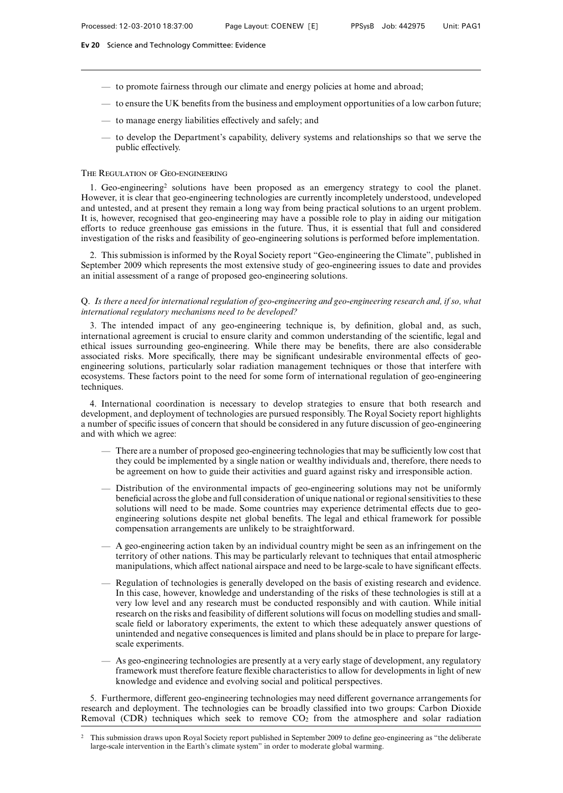- to promote fairness through our climate and energy policies at home and abroad;
- $-$  to ensure the UK benefits from the business and employment opportunities of a low carbon future;
- to manage energy liabilities effectively and safely; and
- to develop the Department's capability, delivery systems and relationships so that we serve the public effectively.

## The Regulation of Geo-engineering

1. Geo-engineering2 solutions have been proposed as an emergency strategy to cool the planet. However, it is clear that geo-engineering technologies are currently incompletely understood, undeveloped and untested, and at present they remain a long way from being practical solutions to an urgent problem. It is, however, recognised that geo-engineering may have a possible role to play in aiding our mitigation efforts to reduce greenhouse gas emissions in the future. Thus, it is essential that full and considered investigation of the risks and feasibility of geo-engineering solutions is performed before implementation.

2. This submission is informed by the Royal Society report "Geo-engineering the Climate", published in September 2009 which represents the most extensive study of geo-engineering issues to date and provides an initial assessment of a range of proposed geo-engineering solutions.

# Q. *Is there a need for international regulation of geo-engineering and geo-engineering research and, if so, what international regulatory mechanisms need to be developed?*

3. The intended impact of any geo-engineering technique is, by definition, global and, as such, international agreement is crucial to ensure clarity and common understanding of the scientific, legal and ethical issues surrounding geo-engineering. While there may be benefits, there are also considerable associated risks. More specifically, there may be significant undesirable environmental effects of geoengineering solutions, particularly solar radiation management techniques or those that interfere with ecosystems. These factors point to the need for some form of international regulation of geo-engineering techniques.

4. International coordination is necessary to develop strategies to ensure that both research and development, and deployment of technologies are pursued responsibly. The Royal Society report highlights a number of specific issues of concern that should be considered in any future discussion of geo-engineering and with which we agree:

- There are a number of proposed geo-engineering technologies that may be sufficiently low cost that they could be implemented by a single nation or wealthy individuals and, therefore, there needs to be agreement on how to guide their activities and guard against risky and irresponsible action.
- Distribution of the environmental impacts of geo-engineering solutions may not be uniformly beneficial across the globe and full consideration of unique national or regional sensitivities to these solutions will need to be made. Some countries may experience detrimental effects due to geoengineering solutions despite net global benefits. The legal and ethical framework for possible compensation arrangements are unlikely to be straightforward.
- $-$  A geo-engineering action taken by an individual country might be seen as an infringement on the territory of other nations. This may be particularly relevant to techniques that entail atmospheric manipulations, which affect national airspace and need to be large-scale to have significant effects.
- Regulation of technologies is generally developed on the basis of existing research and evidence. In this case, however, knowledge and understanding of the risks of these technologies is still at a very low level and any research must be conducted responsibly and with caution. While initial research on the risks and feasibility of different solutions will focus on modelling studies and smallscale field or laboratory experiments, the extent to which these adequately answer questions of unintended and negative consequences is limited and plans should be in place to prepare for largescale experiments.
- As geo-engineering technologies are presently at a very early stage of development, any regulatory framework must therefore feature flexible characteristics to allow for developments in light of new knowledge and evidence and evolving social and political perspectives.

5. Furthermore, different geo-engineering technologies may need different governance arrangements for research and deployment. The technologies can be broadly classified into two groups: Carbon Dioxide Removal (CDR) techniques which seek to remove  $CO<sub>2</sub>$  from the atmosphere and solar radiation

<sup>2</sup> This submission draws upon Royal Society report published in September 2009 to define geo-engineering as "the deliberate large-scale intervention in the Earth's climate system" in order to moderate global warming.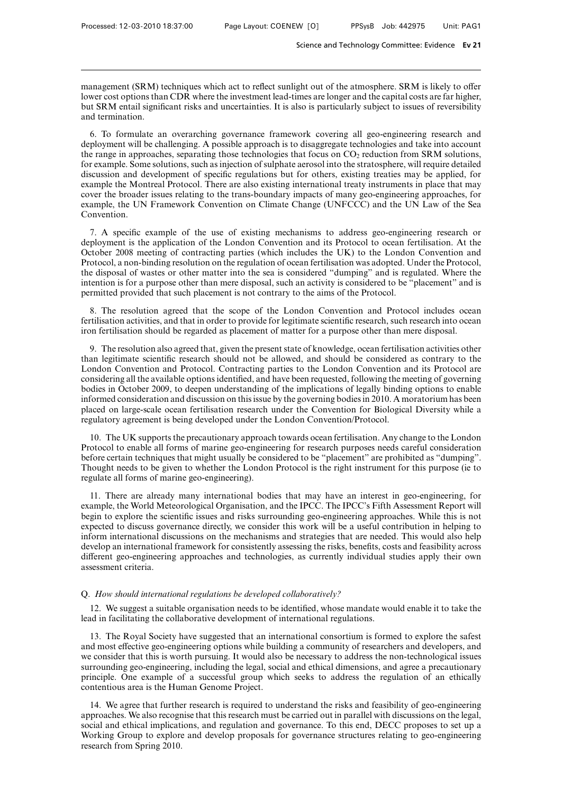management (SRM) techniques which act to reflect sunlight out of the atmosphere. SRM is likely to offer lower cost options than CDR where the investment lead-times are longer and the capital costs are far higher, but SRM entail significant risks and uncertainties. It is also is particularly subject to issues of reversibility and termination.

6. To formulate an overarching governance framework covering all geo-engineering research and deployment will be challenging. A possible approach is to disaggregate technologies and take into account the range in approaches, separating those technologies that focus on  $CO<sub>2</sub>$  reduction from SRM solutions, for example. Some solutions, such as injection of sulphate aerosol into the stratosphere, will require detailed discussion and development of specific regulations but for others, existing treaties may be applied, for example the Montreal Protocol. There are also existing international treaty instruments in place that may cover the broader issues relating to the trans-boundary impacts of many geo-engineering approaches, for example, the UN Framework Convention on Climate Change (UNFCCC) and the UN Law of the Sea Convention.

7. A specific example of the use of existing mechanisms to address geo-engineering research or deployment is the application of the London Convention and its Protocol to ocean fertilisation. At the October 2008 meeting of contracting parties (which includes the UK) to the London Convention and Protocol, a non-binding resolution on the regulation of ocean fertilisation was adopted. Under the Protocol, the disposal of wastes or other matter into the sea is considered "dumping" and is regulated. Where the intention is for a purpose other than mere disposal, such an activity is considered to be "placement" and is permitted provided that such placement is not contrary to the aims of the Protocol.

8. The resolution agreed that the scope of the London Convention and Protocol includes ocean fertilisation activities, and that in order to provide for legitimate scientific research, such research into ocean iron fertilisation should be regarded as placement of matter for a purpose other than mere disposal.

9. The resolution also agreed that, given the present state of knowledge, ocean fertilisation activities other than legitimate scientific research should not be allowed, and should be considered as contrary to the London Convention and Protocol. Contracting parties to the London Convention and its Protocol are considering all the available options identified, and have been requested, following the meeting of governing bodies in October 2009, to deepen understanding of the implications of legally binding options to enable informed consideration and discussion on this issue by the governing bodies in 2010. A moratorium has been placed on large-scale ocean fertilisation research under the Convention for Biological Diversity while a regulatory agreement is being developed under the London Convention/Protocol.

10. The UK supports the precautionary approach towards ocean fertilisation. Any change to the London Protocol to enable all forms of marine geo-engineering for research purposes needs careful consideration before certain techniques that might usually be considered to be "placement" are prohibited as "dumping". Thought needs to be given to whether the London Protocol is the right instrument for this purpose (ie to regulate all forms of marine geo-engineering).

11. There are already many international bodies that may have an interest in geo-engineering, for example, the World Meteorological Organisation, and the IPCC. The IPCC's Fifth Assessment Report will begin to explore the scientific issues and risks surrounding geo-engineering approaches. While this is not expected to discuss governance directly, we consider this work will be a useful contribution in helping to inform international discussions on the mechanisms and strategies that are needed. This would also help develop an international framework for consistently assessing the risks, benefits, costs and feasibility across different geo-engineering approaches and technologies, as currently individual studies apply their own assessment criteria.

### Q. *How should international regulations be developed collaboratively?*

12. We suggest a suitable organisation needs to be identified, whose mandate would enable it to take the lead in facilitating the collaborative development of international regulations.

13. The Royal Society have suggested that an international consortium is formed to explore the safest and most effective geo-engineering options while building a community of researchers and developers, and we consider that this is worth pursuing. It would also be necessary to address the non-technological issues surrounding geo-engineering, including the legal, social and ethical dimensions, and agree a precautionary principle. One example of a successful group which seeks to address the regulation of an ethically contentious area is the Human Genome Project.

14. We agree that further research is required to understand the risks and feasibility of geo-engineering approaches. We also recognise that this research must be carried out in parallel with discussions on the legal, social and ethical implications, and regulation and governance. To this end, DECC proposes to set up a Working Group to explore and develop proposals for governance structures relating to geo-engineering research from Spring 2010.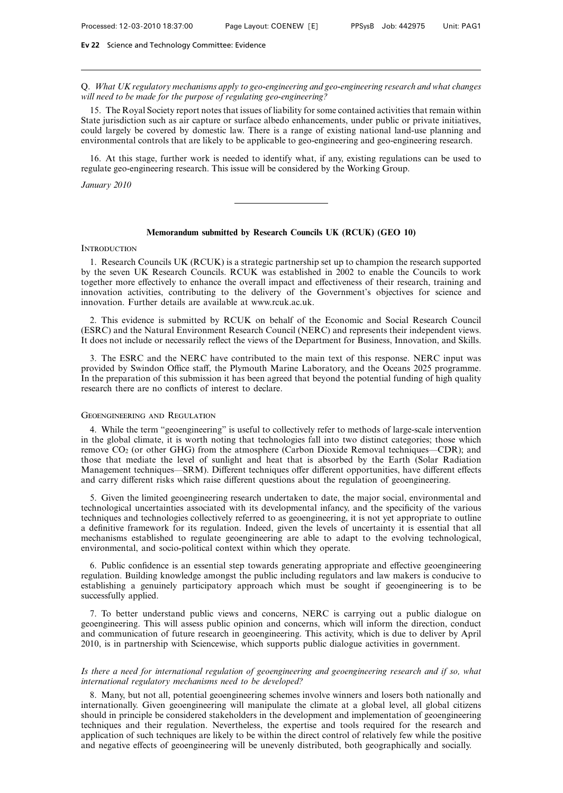Q. *What UK regulatory mechanisms apply to geo-engineering and geo-engineering research and what changes will need to be made for the purpose of regulating geo-engineering?*

15. The Royal Society report notes that issues of liability for some contained activities that remain within State jurisdiction such as air capture or surface albedo enhancements, under public or private initiatives, could largely be covered by domestic law. There is a range of existing national land-use planning and environmental controls that are likely to be applicable to geo-engineering and geo-engineering research.

16. At this stage, further work is needed to identify what, if any, existing regulations can be used to regulate geo-engineering research. This issue will be considered by the Working Group.

*January 2010*

## **Memorandum submitted by Research Councils UK (RCUK) (GEO 10)**

## **INTRODUCTION**

1. Research Councils UK (RCUK) is a strategic partnership set up to champion the research supported by the seven UK Research Councils. RCUK was established in 2002 to enable the Councils to work together more effectively to enhance the overall impact and effectiveness of their research, training and innovation activities, contributing to the delivery of the Government's objectives for science and innovation. Further details are available at www.rcuk.ac.uk.

2. This evidence is submitted by RCUK on behalf of the Economic and Social Research Council (ESRC) and the Natural Environment Research Council (NERC) and represents their independent views. It does not include or necessarily reflect the views of the Department for Business, Innovation, and Skills.

3. The ESRC and the NERC have contributed to the main text of this response. NERC input was provided by Swindon Office staff, the Plymouth Marine Laboratory, and the Oceans 2025 programme. In the preparation of this submission it has been agreed that beyond the potential funding of high quality research there are no conflicts of interest to declare.

## Geoengineering and Regulation

4. While the term "geoengineering" is useful to collectively refer to methods of large-scale intervention in the global climate, it is worth noting that technologies fall into two distinct categories; those which remove CO2 (or other GHG) from the atmosphere (Carbon Dioxide Removal techniques—CDR); and those that mediate the level of sunlight and heat that is absorbed by the Earth (Solar Radiation Management techniques—SRM). Different techniques offer different opportunities, have different effects and carry different risks which raise different questions about the regulation of geoengineering.

5. Given the limited geoengineering research undertaken to date, the major social, environmental and technological uncertainties associated with its developmental infancy, and the specificity of the various techniques and technologies collectively referred to as geoengineering, it is not yet appropriate to outline a definitive framework for its regulation. Indeed, given the levels of uncertainty it is essential that all mechanisms established to regulate geoengineering are able to adapt to the evolving technological, environmental, and socio-political context within which they operate.

6. Public confidence is an essential step towards generating appropriate and effective geoengineering regulation. Building knowledge amongst the public including regulators and law makers is conducive to establishing a genuinely participatory approach which must be sought if geoengineering is to be successfully applied.

7. To better understand public views and concerns, NERC is carrying out a public dialogue on geoengineering. This will assess public opinion and concerns, which will inform the direction, conduct and communication of future research in geoengineering. This activity, which is due to deliver by April 2010, is in partnership with Sciencewise, which supports public dialogue activities in government.

*Is there a need for international regulation of geoengineering and geoengineering research and if so, what international regulatory mechanisms need to be developed?*

8. Many, but not all, potential geoengineering schemes involve winners and losers both nationally and internationally. Given geoengineering will manipulate the climate at a global level, all global citizens should in principle be considered stakeholders in the development and implementation of geoengineering techniques and their regulation. Nevertheless, the expertise and tools required for the research and application of such techniques are likely to be within the direct control of relatively few while the positive and negative effects of geoengineering will be unevenly distributed, both geographically and socially.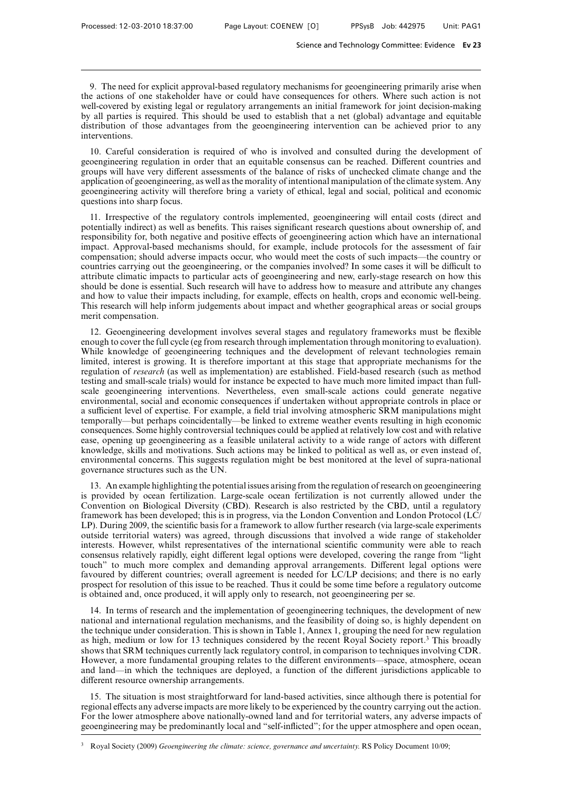9. The need for explicit approval-based regulatory mechanisms for geoengineering primarily arise when the actions of one stakeholder have or could have consequences for others. Where such action is not well-covered by existing legal or regulatory arrangements an initial framework for joint decision-making by all parties is required. This should be used to establish that a net (global) advantage and equitable distribution of those advantages from the geoengineering intervention can be achieved prior to any interventions.

10. Careful consideration is required of who is involved and consulted during the development of geoengineering regulation in order that an equitable consensus can be reached. Different countries and groups will have very different assessments of the balance of risks of unchecked climate change and the application of geoengineering, as well as the morality of intentional manipulation of the climate system. Any geoengineering activity will therefore bring a variety of ethical, legal and social, political and economic questions into sharp focus.

11. Irrespective of the regulatory controls implemented, geoengineering will entail costs (direct and potentially indirect) as well as benefits. This raises significant research questions about ownership of, and responsibility for, both negative and positive effects of geoengineering action which have an international impact. Approval-based mechanisms should, for example, include protocols for the assessment of fair compensation; should adverse impacts occur, who would meet the costs of such impacts—the country or countries carrying out the geoengineering, or the companies involved? In some cases it will be difficult to attribute climatic impacts to particular acts of geoengineering and new, early-stage research on how this should be done is essential. Such research will have to address how to measure and attribute any changes and how to value their impacts including, for example, effects on health, crops and economic well-being. This research will help inform judgements about impact and whether geographical areas or social groups merit compensation.

12. Geoengineering development involves several stages and regulatory frameworks must be flexible enough to cover the full cycle (eg from research through implementation through monitoring to evaluation). While knowledge of geoengineering techniques and the development of relevant technologies remain limited, interest is growing. It is therefore important at this stage that appropriate mechanisms for the regulation of *research* (as well as implementation) are established. Field-based research (such as method testing and small-scale trials) would for instance be expected to have much more limited impact than fullscale geoengineering interventions. Nevertheless, even small-scale actions could generate negative environmental, social and economic consequences if undertaken without appropriate controls in place or a sufficient level of expertise. For example, a field trial involving atmospheric SRM manipulations might temporally—but perhaps coincidentally—be linked to extreme weather events resulting in high economic consequences. Some highly controversial techniques could be applied at relatively low cost and with relative ease, opening up geoengineering as a feasible unilateral activity to a wide range of actors with different knowledge, skills and motivations. Such actions may be linked to political as well as, or even instead of, environmental concerns. This suggests regulation might be best monitored at the level of supra-national governance structures such as the UN.

13. An example highlighting the potential issues arising from the regulation of research on geoengineering is provided by ocean fertilization. Large-scale ocean fertilization is not currently allowed under the Convention on Biological Diversity (CBD). Research is also restricted by the CBD, until a regulatory framework has been developed; this is in progress, via the London Convention and London Protocol (LC/ LP). During 2009, the scientific basis for a framework to allow further research (via large-scale experiments outside territorial waters) was agreed, through discussions that involved a wide range of stakeholder interests. However, whilst representatives of the international scientific community were able to reach consensus relatively rapidly, eight different legal options were developed, covering the range from "light" touch" to much more complex and demanding approval arrangements. Different legal options were favoured by different countries; overall agreement is needed for LC/LP decisions; and there is no early prospect for resolution of this issue to be reached. Thus it could be some time before a regulatory outcome is obtained and, once produced, it will apply only to research, not geoengineering per se.

14. In terms of research and the implementation of geoengineering techniques, the development of new national and international regulation mechanisms, and the feasibility of doing so, is highly dependent on the technique under consideration. This is shown in Table 1, Annex 1, grouping the need for new regulation as high, medium or low for 13 techniques considered by the recent Royal Society report.3 This broadly shows that SRM techniques currently lack regulatory control, in comparison to techniques involving CDR. However, a more fundamental grouping relates to the different environments—space, atmosphere, ocean and land—in which the techniques are deployed, a function of the different jurisdictions applicable to different resource ownership arrangements.

15. The situation is most straightforward for land-based activities, since although there is potential for regional effects any adverse impacts are more likely to be experienced by the country carrying out the action. For the lower atmosphere above nationally-owned land and for territorial waters, any adverse impacts of geoengineering may be predominantly local and "self-inflicted"; for the upper atmosphere and open ocean,

<sup>3</sup> Royal Society (2009) *Geoengineering the climate: science, governance and uncertainty*. RS Policy Document 10/09;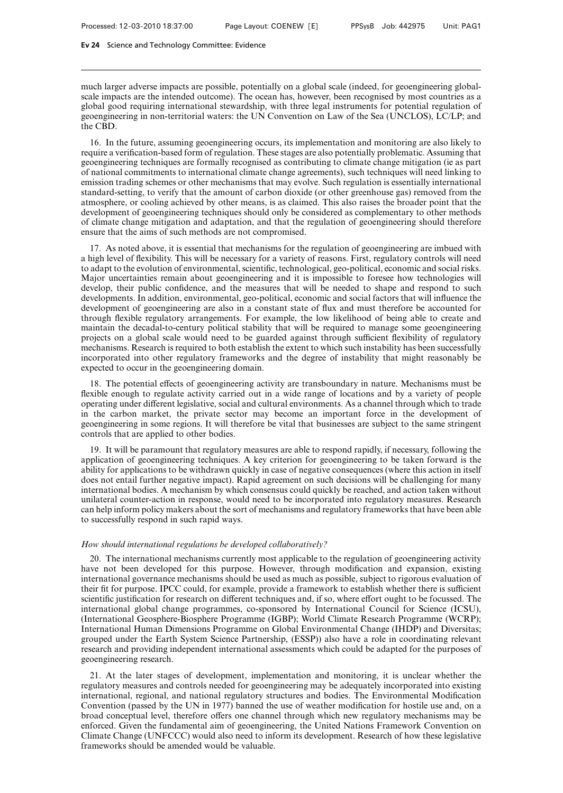much larger adverse impacts are possible, potentially on a global scale (indeed, for geoengineering globalscale impacts are the intended outcome). The ocean has, however, been recognised by most countries as a global good requiring international stewardship, with three legal instruments for potential regulation of geoengineering in non-territorial waters: the UN Convention on Law of the Sea (UNCLOS), LC/LP; and the CBD.

16. In the future, assuming geoengineering occurs, its implementation and monitoring are also likely to require a verification-based form of regulation. These stages are also potentially problematic. Assuming that geoengineering techniques are formally recognised as contributing to climate change mitigation (ie as part of national commitments to international climate change agreements), such techniques will need linking to emission trading schemes or other mechanisms that may evolve. Such regulation is essentially international standard-setting, to verify that the amount of carbon dioxide (or other greenhouse gas) removed from the atmosphere, or cooling achieved by other means, is as claimed. This also raises the broader point that the development of geoengineering techniques should only be considered as complementary to other methods of climate change mitigation and adaptation, and that the regulation of geoengineering should therefore ensure that the aims of such methods are not compromised.

17. As noted above, it is essential that mechanisms for the regulation of geoengineering are imbued with a high level of flexibility. This will be necessary for a variety of reasons. First, regulatory controls will need to adapt to the evolution of environmental, scientific, technological, geo-political, economic and social risks. Major uncertainties remain about geoengineering and it is impossible to foresee how technologies will develop, their public confidence, and the measures that will be needed to shape and respond to such developments. In addition, environmental, geo-political, economic and social factors that will influence the development of geoengineering are also in a constant state of flux and must therefore be accounted for through flexible regulatory arrangements. For example, the low likelihood of being able to create and maintain the decadal-to-century political stability that will be required to manage some geoengineering projects on a global scale would need to be guarded against through sufficient flexibility of regulatory mechanisms. Research is required to both establish the extent to which such instability has been successfully incorporated into other regulatory frameworks and the degree of instability that might reasonably be expected to occur in the geoengineering domain.

18. The potential effects of geoengineering activity are transboundary in nature. Mechanisms must be flexible enough to regulate activity carried out in a wide range of locations and by a variety of people operating under different legislative, social and cultural environments. As a channel through which to trade in the carbon market, the private sector may become an important force in the development of geoengineering in some regions. It will therefore be vital that businesses are subject to the same stringent controls that are applied to other bodies.

19. It will be paramount that regulatory measures are able to respond rapidly, if necessary, following the application of geoengineering techniques. A key criterion for geoengineering to be taken forward is the ability for applications to be withdrawn quickly in case of negative consequences (where this action in itself does not entail further negative impact). Rapid agreement on such decisions will be challenging for many international bodies. A mechanism by which consensus could quickly be reached, and action taken without unilateral counter-action in response, would need to be incorporated into regulatory measures. Research can help inform policy makers about the sort of mechanisms and regulatory frameworks that have been able to successfully respond in such rapid ways.

## *How should international regulations be developed collaboratively?*

20. The international mechanisms currently most applicable to the regulation of geoengineering activity have not been developed for this purpose. However, through modification and expansion, existing international governance mechanisms should be used as much as possible, subject to rigorous evaluation of their fit for purpose. IPCC could, for example, provide a framework to establish whether there is sufficient scientific justification for research on different techniques and, if so, where effort ought to be focussed. The international global change programmes, co-sponsored by International Council for Science (ICSU), (International Geosphere-Biosphere Programme (IGBP); World Climate Research Programme (WCRP); International Human Dimensions Programme on Global Environmental Change (IHDP) and Diversitas; grouped under the Earth System Science Partnership, (ESSP)) also have a role in coordinating relevant research and providing independent international assessments which could be adapted for the purposes of geoengineering research.

21. At the later stages of development, implementation and monitoring, it is unclear whether the regulatory measures and controls needed for geoengineering may be adequately incorporated into existing international, regional, and national regulatory structures and bodies. The Environmental Modification Convention (passed by the UN in 1977) banned the use of weather modification for hostile use and, on a broad conceptual level, therefore offers one channel through which new regulatory mechanisms may be enforced. Given the fundamental aim of geoengineering, the United Nations Framework Convention on Climate Change (UNFCCC) would also need to inform its development. Research of how these legislative frameworks should be amended would be valuable.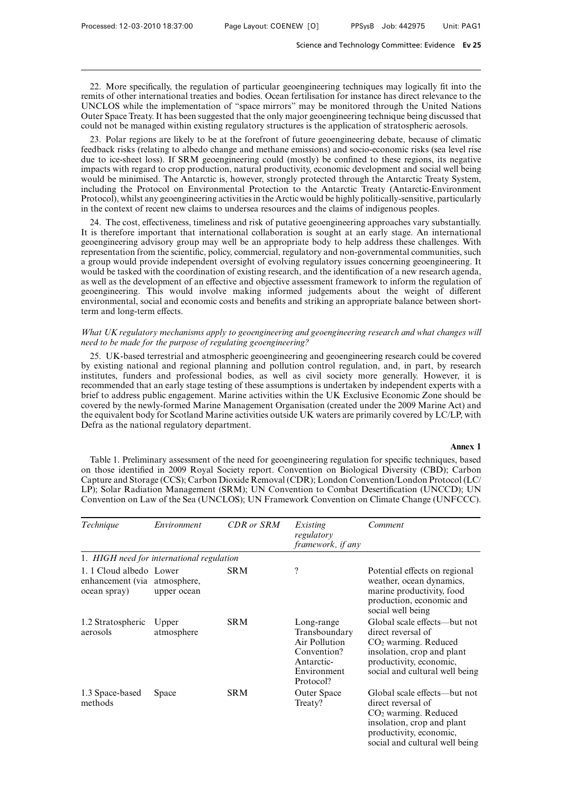22. More specifically, the regulation of particular geoengineering techniques may logically fit into the remits of other international treaties and bodies. Ocean fertilisation for instance has direct relevance to the UNCLOS while the implementation of "space mirrors" may be monitored through the United Nations Outer Space Treaty. It has been suggested that the only major geoengineering technique being discussed that could not be managed within existing regulatory structures is the application of stratospheric aerosols.

23. Polar regions are likely to be at the forefront of future geoengineering debate, because of climatic feedback risks (relating to albedo change and methane emissions) and socio-economic risks (sea level rise due to ice-sheet loss). If SRM geoengineering could (mostly) be confined to these regions, its negative impacts with regard to crop production, natural productivity, economic development and social well being would be minimised. The Antarctic is, however, strongly protected through the Antarctic Treaty System, including the Protocol on Environmental Protection to the Antarctic Treaty (Antarctic-Environment Protocol), whilst any geoengineering activities in the Arctic would be highly politically-sensitive, particularly in the context of recent new claims to undersea resources and the claims of indigenous peoples.

24. The cost, effectiveness, timeliness and risk of putative geoengineering approaches vary substantially. It is therefore important that international collaboration is sought at an early stage. An international geoengineering advisory group may well be an appropriate body to help address these challenges. With representation from the scientific, policy, commercial, regulatory and non-governmental communities, such a group would provide independent oversight of evolving regulatory issues concerning geoengineering. It would be tasked with the coordination of existing research, and the identification of a new research agenda, as well as the development of an effective and objective assessment framework to inform the regulation of geoengineering. This would involve making informed judgements about the weight of different environmental, social and economic costs and benefits and striking an appropriate balance between shortterm and long-term effects.

## *What UK regulatory mechanisms apply to geoengineering and geoengineering research and what changes will need to be made for the purpose of regulating geoengineering?*

25. UK-based terrestrial and atmospheric geoengineering and geoengineering research could be covered by existing national and regional planning and pollution control regulation, and, in part, by research institutes, funders and professional bodies, as well as civil society more generally. However, it is recommended that an early stage testing of these assumptions is undertaken by independent experts with a brief to address public engagement. Marine activities within the UK Exclusive Economic Zone should be covered by the newly-formed Marine Management Organisation (created under the 2009 Marine Act) and the equivalent body for Scotland Marine activities outside UK waters are primarily covered by LC/LP, with Defra as the national regulatory department.

### **Annex 1**

Table 1. Preliminary assessment of the need for geoengineering regulation for specific techniques, based on those identified in 2009 Royal Society report. Convention on Biological Diversity (CBD); Carbon Capture and Storage (CCS); Carbon Dioxide Removal (CDR); London Convention/London Protocol (LC/ LP); Solar Radiation Management (SRM); UN Convention to Combat Desertification (UNCCD); UN Convention on Law of the Sea (UNCLOS); UN Framework Convention on Climate Change (UNFCCC).

| Technique                                                               | Environment                               | <b>CDR</b> or <b>SRM</b> | Existing<br>regulatory<br>framework, if any                                                           | Comment                                                                                                                                                                 |
|-------------------------------------------------------------------------|-------------------------------------------|--------------------------|-------------------------------------------------------------------------------------------------------|-------------------------------------------------------------------------------------------------------------------------------------------------------------------------|
|                                                                         | 1. HIGH need for international regulation |                          |                                                                                                       |                                                                                                                                                                         |
| 1. 1 Cloud albedo Lower<br>enhancement (via atmosphere,<br>ocean spray) | upper ocean                               | <b>SRM</b>               | $\overline{\cdot}$                                                                                    | Potential effects on regional<br>weather, ocean dynamics,<br>marine productivity, food<br>production, economic and<br>social well being                                 |
| 1.2 Stratospheric<br>aerosols                                           | Upper<br>atmosphere                       | <b>SRM</b>               | Long-range<br>Transboundary<br>Air Pollution<br>Convention?<br>Antarctic-<br>Environment<br>Protocol? | Global scale effects—but not<br>direct reversal of<br>$CO2$ warming. Reduced<br>insolation, crop and plant<br>productivity, economic,<br>social and cultural well being |
| 1.3 Space-based<br>methods                                              | Space                                     | <b>SRM</b>               | Outer Space<br>Treaty?                                                                                | Global scale effects—but not<br>direct reversal of<br>$CO2$ warming. Reduced<br>insolation, crop and plant<br>productivity, economic,<br>social and cultural well being |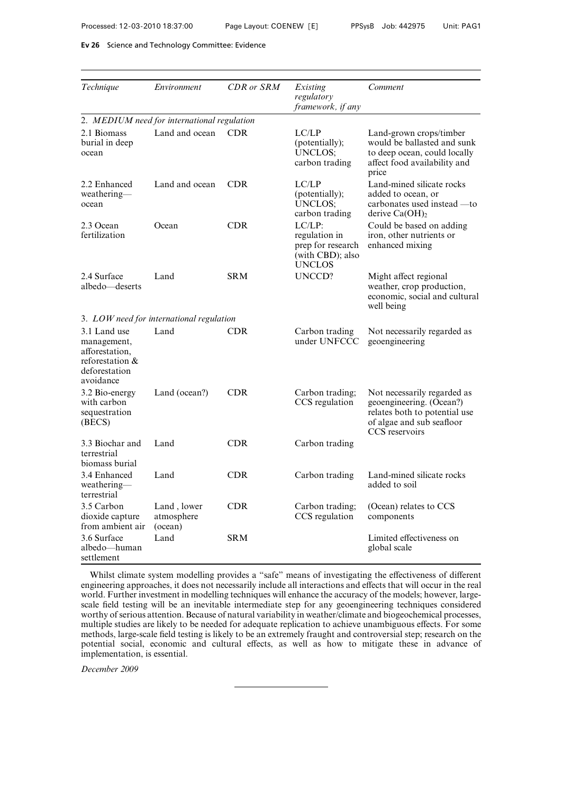| Technique                                                                                      | Environment                                 | <b>CDR</b> or SRM | Existing<br>regulatory<br>framework, if any                                   | Comment                                                                                                                                 |  |  |
|------------------------------------------------------------------------------------------------|---------------------------------------------|-------------------|-------------------------------------------------------------------------------|-----------------------------------------------------------------------------------------------------------------------------------------|--|--|
|                                                                                                | 2. MEDIUM need for international regulation |                   |                                                                               |                                                                                                                                         |  |  |
| 2.1 Biomass<br>burial in deep<br>ocean                                                         | Land and ocean                              | <b>CDR</b>        | LC/LP<br>(potentially);<br>UNCLOS:<br>carbon trading                          | Land-grown crops/timber<br>would be ballasted and sunk<br>to deep ocean, could locally<br>affect food availability and<br>price         |  |  |
| 2.2 Enhanced<br>weathering-<br>ocean                                                           | Land and ocean                              | <b>CDR</b>        | LC/LP<br>(potentially);<br><b>UNCLOS;</b><br>carbon trading                   | Land-mined silicate rocks<br>added to ocean, or<br>carbonates used instead —to<br>derive $Ca(OH)_2$                                     |  |  |
| 2.3 Ocean<br>fertilization                                                                     | Ocean                                       | <b>CDR</b>        | $LC/LP$ :<br>regulation in<br>prep for research<br>(with CBD); also<br>UNCLOS | Could be based on adding<br>iron, other nutrients or<br>enhanced mixing                                                                 |  |  |
| 2.4 Surface<br>albedo—deserts                                                                  | Land                                        | <b>SRM</b>        | <b>UNCCD?</b>                                                                 | Might affect regional<br>weather, crop production,<br>economic, social and cultural<br>well being                                       |  |  |
|                                                                                                | 3. LOW need for international regulation    |                   |                                                                               |                                                                                                                                         |  |  |
| 3.1 Land use<br>management,<br>afforestation.<br>reforestation &<br>deforestation<br>avoidance | Land                                        | <b>CDR</b>        | Carbon trading<br>under UNFCCC                                                | Not necessarily regarded as<br>geoengineering                                                                                           |  |  |
| 3.2 Bio-energy<br>with carbon<br>sequestration<br>(BECS)                                       | Land (ocean?)                               | <b>CDR</b>        | Carbon trading;<br>CCS regulation                                             | Not necessarily regarded as<br>geoengineering. (Ocean?)<br>relates both to potential use<br>of algae and sub seafloor<br>CCS reservoirs |  |  |
| 3.3 Biochar and<br>terrestrial<br>biomass burial                                               | Land                                        | <b>CDR</b>        | Carbon trading                                                                |                                                                                                                                         |  |  |
| 3.4 Enhanced<br>weathering—<br>terrestrial                                                     | Land                                        | <b>CDR</b>        | Carbon trading                                                                | Land-mined silicate rocks<br>added to soil                                                                                              |  |  |
| 3.5 Carbon<br>dioxide capture<br>from ambient air                                              | Land, lower<br>atmosphere<br>(ocean)        | <b>CDR</b>        | Carbon trading;<br>CCS regulation                                             | (Ocean) relates to CCS<br>components                                                                                                    |  |  |
| 3.6 Surface<br>albedo—human<br>settlement                                                      | Land                                        | SR M              |                                                                               | Limited effectiveness on<br>global scale                                                                                                |  |  |

Whilst climate system modelling provides a "safe" means of investigating the effectiveness of different engineering approaches, it does not necessarily include all interactions and effects that will occur in the real world. Further investment in modelling techniques will enhance the accuracy of the models; however, largescale field testing will be an inevitable intermediate step for any geoengineering techniques considered worthy of serious attention. Because of natural variability in weather/climate and biogeochemical processes, multiple studies are likely to be needed for adequate replication to achieve unambiguous effects. For some methods, large-scale field testing is likely to be an extremely fraught and controversial step; research on the potential social, economic and cultural effects, as well as how to mitigate these in advance of implementation, is essential.

*December 2009*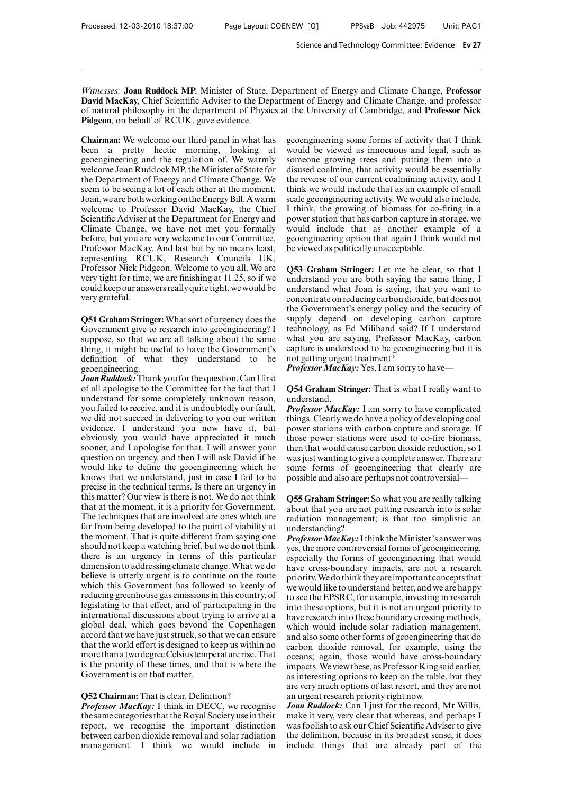*Witnesses:* **Joan Ruddock MP**, Minister of State, Department of Energy and Climate Change, **Professor David MacKay**, Chief Scientific Adviser to the Department of Energy and Climate Change, and professor of natural philosophy in the department of Physics at the University of Cambridge, and **Professor Nick Pidgeon**, on behalf of RCUK, gave evidence.

**Chairman:** We welcome our third panel in what has been a pretty hectic morning, looking at geoengineering and the regulation of. We warmly welcome Joan Ruddock MP, the Minister of State for the Department of Energy and Climate Change. We seem to be seeing a lot of each other at the moment, Joan, we are both working on the Energy Bill. A warm welcome to Professor David MacKay, the Chief Scientific Adviser at the Department for Energy and Climate Change, we have not met you formally before, but you are very welcome to our Committee, Professor MacKay. And last but by no means least, representing RCUK, Research Councils UK, Professor Nick Pidgeon. Welcome to you all. We are very tight for time, we are finishing at 11.25, so if we could keep our answers really quite tight, we would be very grateful.

**Q51 Graham Stringer:** What sort of urgency does the Government give to research into geoengineering? I suppose, so that we are all talking about the same thing, it might be useful to have the Government's definition of what they understand to be geoengineering.

*JoanRuddock:*Thank you for the question.Can I first of all apologise to the Committee for the fact that I understand for some completely unknown reason, you failed to receive, and it is undoubtedly our fault, we did not succeed in delivering to you our written evidence. I understand you now have it, but obviously you would have appreciated it much sooner, and I apologise for that. I will answer your question on urgency, and then I will ask David if he would like to define the geoengineering which he knows that we understand, just in case I fail to be precise in the technical terms. Is there an urgency in this matter? Our view is there is not. We do not think that at the moment, it is a priority for Government. The techniques that are involved are ones which are far from being developed to the point of viability at the moment. That is quite different from saying one should not keep a watching brief, but we do not think there is an urgency in terms of this particular dimension to addressing climate change.What we do believe is utterly urgent is to continue on the route which this Government has followed so keenly of reducing greenhouse gas emissions in this country, of legislating to that effect, and of participating in the international discussions about trying to arrive at a global deal, which goes beyond the Copenhagen accord that we have just struck, so that we can ensure that the world effort is designed to keep us within no more than a two degree Celsius temperature rise.That is the priority of these times, and that is where the Government is on that matter.

#### **Q52 Chairman:** That is clear. Definition?

*Professor MacKay:* I think in DECC, we recognise the same categories that the Royal Society use in their report, we recognise the important distinction between carbon dioxide removal and solar radiation management. I think we would include in geoengineering some forms of activity that I think would be viewed as innocuous and legal, such as someone growing trees and putting them into a disused coalmine, that activity would be essentially the reverse of our current coalmining activity, and I think we would include that as an example of small scale geoengineering activity. We would also include, I think, the growing of biomass for co-firing in a power station that has carbon capture in storage, we would include that as another example of a geoengineering option that again I think would not be viewed as politically unacceptable.

**Q53 Graham Stringer:** Let me be clear, so that I understand you are both saying the same thing, I understand what Joan is saying, that you want to concentrate on reducing carbon dioxide, but does not the Government's energy policy and the security of supply depend on developing carbon capture technology, as Ed Miliband said? If I understand what you are saying, Professor MacKay, carbon capture is understood to be geoengineering but it is not getting urgent treatment?

*Professor MacKay:* Yes, I am sorry to have—

## **Q54 Graham Stringer:** That is what I really want to understand.

*Professor MacKay:* I am sorry to have complicated things. Clearly we do have a policy of developing coal power stations with carbon capture and storage. If those power stations were used to co-fire biomass, then that would cause carbon dioxide reduction, so I was just wanting to give a complete answer. There are some forms of geoengineering that clearly are possible and also are perhaps not controversial—

**Q55 Graham Stringer:** So what you are really talking about that you are not putting research into is solar radiation management; is that too simplistic an understanding?

*Professor MacKay:* I think the Minister's answer was yes, the more controversial forms of geoengineering, especially the forms of geoengineering that would have cross-boundary impacts, are not a research priority.We do think they areimportant concepts that we would like to understand better, and we are happy to see the EPSRC, for example, investing in research into these options, but it is not an urgent priority to have research into these boundary crossing methods, which would include solar radiation management, and also some other forms of geoengineering that do carbon dioxide removal, for example, using the oceans; again, those would have cross-boundary impacts. We view these, as Professor King said earlier, as interesting options to keep on the table, but they are very much options of last resort, and they are not an urgent research priority right now.

*Joan Ruddock:* Can I just for the record, Mr Willis, make it very, very clear that whereas, and perhaps I was foolish to ask our Chief Scientific Adviser to give the definition, because in its broadest sense, it does include things that are already part of the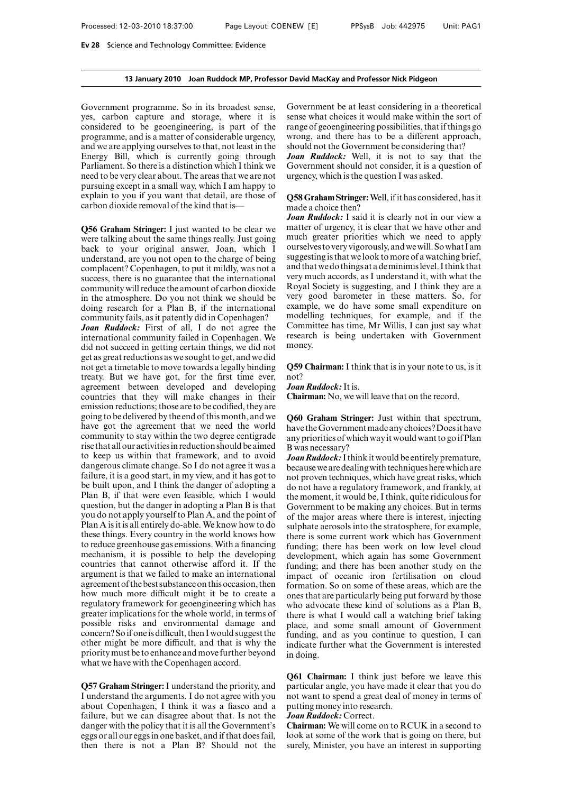#### **13 January 2010 Joan Ruddock MP, Professor David MacKay and Professor Nick Pidgeon**

Government programme. So in its broadest sense, yes, carbon capture and storage, where it is considered to be geoengineering, is part of the programme, and is a matter of considerable urgency, and we are applying ourselves to that, not least in the Energy Bill, which is currently going through Parliament. So there is a distinction which I think we need to be very clear about. The areas that we are not pursuing except in a small way, which I am happy to explain to you if you want that detail, are those of carbon dioxide removal of the kind that is—

**Q56 Graham Stringer:** I just wanted to be clear we were talking about the same things really. Just going back to your original answer, Joan, which I understand, are you not open to the charge of being complacent? Copenhagen, to put it mildly, was not a success, there is no guarantee that the international community will reduce the amount of carbon dioxide in the atmosphere. Do you not think we should be doing research for a Plan B, if the international community fails, as it patently did in Copenhagen?

*Joan Ruddock:* First of all, I do not agree the international community failed in Copenhagen. We did not succeed in getting certain things, we did not get as great reductions as we sought to get, and we did not get a timetable to move towards a legally binding treaty. But we have got, for the first time ever, agreement between developed and developing countries that they will make changes in their emission reductions; those are to be codified, they are going to be delivered by the end of this month, and we have got the agreement that we need the world community to stay within the two degree centigrade rise that all our activitiesin reduction should be aimed to keep us within that framework, and to avoid dangerous climate change. So I do not agree it was a failure, it is a good start, in my view, and it has got to be built upon, and I think the danger of adopting a Plan B, if that were even feasible, which I would question, but the danger in adopting a Plan B is that you do not apply yourself to Plan A, and the point of Plan A is it is all entirely do-able. We know how to do these things. Every country in the world knows how to reduce greenhouse gas emissions. With a financing mechanism, it is possible to help the developing countries that cannot otherwise afford it. If the argument is that we failed to make an international agreement of the best substance on this occasion, then how much more difficult might it be to create a regulatory framework for geoengineering which has greater implications for the whole world, in terms of possible risks and environmental damage and concern? So if one is difficult, then I would suggest the other might be more difficult, and that is why the prioritymust be to enhance and move further beyond what we have with the Copenhagen accord.

**Q57 Graham Stringer:** I understand the priority, and I understand the arguments. I do not agree with you about Copenhagen, I think it was a fiasco and a failure, but we can disagree about that. Is not the danger with the policy that it is all the Government's eggs or all our eggs in one basket, and if that does fail, then there is not a Plan B? Should not the

Government be at least considering in a theoretical sense what choices it would make within the sort of range of geoengineering possibilities, that if things go wrong, and there has to be a different approach, should not the Government be considering that?

*Joan Ruddock:* Well, it is not to say that the Government should not consider, it is a question of urgency, which is the question I was asked.

## **Q58 Graham Stringer:**Well, if it has considered, has it made a choice then?

*Joan Ruddock:* I said it is clearly not in our view a matter of urgency, it is clear that we have other and much greater priorities which we need to apply ourselves to very vigorously, and wewill. Sowhat I am suggesting is that we look to more of a watching brief, and that we do things at a deminimislevel. I think that very much accords, as I understand it, with what the Royal Society is suggesting, and I think they are a very good barometer in these matters. So, for example, we do have some small expenditure on modelling techniques, for example, and if the Committee has time, Mr Willis, I can just say what research is being undertaken with Government money.

**Q59 Chairman:** I think that is in your note to us, is it not?

*Joan Ruddock:*It is.

**Chairman:** No, we will leave that on the record.

**Q60 Graham Stringer:** Just within that spectrum, have the Government made any choices? Does it have any priorities of which way it would want to go if Plan B was necessary?

*Joan Ruddock:*I think it would be entirely premature, because we are dealingwith techniques here which are not proven techniques, which have great risks, which do not have a regulatory framework, and frankly, at the moment, it would be, I think, quite ridiculous for Government to be making any choices. But in terms of the major areas where there is interest, injecting sulphate aerosols into the stratosphere, for example, there is some current work which has Government funding; there has been work on low level cloud development, which again has some Government funding; and there has been another study on the impact of oceanic iron fertilisation on cloud formation. So on some of these areas, which are the ones that are particularly being put forward by those who advocate these kind of solutions as a Plan B, there is what I would call a watching brief taking place, and some small amount of Government funding, and as you continue to question, I can indicate further what the Government is interested in doing.

**Q61 Chairman:** I think just before we leave this particular angle, you have made it clear that you do not want to spend a great deal of money in terms of putting money into research.

#### *Joan Ruddock:* Correct.

**Chairman:** We will come on to RCUK in a second to look at some of the work that is going on there, but surely, Minister, you have an interest in supporting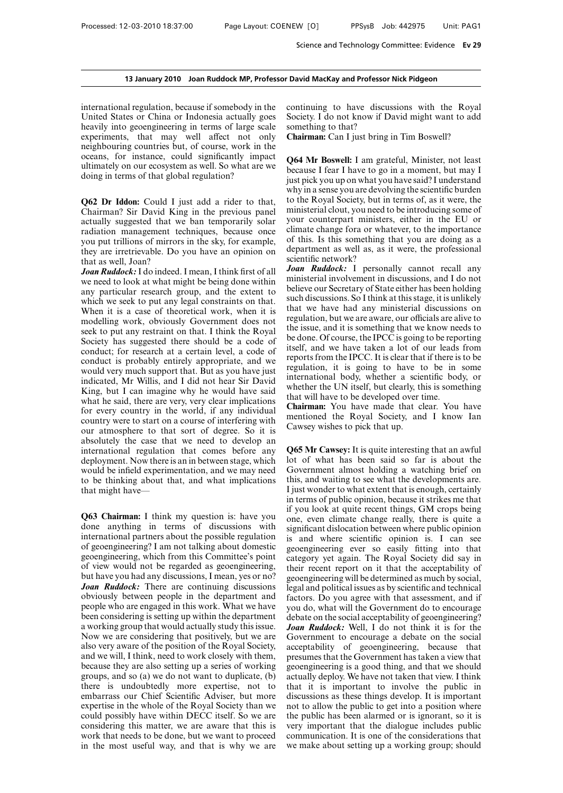### **13 January 2010 Joan Ruddock MP, Professor David MacKay and Professor Nick Pidgeon**

international regulation, because if somebody in the United States or China or Indonesia actually goes heavily into geoengineering in terms of large scale experiments, that may well affect not only neighbouring countries but, of course, work in the oceans, for instance, could significantly impact ultimately on our ecosystem as well. So what are we doing in terms of that global regulation?

**Q62 Dr Iddon:** Could I just add a rider to that, Chairman? Sir David King in the previous panel actually suggested that we ban temporarily solar radiation management techniques, because once you put trillions of mirrors in the sky, for example, they are irretrievable. Do you have an opinion on that as well, Joan?

*Joan Ruddock:*I do indeed. I mean, I think first of all we need to look at what might be being done within any particular research group, and the extent to which we seek to put any legal constraints on that. When it is a case of theoretical work, when it is modelling work, obviously Government does not seek to put any restraint on that. I think the Royal Society has suggested there should be a code of conduct; for research at a certain level, a code of conduct is probably entirely appropriate, and we would very much support that. But as you have just indicated, Mr Willis, and I did not hear Sir David King, but I can imagine why he would have said what he said, there are very, very clear implications for every country in the world, if any individual country were to start on a course of interfering with our atmosphere to that sort of degree. So it is absolutely the case that we need to develop an international regulation that comes before any deployment. Now there is an in between stage, which would be infield experimentation, and we may need to be thinking about that, and what implications that might have—

**Q63 Chairman:** I think my question is: have you done anything in terms of discussions with international partners about the possible regulation of geoengineering? I am not talking about domestic geoengineering, which from this Committee's point of view would not be regarded as geoengineering, but have you had any discussions, I mean, yes or no? *Joan Ruddock:* There are continuing discussions obviously between people in the department and people who are engaged in this work. What we have been considering is setting up within the department a working group that would actually study this issue. Now we are considering that positively, but we are also very aware of the position of the Royal Society, and we will, I think, need to work closely with them, because they are also setting up a series of working groups, and so (a) we do not want to duplicate, (b) there is undoubtedly more expertise, not to embarrass our Chief Scientific Adviser, but more expertise in the whole of the Royal Society than we could possibly have within DECC itself. So we are considering this matter, we are aware that this is work that needs to be done, but we want to proceed in the most useful way, and that is why we are continuing to have discussions with the Royal Society. I do not know if David might want to add something to that?

**Chairman:** Can I just bring in Tim Boswell?

**Q64 Mr Boswell:** I am grateful, Minister, not least because I fear I have to go in a moment, but may I just pick you up on what you have said? I understand why in a sense you are devolving the scientific burden to the Royal Society, but in terms of, as it were, the ministerial clout, you need to be introducing some of your counterpart ministers, either in the EU or climate change fora or whatever, to the importance of this. Is this something that you are doing as a department as well as, as it were, the professional scientific network?

*Joan Ruddock:* I personally cannot recall any ministerial involvement in discussions, and I do not believe our Secretary of State either has been holding such discussions. So I think at this stage, it is unlikely that we have had any ministerial discussions on regulation, but we are aware, our officials are alive to the issue, and it is something that we know needs to be done. Of course, the IPCC is going to be reporting itself, and we have taken a lot of our leads from reports from the IPCC. It is clear that if there is to be regulation, it is going to have to be in some international body, whether a scientific body, or whether the UN itself, but clearly, this is something that will have to be developed over time.

**Chairman:** You have made that clear. You have mentioned the Royal Society, and I know Ian Cawsey wishes to pick that up.

**Q65 Mr Cawsey:** It is quite interesting that an awful lot of what has been said so far is about the Government almost holding a watching brief on this, and waiting to see what the developments are. I just wonder to what extent that is enough, certainly in terms of public opinion, because it strikes me that if you look at quite recent things, GM crops being one, even climate change really, there is quite a significant dislocation between where public opinion is and where scientific opinion is. I can see geoengineering ever so easily fitting into that category yet again. The Royal Society did say in their recent report on it that the acceptability of geoengineering will be determined as much by social, legal and political issues as by scientific and technical factors. Do you agree with that assessment, and if you do, what will the Government do to encourage debate on the social acceptability of geoengineering? *Joan Ruddock:* Well, I do not think it is for the Government to encourage a debate on the social acceptability of geoengineering, because that presumes that the Government has taken a view that geoengineering is a good thing, and that we should actually deploy. We have not taken that view. I think that it is important to involve the public in discussions as these things develop. It is important not to allow the public to get into a position where the public has been alarmed or is ignorant, so it is very important that the dialogue includes public communication. It is one of the considerations that we make about setting up a working group; should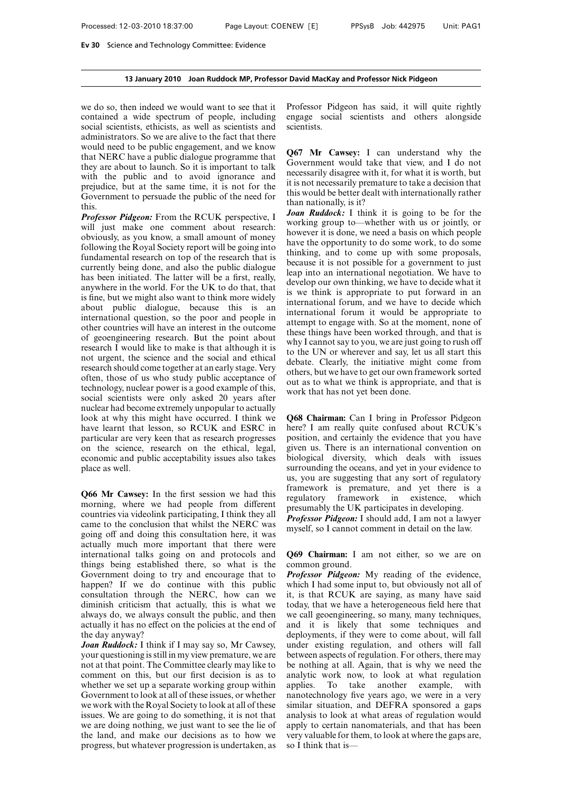### **13 January 2010 Joan Ruddock MP, Professor David MacKay and Professor Nick Pidgeon**

we do so, then indeed we would want to see that it contained a wide spectrum of people, including social scientists, ethicists, as well as scientists and administrators. So we are alive to the fact that there would need to be public engagement, and we know that NERC have a public dialogue programme that they are about to launch. So it is important to talk with the public and to avoid ignorance and prejudice, but at the same time, it is not for the Government to persuade the public of the need for this.

*Professor Pidgeon:* From the RCUK perspective, I will just make one comment about research: obviously, as you know, a small amount of money following the Royal Society report will be going into fundamental research on top of the research that is currently being done, and also the public dialogue has been initiated. The latter will be a first, really, anywhere in the world. For the UK to do that, that is fine, but we might also want to think more widely about public dialogue, because this is an international question, so the poor and people in other countries will have an interest in the outcome of geoengineering research. But the point about research I would like to make is that although it is not urgent, the science and the social and ethical research should come together at an early stage. Very often, those of us who study public acceptance of technology, nuclear power is a good example of this, social scientists were only asked 20 years after nuclear had become extremely unpopular to actually look at why this might have occurred. I think we have learnt that lesson, so RCUK and ESRC in particular are very keen that as research progresses on the science, research on the ethical, legal, economic and public acceptability issues also takes place as well.

**Q66 Mr Cawsey:** In the first session we had this morning, where we had people from different countries via videolink participating, I think they all came to the conclusion that whilst the NERC was going off and doing this consultation here, it was actually much more important that there were international talks going on and protocols and things being established there, so what is the Government doing to try and encourage that to happen? If we do continue with this public consultation through the NERC, how can we diminish criticism that actually, this is what we always do, we always consult the public, and then actually it has no effect on the policies at the end of the day anyway?

*Joan Ruddock:* I think if I may say so, Mr Cawsey, your questioning is still in my view premature, we are not at that point. The Committee clearly may like to comment on this, but our first decision is as to whether we set up a separate working group within Government to look at all of these issues, or whether we work with the Royal Society to look at all of these issues. We are going to do something, it is not that we are doing nothing, we just want to see the lie of the land, and make our decisions as to how we progress, but whatever progression is undertaken, as Professor Pidgeon has said, it will quite rightly engage social scientists and others alongside scientists.

**Q67 Mr Cawsey:** I can understand why the Government would take that view, and I do not necessarily disagree with it, for what it is worth, but it is not necessarily premature to take a decision that this would be better dealt with internationally rather than nationally, is it?

*Joan Ruddock:* I think it is going to be for the working group to—whether with us or jointly, or however it is done, we need a basis on which people have the opportunity to do some work, to do some thinking, and to come up with some proposals, because it is not possible for a government to just leap into an international negotiation. We have to develop our own thinking, we have to decide what it is we think is appropriate to put forward in an international forum, and we have to decide which international forum it would be appropriate to attempt to engage with. So at the moment, none of these things have been worked through, and that is why I cannot say to you, we are just going to rush off to the UN or wherever and say, let us all start this debate. Clearly, the initiative might come from others, but we have to get our own framework sorted out as to what we think is appropriate, and that is work that has not yet been done.

**Q68 Chairman:** Can I bring in Professor Pidgeon here? I am really quite confused about RCUK's position, and certainly the evidence that you have given us. There is an international convention on biological diversity, which deals with issues surrounding the oceans, and yet in your evidence to us, you are suggesting that any sort of regulatory framework is premature, and yet there is a regulatory framework in existence, which presumably the UK participates in developing. *Professor Pidgeon:* I should add, I am not a lawyer myself, so I cannot comment in detail on the law.

**Q69 Chairman:** I am not either, so we are on common ground.

*Professor Pidgeon:* My reading of the evidence, which I had some input to, but obviously not all of it, is that RCUK are saying, as many have said today, that we have a heterogeneous field here that we call geoengineering, so many, many techniques, and it is likely that some techniques and deployments, if they were to come about, will fall under existing regulation, and others will fall between aspects of regulation. For others, there may be nothing at all. Again, that is why we need the analytic work now, to look at what regulation applies. To take another example, with nanotechnology five years ago, we were in a very similar situation, and DEFRA sponsored a gaps analysis to look at what areas of regulation would apply to certain nanomaterials, and that has been very valuable for them, to look at where the gaps are, so I think that is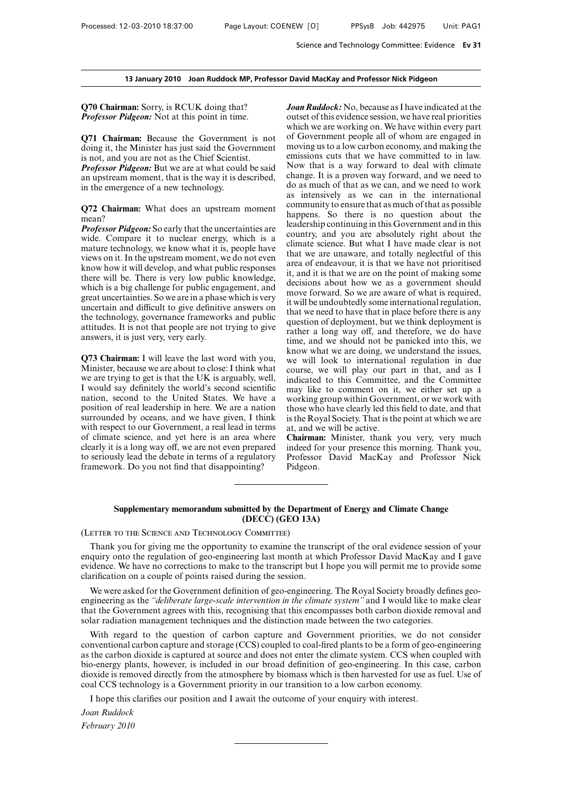**Q70 Chairman:** Sorry, is RCUK doing that? *Professor Pidgeon:* Not at this point in time.

**Q71 Chairman:** Because the Government is not doing it, the Minister has just said the Government is not, and you are not as the Chief Scientist.

*Professor Pidgeon:* But we are at what could be said an upstream moment, that is the way it is described, in the emergence of a new technology.

**Q72 Chairman:** What does an upstream moment mean?

*Professor Pidgeon:* So early that the uncertainties are wide. Compare it to nuclear energy, which is a mature technology, we know what it is, people have views on it. In the upstream moment, we do not even know how it will develop, and what public responses there will be. There is very low public knowledge, which is a big challenge for public engagement, and great uncertainties. So we are in a phase which is very uncertain and difficult to give definitive answers on the technology, governance frameworks and public attitudes. It is not that people are not trying to give answers, it is just very, very early.

**Q73 Chairman:** I will leave the last word with you, Minister, because we are about to close: I think what we are trying to get is that the UK is arguably, well, I would say definitely the world's second scientific nation, second to the United States. We have a position of real leadership in here. We are a nation surrounded by oceans, and we have given, I think with respect to our Government, a real lead in terms of climate science, and yet here is an area where clearly it is a long way off, we are not even prepared to seriously lead the debate in terms of a regulatory framework. Do you not find that disappointing?

*Joan Ruddock:* No, because as I have indicated at the outset of this evidence session, we have real priorities which we are working on. We have within every part of Government people all of whom are engaged in moving us to a low carbon economy, and making the emissions cuts that we have committed to in law. Now that is a way forward to deal with climate change. It is a proven way forward, and we need to do as much of that as we can, and we need to work as intensively as we can in the international community to ensure that as much of that as possible happens. So there is no question about the leadership continuing in this Government and in this country, and you are absolutely right about the climate science. But what I have made clear is not that we are unaware, and totally neglectful of this area of endeavour, it is that we have not prioritised it, and it is that we are on the point of making some decisions about how we as a government should move forward. So we are aware of what is required, it will be undoubtedly some international regulation, that we need to have that in place before there is any question of deployment, but we think deployment is rather a long way off, and therefore, we do have time, and we should not be panicked into this, we know what we are doing, we understand the issues, we will look to international regulation in due course, we will play our part in that, and as I indicated to this Committee, and the Committee may like to comment on it, we either set up a working group within Government, or we work with those who have clearly led this field to date, and that is the Royal Society. That is the point at which we are at, and we will be active.

**Chairman:** Minister, thank you very, very much indeed for your presence this morning. Thank you, Professor David MacKay and Professor Nick Pidgeon.

### **Supplementary memorandum submitted by the Department of Energy and Climate Change (DECC) (GEO 13A)**

(Letter to the Science and Technology Committee)

Thank you for giving me the opportunity to examine the transcript of the oral evidence session of your enquiry onto the regulation of geo-engineering last month at which Professor David MacKay and I gave evidence. We have no corrections to make to the transcript but I hope you will permit me to provide some clarification on a couple of points raised during the session.

We were asked for the Government definition of geo-engineering. The Royal Society broadly defines geoengineering as the *"deliberate large-scale intervention in the climate system"* and I would like to make clear that the Government agrees with this, recognising that this encompasses both carbon dioxide removal and solar radiation management techniques and the distinction made between the two categories.

With regard to the question of carbon capture and Government priorities, we do not consider conventional carbon capture and storage (CCS) coupled to coal-fired plants to be a form of geo-engineering as the carbon dioxide is captured at source and does not enter the climate system. CCS when coupled with bio-energy plants, however, is included in our broad definition of geo-engineering. In this case, carbon dioxide is removed directly from the atmosphere by biomass which is then harvested for use as fuel. Use of coal CCS technology is a Government priority in our transition to a low carbon economy.

I hope this clarifies our position and I await the outcome of your enquiry with interest.

*Joan Ruddock February 2010*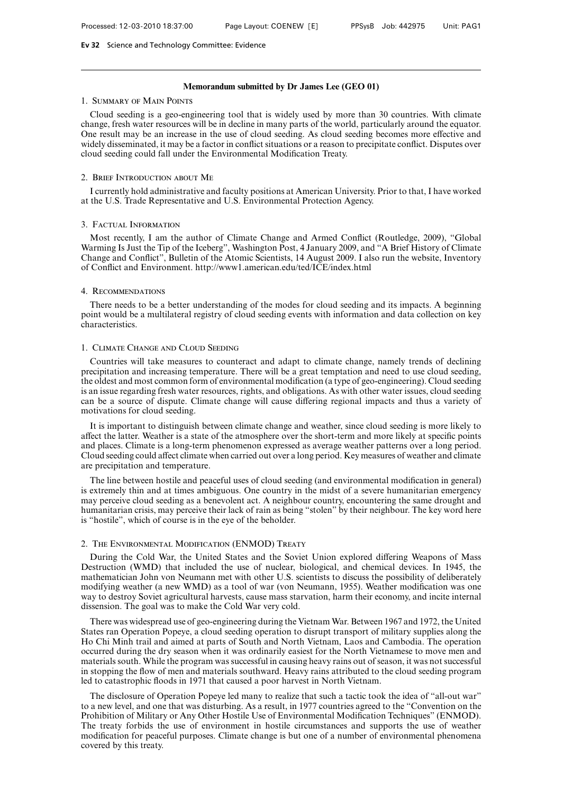## **Memorandum submitted by Dr James Lee (GEO 01)**

# 1. Summary of Main Points

Cloud seeding is a geo-engineering tool that is widely used by more than 30 countries. With climate change, fresh water resources will be in decline in many parts of the world, particularly around the equator. One result may be an increase in the use of cloud seeding. As cloud seeding becomes more effective and widely disseminated, it may be a factor in conflict situations or a reason to precipitate conflict. Disputes over cloud seeding could fall under the Environmental Modification Treaty.

### 2. Brief Introduction about Me

I currently hold administrative and faculty positions at American University. Prior to that, I have worked at the U.S. Trade Representative and U.S. Environmental Protection Agency.

## 3. Factual Information

Most recently, I am the author of Climate Change and Armed Conflict (Routledge, 2009), "Global Warming Is Just the Tip of the Iceberg", Washington Post, 4 January 2009, and "A Brief History of Climate Change and Conflict", Bulletin of the Atomic Scientists, 14 August 2009. I also run the website, Inventory of Conflict and Environment. http://www1.american.edu/ted/ICE/index.html

### 4. Recommendations

There needs to be a better understanding of the modes for cloud seeding and its impacts. A beginning point would be a multilateral registry of cloud seeding events with information and data collection on key characteristics.

### 1. Climate Change and Cloud Seeding

Countries will take measures to counteract and adapt to climate change, namely trends of declining precipitation and increasing temperature. There will be a great temptation and need to use cloud seeding, the oldest and most common form of environmental modification (a type of geo-engineering). Cloud seeding is an issue regarding fresh water resources, rights, and obligations. As with other water issues, cloud seeding can be a source of dispute. Climate change will cause differing regional impacts and thus a variety of motivations for cloud seeding.

It is important to distinguish between climate change and weather, since cloud seeding is more likely to affect the latter. Weather is a state of the atmosphere over the short-term and more likely at specific points and places. Climate is a long-term phenomenon expressed as average weather patterns over a long period. Cloud seeding could affect climate when carried out over a long period. Key measures of weather and climate are precipitation and temperature.

The line between hostile and peaceful uses of cloud seeding (and environmental modification in general) is extremely thin and at times ambiguous. One country in the midst of a severe humanitarian emergency may perceive cloud seeding as a benevolent act. A neighbour country, encountering the same drought and humanitarian crisis, may perceive their lack of rain as being "stolen" by their neighbour. The key word here is "hostile", which of course is in the eye of the beholder.

### 2. The Environmental Modification (ENMOD) Treaty

During the Cold War, the United States and the Soviet Union explored differing Weapons of Mass Destruction (WMD) that included the use of nuclear, biological, and chemical devices. In 1945, the mathematician John von Neumann met with other U.S. scientists to discuss the possibility of deliberately modifying weather (a new WMD) as a tool of war (von Neumann, 1955). Weather modification was one way to destroy Soviet agricultural harvests, cause mass starvation, harm their economy, and incite internal dissension. The goal was to make the Cold War very cold.

There was widespread use of geo-engineering during the Vietnam War. Between 1967 and 1972, the United States ran Operation Popeye, a cloud seeding operation to disrupt transport of military supplies along the Ho Chi Minh trail and aimed at parts of South and North Vietnam, Laos and Cambodia. The operation occurred during the dry season when it was ordinarily easiest for the North Vietnamese to move men and materials south. While the program was successful in causing heavy rains out of season, it was not successful in stopping the flow of men and materials southward. Heavy rains attributed to the cloud seeding program led to catastrophic floods in 1971 that caused a poor harvest in North Vietnam.

The disclosure of Operation Popeye led many to realize that such a tactic took the idea of "all-out war" to a new level, and one that was disturbing. As a result, in 1977 countries agreed to the "Convention on the Prohibition of Military or Any Other Hostile Use of Environmental Modification Techniques" (ENMOD). The treaty forbids the use of environment in hostile circumstances and supports the use of weather modification for peaceful purposes. Climate change is but one of a number of environmental phenomena covered by this treaty.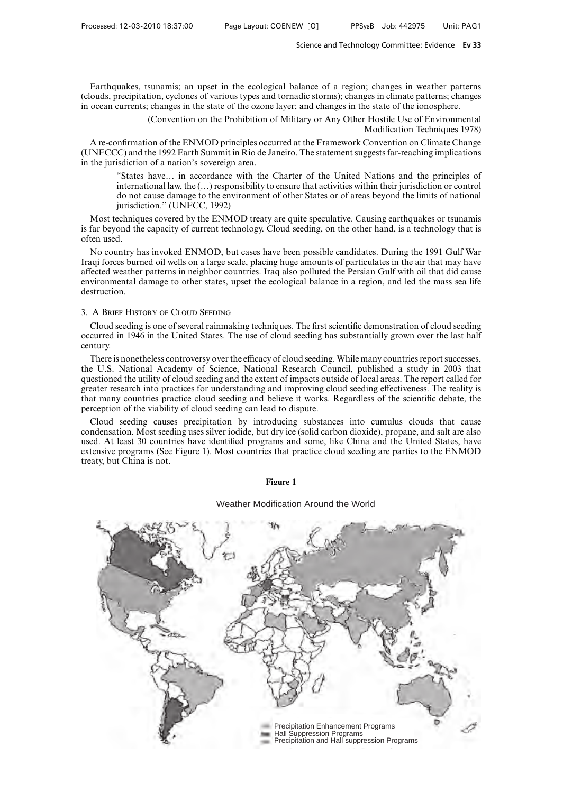Earthquakes, tsunamis; an upset in the ecological balance of a region; changes in weather patterns (clouds, precipitation, cyclones of various types and tornadic storms); changes in climate patterns; changes in ocean currents; changes in the state of the ozone layer; and changes in the state of the ionosphere.

> (Convention on the Prohibition of Military or Any Other Hostile Use of Environmental Modification Techniques 1978)

A re-confirmation of the ENMOD principles occurred at the Framework Convention on Climate Change (UNFCCC) and the 1992 Earth Summit in Rio de Janeiro. The statement suggests far-reaching implications in the jurisdiction of a nation's sovereign area.

"States have… in accordance with the Charter of the United Nations and the principles of international law, the (…) responsibility to ensure that activities within their jurisdiction or control do not cause damage to the environment of other States or of areas beyond the limits of national jurisdiction." (UNFCC, 1992)

Most techniques covered by the ENMOD treaty are quite speculative. Causing earthquakes or tsunamis is far beyond the capacity of current technology. Cloud seeding, on the other hand, is a technology that is often used.

No country has invoked ENMOD, but cases have been possible candidates. During the 1991 Gulf War Iraqi forces burned oil wells on a large scale, placing huge amounts of particulates in the air that may have affected weather patterns in neighbor countries. Iraq also polluted the Persian Gulf with oil that did cause environmental damage to other states, upset the ecological balance in a region, and led the mass sea life destruction.

# 3. A Brief History of Cloud Seeding

Cloud seeding is one of several rainmaking techniques. The first scientific demonstration of cloud seeding occurred in 1946 in the United States. The use of cloud seeding has substantially grown over the last half century.

There is nonetheless controversy over the efficacy of cloud seeding. While many countries report successes, the U.S. National Academy of Science, National Research Council, published a study in 2003 that questioned the utility of cloud seeding and the extent of impacts outside of local areas. The report called for greater research into practices for understanding and improving cloud seeding effectiveness. The reality is that many countries practice cloud seeding and believe it works. Regardless of the scientific debate, the perception of the viability of cloud seeding can lead to dispute.

Cloud seeding causes precipitation by introducing substances into cumulus clouds that cause condensation. Most seeding uses silver iodide, but dry ice (solid carbon dioxide), propane, and salt are also used. At least 30 countries have identified programs and some, like China and the United States, have extensive programs (See Figure 1). Most countries that practice cloud seeding are parties to the ENMOD treaty, but China is not.

## **Figure 1**

## Weather Modification Around the World

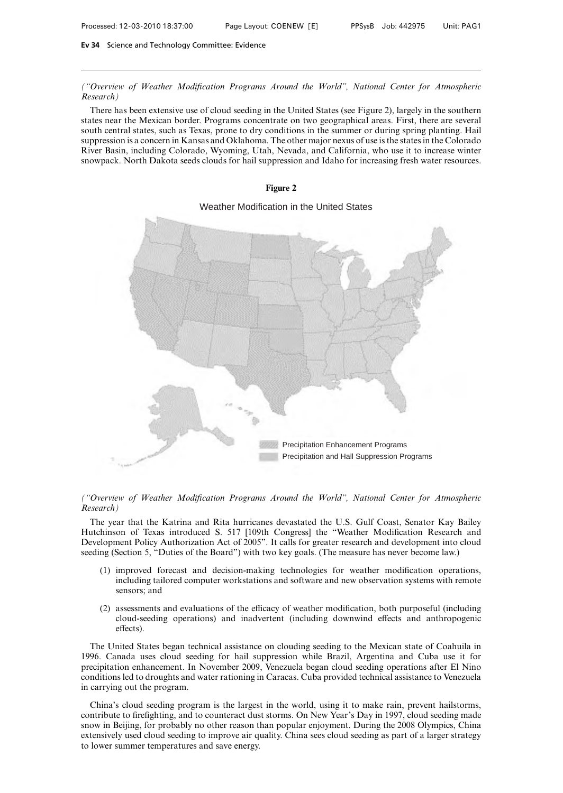*("Overview of Weather Modification Programs Around the World", National Center for Atmospheric Research)*

There has been extensive use of cloud seeding in the United States (see Figure 2), largely in the southern states near the Mexican border. Programs concentrate on two geographical areas. First, there are several south central states, such as Texas, prone to dry conditions in the summer or during spring planting. Hail suppression is a concern in Kansas and Oklahoma. The other major nexus of use is the states in the Colorado River Basin, including Colorado, Wyoming, Utah, Nevada, and California, who use it to increase winter snowpack. North Dakota seeds clouds for hail suppression and Idaho for increasing fresh water resources.



# *("Overview of Weather Modification Programs Around the World", National Center for Atmospheric Research)*

The year that the Katrina and Rita hurricanes devastated the U.S. Gulf Coast, Senator Kay Bailey Hutchinson of Texas introduced S. 517 [109th Congress] the "Weather Modification Research and Development Policy Authorization Act of 2005". It calls for greater research and development into cloud seeding (Section 5, "Duties of the Board") with two key goals. (The measure has never become law.)

- (1) improved forecast and decision-making technologies for weather modification operations, including tailored computer workstations and software and new observation systems with remote sensors; and
- $(2)$  assessments and evaluations of the efficacy of weather modification, both purposeful (including cloud-seeding operations) and inadvertent (including downwind effects and anthropogenic effects).

The United States began technical assistance on clouding seeding to the Mexican state of Coahuila in 1996. Canada uses cloud seeding for hail suppression while Brazil, Argentina and Cuba use it for precipitation enhancement. In November 2009, Venezuela began cloud seeding operations after El Nino conditions led to droughts and water rationing in Caracas. Cuba provided technical assistance to Venezuela in carrying out the program.

China's cloud seeding program is the largest in the world, using it to make rain, prevent hailstorms, contribute to firefighting, and to counteract dust storms. On New Year's Day in 1997, cloud seeding made snow in Beijing, for probably no other reason than popular enjoyment. During the 2008 Olympics, China extensively used cloud seeding to improve air quality. China sees cloud seeding as part of a larger strategy to lower summer temperatures and save energy.

# **Figure 2**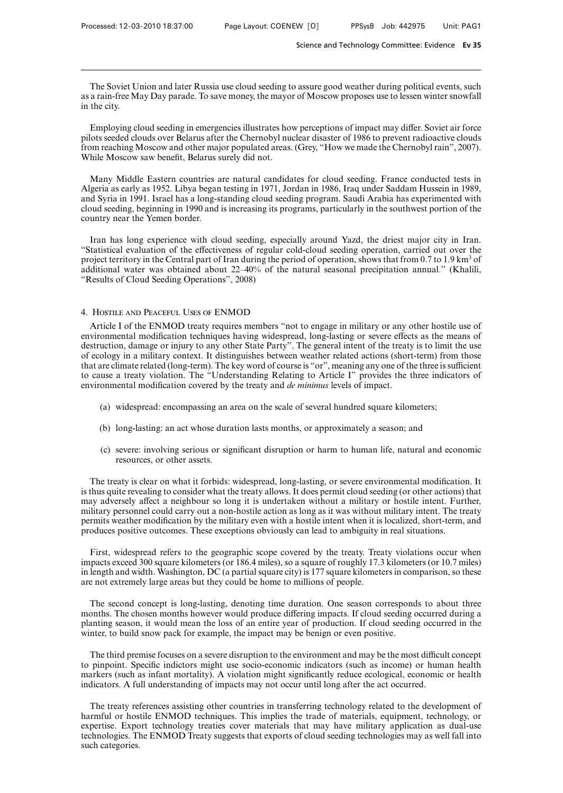The Soviet Union and later Russia use cloud seeding to assure good weather during political events, such as a rain-free May Day parade. To save money, the mayor of Moscow proposes use to lessen winter snowfall in the city.

Employing cloud seeding in emergencies illustrates how perceptions of impact may differ. Soviet air force pilots seeded clouds over Belarus after the Chernobyl nuclear disaster of 1986 to prevent radioactive clouds from reaching Moscow and other major populated areas. (Grey, "How we made the Chernobyl rain", 2007). While Moscow saw benefit, Belarus surely did not.

Many Middle Eastern countries are natural candidates for cloud seeding. France conducted tests in Algeria as early as 1952. Libya began testing in 1971, Jordan in 1986, Iraq under Saddam Hussein in 1989, and Syria in 1991. Israel has a long-standing cloud seeding program. Saudi Arabia has experimented with cloud seeding, beginning in 1990 and is increasing its programs, particularly in the southwest portion of the country near the Yemen border.

Iran has long experience with cloud seeding, especially around Yazd, the driest major city in Iran. "Statistical evaluation of the effectiveness of regular cold-cloud seeding operation, carried out over the project territory in the Central part of Iran during the period of operation, shows that from 0.7 to 1.9 km<sup>3</sup> of additional water was obtained about 22–40% of the natural seasonal precipitation annual." (Khalili, "Results of Cloud Seeding Operations", 2008)

## 4. Hostile and Peaceful Uses of ENMOD

Article I of the ENMOD treaty requires members "not to engage in military or any other hostile use of environmental modification techniques having widespread, long-lasting or severe effects as the means of destruction, damage or injury to any other State Party". The general intent of the treaty is to limit the use of ecology in a military context. It distinguishes between weather related actions (short-term) from those that are climate related (long-term). The key word of course is "or", meaning any one of the three is sufficient to cause a treaty violation. The "Understanding Relating to Article I" provides the three indicators of environmental modification covered by the treaty and *de minimus* levels of impact.

- (a) widespread: encompassing an area on the scale of several hundred square kilometers;
- (b) long-lasting: an act whose duration lasts months, or approximately a season; and
- (c) severe: involving serious or significant disruption or harm to human life, natural and economic resources, or other assets.

The treaty is clear on what it forbids: widespread, long-lasting, or severe environmental modification. It is thus quite revealing to consider what the treaty allows. It does permit cloud seeding (or other actions) that may adversely affect a neighbour so long it is undertaken without a military or hostile intent. Further, military personnel could carry out a non-hostile action as long as it was without military intent. The treaty permits weather modification by the military even with a hostile intent when it is localized, short-term, and produces positive outcomes. These exceptions obviously can lead to ambiguity in real situations.

First, widespread refers to the geographic scope covered by the treaty. Treaty violations occur when impacts exceed 300 square kilometers (or 186.4 miles), so a square of roughly 17.3 kilometers (or 10.7 miles) in length and width. Washington, DC (a partial square city) is 177 square kilometers in comparison, so these are not extremely large areas but they could be home to millions of people.

The second concept is long-lasting, denoting time duration. One season corresponds to about three months. The chosen months however would produce differing impacts. If cloud seeding occurred during a planting season, it would mean the loss of an entire year of production. If cloud seeding occurred in the winter, to build snow pack for example, the impact may be benign or even positive.

The third premise focuses on a severe disruption to the environment and may be the most difficult concept to pinpoint. Specific indictors might use socio-economic indicators (such as income) or human health markers (such as infant mortality). A violation might significantly reduce ecological, economic or health indicators. A full understanding of impacts may not occur until long after the act occurred.

The treaty references assisting other countries in transferring technology related to the development of harmful or hostile ENMOD techniques. This implies the trade of materials, equipment, technology, or expertise. Export technology treaties cover materials that may have military application as dual-use technologies. The ENMOD Treaty suggests that exports of cloud seeding technologies may as well fall into such categories.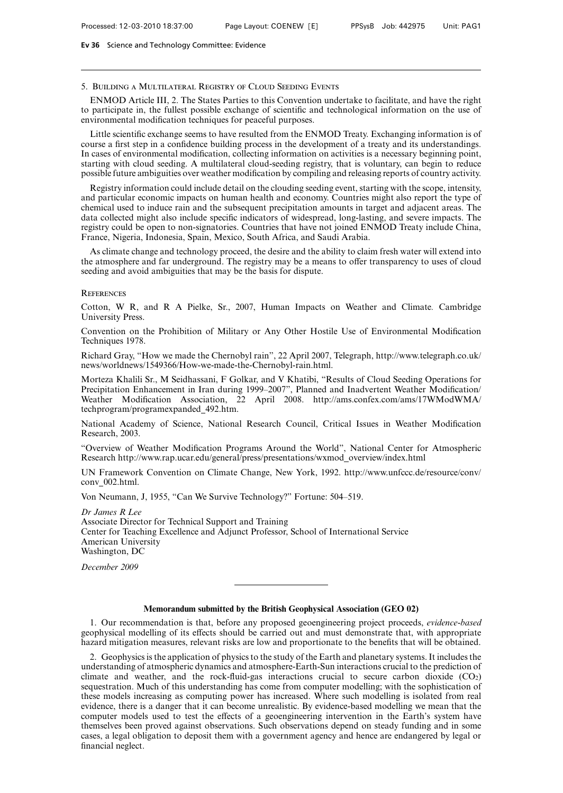## 5. Building a Multilateral Registry of Cloud Seeding Events

ENMOD Article III, 2. The States Parties to this Convention undertake to facilitate, and have the right to participate in, the fullest possible exchange of scientific and technological information on the use of environmental modification techniques for peaceful purposes.

Little scientific exchange seems to have resulted from the ENMOD Treaty. Exchanging information is of course a first step in a confidence building process in the development of a treaty and its understandings. In cases of environmental modification, collecting information on activities is a necessary beginning point, starting with cloud seeding. A multilateral cloud-seeding registry, that is voluntary, can begin to reduce possible future ambiguities over weather modification by compiling and releasing reports of country activity.

Registry information could include detail on the clouding seeding event, starting with the scope, intensity, and particular economic impacts on human health and economy. Countries might also report the type of chemical used to induce rain and the subsequent precipitation amounts in target and adjacent areas. The data collected might also include specific indicators of widespread, long-lasting, and severe impacts. The registry could be open to non-signatories. Countries that have not joined ENMOD Treaty include China, France, Nigeria, Indonesia, Spain, Mexico, South Africa, and Saudi Arabia.

As climate change and technology proceed, the desire and the ability to claim fresh water will extend into the atmosphere and far underground. The registry may be a means to offer transparency to uses of cloud seeding and avoid ambiguities that may be the basis for dispute.

#### **REFERENCES**

Cotton, W R, and R A Pielke, Sr., 2007, Human Impacts on Weather and Climate*.* Cambridge University Press.

Convention on the Prohibition of Military or Any Other Hostile Use of Environmental Modification Techniques 1978.

Richard Gray, "How we made the Chernobyl rain", 22 April 2007, Telegraph, http://www.telegraph.co.uk/ news/worldnews/1549366/How-we-made-the-Chernobyl-rain.html.

Morteza Khalili Sr., M Seidhassani, F Golkar, and V Khatibi, "Results of Cloud Seeding Operations for Precipitation Enhancement in Iran during 1999–2007", Planned and Inadvertent Weather Modification/ Weather Modification Association, 22 April 2008. http://ams.confex.com/ams/17WModWMA/ techprogram/programexpanded 492.htm.

National Academy of Science, National Research Council, Critical Issues in Weather Modification Research, 2003.

"Overview of Weather Modification Programs Around the World", National Center for Atmospheric Research http://www.rap.ucar.edu/general/press/presentations/wxmod overview/index.html

UN Framework Convention on Climate Change, New York, 1992. http://www.unfccc.de/resource/conv/ conv 002.html.

Von Neumann, J, 1955, "Can We Survive Technology?" Fortune: 504–519.

*Dr James R Lee* Associate Director for Technical Support and Training Center for Teaching Excellence and Adjunct Professor, School of International Service American University Washington, DC

*December 2009*

## **Memorandum submitted by the British Geophysical Association (GEO 02)**

1. Our recommendation is that, before any proposed geoengineering project proceeds, *evidence-based* geophysical modelling of its effects should be carried out and must demonstrate that, with appropriate hazard mitigation measures, relevant risks are low and proportionate to the benefits that will be obtained.

2. Geophysics is the application of physics to the study of the Earth and planetary systems. It includes the understanding of atmospheric dynamics and atmosphere-Earth-Sun interactions crucial to the prediction of climate and weather, and the rock-fluid-gas interactions crucial to secure carbon dioxide  $(CO_2)$ sequestration. Much of this understanding has come from computer modelling; with the sophistication of these models increasing as computing power has increased. Where such modelling is isolated from real evidence, there is a danger that it can become unrealistic. By evidence-based modelling we mean that the computer models used to test the effects of a geoengineering intervention in the Earth's system have themselves been proved against observations. Such observations depend on steady funding and in some cases, a legal obligation to deposit them with a government agency and hence are endangered by legal or financial neglect.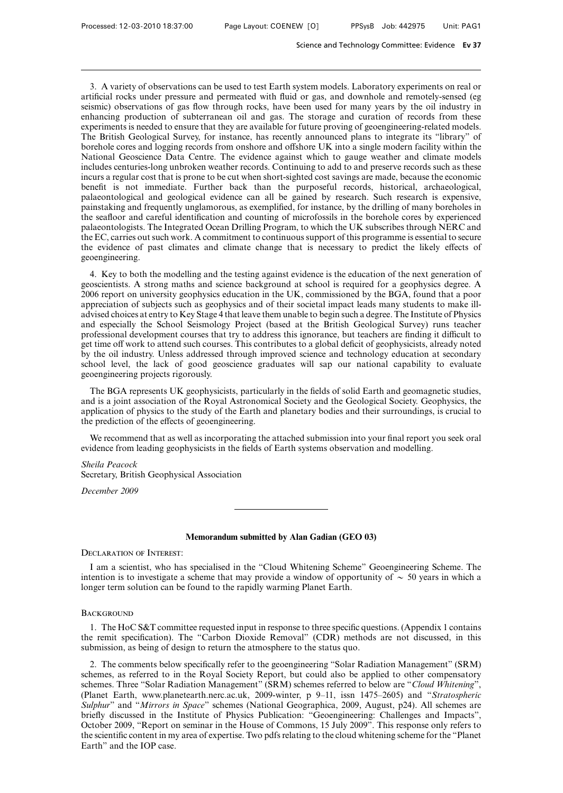3. A variety of observations can be used to test Earth system models. Laboratory experiments on real or artificial rocks under pressure and permeated with fluid or gas, and downhole and remotely-sensed (eg seismic) observations of gas flow through rocks, have been used for many years by the oil industry in enhancing production of subterranean oil and gas. The storage and curation of records from these experiments is needed to ensure that they are available for future proving of geoengineering-related models. The British Geological Survey, for instance, has recently announced plans to integrate its "library" of borehole cores and logging records from onshore and offshore UK into a single modern facility within the National Geoscience Data Centre. The evidence against which to gauge weather and climate models includes centuries-long unbroken weather records. Continuing to add to and preserve records such as these incurs a regular cost that is prone to be cut when short-sighted cost savings are made, because the economic benefit is not immediate. Further back than the purposeful records, historical, archaeological, palaeontological and geological evidence can all be gained by research. Such research is expensive, painstaking and frequently unglamorous, as exemplified, for instance, by the drilling of many boreholes in the seafloor and careful identification and counting of microfossils in the borehole cores by experienced palaeontologists. The Integrated Ocean Drilling Program, to which the UK subscribes through NERC and the EC, carries out such work. A commitment to continuous support of this programme is essential to secure the evidence of past climates and climate change that is necessary to predict the likely effects of geoengineering.

4. Key to both the modelling and the testing against evidence is the education of the next generation of geoscientists. A strong maths and science background at school is required for a geophysics degree. A 2006 report on university geophysics education in the UK, commissioned by the BGA, found that a poor appreciation of subjects such as geophysics and of their societal impact leads many students to make illadvised choices at entry to Key Stage 4 that leave them unable to begin such a degree. The Institute of Physics and especially the School Seismology Project (based at the British Geological Survey) runs teacher professional development courses that try to address this ignorance, but teachers are finding it difficult to get time off work to attend such courses. This contributes to a global deficit of geophysicists, already noted by the oil industry. Unless addressed through improved science and technology education at secondary school level, the lack of good geoscience graduates will sap our national capability to evaluate geoengineering projects rigorously.

The BGA represents UK geophysicists, particularly in the fields of solid Earth and geomagnetic studies, and is a joint association of the Royal Astronomical Society and the Geological Society. Geophysics, the application of physics to the study of the Earth and planetary bodies and their surroundings, is crucial to the prediction of the effects of geoengineering.

We recommend that as well as incorporating the attached submission into your final report you seek oral evidence from leading geophysicists in the fields of Earth systems observation and modelling.

*Sheila Peacock* Secretary, British Geophysical Association

*December 2009*

# **Memorandum submitted by Alan Gadian (GEO 03)**

Declaration of Interest:

I am a scientist, who has specialised in the "Cloud Whitening Scheme" Geoengineering Scheme. The intention is to investigate a scheme that may provide a window of opportunity of  $\sim$  50 years in which a longer term solution can be found to the rapidly warming Planet Earth.

## **BACKGROUND**

1. The HoC S&T committee requested input in response to three specific questions. (Appendix 1 contains the remit specification). The "Carbon Dioxide Removal" (CDR) methods are not discussed, in this submission, as being of design to return the atmosphere to the status quo.

2. The comments below specifically refer to the geoengineering "Solar Radiation Management" (SRM) schemes, as referred to in the Royal Society Report, but could also be applied to other compensatory schemes. Three "Solar Radiation Management" (SRM) schemes referred to below are "*Cloud Whitening*", (Planet Earth, www.planetearth.nerc.ac.uk, 2009-winter, p 9–11, issn 1475–2605) and "*Stratospheric Sulphur*" and "*Mirrors in Space*" schemes (National Geographica, 2009, August, p24). All schemes are briefly discussed in the Institute of Physics Publication: "Geoengineering: Challenges and Impacts", October 2009, "Report on seminar in the House of Commons, 15 July 2009". This response only refers to the scientific content in my area of expertise. Two pdfs relating to the cloud whitening scheme for the "Planet Earth" and the IOP case.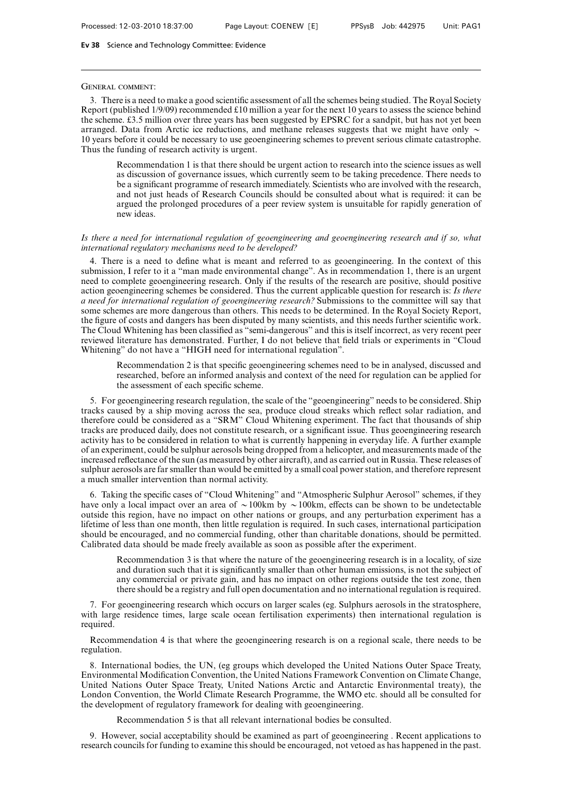## General comment:

3. There is a need to make a good scientific assessment of all the schemes being studied. The Royal Society Report (published 1/9/09) recommended £10 million a year for the next 10 years to assess the science behind the scheme. £3.5 million over three years has been suggested by EPSRC for a sandpit, but has not yet been arranged. Data from Arctic ice reductions, and methane releases suggests that we might have only  $\sim$ 10 years before it could be necessary to use geoengineering schemes to prevent serious climate catastrophe. Thus the funding of research activity is urgent.

Recommendation 1 is that there should be urgent action to research into the science issues as well as discussion of governance issues, which currently seem to be taking precedence. There needs to be a significant programme of research immediately. Scientists who are involved with the research, and not just heads of Research Councils should be consulted about what is required: it can be argued the prolonged procedures of a peer review system is unsuitable for rapidly generation of new ideas.

# *Is there a need for international regulation of geoengineering and geoengineering research and if so, what international regulatory mechanisms need to be developed?*

4. There is a need to define what is meant and referred to as geoengineering. In the context of this submission, I refer to it a "man made environmental change". As in recommendation 1, there is an urgent need to complete geoengineering research. Only if the results of the research are positive, should positive action geoengineering schemes be considered. Thus the current applicable question for research is: *Is there a need for international regulation of geoengineering research?* Submissions to the committee will say that some schemes are more dangerous than others. This needs to be determined. In the Royal Society Report, the figure of costs and dangers has been disputed by many scientists, and this needs further scientific work. The Cloud Whitening has been classified as "semi-dangerous" and this is itself incorrect, as very recent peer reviewed literature has demonstrated. Further, I do not believe that field trials or experiments in "Cloud Whitening" do not have a "HIGH need for international regulation".

Recommendation 2 is that specific geoengineering schemes need to be in analysed, discussed and researched, before an informed analysis and context of the need for regulation can be applied for the assessment of each specific scheme.

5. For geoengineering research regulation, the scale of the "geoengineering" needs to be considered. Ship tracks caused by a ship moving across the sea, produce cloud streaks which reflect solar radiation, and therefore could be considered as a "SRM" Cloud Whitening experiment. The fact that thousands of ship tracks are produced daily, does not constitute research, or a significant issue. Thus geoengineering research activity has to be considered in relation to what is currently happening in everyday life. A further example of an experiment, could be sulphur aerosols being dropped from a helicopter, and measurements made of the increased reflectance of the sun (as measured by other aircraft), and as carried out in Russia. These releases of sulphur aerosols are far smaller than would be emitted by a small coal power station, and therefore represent a much smaller intervention than normal activity.

6. Taking the specific cases of "Cloud Whitening" and "Atmospheric Sulphur Aerosol" schemes, if they have only a local impact over an area of  $\sim$  100km by  $\sim$  100km, effects can be shown to be undetectable outside this region, have no impact on other nations or groups, and any perturbation experiment has a lifetime of less than one month, then little regulation is required. In such cases, international participation should be encouraged, and no commercial funding, other than charitable donations, should be permitted. Calibrated data should be made freely available as soon as possible after the experiment.

Recommendation 3 is that where the nature of the geoengineering research is in a locality, of size and duration such that it is significantly smaller than other human emissions, is not the subject of any commercial or private gain, and has no impact on other regions outside the test zone, then there should be a registry and full open documentation and no international regulation is required.

7. For geoengineering research which occurs on larger scales (eg. Sulphurs aerosols in the stratosphere, with large residence times, large scale ocean fertilisation experiments) then international regulation is required.

Recommendation 4 is that where the geoengineering research is on a regional scale, there needs to be regulation.

8. International bodies, the UN, (eg groups which developed the United Nations Outer Space Treaty, Environmental Modification Convention, the United Nations Framework Convention on Climate Change, United Nations Outer Space Treaty, United Nations Arctic and Antarctic Environmental treaty), the London Convention, the World Climate Research Programme, the WMO etc. should all be consulted for the development of regulatory framework for dealing with geoengineering.

Recommendation 5 is that all relevant international bodies be consulted.

9. However, social acceptability should be examined as part of geoengineering . Recent applications to research councils for funding to examine this should be encouraged, not vetoed as has happened in the past.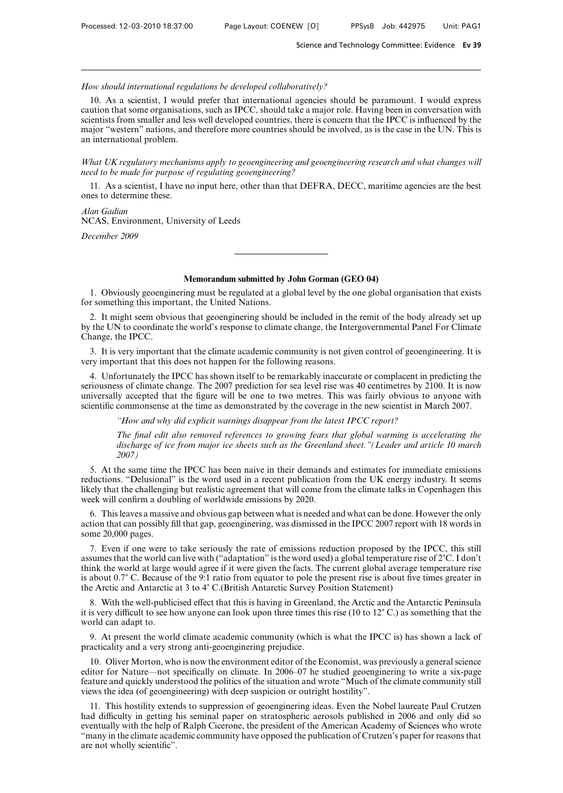*How should international regulations be developed collaboratively?*

10. As a scientist, I would prefer that international agencies should be paramount. I would express caution that some organisations, such as IPCC, should take a major role. Having been in conversation with scientists from smaller and less well developed countries, there is concern that the IPCC is influenced by the major "western" nations, and therefore more countries should be involved, as is the case in the UN. This is an international problem.

*What UK regulatory mechanisms apply to geoengineering and geoengineering research and what changes will need to be made for purpose of regulating geoengineering?*

11. As a scientist, I have no input here, other than that DEFRA, DECC, maritime agencies are the best ones to determine these.

*Alan Gadian* NCAS, Environment, University of Leeds

*December 2009*

## **Memorandum submitted by John Gorman (GEO 04)**

1. Obviously geoenginering must be regulated at a global level by the one global organisation that exists for something this important, the United Nations.

2. It might seem obvious that geoenginering should be included in the remit of the body already set up by the UN to coordinate the world's response to climate change, the Intergovernmental Panel For Climate Change, the IPCC.

3. It is very important that the climate academic community is not given control of geoengineering. It is very important that this does not happen for the following reasons.

4. Unfortunately the IPCC has shown itself to be remarkably inaccurate or complacent in predicting the seriousness of climate change. The 2007 prediction for sea level rise was 40 centimetres by 2100. It is now universally accepted that the figure will be one to two metres. This was fairly obvious to anyone with scientific commonsense at the time as demonstrated by the coverage in the new scientist in March 2007.

*"How and why did explicit warnings disappear from the latest IPCC report?*

*The final edit also removed references to growing fears that global warming is accelerating the discharge of ice from major ice sheets such as the Greenland sheet."(Leader and article 10 march 2007)*

5. At the same time the IPCC has been naive in their demands and estimates for immediate emissions reductions. "Delusional" is the word used in a recent publication from the UK energy industry. It seems likely that the challenging but realistic agreement that will come from the climate talks in Copenhagen this week will confirm a doubling of worldwide emissions by 2020.

6. This leaves a massive and obvious gap between what is needed and what can be done. However the only action that can possibly fill that gap, geoenginering, was dismissed in the IPCC 2007 report with 18 words in some 20,000 pages.

7. Even if one were to take seriously the rate of emissions reduction proposed by the IPCC, this still assumes that the world can live with ("adaptation" is the word used) a global temperature rise of  $2^{\circ}C$ . I don't think the world at large would agree if it were given the facts. The current global average temperature rise is about 0.7) C. Because of the 9:1 ratio from equator to pole the present rise is about five times greater in the Arctic and Antarctic at 3 to 4° C.(British Antarctic Survey Position Statement)

8. With the well-publicised effect that this is having in Greenland, the Arctic and the Antarctic Peninsula it is very difficult to see how anyone can look upon three times this rise (10 to  $12^{\circ}$  C.) as something that the world can adapt to.

9. At present the world climate academic community (which is what the IPCC is) has shown a lack of practicality and a very strong anti-geoenginering prejudice.

10. Oliver Morton, who is now the environment editor of the Economist, was previously a general science editor for Nature—not specifically on climate. In 2006–07 he studied geoenginering to write a six-page feature and quickly understood the politics of the situation and wrote "Much of the climate community still views the idea (of geoengineering) with deep suspicion or outright hostility".

11. This hostility extends to suppression of geoenginering ideas. Even the Nobel laureate Paul Crutzen had difficulty in getting his seminal paper on stratospheric aerosols published in 2006 and only did so eventually with the help of Ralph Cicerone, the president of the American Academy of Sciences who wrote "many in the climate academic community have opposed the publication of Crutzen's paper for reasons that are not wholly scientific".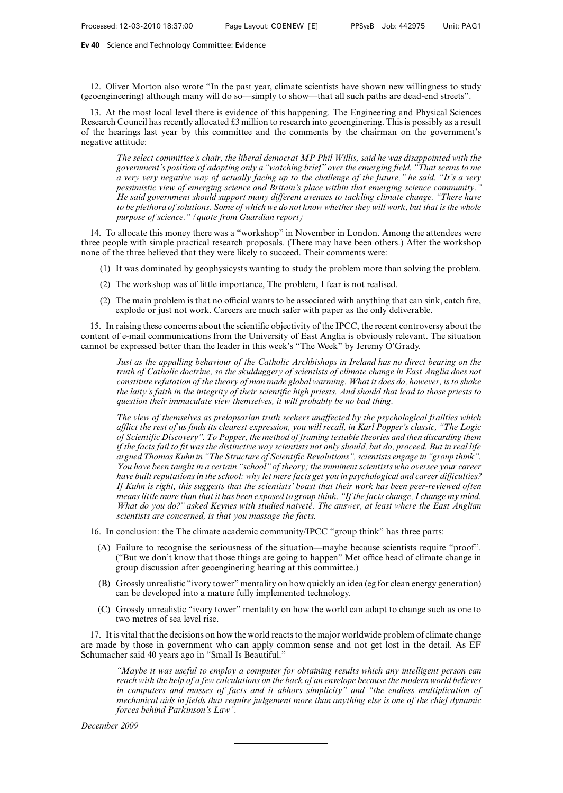12. Oliver Morton also wrote "In the past year, climate scientists have shown new willingness to study (geoengineering) although many will do so—simply to show—that all such paths are dead-end streets".

13. At the most local level there is evidence of this happening. The Engineering and Physical Sciences Research Council has recently allocated £3 million to research into geoenginering. This is possibly as a result of the hearings last year by this committee and the comments by the chairman on the government's negative attitude:

*The select committee's chair, the liberal democrat MP Phil Willis, said he was disappointed with the government's position of adopting only a "watching brief" over the emerging field. "That seems to me a very very negative way of actually facing up to the challenge of the future," he said. "It's a very pessimistic view of emerging science and Britain's place within that emerging science community." He said government should support many diVerent avenues to tackling climate change. "There have to be plethora of solutions. Some of which we do not know whether they will work, but that is the whole purpose of science." (quote from Guardian report)*

14. To allocate this money there was a "workshop" in November in London. Among the attendees were three people with simple practical research proposals. (There may have been others.) After the workshop none of the three believed that they were likely to succeed. Their comments were:

- (1) It was dominated by geophysicysts wanting to study the problem more than solving the problem.
- (2) The workshop was of little importance, The problem, I fear is not realised.
- $(2)$  The main problem is that no official wants to be associated with anything that can sink, catch fire, explode or just not work. Careers are much safer with paper as the only deliverable.

15. In raising these concerns about the scientific objectivity of the IPCC, the recent controversy about the content of e-mail communications from the University of East Anglia is obviously relevant. The situation cannot be expressed better than the leader in this week's "The Week" by Jeremy O'Grady.

*Just as the appalling behaviour of the Catholic Archbishops in Ireland has no direct bearing on the truth of Catholic doctrine, so the skulduggery of scientists of climate change in East Anglia does not constitute refutation of the theory of man made global warming. What it does do, however, is to shake the laity's faith in the integrity of their scientific high priests. And should that lead to those priests to question their immaculate view themselves, it will probably be no bad thing.*

*The view of themselves as prelapsarian truth seekers unaffected by the psychological frailties which aZict the rest of us finds its clearest expression, you will recall, in Karl Popper's classic, "The Logic of Scientific Discovery". To Popper, the method of framing testable theories and then discarding them if the facts fail to fit was the distinctive way scientists not only should, but do, proceed. But in real life argued Thomas Kuhn in "The Structure of Scientific Revolutions", scientists engage in "group think". You have been taught in a certain "school" of theory; the imminent scientists who oversee your career have built reputations in the school: why let mere facts get you in psychological and career diYculties? If Kuhn is right, this suggests that the scientists' boast that their work has been peer-reviewed often means little more than that it has been exposed to group think. "If the facts change, I change my mind. What do you do?" asked Keynes with studied naivete´. The answer, at least where the East Anglian scientists are concerned, is that you massage the facts.*

- 16. In conclusion: the The climate academic community/IPCC "group think" has three parts:
	- (A) Failure to recognise the seriousness of the situation—maybe because scientists require "proof". ("But we don't know that those things are going to happen" Met office head of climate change in group discussion after geoenginering hearing at this committee.)
	- (B) Grossly unrealistic "ivory tower" mentality on how quickly an idea (eg for clean energy generation) can be developed into a mature fully implemented technology.
	- (C) Grossly unrealistic "ivory tower" mentality on how the world can adapt to change such as one to two metres of sea level rise.

17. It is vital that the decisions on how the world reacts to the major worldwide problem of climate change are made by those in government who can apply common sense and not get lost in the detail. As EF Schumacher said 40 years ago in "Small Is Beautiful."

*"Maybe it was useful to employ a computer for obtaining results which any intelligent person can reach with the help of a few calculations on the back of an envelope because the modern world believes in computers and masses of facts and it abhors simplicity" and "the endless multiplication of mechanical aids in fields that require judgement more than anything else is one of the chief dynamic forces behind Parkinson's Law".*

*December 2009*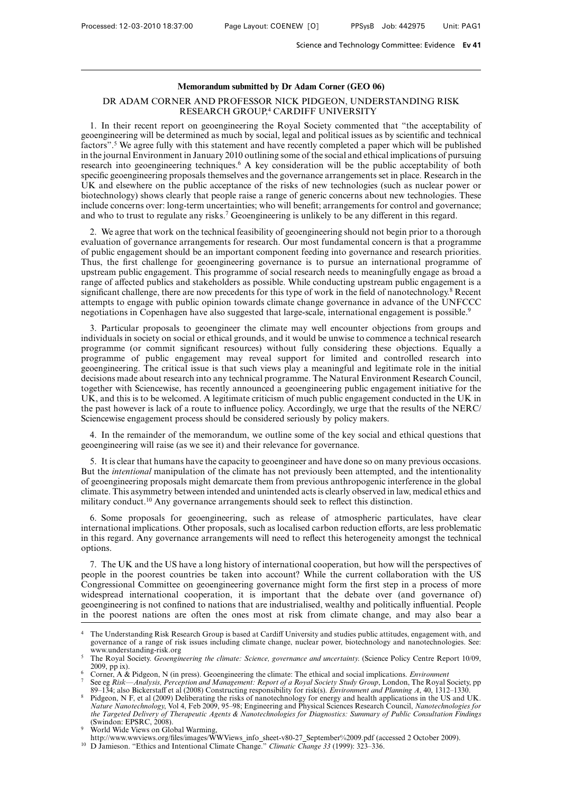# **Memorandum submitted by Dr Adam Corner (GEO 06)**

# DR ADAM CORNER AND PROFESSOR NICK PIDGEON, UNDERSTANDING RISK RESEARCH GROUP,4 CARDIFF UNIVERSITY

1. In their recent report on geoengineering the Royal Society commented that "the acceptability of geoengineering will be determined as much by social, legal and political issues as by scientific and technical factors".5 We agree fully with this statement and have recently completed a paper which will be published in the journal Environment in January 2010 outlining some of the social and ethical implications of pursuing research into geoengineering techniques.6 A key consideration will be the public acceptability of both specific geoengineering proposals themselves and the governance arrangements set in place. Research in the UK and elsewhere on the public acceptance of the risks of new technologies (such as nuclear power or biotechnology) shows clearly that people raise a range of generic concerns about new technologies. These include concerns over: long-term uncertainties; who will benefit; arrangements for control and governance; and who to trust to regulate any risks.<sup>7</sup> Geoengineering is unlikely to be any different in this regard.

2. We agree that work on the technical feasibility of geoengineering should not begin prior to a thorough evaluation of governance arrangements for research. Our most fundamental concern is that a programme of public engagement should be an important component feeding into governance and research priorities. Thus, the first challenge for geoengineering governance is to pursue an international programme of upstream public engagement. This programme of social research needs to meaningfully engage as broad a range of affected publics and stakeholders as possible. While conducting upstream public engagement is a significant challenge, there are now precedents for this type of work in the field of nanotechnology.<sup>8</sup> Recent attempts to engage with public opinion towards climate change governance in advance of the UNFCCC negotiations in Copenhagen have also suggested that large-scale, international engagement is possible.<sup>9</sup>

3. Particular proposals to geoengineer the climate may well encounter objections from groups and individuals in society on social or ethical grounds, and it would be unwise to commence a technical research programme (or commit significant resources) without fully considering these objections. Equally a programme of public engagement may reveal support for limited and controlled research into geoengineering. The critical issue is that such views play a meaningful and legitimate role in the initial decisions made about research into any technical programme. The Natural Environment Research Council, together with Sciencewise, has recently announced a geoengineering public engagement initiative for the UK, and this is to be welcomed. A legitimate criticism of much public engagement conducted in the UK in the past however is lack of a route to influence policy. Accordingly, we urge that the results of the NERC/ Sciencewise engagement process should be considered seriously by policy makers.

4. In the remainder of the memorandum, we outline some of the key social and ethical questions that geoengineering will raise (as we see it) and their relevance for governance.

5. It is clear that humans have the capacity to geoengineer and have done so on many previous occasions. But the *intentional* manipulation of the climate has not previously been attempted, and the intentionality of geoengineering proposals might demarcate them from previous anthropogenic interference in the global climate. This asymmetry between intended and unintended acts is clearly observed in law, medical ethics and military conduct.<sup>10</sup> Any governance arrangements should seek to reflect this distinction.

6. Some proposals for geoengineering, such as release of atmospheric particulates, have clear international implications. Other proposals, such as localised carbon reduction efforts, are less problematic in this regard. Any governance arrangements will need to reflect this heterogeneity amongst the technical options.

7. The UK and the US have a long history of international cooperation, but how will the perspectives of people in the poorest countries be taken into account? While the current collaboration with the US Congressional Committee on geoengineering governance might form the first step in a process of more widespread international cooperation, it is important that the debate over (and governance of) geoengineering is not confined to nations that are industrialised, wealthy and politically influential. People in the poorest nations are often the ones most at risk from climate change, and may also bear a

<sup>&</sup>lt;sup>4</sup> The Understanding Risk Research Group is based at Cardiff University and studies public attitudes, engagement with, and governance of a range of risk issues including climate change, nuclear power, biotechnology and nanotechnologies. See: www.understanding-risk.org

<sup>5</sup> The Royal Society. *Geoengineering the climate: Science, governance and uncertainty*. (Science Policy Centre Report 10/09, 2009, pp ix).

<sup>6</sup> Corner, A & Pidgeon, N (in press). Geoengineering the climate: The ethical and social implications. *Environment*

<sup>7</sup> See eg *Risk—Analysis, Perception and Management: Report of a Royal Society Study Group*, London, The Royal Society, pp 89–134; also Bickerstaff et al (2008) Constructing responsibility for risk(s). *Énvironment and Planning A*, 40, 1312–1330.

<sup>8</sup> Pidgeon, N F, et al (2009) Deliberating the risks of nanotechnology for energy and health applications in the US and UK. *Nature Nanotechnology*, Vol 4, Feb 2009, 95–98; Engineering and Physical Sciences Research Council, *Nanotechnologies for the Targeted Delivery of Therapeutic Agents & Nanotechnologies for Diagnostics: Summary of Public Consultation Findings* (Swindon: EPSRC, 2008).

<sup>&</sup>lt;sup>9</sup> World Wide Views on Global Warming,

http://www.wwviews.org/files/images/WWViews\_info\_sheet-v80-27\_September%2009.pdf (accessed 2 October 2009).

<sup>10</sup> D Jamieson. "Ethics and Intentional Climate Change." *Climatic Change 33* (1999): 323–336.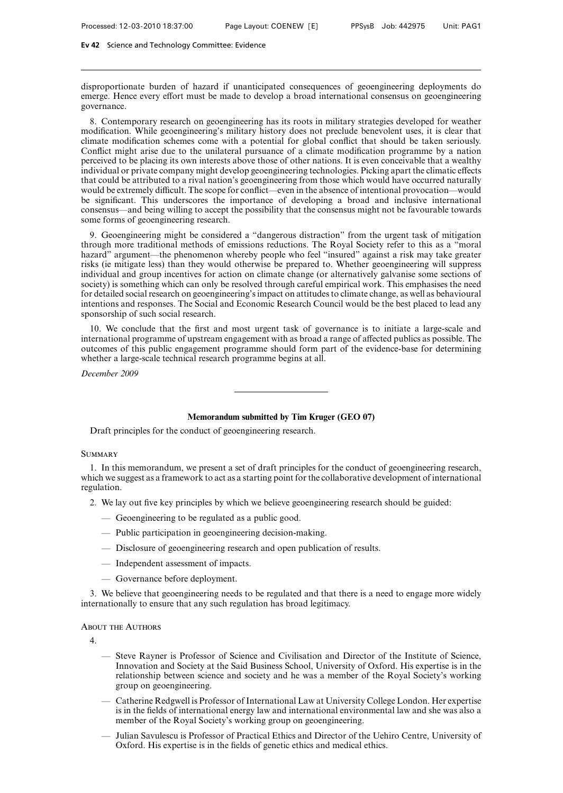disproportionate burden of hazard if unanticipated consequences of geoengineering deployments do emerge. Hence every effort must be made to develop a broad international consensus on geoengineering governance.

8. Contemporary research on geoengineering has its roots in military strategies developed for weather modification. While geoengineering's military history does not preclude benevolent uses, it is clear that climate modification schemes come with a potential for global conflict that should be taken seriously. Conflict might arise due to the unilateral pursuance of a climate modification programme by a nation perceived to be placing its own interests above those of other nations. It is even conceivable that a wealthy individual or private company might develop geoengineering technologies. Picking apart the climatic effects that could be attributed to a rival nation's geoengineering from those which would have occurred naturally would be extremely difficult. The scope for conflict—even in the absence of intentional provocation—would be significant. This underscores the importance of developing a broad and inclusive international consensus—and being willing to accept the possibility that the consensus might not be favourable towards some forms of geoengineering research.

9. Geoengineering might be considered a "dangerous distraction" from the urgent task of mitigation through more traditional methods of emissions reductions. The Royal Society refer to this as a "moral hazard" argument—the phenomenon whereby people who feel "insured" against a risk may take greater risks (ie mitigate less) than they would otherwise be prepared to. Whether geoengineering will suppress individual and group incentives for action on climate change (or alternatively galvanise some sections of society) is something which can only be resolved through careful empirical work. This emphasises the need for detailed social research on geoengineering's impact on attitudes to climate change, as well as behavioural intentions and responses. The Social and Economic Research Council would be the best placed to lead any sponsorship of such social research.

10. We conclude that the first and most urgent task of governance is to initiate a large-scale and international programme of upstream engagement with as broad a range of affected publics as possible. The outcomes of this public engagement programme should form part of the evidence-base for determining whether a large-scale technical research programme begins at all.

*December 2009*

# **Memorandum submitted by Tim Kruger (GEO 07)**

Draft principles for the conduct of geoengineering research.

## **SUMMARY**

1. In this memorandum, we present a set of draft principles for the conduct of geoengineering research, which we suggest as a framework to act as a starting point for the collaborative development of international regulation.

- 2. We lay out five key principles by which we believe geoengineering research should be guided:
	- Geoengineering to be regulated as a public good.
	- Public participation in geoengineering decision-making.
	- Disclosure of geoengineering research and open publication of results.
	- Independent assessment of impacts.
	- Governance before deployment.

3. We believe that geoengineering needs to be regulated and that there is a need to engage more widely internationally to ensure that any such regulation has broad legitimacy.

#### About the Authors

4.

- Steve Rayner is Professor of Science and Civilisation and Director of the Institute of Science, Innovation and Society at the Said Business School, University of Oxford. His expertise is in the relationship between science and society and he was a member of the Royal Society's working group on geoengineering.
- Catherine Redgwell is Professor of International Law at University College London. Her expertise is in the fields of international energy law and international environmental law and she was also a member of the Royal Society's working group on geoengineering.
- Julian Savulescu is Professor of Practical Ethics and Director of the Uehiro Centre, University of Oxford. His expertise is in the fields of genetic ethics and medical ethics.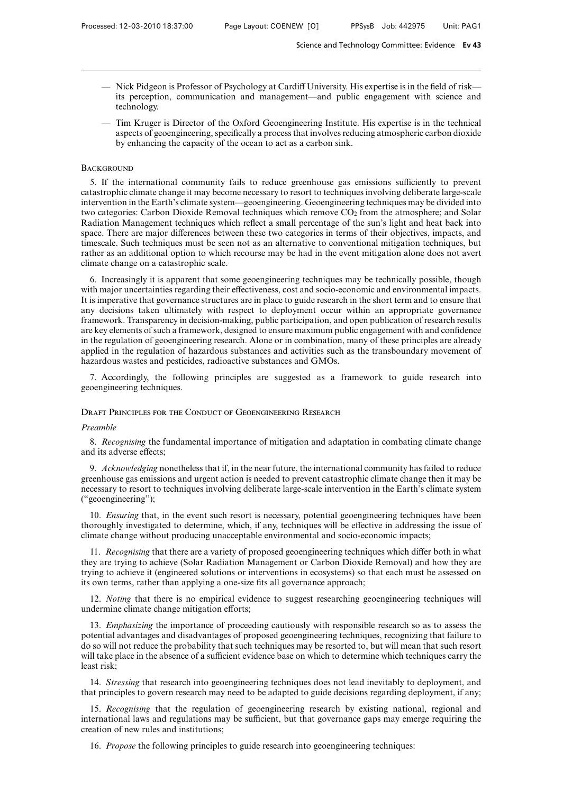- Nick Pidgeon is Professor of Psychology at Cardiff University. His expertise is in the field of risk its perception, communication and management—and public engagement with science and technology.
- Tim Kruger is Director of the Oxford Geoengineering Institute. His expertise is in the technical aspects of geoengineering, specifically a process that involves reducing atmospheric carbon dioxide by enhancing the capacity of the ocean to act as a carbon sink.

## **BACKGROUND**

5. If the international community fails to reduce greenhouse gas emissions sufficiently to prevent catastrophic climate change it may become necessary to resort to techniques involving deliberate large-scale intervention in the Earth's climate system—geoengineering. Geoengineering techniques may be divided into two categories: Carbon Dioxide Removal techniques which remove  $CO<sub>2</sub>$  from the atmosphere; and Solar Radiation Management techniques which reflect a small percentage of the sun's light and heat back into space. There are major differences between these two categories in terms of their objectives, impacts, and timescale. Such techniques must be seen not as an alternative to conventional mitigation techniques, but rather as an additional option to which recourse may be had in the event mitigation alone does not avert climate change on a catastrophic scale.

6. Increasingly it is apparent that some geoengineering techniques may be technically possible, though with major uncertainties regarding their effectiveness, cost and socio-economic and environmental impacts. It is imperative that governance structures are in place to guide research in the short term and to ensure that any decisions taken ultimately with respect to deployment occur within an appropriate governance framework. Transparency in decision-making, public participation, and open publication of research results are key elements of such a framework, designed to ensure maximum public engagement with and confidence in the regulation of geoengineering research. Alone or in combination, many of these principles are already applied in the regulation of hazardous substances and activities such as the transboundary movement of hazardous wastes and pesticides, radioactive substances and GMOs.

7. Accordingly, the following principles are suggested as a framework to guide research into geoengineering techniques.

## Draft Principles for the Conduct of Geoengineering Research

### *Preamble*

8. *Recognising* the fundamental importance of mitigation and adaptation in combating climate change and its adverse effects;

9. *Acknowledging* nonetheless that if, in the near future, the international community has failed to reduce greenhouse gas emissions and urgent action is needed to prevent catastrophic climate change then it may be necessary to resort to techniques involving deliberate large-scale intervention in the Earth's climate system ("geoengineering");

10. *Ensuring* that, in the event such resort is necessary, potential geoengineering techniques have been thoroughly investigated to determine, which, if any, techniques will be effective in addressing the issue of climate change without producing unacceptable environmental and socio-economic impacts;

11. *Recognising* that there are a variety of proposed geoengineering techniques which differ both in what they are trying to achieve (Solar Radiation Management or Carbon Dioxide Removal) and how they are trying to achieve it (engineered solutions or interventions in ecosystems) so that each must be assessed on its own terms, rather than applying a one-size fits all governance approach;

12. *Noting* that there is no empirical evidence to suggest researching geoengineering techniques will undermine climate change mitigation efforts;

13. *Emphasizing* the importance of proceeding cautiously with responsible research so as to assess the potential advantages and disadvantages of proposed geoengineering techniques, recognizing that failure to do so will not reduce the probability that such techniques may be resorted to, but will mean that such resort will take place in the absence of a sufficient evidence base on which to determine which techniques carry the least risk;

14. *Stressing* that research into geoengineering techniques does not lead inevitably to deployment, and that principles to govern research may need to be adapted to guide decisions regarding deployment, if any;

15. *Recognising* that the regulation of geoengineering research by existing national, regional and international laws and regulations may be sufficient, but that governance gaps may emerge requiring the creation of new rules and institutions;

16. *Propose* the following principles to guide research into geoengineering techniques: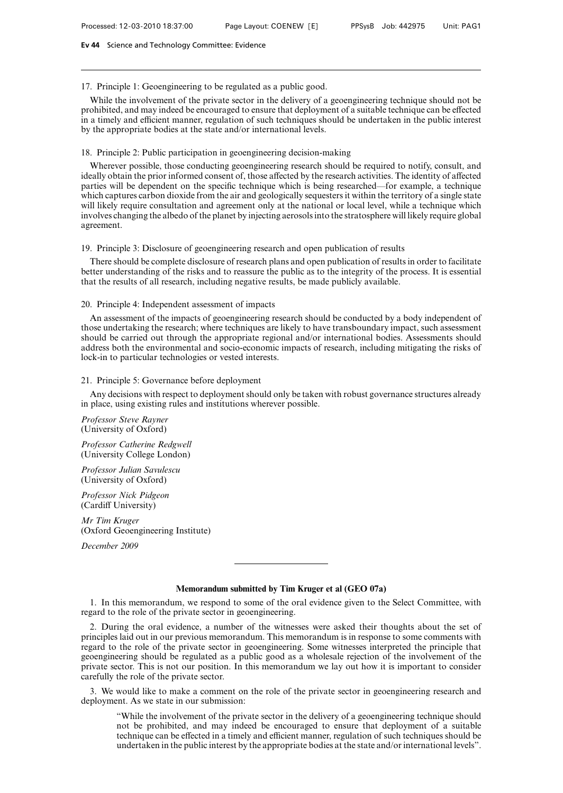## 17. Principle 1: Geoengineering to be regulated as a public good.

While the involvement of the private sector in the delivery of a geoengineering technique should not be prohibited, and may indeed be encouraged to ensure that deployment of a suitable technique can be effected in a timely and efficient manner, regulation of such techniques should be undertaken in the public interest by the appropriate bodies at the state and/or international levels.

## 18. Principle 2: Public participation in geoengineering decision-making

Wherever possible, those conducting geoengineering research should be required to notify, consult, and ideally obtain the prior informed consent of, those affected by the research activities. The identity of affected parties will be dependent on the specific technique which is being researched—for example, a technique which captures carbon dioxide from the air and geologically sequesters it within the territory of a single state will likely require consultation and agreement only at the national or local level, while a technique which involves changing the albedo of the planet by injecting aerosols into the stratosphere will likely require global agreement.

## 19. Principle 3: Disclosure of geoengineering research and open publication of results

There should be complete disclosure of research plans and open publication of results in order to facilitate better understanding of the risks and to reassure the public as to the integrity of the process. It is essential that the results of all research, including negative results, be made publicly available.

# 20. Principle 4: Independent assessment of impacts

An assessment of the impacts of geoengineering research should be conducted by a body independent of those undertaking the research; where techniques are likely to have transboundary impact, such assessment should be carried out through the appropriate regional and/or international bodies. Assessments should address both the environmental and socio-economic impacts of research, including mitigating the risks of lock-in to particular technologies or vested interests.

## 21. Principle 5: Governance before deployment

Any decisions with respect to deployment should only be taken with robust governance structures already in place, using existing rules and institutions wherever possible.

*Professor Steve Rayner* (University of Oxford)

*Professor Catherine Redgwell* (University College London)

*Professor Julian Savulescu* (University of Oxford)

*Professor Nick Pidgeon* (Cardiff University)

*Mr Tim Kruger* (Oxford Geoengineering Institute)

*December 2009*

## **Memorandum submitted by Tim Kruger et al (GEO 07a)**

1. In this memorandum, we respond to some of the oral evidence given to the Select Committee, with regard to the role of the private sector in geoengineering.

2. During the oral evidence, a number of the witnesses were asked their thoughts about the set of principles laid out in our previous memorandum. This memorandum is in response to some comments with regard to the role of the private sector in geoengineering. Some witnesses interpreted the principle that geoengineering should be regulated as a public good as a wholesale rejection of the involvement of the private sector. This is not our position. In this memorandum we lay out how it is important to consider carefully the role of the private sector.

3. We would like to make a comment on the role of the private sector in geoengineering research and deployment. As we state in our submission:

"While the involvement of the private sector in the delivery of a geoengineering technique should not be prohibited, and may indeed be encouraged to ensure that deployment of a suitable technique can be effected in a timely and efficient manner, regulation of such techniques should be undertaken in the public interest by the appropriate bodies at the state and/or international levels".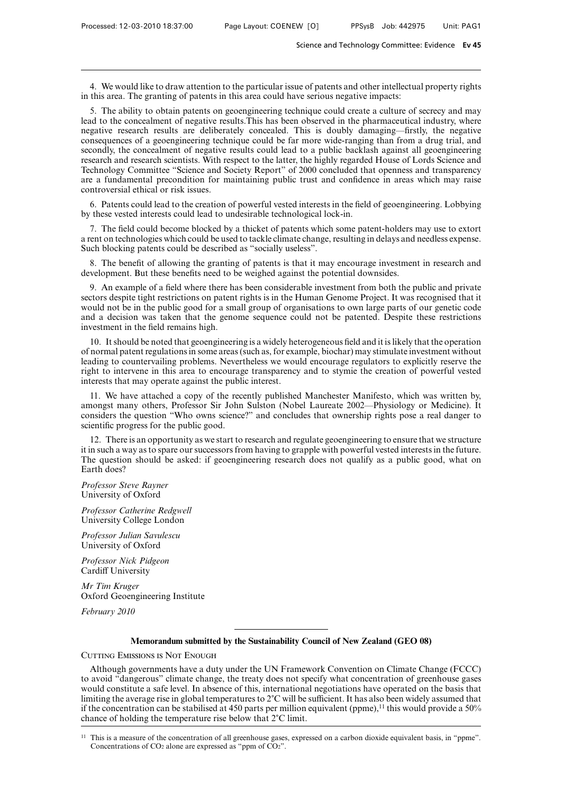4. We would like to draw attention to the particular issue of patents and other intellectual property rights in this area. The granting of patents in this area could have serious negative impacts:

5. The ability to obtain patents on geoengineering technique could create a culture of secrecy and may lead to the concealment of negative results.This has been observed in the pharmaceutical industry, where negative research results are deliberately concealed. This is doubly damaging—firstly, the negative consequences of a geoengineering technique could be far more wide-ranging than from a drug trial, and secondly, the concealment of negative results could lead to a public backlash against all geoengineering research and research scientists. With respect to the latter, the highly regarded House of Lords Science and Technology Committee "Science and Society Report" of 2000 concluded that openness and transparency are a fundamental precondition for maintaining public trust and confidence in areas which may raise controversial ethical or risk issues.

6. Patents could lead to the creation of powerful vested interests in the field of geoengineering. Lobbying by these vested interests could lead to undesirable technological lock-in.

7. The field could become blocked by a thicket of patents which some patent-holders may use to extort a rent on technologies which could be used to tackle climate change, resulting in delays and needless expense. Such blocking patents could be described as "socially useless".

8. The benefit of allowing the granting of patents is that it may encourage investment in research and development. But these benefits need to be weighed against the potential downsides.

9. An example of a field where there has been considerable investment from both the public and private sectors despite tight restrictions on patent rights is in the Human Genome Project. It was recognised that it would not be in the public good for a small group of organisations to own large parts of our genetic code and a decision was taken that the genome sequence could not be patented. Despite these restrictions investment in the field remains high.

10. It should be noted that geoengineering is a widely heterogeneous field and it is likely that the operation of normal patent regulations in some areas (such as, for example, biochar) may stimulate investment without leading to countervailing problems. Nevertheless we would encourage regulators to explicitly reserve the right to intervene in this area to encourage transparency and to stymie the creation of powerful vested interests that may operate against the public interest.

11. We have attached a copy of the recently published Manchester Manifesto, which was written by, amongst many others, Professor Sir John Sulston (Nobel Laureate 2002—Physiology or Medicine). It considers the question "Who owns science?" and concludes that ownership rights pose a real danger to scientific progress for the public good.

12. There is an opportunity as we start to research and regulate geoengineering to ensure that we structure it in such a way as to spare our successors from having to grapple with powerful vested interests in the future. The question should be asked: if geoengineering research does not qualify as a public good, what on Earth does?

*Professor Steve Rayner* University of Oxford

*Professor Catherine Redgwell* University College London

*Professor Julian Savulescu* University of Oxford

*Professor Nick Pidgeon* Cardiff University

*Mr Tim Kruger* Oxford Geoengineering Institute

*February 2010*

## **Memorandum submitted by the Sustainability Council of New Zealand (GEO 08)**

CUTTING EMISSIONS IS NOT ENOUGH

Although governments have a duty under the UN Framework Convention on Climate Change (FCCC) to avoid "dangerous" climate change, the treaty does not specify what concentration of greenhouse gases would constitute a safe level. In absence of this, international negotiations have operated on the basis that limiting the average rise in global temperatures to  $2^{\circ}C$  will be sufficient. It has also been widely assumed that if the concentration can be stabilised at 450 parts per million equivalent (ppme),<sup>11</sup> this would provide a 50% chance of holding the temperature rise below that  $2^{\circ}$ C limit.

<sup>&</sup>lt;sup>11</sup> This is a measure of the concentration of all greenhouse gases, expressed on a carbon dioxide equivalent basis, in "ppme". Concentrations of  $CO<sub>2</sub>$  alone are expressed as "ppm of  $CO<sub>2</sub>$ ".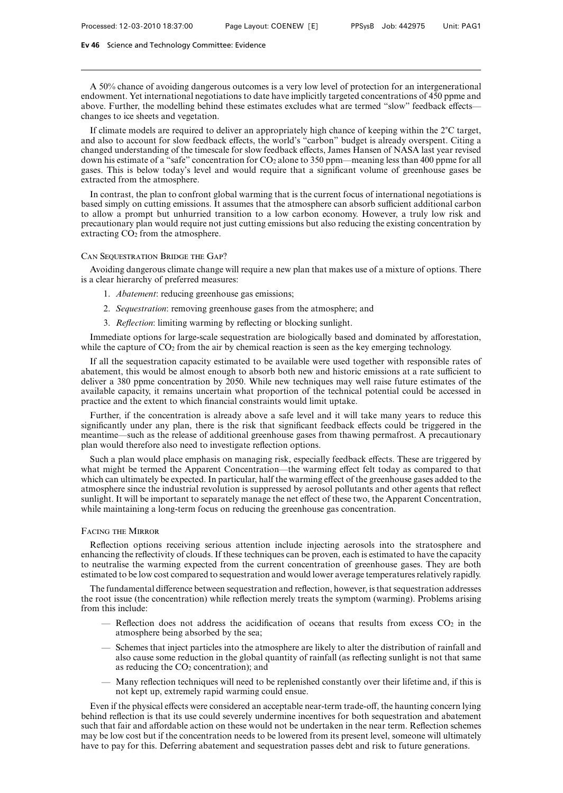A 50% chance of avoiding dangerous outcomes is a very low level of protection for an intergenerational endowment. Yet international negotiations to date have implicitly targeted concentrations of 450 ppme and above. Further, the modelling behind these estimates excludes what are termed "slow" feedback effects changes to ice sheets and vegetation.

If climate models are required to deliver an appropriately high chance of keeping within the  $2^{\circ}C$  target, and also to account for slow feedback effects, the world's "carbon" budget is already overspent. Citing a changed understanding of the timescale for slow feedback effects, James Hansen of NASA last year revised down his estimate of a "safe" concentration for CO<sub>2</sub> alone to 350 ppm—meaning less than 400 ppme for all gases. This is below today's level and would require that a significant volume of greenhouse gases be extracted from the atmosphere.

In contrast, the plan to confront global warming that is the current focus of international negotiations is based simply on cutting emissions. It assumes that the atmosphere can absorb sufficient additional carbon to allow a prompt but unhurried transition to a low carbon economy. However, a truly low risk and precautionary plan would require not just cutting emissions but also reducing the existing concentration by extracting  $CO<sub>2</sub>$  from the atmosphere.

#### Can Sequestration Bridge the Gap?

Avoiding dangerous climate change will require a new plan that makes use of a mixture of options. There is a clear hierarchy of preferred measures:

- 1. *Abatement*: reducing greenhouse gas emissions;
- 2. *Sequestration*: removing greenhouse gases from the atmosphere; and
- 3. *Reflection*: limiting warming by reflecting or blocking sunlight.

Immediate options for large-scale sequestration are biologically based and dominated by afforestation, while the capture of  $CO<sub>2</sub>$  from the air by chemical reaction is seen as the key emerging technology.

If all the sequestration capacity estimated to be available were used together with responsible rates of abatement, this would be almost enough to absorb both new and historic emissions at a rate sufficient to deliver a 380 ppme concentration by 2050. While new techniques may well raise future estimates of the available capacity, it remains uncertain what proportion of the technical potential could be accessed in practice and the extent to which financial constraints would limit uptake.

Further, if the concentration is already above a safe level and it will take many years to reduce this significantly under any plan, there is the risk that significant feedback effects could be triggered in the meantime—such as the release of additional greenhouse gases from thawing permafrost. A precautionary plan would therefore also need to investigate reflection options.

Such a plan would place emphasis on managing risk, especially feedback effects. These are triggered by what might be termed the Apparent Concentration—the warming effect felt today as compared to that which can ultimately be expected. In particular, half the warming effect of the greenhouse gases added to the atmosphere since the industrial revolution is suppressed by aerosol pollutants and other agents that reflect sunlight. It will be important to separately manage the net effect of these two, the Apparent Concentration, while maintaining a long-term focus on reducing the greenhouse gas concentration.

#### Facing the Mirror

Reflection options receiving serious attention include injecting aerosols into the stratosphere and enhancing the reflectivity of clouds. If these techniques can be proven, each is estimated to have the capacity to neutralise the warming expected from the current concentration of greenhouse gases. They are both estimated to be low cost compared to sequestration and would lower average temperatures relatively rapidly.

The fundamental difference between sequestration and reflection, however, is that sequestration addresses the root issue (the concentration) while reflection merely treats the symptom (warming). Problems arising from this include:

- Reflection does not address the acidification of oceans that results from excess  $CO<sub>2</sub>$  in the atmosphere being absorbed by the sea;
- Schemes that inject particles into the atmosphere are likely to alter the distribution of rainfall and also cause some reduction in the global quantity of rainfall (as reflecting sunlight is not that same as reducing the  $CO<sub>2</sub>$  concentration); and
- Many reflection techniques will need to be replenished constantly over their lifetime and, if this is not kept up, extremely rapid warming could ensue.

Even if the physical effects were considered an acceptable near-term trade-off, the haunting concern lying behind reflection is that its use could severely undermine incentives for both sequestration and abatement such that fair and affordable action on these would not be undertaken in the near term. Reflection schemes may be low cost but if the concentration needs to be lowered from its present level, someone will ultimately have to pay for this. Deferring abatement and sequestration passes debt and risk to future generations.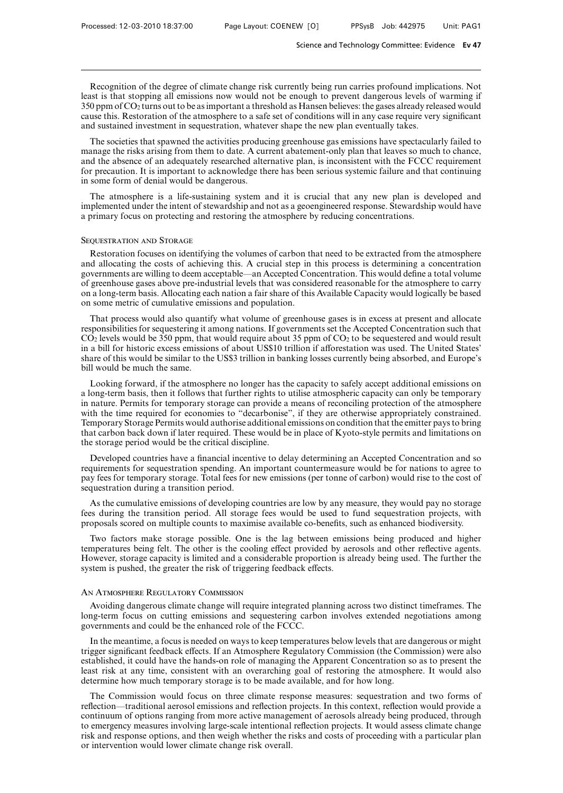Recognition of the degree of climate change risk currently being run carries profound implications. Not least is that stopping all emissions now would not be enough to prevent dangerous levels of warming if 350 ppm of CO2 turns out to be as important a threshold as Hansen believes: the gases already released would cause this. Restoration of the atmosphere to a safe set of conditions will in any case require very significant and sustained investment in sequestration, whatever shape the new plan eventually takes.

The societies that spawned the activities producing greenhouse gas emissions have spectacularly failed to manage the risks arising from them to date. A current abatement-only plan that leaves so much to chance, and the absence of an adequately researched alternative plan, is inconsistent with the FCCC requirement for precaution. It is important to acknowledge there has been serious systemic failure and that continuing in some form of denial would be dangerous.

The atmosphere is a life-sustaining system and it is crucial that any new plan is developed and implemented under the intent of stewardship and not as a geoengineered response. Stewardship would have a primary focus on protecting and restoring the atmosphere by reducing concentrations.

#### Sequestration and Storage

Restoration focuses on identifying the volumes of carbon that need to be extracted from the atmosphere and allocating the costs of achieving this. A crucial step in this process is determining a concentration governments are willing to deem acceptable—an Accepted Concentration. This would define a total volume of greenhouse gases above pre-industrial levels that was considered reasonable for the atmosphere to carry on a long-term basis. Allocating each nation a fair share of this Available Capacity would logically be based on some metric of cumulative emissions and population.

That process would also quantify what volume of greenhouse gases is in excess at present and allocate responsibilities for sequestering it among nations. If governments set the Accepted Concentration such that  $CO<sub>2</sub>$  levels would be 350 ppm, that would require about 35 ppm of  $CO<sub>2</sub>$  to be sequestered and would result in a bill for historic excess emissions of about US\$10 trillion if afforestation was used. The United States' share of this would be similar to the US\$3 trillion in banking losses currently being absorbed, and Europe's bill would be much the same.

Looking forward, if the atmosphere no longer has the capacity to safely accept additional emissions on a long-term basis, then it follows that further rights to utilise atmospheric capacity can only be temporary in nature. Permits for temporary storage can provide a means of reconciling protection of the atmosphere with the time required for economies to "decarbonise", if they are otherwise appropriately constrained. Temporary Storage Permits would authorise additional emissions on condition that the emitter pays to bring that carbon back down if later required. These would be in place of Kyoto-style permits and limitations on the storage period would be the critical discipline.

Developed countries have a financial incentive to delay determining an Accepted Concentration and so requirements for sequestration spending. An important countermeasure would be for nations to agree to pay fees for temporary storage. Total fees for new emissions (per tonne of carbon) would rise to the cost of sequestration during a transition period.

As the cumulative emissions of developing countries are low by any measure, they would pay no storage fees during the transition period. All storage fees would be used to fund sequestration projects, with proposals scored on multiple counts to maximise available co-benefits, such as enhanced biodiversity.

Two factors make storage possible. One is the lag between emissions being produced and higher temperatures being felt. The other is the cooling effect provided by aerosols and other reflective agents. However, storage capacity is limited and a considerable proportion is already being used. The further the system is pushed, the greater the risk of triggering feedback effects.

## An Atmosphere Regulatory Commission

Avoiding dangerous climate change will require integrated planning across two distinct timeframes. The long-term focus on cutting emissions and sequestering carbon involves extended negotiations among governments and could be the enhanced role of the FCCC.

In the meantime, a focus is needed on ways to keep temperatures below levels that are dangerous or might trigger significant feedback effects. If an Atmosphere Regulatory Commission (the Commission) were also established, it could have the hands-on role of managing the Apparent Concentration so as to present the least risk at any time, consistent with an overarching goal of restoring the atmosphere. It would also determine how much temporary storage is to be made available, and for how long.

The Commission would focus on three climate response measures: sequestration and two forms of reflection—traditional aerosol emissions and reflection projects. In this context, reflection would provide a continuum of options ranging from more active management of aerosols already being produced, through to emergency measures involving large-scale intentional reflection projects. It would assess climate change risk and response options, and then weigh whether the risks and costs of proceeding with a particular plan or intervention would lower climate change risk overall.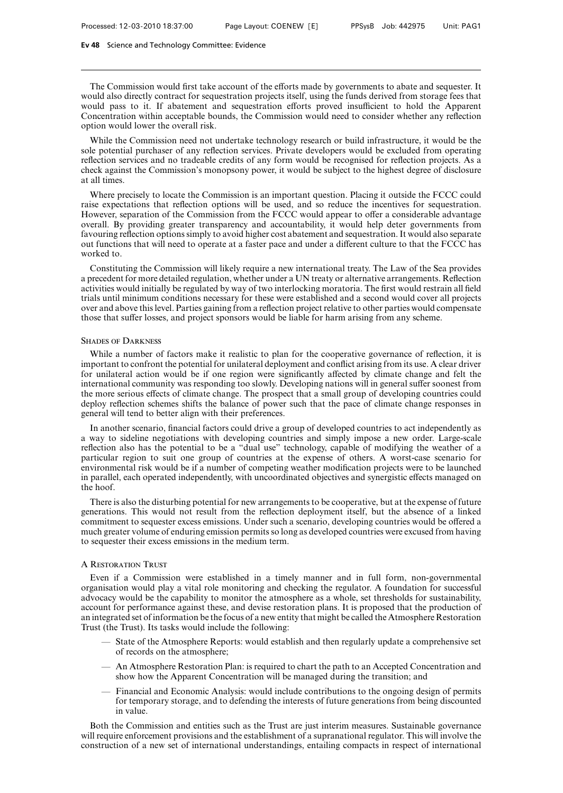The Commission would first take account of the efforts made by governments to abate and sequester. It would also directly contract for sequestration projects itself, using the funds derived from storage fees that would pass to it. If abatement and sequestration efforts proved insufficient to hold the Apparent Concentration within acceptable bounds, the Commission would need to consider whether any reflection option would lower the overall risk.

While the Commission need not undertake technology research or build infrastructure, it would be the sole potential purchaser of any reflection services. Private developers would be excluded from operating reflection services and no tradeable credits of any form would be recognised for reflection projects. As a check against the Commission's monopsony power, it would be subject to the highest degree of disclosure at all times.

Where precisely to locate the Commission is an important question. Placing it outside the FCCC could raise expectations that reflection options will be used, and so reduce the incentives for sequestration. However, separation of the Commission from the FCCC would appear to offer a considerable advantage overall. By providing greater transparency and accountability, it would help deter governments from favouring reflection options simply to avoid higher cost abatement and sequestration. It would also separate out functions that will need to operate at a faster pace and under a different culture to that the FCCC has worked to.

Constituting the Commission will likely require a new international treaty. The Law of the Sea provides a precedent for more detailed regulation, whether under a UN treaty or alternative arrangements. Reflection activities would initially be regulated by way of two interlocking moratoria. The first would restrain all field trials until minimum conditions necessary for these were established and a second would cover all projects over and above this level. Parties gaining from a reflection project relative to other parties would compensate those that suffer losses, and project sponsors would be liable for harm arising from any scheme.

### **SHADES OF DARKNESS**

While a number of factors make it realistic to plan for the cooperative governance of reflection, it is important to confront the potential for unilateral deployment and conflict arising from its use. A clear driver for unilateral action would be if one region were significantly affected by climate change and felt the international community was responding too slowly. Developing nations will in general suffer soonest from the more serious effects of climate change. The prospect that a small group of developing countries could deploy reflection schemes shifts the balance of power such that the pace of climate change responses in general will tend to better align with their preferences.

In another scenario, financial factors could drive a group of developed countries to act independently as a way to sideline negotiations with developing countries and simply impose a new order. Large-scale reflection also has the potential to be a "dual use" technology, capable of modifying the weather of a particular region to suit one group of countries at the expense of others. A worst-case scenario for environmental risk would be if a number of competing weather modification projects were to be launched in parallel, each operated independently, with uncoordinated objectives and synergistic effects managed on the hoof.

There is also the disturbing potential for new arrangements to be cooperative, but at the expense of future generations. This would not result from the reflection deployment itself, but the absence of a linked commitment to sequester excess emissions. Under such a scenario, developing countries would be offered a much greater volume of enduring emission permits so long as developed countries were excused from having to sequester their excess emissions in the medium term.

#### A Restoration Trust

Even if a Commission were established in a timely manner and in full form, non-governmental organisation would play a vital role monitoring and checking the regulator. A foundation for successful advocacy would be the capability to monitor the atmosphere as a whole, set thresholds for sustainability, account for performance against these, and devise restoration plans. It is proposed that the production of an integrated set of information be the focus of a new entity that might be called the Atmosphere Restoration Trust (the Trust). Its tasks would include the following:

- State of the Atmosphere Reports: would establish and then regularly update a comprehensive set of records on the atmosphere;
- An Atmosphere Restoration Plan: is required to chart the path to an Accepted Concentration and show how the Apparent Concentration will be managed during the transition; and
- Financial and Economic Analysis: would include contributions to the ongoing design of permits for temporary storage, and to defending the interests of future generations from being discounted in value.

Both the Commission and entities such as the Trust are just interim measures. Sustainable governance will require enforcement provisions and the establishment of a supranational regulator. This will involve the construction of a new set of international understandings, entailing compacts in respect of international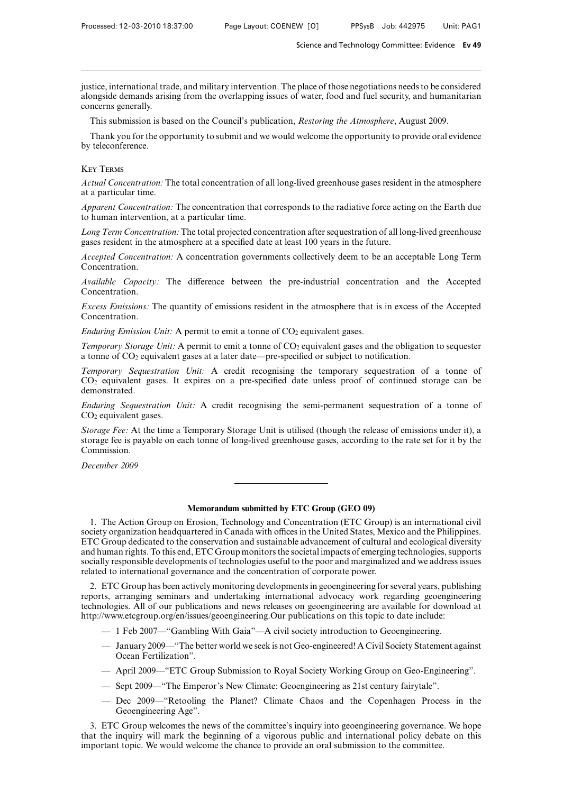justice, international trade, and military intervention. The place of those negotiations needs to be considered alongside demands arising from the overlapping issues of water, food and fuel security, and humanitarian concerns generally.

This submission is based on the Council's publication, *Restoring the Atmosphere*, August 2009.

Thank you for the opportunity to submit and we would welcome the opportunity to provide oral evidence by teleconference.

#### Key Terms

*Actual Concentration:* The total concentration of all long-lived greenhouse gases resident in the atmosphere at a particular time.

*Apparent Concentration:* The concentration that corresponds to the radiative force acting on the Earth due to human intervention, at a particular time.

*Long Term Concentration:* The total projected concentration after sequestration of all long-lived greenhouse gases resident in the atmosphere at a specified date at least 100 years in the future.

*Accepted Concentration:* A concentration governments collectively deem to be an acceptable Long Term Concentration.

*Available Capacity:* The difference between the pre-industrial concentration and the Accepted Concentration.

*Excess Emissions:* The quantity of emissions resident in the atmosphere that is in excess of the Accepted Concentration.

*Enduring Emission Unit:* A permit to emit a tonne of CO<sub>2</sub> equivalent gases.

*Temporary Storage Unit:* A permit to emit a tonne of CO<sub>2</sub> equivalent gases and the obligation to sequester a tonne of CO2 equivalent gases at a later date—pre-specified or subject to notification.

*Temporary Sequestration Unit:* A credit recognising the temporary sequestration of a tonne of  $CO<sub>2</sub>$  equivalent gases. It expires on a pre-specified date unless proof of continued storage can be demonstrated.

*Enduring Sequestration Unit:* A credit recognising the semi-permanent sequestration of a tonne of CO2 equivalent gases.

*Storage Fee:* At the time a Temporary Storage Unit is utilised (though the release of emissions under it), a storage fee is payable on each tonne of long-lived greenhouse gases, according to the rate set for it by the Commission.

*December 2009*

## **Memorandum submitted by ETC Group (GEO 09)**

1. The Action Group on Erosion, Technology and Concentration (ETC Group) is an international civil society organization headquartered in Canada with offices in the United States, Mexico and the Philippines. ETC Group dedicated to the conservation and sustainable advancement of cultural and ecological diversity and human rights. To this end, ETC Group monitors the societal impacts of emerging technologies, supports socially responsible developments of technologies useful to the poor and marginalized and we address issues related to international governance and the concentration of corporate power.

2. ETC Group has been actively monitoring developments in geoengineering for several years, publishing reports, arranging seminars and undertaking international advocacy work regarding geoengineering technologies. All of our publications and news releases on geoengineering are available for download at http://www.etcgroup.org/en/issues/geoengineering.Our publications on this topic to date include:

- 1 Feb 2007—"Gambling With Gaia"—A civil society introduction to Geoengineering.
- January 2009—"The better world we seek is not Geo-engineered! A Civil Society Statement against Ocean Fertilization".
- April 2009—"ETC Group Submission to Royal Society Working Group on Geo-Engineering".
- Sept 2009—"The Emperor's New Climate: Geoengineering as 21st century fairytale".
- Dec 2009—"Retooling the Planet? Climate Chaos and the Copenhagen Process in the Geoengineering Age".

3. ETC Group welcomes the news of the committee's inquiry into geoengineering governance. We hope that the inquiry will mark the beginning of a vigorous public and international policy debate on this important topic. We would welcome the chance to provide an oral submission to the committee.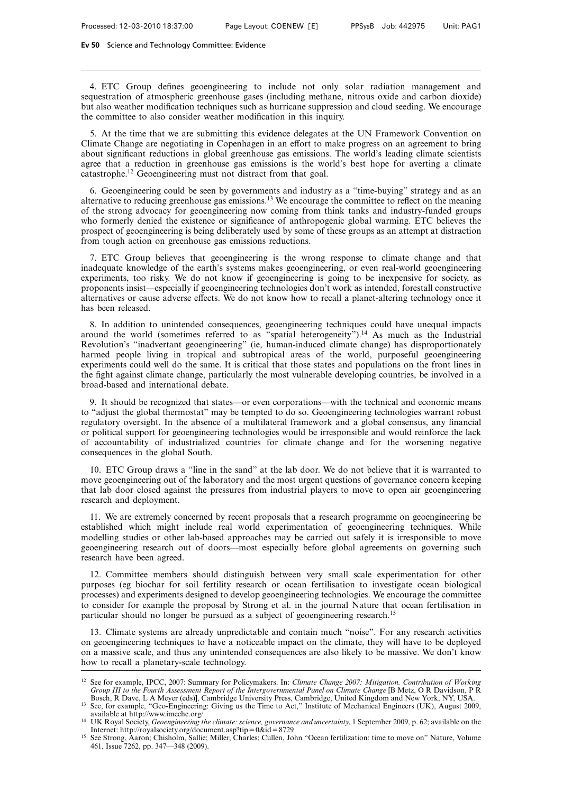4. ETC Group defines geoengineering to include not only solar radiation management and sequestration of atmospheric greenhouse gases (including methane, nitrous oxide and carbon dioxide) but also weather modification techniques such as hurricane suppression and cloud seeding. We encourage the committee to also consider weather modification in this inquiry.

5. At the time that we are submitting this evidence delegates at the UN Framework Convention on Climate Change are negotiating in Copenhagen in an effort to make progress on an agreement to bring about significant reductions in global greenhouse gas emissions. The world's leading climate scientists agree that a reduction in greenhouse gas emissions is the world's best hope for averting a climate catastrophe.12 Geoengineering must not distract from that goal.

6. Geoengineering could be seen by governments and industry as a "time-buying" strategy and as an alternative to reducing greenhouse gas emissions.13 We encourage the committee to reflect on the meaning of the strong advocacy for geoengineering now coming from think tanks and industry-funded groups who formerly denied the existence or significance of anthropogenic global warming. ETC believes the prospect of geoengineering is being deliberately used by some of these groups as an attempt at distraction from tough action on greenhouse gas emissions reductions.

7. ETC Group believes that geoengineering is the wrong response to climate change and that inadequate knowledge of the earth's systems makes geoengineering, or even real-world geoengineering experiments, too risky. We do not know if geoengineering is going to be inexpensive for society, as proponents insist—especially if geoengineering technologies don't work as intended, forestall constructive alternatives or cause adverse effects. We do not know how to recall a planet-altering technology once it has been released.

8. In addition to unintended consequences, geoengineering techniques could have unequal impacts around the world (sometimes referred to as "spatial heterogeneity").14 As much as the Industrial Revolution's "inadvertant geoengineering" (ie, human-induced climate change) has disproportionately harmed people living in tropical and subtropical areas of the world, purposeful geoengineering experiments could well do the same. It is critical that those states and populations on the front lines in the fight against climate change, particularly the most vulnerable developing countries, be involved in a broad-based and international debate.

9. It should be recognized that states—or even corporations—with the technical and economic means to "adjust the global thermostat" may be tempted to do so. Geoengineering technologies warrant robust regulatory oversight. In the absence of a multilateral framework and a global consensus, any financial or political support for geoengineering technologies would be irresponsible and would reinforce the lack of accountability of industrialized countries for climate change and for the worsening negative consequences in the global South.

10. ETC Group draws a "line in the sand" at the lab door. We do not believe that it is warranted to move geoengineering out of the laboratory and the most urgent questions of governance concern keeping that lab door closed against the pressures from industrial players to move to open air geoengineering research and deployment.

11. We are extremely concerned by recent proposals that a research programme on geoengineering be established which might include real world experimentation of geoengineering techniques. While modelling studies or other lab-based approaches may be carried out safely it is irresponsible to move geoengineering research out of doors—most especially before global agreements on governing such research have been agreed.

12. Committee members should distinguish between very small scale experimentation for other purposes (eg biochar for soil fertility research or ocean fertilisation to investigate ocean biological processes) and experiments designed to develop geoengineering technologies. We encourage the committee to consider for example the proposal by Strong et al. in the journal Nature that ocean fertilisation in particular should no longer be pursued as a subject of geoengineering research.15

13. Climate systems are already unpredictable and contain much "noise". For any research activities on geoengineering techniques to have a noticeable impact on the climate, they will have to be deployed on a massive scale, and thus any unintended consequences are also likely to be massive. We don't know how to recall a planetary-scale technology.

<sup>12</sup> See for example, IPCC, 2007: Summary for Policymakers. In: *Climate Change 2007: Mitigation. Contribution of Working Group III to the Fourth Assessment Report of the Intergovernmental Panel on Climate Change* [B Metz, O R Davidson, P R Bosch, R Dave, L A Meyer (eds)], Cambridge University Press, Cambridge, United Kingdom and New York, NY, USA.

<sup>&</sup>lt;sup>13</sup> See, for example, "Geo-Engineering: Giving us the Time to Act," Institute of Mechanical Engineers (UK), August 2009, available at http://www.imeche.org/

<sup>&</sup>lt;sup>14</sup> UK Royal Society, *Geoengineering the climate: science, governance and uncertainty*, 1 September 2009, p. 62; available on the Internet: http://royalsociety.org/document.asp?tip = 0&id = 8729

<sup>&</sup>lt;sup>15</sup> See Strong, Aaron; Chisholm, Sallie; Miller, Charles; Cullen, John "Ocean fertilization: time to move on" Nature, Volume 461, Issue 7262, pp. 347—348 (2009).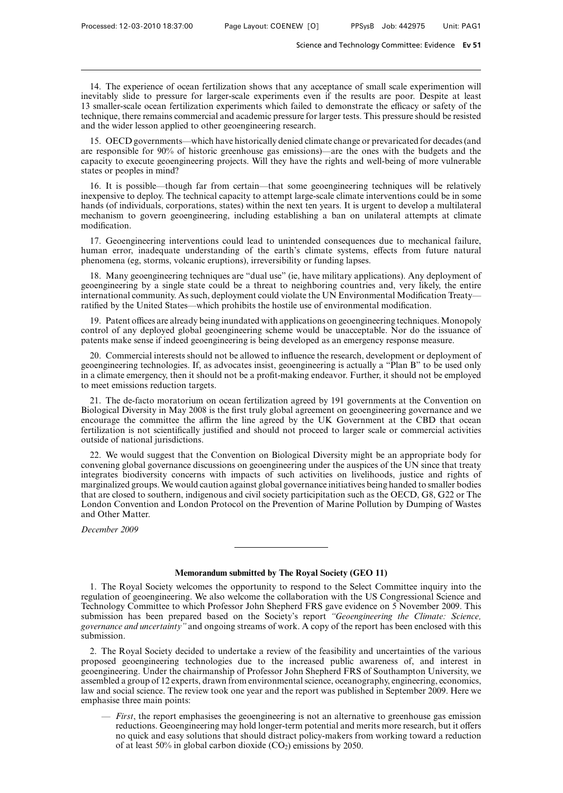14. The experience of ocean fertilization shows that any acceptance of small scale experimention will inevitably slide to pressure for larger-scale experiments even if the results are poor. Despite at least 13 smaller-scale ocean fertilization experiments which failed to demonstrate the efficacy or safety of the technique, there remains commercial and academic pressure for larger tests. This pressure should be resisted and the wider lesson applied to other geoengineering research.

15. OECD governments—which have historically denied climate change or prevaricated for decades (and are responsible for 90% of historic greenhouse gas emissions)—are the ones with the budgets and the capacity to execute geoengineering projects. Will they have the rights and well-being of more vulnerable states or peoples in mind?

16. It is possible—though far from certain—that some geoengineering techniques will be relatively inexpensive to deploy. The technical capacity to attempt large-scale climate interventions could be in some hands (of individuals, corporations, states) within the next ten years. It is urgent to develop a multilateral mechanism to govern geoengineering, including establishing a ban on unilateral attempts at climate modification.

17. Geoengineering interventions could lead to unintended consequences due to mechanical failure, human error, inadequate understanding of the earth's climate systems, effects from future natural phenomena (eg, storms, volcanic eruptions), irreversibility or funding lapses.

18. Many geoengineering techniques are "dual use" (ie, have military applications). Any deployment of geoengineering by a single state could be a threat to neighboring countries and, very likely, the entire international community. As such, deployment could violate the UN Environmental Modification Treaty ratified by the United States—which prohibits the hostile use of environmental modification.

19. Patent offices are already being inundated with applications on geoengineering techniques. Monopoly control of any deployed global geoengineering scheme would be unacceptable. Nor do the issuance of patents make sense if indeed geoengineering is being developed as an emergency response measure.

20. Commercial interests should not be allowed to influence the research, development or deployment of geoengineering technologies. If, as advocates insist, geoengineering is actually a "Plan B" to be used only in a climate emergency, then it should not be a profit-making endeavor. Further, it should not be employed to meet emissions reduction targets.

21. The de-facto moratorium on ocean fertilization agreed by 191 governments at the Convention on Biological Diversity in May 2008 is the first truly global agreement on geoengineering governance and we encourage the committee the affirm the line agreed by the UK Government at the CBD that ocean fertilization is not scientifically justified and should not proceed to larger scale or commercial activities outside of national jurisdictions.

22. We would suggest that the Convention on Biological Diversity might be an appropriate body for convening global governance discussions on geoengineering under the auspices of the UN since that treaty integrates biodiversity concerns with impacts of such activities on livelihoods, justice and rights of marginalized groups. We would caution against global governance initiatives being handed to smaller bodies that are closed to southern, indigenous and civil society participitation such as the OECD, G8, G22 or The London Convention and London Protocol on the Prevention of Marine Pollution by Dumping of Wastes and Other Matter.

*December 2009*

# **Memorandum submitted by The Royal Society (GEO 11)**

1. The Royal Society welcomes the opportunity to respond to the Select Committee inquiry into the regulation of geoengineering. We also welcome the collaboration with the US Congressional Science and Technology Committee to which Professor John Shepherd FRS gave evidence on 5 November 2009. This submission has been prepared based on the Society's report *"Geoengineering the Climate: Science, governance and uncertainty"* and ongoing streams of work. A copy of the report has been enclosed with this submission.

2. The Royal Society decided to undertake a review of the feasibility and uncertainties of the various proposed geoengineering technologies due to the increased public awareness of, and interest in geoengineering. Under the chairmanship of Professor John Shepherd FRS of Southampton University, we assembled a group of 12 experts, drawn from environmental science, oceanography, engineering, economics, law and social science. The review took one year and the report was published in September 2009. Here we emphasise three main points:

— *First*, the report emphasises the geoengineering is not an alternative to greenhouse gas emission reductions. Geoengineering may hold longer-term potential and merits more research, but it offers no quick and easy solutions that should distract policy-makers from working toward a reduction of at least 50% in global carbon dioxide  $(CO<sub>2</sub>)$  emissions by 2050.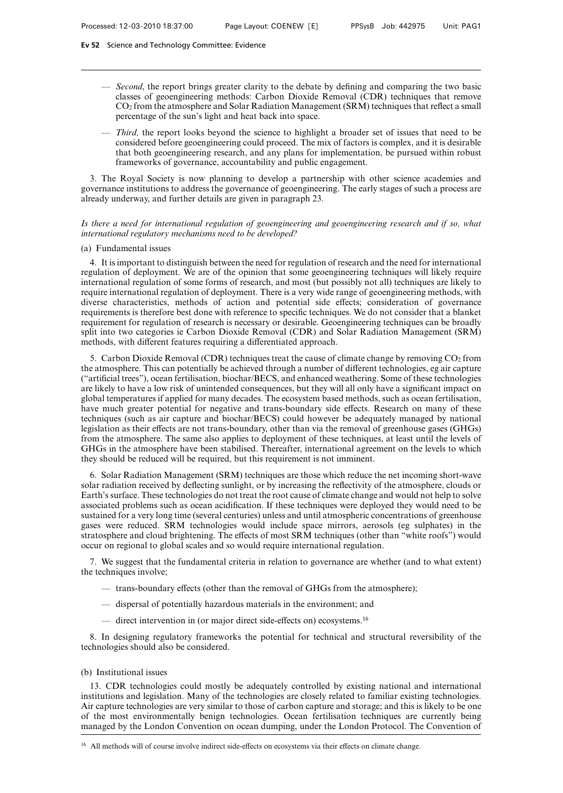- *Second*, the report brings greater clarity to the debate by defining and comparing the two basic classes of geoengineering methods: Carbon Dioxide Removal (CDR) techniques that remove CO2 from the atmosphere and Solar Radiation Management (SRM) techniques that reflect a small percentage of the sun's light and heat back into space.
- *Third,* the report looks beyond the science to highlight a broader set of issues that need to be considered before geoengineering could proceed. The mix of factors is complex, and it is desirable that both geoengineering research, and any plans for implementation, be pursued within robust frameworks of governance, accountability and public engagement.

3. The Royal Society is now planning to develop a partnership with other science academies and governance institutions to address the governance of geoengineering. The early stages of such a process are already underway, and further details are given in paragraph 23.

## *Is there a need for international regulation of geoengineering and geoengineering research and if so, what international regulatory mechanisms need to be developed?*

# (a) Fundamental issues

4. It is important to distinguish between the need for regulation of research and the need for international regulation of deployment. We are of the opinion that some geoengineering techniques will likely require international regulation of some forms of research, and most (but possibly not all) techniques are likely to require international regulation of deployment. There is a very wide range of geoengineering methods, with diverse characteristics, methods of action and potential side effects; consideration of governance requirements is therefore best done with reference to specific techniques. We do not consider that a blanket requirement for regulation of research is necessary or desirable. Geoengineering techniques can be broadly split into two categories ie Carbon Dioxide Removal (CDR) and Solar Radiation Management (SRM) methods, with different features requiring a differentiated approach.

5. Carbon Dioxide Removal (CDR) techniques treat the cause of climate change by removing  $CO<sub>2</sub>$  from the atmosphere. This can potentially be achieved through a number of different technologies, eg air capture ("artificial trees"), ocean fertilisation, biochar/BECS, and enhanced weathering. Some of these technologies are likely to have a low risk of unintended consequences, but they will all only have a significant impact on global temperatures if applied for many decades. The ecosystem based methods, such as ocean fertilisation, have much greater potential for negative and trans-boundary side effects. Research on many of these techniques (such as air capture and biochar/BECS) could however be adequately managed by national legislation as their effects are not trans-boundary, other than via the removal of greenhouse gases (GHGs) from the atmosphere. The same also applies to deployment of these techniques, at least until the levels of GHGs in the atmosphere have been stabilised. Thereafter, international agreement on the levels to which they should be reduced will be required, but this requirement is not imminent.

6. Solar Radiation Management (SRM) techniques are those which reduce the net incoming short-wave solar radiation received by deflecting sunlight, or by increasing the reflectivity of the atmosphere, clouds or Earth's surface. These technologies do not treat the root cause of climate change and would not help to solve associated problems such as ocean acidification. If these techniques were deployed they would need to be sustained for a very long time (several centuries) unless and until atmospheric concentrations of greenhouse gases were reduced. SRM technologies would include space mirrors, aerosols (eg sulphates) in the stratosphere and cloud brightening. The effects of most SRM techniques (other than "white roofs") would occur on regional to global scales and so would require international regulation.

7. We suggest that the fundamental criteria in relation to governance are whether (and to what extent) the techniques involve;

- $-$  trans-boundary effects (other than the removal of GHGs from the atmosphere);
- dispersal of potentially hazardous materials in the environment; and
- direct intervention in (or major direct side-effects on) ecosystems.<sup>16</sup>

8. In designing regulatory frameworks the potential for technical and structural reversibility of the technologies should also be considered.

## (b) Institutional issues

13. CDR technologies could mostly be adequately controlled by existing national and international institutions and legislation. Many of the technologies are closely related to familiar existing technologies. Air capture technologies are very similar to those of carbon capture and storage; and this is likely to be one of the most environmentally benign technologies. Ocean fertilisation techniques are currently being managed by the London Convention on ocean dumping, under the London Protocol. The Convention of

<sup>&</sup>lt;sup>16</sup> All methods will of course involve indirect side-effects on ecosystems via their effects on climate change.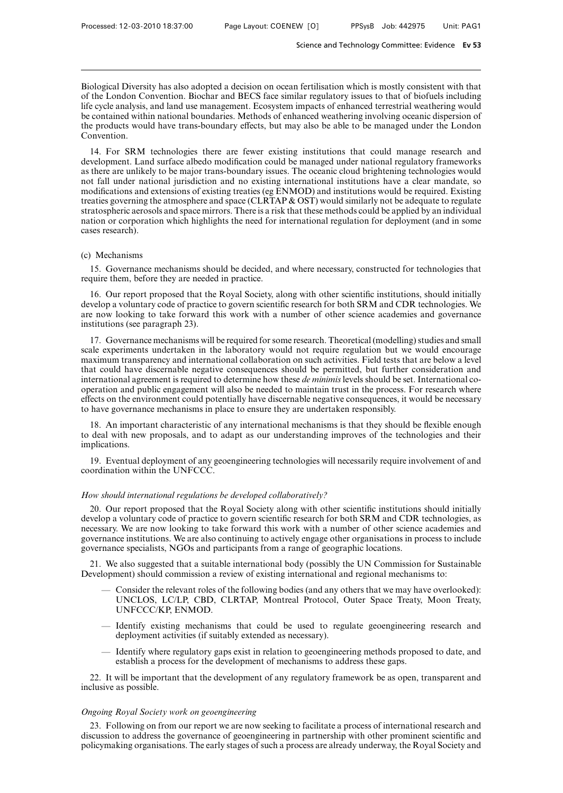Biological Diversity has also adopted a decision on ocean fertilisation which is mostly consistent with that of the London Convention. Biochar and BECS face similar regulatory issues to that of biofuels including life cycle analysis, and land use management. Ecosystem impacts of enhanced terrestrial weathering would be contained within national boundaries. Methods of enhanced weathering involving oceanic dispersion of the products would have trans-boundary effects, but may also be able to be managed under the London Convention.

14. For SRM technologies there are fewer existing institutions that could manage research and development. Land surface albedo modification could be managed under national regulatory frameworks as there are unlikely to be major trans-boundary issues. The oceanic cloud brightening technologies would not fall under national jurisdiction and no existing international institutions have a clear mandate, so modifications and extensions of existing treaties (eg ENMOD) and institutions would be required. Existing treaties governing the atmosphere and space (CLRTAP & OST) would similarly not be adequate to regulate stratospheric aerosols and space mirrors. There is a risk that these methods could be applied by an individual nation or corporation which highlights the need for international regulation for deployment (and in some cases research).

## (c) Mechanisms

15. Governance mechanisms should be decided, and where necessary, constructed for technologies that require them, before they are needed in practice.

16. Our report proposed that the Royal Society, along with other scientific institutions, should initially develop a voluntary code of practice to govern scientific research for both SRM and CDR technologies. We are now looking to take forward this work with a number of other science academies and governance institutions (see paragraph 23).

17. Governance mechanisms will be required for some research. Theoretical (modelling) studies and small scale experiments undertaken in the laboratory would not require regulation but we would encourage maximum transparency and international collaboration on such activities. Field tests that are below a level that could have discernable negative consequences should be permitted, but further consideration and international agreement is required to determine how these *de minimis* levels should be set. International cooperation and public engagement will also be needed to maintain trust in the process. For research where effects on the environment could potentially have discernable negative consequences, it would be necessary to have governance mechanisms in place to ensure they are undertaken responsibly.

18. An important characteristic of any international mechanisms is that they should be flexible enough to deal with new proposals, and to adapt as our understanding improves of the technologies and their implications.

19. Eventual deployment of any geoengineering technologies will necessarily require involvement of and coordination within the UNFCCC.

## *How should international regulations be developed collaboratively?*

20. Our report proposed that the Royal Society along with other scientific institutions should initially develop a voluntary code of practice to govern scientific research for both SRM and CDR technologies, as necessary. We are now looking to take forward this work with a number of other science academies and governance institutions. We are also continuing to actively engage other organisations in process to include governance specialists, NGOs and participants from a range of geographic locations.

21. We also suggested that a suitable international body (possibly the UN Commission for Sustainable Development) should commission a review of existing international and regional mechanisms to:

- Consider the relevant roles of the following bodies (and any others that we may have overlooked): UNCLOS, LC/LP, CBD, CLRTAP, Montreal Protocol, Outer Space Treaty, Moon Treaty, UNFCCC/KP, ENMOD.
- Identify existing mechanisms that could be used to regulate geoengineering research and deployment activities (if suitably extended as necessary).
- Identify where regulatory gaps exist in relation to geoengineering methods proposed to date, and establish a process for the development of mechanisms to address these gaps.

22. It will be important that the development of any regulatory framework be as open, transparent and inclusive as possible.

## *Ongoing Royal Society work on geoengineering*

23. Following on from our report we are now seeking to facilitate a process of international research and discussion to address the governance of geoengineering in partnership with other prominent scientific and policymaking organisations. The early stages of such a process are already underway, the Royal Society and